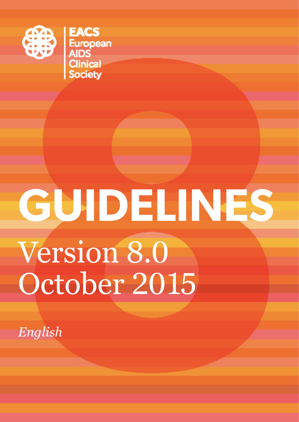

**EACS**<br>European<br>AIDS<br>Clinical<br>Society

# **GUIDELINES** Version 8.0 October 2015

*English*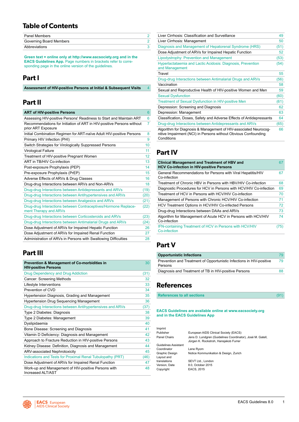### **Table of Contents**

| <b>Panel Members</b>    |  |
|-------------------------|--|
| Governing Board Members |  |
| Abbreviations           |  |

**Green text = online only at http://www.eacsociety.org and in the EACS Guidelines App.** Page numbers in brackets refer to corresponding page in the online version of the guidelines.

### **Part I**

| Assessment of HIV-positive Persons at Initial & Subsequent Visits |  |
|-------------------------------------------------------------------|--|
|-------------------------------------------------------------------|--|

### **Part II**

### **[ART of HIV-positive Persons](#page-6-0)** [6](#page-6-0)

| Assessing HIV-positive Persons' Readiness to Start and Maintain ART                         | 6    |
|---------------------------------------------------------------------------------------------|------|
| Recommendations for Initiation of ART in HIV-positive Persons without<br>prior ART Exposure | 7    |
| Initial Combination Regimen for ART-naïve Adult HIV-positive Persons                        | 8    |
| Primary HIV Infection (PHI)                                                                 | 9    |
| Switch Strategies for Virologically Suppressed Persons                                      | 10   |
| Virological Failure                                                                         | 11   |
| Treatment of HIV-positive Pregnant Women                                                    | 12   |
| ART in TB/HIV Co-infection                                                                  | 13   |
| Post-exposure Prophylaxis (PEP)                                                             | 14   |
| Pre-exposure Prophylaxis (PrEP)                                                             | 15   |
| Adverse Effects of ARVs & Drug Classes                                                      | 16   |
| Drug-drug Interactions between ARVs and Non-ARVs                                            | 18   |
| Drug-drug Interactions between Antidepressants and ARVs                                     | (19) |
| Drug-drug Interactions between Antihypertensives and ARVs                                   | (20) |
| Drug-drug Interactions between Analgesics and ARVs                                          | (21) |
| Drug-drug Interactions between Contraceptives/Hormone Replace-<br>ment Therapy and ARVs     | (22) |
| Drug-drug Interactions between Corticosteroids and ARVs                                     | (23) |
| Drug-drug Interactions between Antimalarial Drugs and ARVs                                  | (24) |
| Dose Adjustment of ARVs for Impaired Hepatic Function                                       | 26   |
| Dose Adjustment of ARVs for Impaired Renal Function                                         | 27   |
| Administration of ARVs in Persons with Swallowing Difficulties                              | 28   |
|                                                                                             |      |

### **Part III**

| <b>Prevention &amp; Management of Co-morbidities in</b><br><b>HIV-positive Persons</b> | 30   |
|----------------------------------------------------------------------------------------|------|
| Drug Dependency and Drug Addiction                                                     | (31) |
| Cancer: Screening Methods                                                              | 32   |
| Lifestyle Interventions                                                                | 33   |
| Prevention of CVD                                                                      | 34   |
| Hypertension Diagnosis, Grading and Management                                         | 35   |
| <b>Hypertension Drug Sequencing Management</b>                                         | 36   |
| Drug-drug Interactions between Antihypertensives and ARVs                              | (37) |
| Type 2 Diabetes: Diagnosis                                                             | 38   |
| Type 2 Diabetes: Management                                                            | 39   |
| Dyslipidaemia                                                                          | 40   |
| Bone Disease: Screening and Diagnosis                                                  | 41   |
| Vitamin D Deficiency: Diagnosis and Management                                         | 42   |
| Approach to Fracture Reduction in HIV-positive Persons                                 | 43   |
| Kidney Disease: Definition, Diagnosis and Management                                   | 44   |
| <b>ARV-associated Nephrotoxicity</b>                                                   | 45   |
| Indications and Tests for Proximal Renal Tubulopathy (PRT)                             | (46) |
| Dose Adjustment of ARVs for Impaired Renal Function                                    | 47   |
| Work-up and Management of HIV-positive Persons with<br>Increased AI T/AST              | 48   |

| Liver Cirrhosis: Classification and Surveillance                                                                                                 | 49   |
|--------------------------------------------------------------------------------------------------------------------------------------------------|------|
| Liver Cirrhosis: Management                                                                                                                      | 50   |
| Diagnosis and Management of Hepatorenal Syndrome (HRS)                                                                                           | (51) |
| Dose Adjustment of ARVs for Impaired Hepatic Function                                                                                            | 52   |
| Lipodystrophy: Prevention and Management                                                                                                         | (53) |
| Hyperlactataemia and Lactic Acidosis: Diagnosis, Prevention<br>and Management                                                                    | (54) |
| Travel                                                                                                                                           | 55   |
| Drug-drug Interactions between Antimalarial Drugs and ARVs                                                                                       | (56) |
| Vaccination                                                                                                                                      | 58   |
| Sexual and Reproductive Health of HIV-positive Women and Men                                                                                     | 59   |
| <b>Sexual Dysfunction</b>                                                                                                                        | (60) |
| <b>Treatment of Sexual Dysfunction in HIV-positive Men</b>                                                                                       | (61) |
| Depression: Screening and Diagnosis                                                                                                              | 62   |
| Depression: Management                                                                                                                           | 63   |
| Classification, Doses, Safety and Adverse Effects of Antidepressants                                                                             | 64   |
| Drug-drug Interactions between Antidepressants and ARVs                                                                                          | (65) |
| Algorithm for Diagnosis & Management of HIV-associated Neurocog-<br>nitive Impairment (NCI) in Persons without Obvious Confounding<br>Conditions | 66   |

### **Part IV**

| <b>Clinical Management and Treatment of HBV and</b><br><b>HCV Co-infection in HIV-positive Persons</b> | 67  |
|--------------------------------------------------------------------------------------------------------|-----|
| General Recommendations for Persons with Viral Hepatitis/HIV<br>Co-infection                           | 67  |
| Treatment of Chronic HBV in Persons with HBV/HIV Co-infection                                          | 68  |
| Diagnostic Procedures for HCV in Persons with HCV/HIV Co-infection                                     | 69  |
| Treatment of HCV in Persons with HCV/HIV Co-infection                                                  | 70  |
| Management of Persons with Chronic HCV/HIV Co-infection                                                | 71  |
| HCV Treatment Options in HCV/HIV Co-infected Persons                                                   | 72  |
| Drug-drug Interactions between DAAs and ARVs                                                           | 73  |
| Algorithm for Management of Acute HCV in Persons with HCV/HIV<br>Co-infection                          | 74  |
| <b>IFN-containing Treatment of HCV in Persons with HCV/HIV</b><br>Co-infection                         | 75) |

### **Part V**

| <b>Opportunistic Infections</b>                                                 | 79 |
|---------------------------------------------------------------------------------|----|
| Prevention and Treatment of Opportunistic Infections in HIV-positive<br>Persons | 79 |
| Diagnosis and Treatment of TB in HIV-positive Persons                           | 88 |
|                                                                                 |    |

### **References**

| <b>References to all sections</b> |  |
|-----------------------------------|--|
|                                   |  |

#### **EACS Guidelines are available online at [www.eacsociety.org](http://www.eacsociety.org) and in the EACS Guidelines App**

| Imprint              |                                                                                                     |
|----------------------|-----------------------------------------------------------------------------------------------------|
| Publisher            | European AIDS Clinical Society (EACS)                                                               |
| Panel Chairs         | Jens D. Lundgren (Guidelines Coordinator), José M. Gatell,<br>Jürgen K. Rockstroh, Hansjakob Furrer |
| Guidelines Assistant |                                                                                                     |
| Coordinator          | Lene Ryom                                                                                           |
| Graphic Design       | Notice Kommunikation & Design, Zurich                                                               |
| Layout and           |                                                                                                     |
| translations         | SEVT Ltd., London                                                                                   |
| Version, Date        | 8.0. October 2015                                                                                   |
| Copyright            | EACS, 2015                                                                                          |

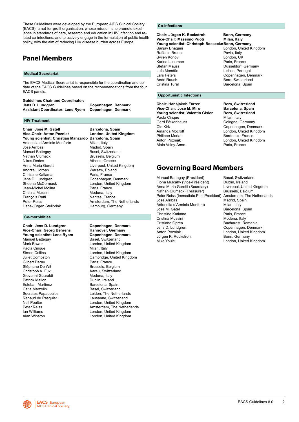<span id="page-2-0"></span>These Guidelines were developed by the European AIDS Clinical Society (EACS), a not-for-profit organisation, whose mission is to promote excellence in standards of care, research and education in HIV infection and related co-infections, and to actively engage in the formulation of public health policy, with the aim of reducing HIV disease burden across Europe.

### **Panel Members**

#### **Medical Secretariat**

The EACS Medical Secretariat is responsible for the coordination and update of the EACS Guidelines based on the recommendations from the four EACS panels.

#### **Guidelines Chair and Coordinator: Copenhagen, Denmark<br>Copenhagen, Denmark Assistant Coordinator: Lene Ryom**

#### **HIV Treatment**

**Chair: José M. Gatell Barcelona, Spain<br>Vice-Chair: Anton Pozniak London, United K Young scientist: Christian Manzardo Barcelona, Spain** Antonella d'Arminio Monforte Milan, Italy<br>
José Arribas (anticalisme Madrid, Sp Manuel Battegay<br>Nathan Clumeck Nathan Clumeck<br>
Nikos Dedes<br>
Nikos Dedes<br>
Athens Greece Anna Maria Geretti **Liverpool, United Kingdom**<br>Andrzei Horban **Maria Liverpool** Warsaw, Poland

Andrzej Horban **Marsaw, Poland Warsaw, Poland Warsaw**, Poland Warsaw, Poland Warsaw, Poland Warsaw, Poland Warsaw<br>Christine Katlama Christine Katlama<br>Jens D. Lundgren Jens D. Lundgren Copenhagen, Denmark<br>Sheena McCormack Control London, United Kingdon Jean-Michel Molina Cristina Mussini **Modena, Italy**<br>
Francois Raffi **Mantes**, Francois Raffi François Raffi **Nantes, France (Nantes, France America**n The Peter Reiss) Hans-Jürgen Stellbrink Hamburg, Germany

#### **Co-morbidities**

**Vice-Chair: Georg Behrens Frannover, Germany<br>Thang Scientist: Lene Ryom Copenhagen, Denmark Young scientist: Lene Ryom Copenhagen, Den**<br>Manuel Battegay **Contained Basel** Switzerland Manuel Battegay<br>Mark Bower Paola Cinque<br>Simon Collins Simon Collins **Colling London, United Kingdom**<br>
Juliet Compston **Cambridge, United Kingdom** Stéphane De Wit Brussels, Belgium<br>Christoph A. Fux Brussels, Barau, Switzerland Giovanni Guaraldi Modena, Italy<br>Patrick Mallon Muslim Dublin, Ireland Esteban Martinez Catia Marzolini **Basel, Switzerland**<br>
Socrates Papapoulos<br>
Leiden, The Nethel Socrates Papapoulos<br>
Renaud du Pasquier 
Renaud du Pasquier

Lausanne, Switzerland Renaud du Pasquier **Lausanne, Switzerland**<br>
Neil Poulter London, United Kingdon Neil Poulter London, United Kingdom<br>
Peter Reiss<br>
Amsterdam The Netherla

**London, United Kingdom** Madrid, Spain<br>Basel, Switzerland Athens, Greece London, United Kingdom<br>Paris, France Amsterdam, The Netherlands

**Chair: Jens D. Lundgren Copenhagen, Denmark** London, United Kingdom<br>Milan, Italy Juliet Compston Cambridge, United Kingdom Paris, France Aarau, Switzerland Dublin, Ireland<br>Barcelona, Spain Amsterdam, The Netherlands Ian Williams London, United Kingdom London, United Kingdom

### **Co-infections**

**Chair: Jürgen K. Rockstroh Bonn, Germany<br>Vice-Chair: Massimo Puoti Milan, Italy Vice-Chair: Massimo Puoti** Young scientist: Christoph Boesecke Bonn, Germany<br>Sanjay Bhagani **Condon**, United K London, United Kingdom Raffaele Bruno **Pavia, Italy Pavia, Italy**<br>
Svilen Konov **Pavia Brunov** London. U London, UK<br>Paris, France Karine Lacombe<br>Stefan Mauss Stefan Mauss **Dusseldorf, Germany**<br>
Luís Mendão **Dusseldorf, Germany** Luís Mendão **Lisbon, Portugal Lisbon, Portugal Lisbon**<br>Lars Peters **Conception** Lars Peters **Copenhagen, Denmark**<br>
Andri Rauch **Communist Contract Contract Contract Contract Contract Contract Contract Contract Contract Contract** Andri Rauch **Bern, Switzerland**<br>Cristina Tural **Bern, Spain** Barcelona, Spain Barcelona, Spain

#### **Opportunistic Infections**

**Chair: Hansjakob Furrer Bern, Switzerland Vice-Chair: José M. Miro Barcelona, Spain Young scientist: Valentin Gisler Bern, Switch Bern, Switch Bern, Switch Bern, Italy** Paola Cinque<br>Gerd Fätkenheuer Gerd Fätkenheuer Cologne, Germany<br>Cle Kirk Conenhagen Denr Ole Kirk Copenhagen, Denmark<br>Amanda Mocroft Communic London. United Kingdor Philippe Morlat **Bordeaux, France**<br> **Anton Pozniak Bordeaux, Anton Pozniak Bordeaux**, London, United Ki Alain Volny-Anne

London, United Kingdom London, United Kingdom<br>Paris, France

### **Governing Board Members**

Manuel Battegay (President) Basel, Switzerland Fiona Mulcahy (Vice-President) Dublin, Ireland<br>Anna Maria Geretti (Secretary) Liverpool, United Kingdom Anna Maria Geretti (Secretary) Liverpool, United Kathan Clumeck (Treasurer) Brussels, Belgium Nathan Clumeck (Treasurer) Brussels, Belgium<br>Peter Reiss (Immediate Past President) Amsterdam. The Netherlands Peter Reiss (Immediate Past President)<br>José Arribas Antonella d'Arminio Monforte<br>José M. Gatell Christine Katlama Cristina Mussini Modena, Italy Cristiana Oprea Bucharest, Romania<br>
Jens D. Lundgren Copenhagen, Denma Jens D. Lundgren Governmenden, Denmark<br>
Anton Pozniak Government London, United Kingdor Jürgen K. Rockstroh<br>Mike Youle

Madrid, Spain<br>Milan, Italy Barcelona, Spain<br>Paris, France London, United Kingdom<br>Bonn, Germany London, United Kingdom

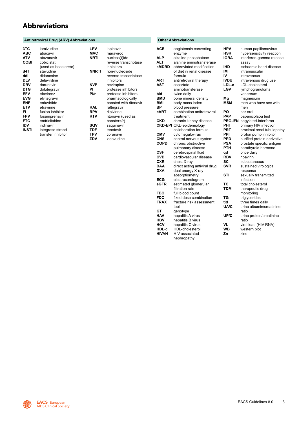### <span id="page-3-0"></span>**Abbreviations**

### Antiretroviral Drug (ARV) Abbreviations **COMITABLE 2018** Other Abbreviations

| 3TC<br><b>ABC</b><br><b>ATV</b> | lamivudine<br>abacavir<br>atazanavir | LPV<br><b>MVC</b><br>NRTI |
|---------------------------------|--------------------------------------|---------------------------|
| <b>COBI</b>                     | cobicistat                           |                           |
|                                 | (used as booster=/c)                 |                           |
| d4T                             | stavudine                            | NNRT                      |
| ddl                             | didanosine                           |                           |
| <b>DLV</b>                      | delavirdine                          |                           |
| <b>DRV</b>                      | darunavir                            | NVP                       |
| <b>DTG</b>                      | dolutegravir                         | PI                        |
| <b>EFV</b>                      | efavirenz                            | Pl/r                      |
| <b>EVG</b>                      | elvitegravir                         |                           |
| <b>ENF</b>                      | enfuvirtide                          |                           |
| ETV                             | etravirine                           | RAL                       |
| FI                              | fusion inhibitor                     | RPV                       |
| <b>FPV</b>                      | fosamprenavir                        | RTV                       |
| <b>FTC</b>                      | emtricitabine                        |                           |
| IDV                             | indinavir                            | SQV                       |
| <b>INSTI</b>                    | integrase strand                     | TDF                       |
|                                 | transfer inhibitor                   | TPV                       |

| LPV        | lopinavir              |
|------------|------------------------|
| MVC        | maraviroc              |
| NRTI       | nucleos(t)ide          |
|            | reverse transcriptase  |
|            | inhibitors             |
| NNRTI      | non-nucleoside         |
|            | reverse transcriptase  |
|            | inhibitors             |
|            |                        |
| NVP        | nevirapine             |
| PI         | protease inhibitors    |
| Pl/r       | protease inhibitors    |
|            | pharmacologically      |
|            | boosted with ritonavir |
| RAL        | raltegravir            |
| RPV        | rilpivirine            |
| <b>RTV</b> | ritonavir (used as     |
|            | booster=/r)            |
| SQV        | saquinavir             |
| <b>TDF</b> | tenofovir              |
| TPV        | tipranavir             |
| ZDV        | zidovudine             |
|            |                        |

| <b>ACE</b>   | angiotensin converting                  | HPV        | human papillomavirus             |
|--------------|-----------------------------------------|------------|----------------------------------|
|              | enzyme                                  | HSR        | hypersensitivity reaction        |
| ALP          | alkaline phosphatase                    | IGRA       | interferon-gamma release         |
| ALT          | alanine aminotransferase                |            | assay                            |
| aMDRD        | abbreviated modification                | IHD        | ischaemic heart disease          |
|              | of diet in renal disease                | IM         | intramuscular                    |
|              | formula                                 | IV         | intravenous                      |
| <b>ART</b>   | antiretroviral therapy                  | IVDU       | intravenous drug use             |
| <b>AST</b>   | aspartate                               | LDL-c      | LDL-cholesterol                  |
|              | aminotransferase                        | LGV        | lymphogranuloma                  |
| bid          | twice daily                             |            | venereum                         |
| <b>BMD</b>   | bone mineral density                    | Mg         | magnesium                        |
| BMI          | body mass index                         | <b>MSM</b> | men who have sex with            |
| ΒP           | blood pressure                          |            | men                              |
| cART         | combination antiretroviral              | PO         | per oral                         |
|              | treatment                               | <b>PAP</b> | papanicolaou test                |
| CKD          | chronic kidney disease                  |            | PEG-IFN pegylated-interferon     |
|              | <b>CKD-EPI</b> CKD epidemiology         | PHI        | primary HIV infection            |
|              | collaboration formula                   | <b>PRT</b> | proximal renal tubulopathy       |
| <b>CMV</b>   | cytomegalovirus                         | PPI        | proton pump inhibitor            |
| CNS          | central nervous system                  | <b>PPD</b> | purified protein derivative      |
| <b>COPD</b>  | chronic obstructive                     | PSA        | prostate specific antigen        |
|              | pulmonary disease                       | <b>PTH</b> | parathyroid hormone              |
| <b>CSF</b>   | cerebrospinal fluid                     | qd         | once daily                       |
| <b>CVD</b>   | cardiovascular disease                  | <b>RBV</b> | ribavirin                        |
| <b>CXR</b>   | chest X-ray                             | SC         | subcutaneous                     |
| <b>DAA</b>   |                                         | <b>SVR</b> | sustained virological            |
| <b>DXA</b>   | direct acting antiviral drug            |            |                                  |
|              | dual energy X-ray<br>absorptiometry     | STI        | response<br>sexually transmitted |
|              |                                         |            | infection                        |
| ECG<br>eGFR  | electrocardiogram                       | TC         |                                  |
|              | estimated glomerular<br>filtration rate | <b>TDM</b> | total cholesterol                |
|              |                                         |            | therapeutic drug                 |
| <b>FBC</b>   | full blood count                        |            | monitoring                       |
| <b>FDC</b>   | fixed dose combination                  | TG         | triglycerides                    |
| <b>FRAX</b>  | fracture risk assessment                | tid        | three times daily                |
|              | tool                                    | UA/C       | urine albumin/creatinine         |
| GТ           | genotype                                |            | ratio                            |
| <b>HAV</b>   | hepatitis A virus                       | UP/C       | urine protein/creatinine         |
| <b>HBV</b>   | hepatitis B virus                       |            | ratio                            |
| HCV          | hepatitis C virus                       | <b>VL</b>  | viral load (HIV-RNA)             |
| HDL-c        | <b>HDL-cholesterol</b>                  | <b>WB</b>  | western blot                     |
| <b>HIVAN</b> | HIV-associated                          | Zn         | zinc                             |
|              | nephropathy                             |            |                                  |

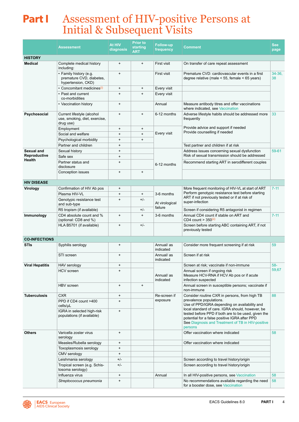# <span id="page-4-0"></span>**Part I** Assessment of HIV-positive Persons at Initial & Subsequent Visits

|                               | <b>Assessment</b>                                                        | <b>At HIV</b><br>diagnosis | <b>Prior to</b><br>starting<br><b>ART</b> | <b>Follow-up</b><br>frequency                                                                                               | Comment                                                                                                                                                                                                                  |                 |  |
|-------------------------------|--------------------------------------------------------------------------|----------------------------|-------------------------------------------|-----------------------------------------------------------------------------------------------------------------------------|--------------------------------------------------------------------------------------------------------------------------------------------------------------------------------------------------------------------------|-----------------|--|
| <b>HISTORY</b>                |                                                                          |                            |                                           |                                                                                                                             |                                                                                                                                                                                                                          |                 |  |
| <b>Medical</b>                | Complete medical history<br>including:                                   | $\ddot{}$                  | $\ddot{}$                                 | First visit                                                                                                                 | On transfer of care repeat assessment                                                                                                                                                                                    |                 |  |
|                               | • Family history (e.g.<br>premature CVD, diabetes,<br>hypertension, CKD) | $\ddot{}$                  |                                           | First visit                                                                                                                 | Premature CVD: cardiovascular events in a first<br>degree relative (male $\le$ 55, female $\le$ 65 years)                                                                                                                | $34-36$ ,<br>38 |  |
|                               | • Concomitant medicines <sup>(i)</sup>                                   | $\ddot{}$                  | $\ddot{}$                                 | Every visit                                                                                                                 |                                                                                                                                                                                                                          |                 |  |
|                               | • Past and current<br>co-morbidities                                     | $\ddot{}$                  | $\ddot{}$                                 | Every visit                                                                                                                 |                                                                                                                                                                                                                          |                 |  |
|                               | • Vaccination history                                                    | $\ddot{}$                  |                                           | Annual                                                                                                                      | Measure antibody titres and offer vaccinations<br>where indicated, see Vaccination                                                                                                                                       |                 |  |
| Psychosocial                  | Current lifestyle (alcohol<br>use, smoking, diet, exercise,<br>drug use) | $+$                        | $\ddot{}$                                 | 6-12 months                                                                                                                 | Adverse lifestyle habits should be addressed more<br>frequently                                                                                                                                                          | 33              |  |
|                               | Employment                                                               | $\ddot{}$                  | $\ddot{}$                                 |                                                                                                                             | Provide advice and support if needed<br>Provide counselling if needed                                                                                                                                                    |                 |  |
|                               | Social and welfare                                                       | $+$                        | $+$                                       | Every visit                                                                                                                 |                                                                                                                                                                                                                          |                 |  |
|                               | Psychological morbidity                                                  | $\ddot{}$                  | $\ddot{}$                                 |                                                                                                                             |                                                                                                                                                                                                                          |                 |  |
|                               | Partner and children                                                     | $\ddot{}$                  |                                           |                                                                                                                             | Test partner and children if at risk                                                                                                                                                                                     |                 |  |
| Sexual and                    | Sexual history                                                           | $+$                        |                                           |                                                                                                                             | Address issues concerning sexual dysfunction                                                                                                                                                                             | 59-61           |  |
| <b>Reproductive</b><br>Health | Safe sex                                                                 | $\ddot{}$<br>$+$           |                                           |                                                                                                                             | Risk of sexual transmission should be addressed                                                                                                                                                                          |                 |  |
|                               | Partner status and<br>disclosure                                         |                            |                                           | 6-12 months                                                                                                                 | Recommend starting ART in serodifferent couples                                                                                                                                                                          |                 |  |
|                               | Conception issues                                                        | $\ddot{}$                  | $\ddot{}$                                 |                                                                                                                             |                                                                                                                                                                                                                          |                 |  |
| <b>HIV DISEASE</b>            |                                                                          |                            |                                           |                                                                                                                             |                                                                                                                                                                                                                          |                 |  |
| Virology                      | Confirmation of HIV Ab pos                                               | $+$                        |                                           |                                                                                                                             | More frequent monitoring of HIV-VL at start of ART                                                                                                                                                                       | $7 - 11$        |  |
|                               | Plasma HIV-VL                                                            | $\ddot{}$                  | $+$                                       | 3-6 months                                                                                                                  | Perform genotypic resistance test before starting                                                                                                                                                                        |                 |  |
|                               | Genotypic resistance test<br>and sub-type                                | $+$                        | $+/-$                                     | At virological                                                                                                              | ART if not previously tested or if at risk of<br>super-infection                                                                                                                                                         |                 |  |
|                               | R5 tropism (if available)                                                |                            | $+/-$                                     | failure                                                                                                                     | Screen if considering R5 antagonist in regimen                                                                                                                                                                           |                 |  |
| Immunology                    | CD4 absolute count and %<br>(optional: CD8 and %)                        | $\ddot{}$<br>$\ddot{}$     |                                           | 3-6 months                                                                                                                  | Annual CD4 count if stable on ART and<br>CD4 count $>$ 350 <sup>(ii)</sup>                                                                                                                                               | $7 - 11$        |  |
|                               | HLA B5701 (if available)                                                 | $+$                        | $+/-$                                     |                                                                                                                             | Screen before starting ABC containing ART, if not<br>previously tested                                                                                                                                                   |                 |  |
| <b>CO-INFECTIONS</b>          |                                                                          |                            |                                           |                                                                                                                             |                                                                                                                                                                                                                          |                 |  |
| <b>STIs</b>                   | Syphilis serology                                                        | $\ddot{}$                  |                                           | Annual/as<br>indicated                                                                                                      | Consider more frequent screening if at risk                                                                                                                                                                              | 59              |  |
|                               | STI screen                                                               | $\ddot{}$                  |                                           | Annual/ as<br>indicated                                                                                                     | Screen if at risk                                                                                                                                                                                                        |                 |  |
| Viral Hepatitis               | HAV serology                                                             | $\ddot{}$                  |                                           |                                                                                                                             | Screen at risk; vaccinate if non-immune                                                                                                                                                                                  | 58-             |  |
|                               | HCV screen                                                               | $\ddot{}$                  |                                           | Annual screen if ongoing risk<br>Annual/as<br>Measure HCV-RNA if HCV Ab pos or if acute<br>indicated<br>infection suspected |                                                                                                                                                                                                                          | 59,67           |  |
|                               | HBV screen                                                               | $\ddot{}$                  | $\ddot{}$                                 |                                                                                                                             | Annual screen in susceptible persons; vaccinate if<br>non-immune                                                                                                                                                         |                 |  |
| <b>Tuberculosis</b>           | <b>CXR</b>                                                               | $\ddot{}$                  |                                           | Re-screen if                                                                                                                | Consider routine CXR in persons, from high TB                                                                                                                                                                            | 88              |  |
|                               | PPD if CD4 count >400<br>cells/µL                                        | $\ddot{}$                  |                                           | exposure                                                                                                                    | prevalence populations.<br>Use of PPD/IGRA depending on availability and                                                                                                                                                 |                 |  |
|                               | IGRA in selected high-risk<br>populations (if available)                 | $\ddot{}$                  |                                           |                                                                                                                             | local standard of care. IGRA should, however, be<br>tested before PPD if both are to be used, given the<br>potential for a false positive IGRA after PPD<br>See Diagnosis and Treatment of TB in HIV-positive<br>persons |                 |  |
| <b>Others</b>                 | Varicella zoster virus<br>serology                                       | $\ddot{}$                  |                                           |                                                                                                                             | Offer vaccination where indicated                                                                                                                                                                                        | 58              |  |
|                               | Measles/Rubella serology                                                 | $\ddot{}$                  |                                           |                                                                                                                             | Offer vaccination where indicated                                                                                                                                                                                        |                 |  |
|                               | Toxoplasmosis serology                                                   | $\ddot{}$                  |                                           |                                                                                                                             |                                                                                                                                                                                                                          |                 |  |
|                               | CMV serology                                                             | $\ddot{}$                  |                                           |                                                                                                                             |                                                                                                                                                                                                                          |                 |  |
|                               | Leishmania serology                                                      | $+/-$                      |                                           |                                                                                                                             | Screen according to travel history/origin                                                                                                                                                                                |                 |  |
|                               | Tropical screen (e.g. Schis-<br>tosoma serology)                         | $+/-$                      |                                           |                                                                                                                             | Screen according to travel history/origin                                                                                                                                                                                |                 |  |
|                               | Influenza virus                                                          | $\ddot{}$                  |                                           | Annual<br>In all HIV-positive persons, see Vaccination                                                                      |                                                                                                                                                                                                                          |                 |  |
|                               | Streptococcus pneumonia                                                  | $\ddot{}$                  |                                           |                                                                                                                             | No recommendations available regarding the need<br>for a booster dose, see Vaccination                                                                                                                                   | 58<br>58        |  |

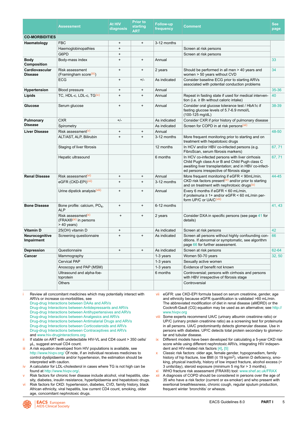<span id="page-5-0"></span>

|                                  | <b>Assessment</b>                                                                    | <b>At HIV</b><br>diagnosis       | <b>Prior to</b><br>starting<br>ART | <b>Follow-up</b><br>frequency | <b>Comment</b>                                                                                                                                                                                          | <b>See</b><br>page |
|----------------------------------|--------------------------------------------------------------------------------------|----------------------------------|------------------------------------|-------------------------------|---------------------------------------------------------------------------------------------------------------------------------------------------------------------------------------------------------|--------------------|
| <b>CO-MORBIDITIES</b>            |                                                                                      |                                  |                                    |                               |                                                                                                                                                                                                         |                    |
| Haematology                      | <b>FBC</b>                                                                           | +                                | $\ddot{}$                          | 3-12 months                   |                                                                                                                                                                                                         |                    |
|                                  | Haemoglobinopathies                                                                  | $\ddot{}$                        |                                    |                               | Screen at risk persons                                                                                                                                                                                  |                    |
|                                  | G6PD                                                                                 | $+$                              |                                    |                               | Screen at risk persons                                                                                                                                                                                  |                    |
| <b>Body</b><br>Composition       | Body-mass index                                                                      | $\ddot{}$                        | $+$                                | Annual                        |                                                                                                                                                                                                         | 33                 |
| Cardiovascular<br><b>Disease</b> | Risk assessment<br>(Framingham score(iii))                                           | $\ddot{}$                        | $+$                                | 2 years                       | Should be performed in all men > 40 years and<br>women > 50 years without CVD                                                                                                                           |                    |
|                                  | <b>ECG</b>                                                                           | $\begin{array}{c} + \end{array}$ | $+/-$                              | As indicated                  | Consider baseline ECG prior to starting ARVs<br>associated with potential conduction problems                                                                                                           |                    |
| Hypertension                     | Blood pressure                                                                       | $\ddot{}$                        | $+$                                | Annual                        |                                                                                                                                                                                                         | $35 - 36$          |
| Lipids                           | TC, HDL-c, LDL-c, TG(iv)                                                             | $\ddot{}$                        | $+$                                | Annual                        | Repeat in fasting state if used for medical interven-<br>tion (i.e. $\geq$ 8h without caloric intake)                                                                                                   | 40                 |
| Glucose                          | Serum glucose                                                                        | $\ddot{}$                        | $+$                                | Annual                        | Consider oral glucose tolerance test / HbA1c if<br>fasting glucose levels of 5.7-6.9 mmol/L<br>(100-125 mg/dL)                                                                                          | 38-39              |
| Pulmonary<br><b>Disease</b>      | <b>CXR</b>                                                                           | $+/-$                            |                                    | As indicated                  | Consider CXR if prior history of pulmonary disease                                                                                                                                                      |                    |
|                                  | Spirometry                                                                           |                                  |                                    | As indicated                  | Screen for COPD in at risk persons <sup>(xii)</sup>                                                                                                                                                     |                    |
| <b>Liver Disease</b>             | Risk assessment <sup>(v)</sup>                                                       | $\ddot{}$                        | $\ddot{}$                          | Annual                        |                                                                                                                                                                                                         | 48-50              |
|                                  | ALT/AST, ALP, Bilirubin                                                              | $+$                              | $+$                                | 3-12 months                   | More frequent monitoring prior to starting and on<br>treatment with hepatotoxic drugs                                                                                                                   |                    |
|                                  | Staging of liver fibrosis                                                            |                                  |                                    | 12 months                     | In HCV and/or HBV co-infected persons (e.g.<br>FibroScan, serum fibrosis markers)                                                                                                                       | 67,71              |
|                                  | Hepatic ultrasound                                                                   |                                  |                                    | 6 months                      | In HCV co-infected persons with liver cirrhosis<br>Child Pugh class A or B and Child Pugh class C<br>awaiting liver transplantation; and in HBV co-infect-<br>ed persons irrespective of fibrosis stage | 67,71              |
| <b>Renal Disease</b>             | Risk assessment <sup>(vi)</sup>                                                      | $\ddot{}$                        | $+$                                | Annual                        | More frequent monitoring if eGFR < 90mL/min,                                                                                                                                                            | 44-45              |
|                                  | eGFR (CKD-EPI)(vii)                                                                  | $\ddot{}$                        | $+$                                | 3-12 months                   | CKD risk factors present <sup>(vi)</sup> and/or prior to starting<br>and on treatment with nephrotoxic drugs <sup>(ix)</sup>                                                                            |                    |
|                                  | Urine dipstick analysis <sup>(viii)</sup>                                            | $\ddot{}$                        | $+$                                | Annual                        | Every 6 months if $eGFR < 60$ mL/min,<br>if proteinuria $\geq 1$ + and/or eGFR < 60 mL/min per-<br>form UP/C or UA/C(viii)                                                                              |                    |
| <b>Bone Disease</b>              | Bone profile: calcium, PO <sub>4</sub> ,<br><b>ALP</b>                               | $\ddot{}$                        | $+$                                | 6-12 months                   |                                                                                                                                                                                                         | 41, 43             |
|                                  | Risk assessment <sup>(x)</sup><br>(FRAX® <sup>(xi)</sup> in persons<br>$> 40$ years) | $\ddot{}$                        | $\ddot{}$                          | 2 years                       | Consider DXA in specific persons (see page 41 for<br>details)                                                                                                                                           |                    |
| <b>Vitamin D</b>                 | 25(OH) vitamin D                                                                     | $\ddot{}$                        |                                    | As indicated                  | Screen at risk persons                                                                                                                                                                                  | 42                 |
| Neurocognitive<br>Impairment     | Screening questionnaire                                                              | $\ddot{}$                        | $\ddot{}$                          | As indicated                  | Screen all persons without highly confounding con-<br>ditions. If abnormal or symptomatic, see algorithm<br>page 66 for further assessment.                                                             | 66                 |
| Depression                       | Questionnaire                                                                        | $\ddot{}$                        | $+$                                | As indicated                  | Screen at risk persons                                                                                                                                                                                  | 62-64              |
| Cancer                           | Mammography                                                                          |                                  |                                    | 1-3 years                     | Women 50-70 years                                                                                                                                                                                       | 32, 50             |
|                                  | <b>Cervical PAP</b>                                                                  |                                  |                                    | 1-3 years                     | Sexually active women                                                                                                                                                                                   |                    |
|                                  | Anoscopy and PAP (MSM)                                                               |                                  |                                    | 1-3 years                     | Evidence of benefit not known                                                                                                                                                                           |                    |
|                                  | Ultrasound and alpha-foe-<br>toprotein                                               |                                  |                                    | 6 months                      | Controversial; persons with cirrhosis and persons<br>with HBV irrespective of fibrosis stage                                                                                                            |                    |
|                                  | Others                                                                               |                                  |                                    |                               | Controversial                                                                                                                                                                                           |                    |

i Review all concomitant medicines which may potentially interact with ARVs or increase co-morbidities, see

[Drug-drug Interactions between DAAs and ARVs](#page-73-0) [Drug-drug Interactions between Antidepressants and ARVs](#page-19-0)  [Drug-drug Interactions between Antihypertensives and ARVs](#page-20-0)  [Drug-drug Interactions between Analgesics and ARVs](#page-21-0)  [Drug-drug Interactions between Antimalarial Drugs and ARVs](#page-24-0)  [Drug-drug Interactions between Corticosteroids and ARVs](#page-23-0) [Drug-drug Interactions between Contraceptives and ARVs](#page-22-0) and [www.hiv-druginteractions.org](http://www.hiv-druginteractions.org)

 $ii$  If stable on ART with undetectable HIV-VL and CD4 count  $>$  350 cells/ μL, suggest annual CD4 count.

iii A risk equation developed from HIV populations is available, see http:/[/ww](http://www.hivpv.org/)w.hivpv.org/ Of note, if an individual receives medicines to control dyslipidaemia and/or hypertension, the estimation should be interpreted with caution.

iv A calculator for LDL-cholesterol in cases where TG is not high can be found at http:/[/ww](http://www.hivpv.org/)w.hivpv.org/.

Risk factors for chronic liver disease include alcohol, viral hepatitis, obesity, diabetes, insulin resistance, hyperlipidaemia and hepatotoxic drugs.

vi Risk factors for CKD: hypertension, diabetes, CVD, family history, black African ethnicity, viral hepatitis, low current CD4 count, smoking, older age, concomitant nephrotoxic drugs.



- viii Some experts recommend UA/C (urinary albumin creatinine ratio) or UP/C (urinary protein creatinine ratio) as a screening test for proteinuria in all persons. UA/C predominantly detects glomerular disease. Use in persons with diabetes. UP/C detects total protein secondary to glomerular and tubular disease.
- ix Different models have been developed for calculating a 5-year CKD risk score while using different nephrotoxic ARVs, integrating HIV independent and HIV-related risk factors [\[4\]](#page-91-0), [\[5\]](#page-91-0)

Classic risk factors: older age, female gender, hypogonadism, family history of hip fracture, low BMI (≤ 19 kg/m<sup>2</sup>), vitamin D deficiency, smoking, physical inactivity, history of low impact fracture, alcohol excess (> 3 units/day), steroid exposure (minimum 5 mg for > 3 months).

xi WHO fracture risk assessment (FRAX®) tool: [www.shef.ac.uk/FRAX](http://www.shef.ac.uk/FRAX)

A diagnosis of COPD should be considered in persons over the age of 35 who have a risk factor (current or ex-smoker) and who present with exertional breathlessness, chronic cough, regular sputum production, frequent winter 'bronchitis' or wheeze.

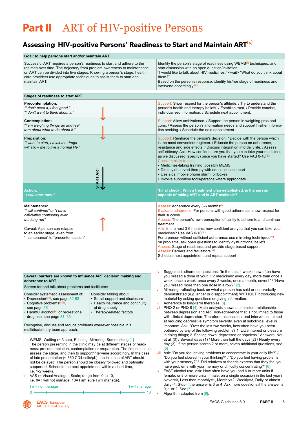# <span id="page-6-0"></span>**Part II** ART of HIV-positive Persons

### **Assessing HIV-positive Persons' Readiness to Start and Maintain ART(x)**

| Goal: to help persons start and/or maintain ART                                                                                                                                                                                                                                                                          |                                                                                                                                                                                                                                                                                                                                                                                                                                                                                                                                                                                                                                                                                        |  |  |  |  |  |  |
|--------------------------------------------------------------------------------------------------------------------------------------------------------------------------------------------------------------------------------------------------------------------------------------------------------------------------|----------------------------------------------------------------------------------------------------------------------------------------------------------------------------------------------------------------------------------------------------------------------------------------------------------------------------------------------------------------------------------------------------------------------------------------------------------------------------------------------------------------------------------------------------------------------------------------------------------------------------------------------------------------------------------------|--|--|--|--|--|--|
| Successful ART requires a person's readiness to start and adhere to the<br>regimen over time. The trajectory from problem awareness to maintenance<br>on ART can be divided into five stages. Knowing a person's stage, health<br>care providers use appropriate techniques to assist them to start and<br>maintain ART. | Identify the person's stage of readiness using WEMS <sup>(i)</sup> techniques, and<br>start discussion with an open question/invitation:<br>"I would like to talk about HIV medicines." <wait> "What do you think about<br/>them?"<br/>Based on the person's response, identify his/her stage of readiness and<br/>intervene accordingly (ii)</wait>                                                                                                                                                                                                                                                                                                                                   |  |  |  |  |  |  |
| <b>Stages of readiness to start ART</b>                                                                                                                                                                                                                                                                                  |                                                                                                                                                                                                                                                                                                                                                                                                                                                                                                                                                                                                                                                                                        |  |  |  |  |  |  |
| Precontemplation:<br>"I don't need it, I feel good."<br>"I don't want to think about it."                                                                                                                                                                                                                                | Support: Show respect for the person's attitude. / Try to understand the<br>person's health and therapy beliefs. / Establish trust. / Provide concise,<br>individualised information. / Schedule next appointment.                                                                                                                                                                                                                                                                                                                                                                                                                                                                     |  |  |  |  |  |  |
| Contemplation:<br>"I am weighing things up and feel<br>torn about what to do about it."                                                                                                                                                                                                                                  | Support: Allow ambivalence. / Support the person in weighing pros and<br>cons. / Assess the person's information needs and support his/her informa-<br>tion seeking. / Schedule the next appointment.                                                                                                                                                                                                                                                                                                                                                                                                                                                                                  |  |  |  |  |  |  |
| <b>Preparation:</b><br>"I want to start, I think the drugs<br>will allow me to live a normal life."<br><b>START ART</b>                                                                                                                                                                                                  | Support: Reinforce the person's decision. / Decide with the person which<br>is the most convenient regimen. / Educate the person on adherence,<br>resistance and side effects. / Discuss integration into daily life. / Assess<br>self-efficacy. Ask: How confident are you that you can take your medicines<br>as we discussed (specify) once you have started? Use VAS 0-10 <sup>(iii)</sup><br>Consider skills training:<br>• Medicines-taking training, possibly MEMS<br>• Directly observed therapy with educational support<br>• Use aids: mobile phone alarm, pillboxes<br>• Involve supportive tools/persons where appropriate                                                 |  |  |  |  |  |  |
| <b>Action:</b><br>"I will start now."                                                                                                                                                                                                                                                                                    | 'Final check': With a treatment plan established, is the person<br>capable of taking ART and is ART available?                                                                                                                                                                                                                                                                                                                                                                                                                                                                                                                                                                         |  |  |  |  |  |  |
| Maintenance:<br>"I will continue" or "I have<br>difficulties continuing over<br>the long run"<br>Caveat: A person can relapse<br>to an earlier stage, even from<br>"maintenance" to "precontemplation"                                                                                                                   | Assess: Adherence every 3-6 months <sup>(iv)</sup><br>Evaluate adherence: For persons with good adherence: show respect for<br>their success.<br>Assess: The person's own perception of ability to adhere to and continue<br>treatment.<br>Ask: In the next 3-6 months, how confident are you that you can take your<br>medicines? Use VAS 0-10 <sup>(iii)</sup><br>For a person without sufficient adherence: use mirroring techniques $(v)$<br>on problems, ask open questions to identify dysfunctional beliefs.<br>Assess: Stage of readiness and provide stage-based support<br>Assess: Barriers and facilitators <sup>(vi)</sup><br>Schedule next appointment and repeat support |  |  |  |  |  |  |

| Several barriers are known to influence ART decision making and<br>adherence to ART                                                                                                                                     |                                                                                                                                                |  |  |  |  |  |
|-------------------------------------------------------------------------------------------------------------------------------------------------------------------------------------------------------------------------|------------------------------------------------------------------------------------------------------------------------------------------------|--|--|--|--|--|
| Screen for and talk about problems and facilitators                                                                                                                                                                     |                                                                                                                                                |  |  |  |  |  |
| Consider systematic assessment of:<br>• Depression <sup>(vii)</sup> , see page $62-63$<br>• Cognitive problems <sup>(viii)</sup> ,<br>see page 66<br>• Harmful alcohol(ix) or recreational<br>drug use, see page 31, 33 | Consider talking about:<br>• Social support and disclosure<br>• Health insurance and continuity<br>of drug supply<br>• Therapy-related factors |  |  |  |  |  |
|                                                                                                                                                                                                                         |                                                                                                                                                |  |  |  |  |  |

Recognise, discuss and reduce problems wherever possible in a multidisciplinary team approach.

- WEMS: Waiting (> 3 sec), Echoing, Mirroring, Summarising [\[1\]](#page-91-0) ii The person presenting in the clinic may be at different stages of readiness: precontemplation, contemplation or preparation. The first step is to assess the stage, and then to support/intervene accordingly. In the case of late presentation (< 350 CD4 cells/μL), the initiation of ART should not be delayed. The person should be closely followed and optimally supported. Schedule the next appointment within a short time, i.e. 1-2 weeks.
- VAS (= Visual Analogue Scale; range from 0 to 10, i.e. 0= I will not manage, 10= I am sure I will manage).
- I will not manage **I will manage**

0 10

- iv Suggested adherence questions: "In the past 4 weeks how often have you missed a dose of your HIV medicines: every day, more than once a week, once a week, once every 2 weeks, once a month, never?" / "Have you missed more than one dose in a row?" [\[2\]](#page-91-0).
- Mirroring: reflecting back on what a person has said or non-verbally demonstrated (e.g. anger or disappointment) WITHOUT introducing new material by asking questions or giving information.
- vi Adherence to long-term therapies [\[3\].](#page-91-0)
- vii PHQ-2 or PHQ-9 [\[4\]](#page-91-0). Meta-analysis shows a consistent relationship between depression and ART non-adherence that is not limited to those with clinical depression. Therefore, assessment and intervention aimed at reducing depressive symptom severity, even at subclinical level is important. Ask: "Over the last two weeks, how often have you been bothered by any of the following problems? 1. Little interest or pleasure in doing things; 2. Feeling down, depressed or hopeless." Answers: Not at all  $(0)$  / Several days  $(1)$  / More than half the days  $(2)$  / Nearly every day (3). If the person scores 2 or more, seven additional questions, see [\[5\]](#page-91-0)
- viii Ask: "Do you feel having problems to concentrate in your daily life?" / "Do you feel slowed in your thinking?" / "Do you feel having problems with your memory?" / "Did relatives or friends express that they feel you have problems with your memory or difficulty concentrating?" [\[6\].](#page-91-0)
- FAST-alcohol use, ask: How often have you had 6 or more units if female, or 8 or more units if male, on a single occasion in the last year? Never=0, Less than monthly=1, Monthly=2, Weekly=3, Daily or almost daily=4. Stop if the answer is 3 or 4. Ask more questions if the answer is 0, 1 or 2. See [\[7\]](#page-91-0).

Algorithm adapted from [\[8\]](#page-91-0).

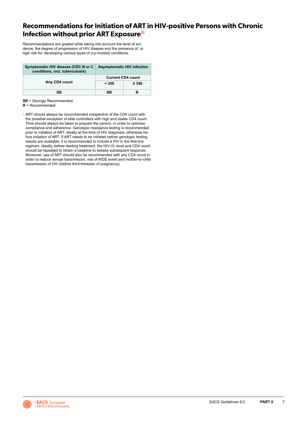### <span id="page-7-0"></span>**Recommendations for Initiation of ART in HIV-positive Persons with Chronic Infection without prior ART Exposure<sup>(i)</sup>**

Recommendations are graded while taking into account the level of evidence, the degree of progression of HIV disease and the presence of, or high risk for, developing various types of (co-morbid) conditions.

| Symptomatic HIV disease (CDC B or C<br>conditions, incl. tuberculosis) | <b>Asymptomatic HIV infection</b>               |  |  |
|------------------------------------------------------------------------|-------------------------------------------------|--|--|
| Any CD4 count                                                          | <b>Current CD4 count</b><br>$\geq 350$<br>< 350 |  |  |
| SR                                                                     | SR                                              |  |  |

**SR** = Strongly Recommended

**R** = Recommended

i ART should always be recommended irrespective of the CD4 count with the possible exception of elite controllers with high and stable CD4 count. Time should always be taken to prepare the person, in order to optimise compliance and adherence. Genotypic resistance testing is recommended prior to initiation of ART, ideally at the time of HIV diagnosis; otherwise before initiation of ART. If ART needs to be initiated before genotypic testing results are available, it is recommended to include a PI/r in the first-line regimen. Ideally, before starting treatment, the HIV-VL level and CD4 count should be repeated to obtain a baseline to assess subsequent response. Moreover, use of ART should also be recommended with any CD4 count in order to reduce sexual transmission, risk of AIDS event and mother-to-child transmission of HIV (before third trimester of pregnancy).

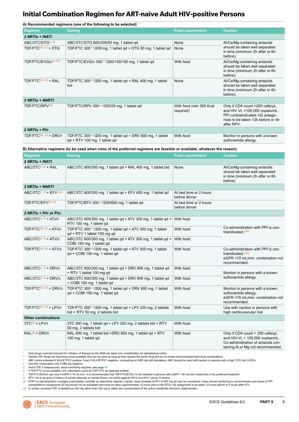### <span id="page-8-0"></span>**Initial Combination Regimen for ART-naïve Adult HIV-positive Persons**

|                                      | A) Recommended regimens (one of the following to be selected)*,**                                                       |                                         |                                                                                                                                                          |
|--------------------------------------|-------------------------------------------------------------------------------------------------------------------------|-----------------------------------------|----------------------------------------------------------------------------------------------------------------------------------------------------------|
| <b>Regimen</b>                       | <b>Dosing</b>                                                                                                           | <b>Food requirement</b>                 | <b>Caution</b>                                                                                                                                           |
| 2 NRTIS + INSTI                      |                                                                                                                         |                                         |                                                                                                                                                          |
| ABC/3TC/DTG <sup>(i, ii)</sup>       | ABC/3TC/DTG 600/300/50 mg, 1 tablet qd                                                                                  | None                                    | Al/Ca/Mg-containing antacids                                                                                                                             |
| TDF/FTC <sup>(iii, iv)</sup> + DTG   | TDF/FTC 300 $\frac{\text{(viii)}}{200}$ mg, 1 tablet gd + DTG 50 mg, 1 tablet gd                                        | None                                    | should be taken well separated<br>in time (minimum 2h after or 6h<br>before).                                                                            |
| TDF/FTC/EVG/c(iii, iv)               | TDF/FTC/EVG/c 300(viii)/200/150/150 mg, 1 tablet qd                                                                     | With food                               | Al/Ca/Mg-containing antacids<br>should be taken well separated<br>in time (minimum 2h after or 6h)<br>before).                                           |
| TDF/FTC(iii, iv) + RAL               | TDF/FTC 300 $\frac{\text{cm}}{200}$ mg, 1 tablet gd + RAL 400 mg, 1 tablet<br>bid                                       | None                                    | Al/Ca/Mg-containing antacids<br>should be taken well separated<br>in time (minimum 2h after or 6h<br>before).                                            |
| 2 NRTIS + NNRTI                      |                                                                                                                         |                                         |                                                                                                                                                          |
| TDF/FTC/RPV(iii)                     | TDF/FTC/RPV 300(viii)/200/25 mg, 1 tablet qd                                                                            | With food (min 390 Kcal<br>required)    | Only if CD4 count >200 cells/µL<br>and HIV VL <100,000 copies/mL.<br>PPI contraindicated; H2 antago-<br>nists to be taken 12h before or 4h<br>after RPV. |
| 2 NRTIs + PI/r                       |                                                                                                                         |                                         |                                                                                                                                                          |
| TDF/FTC(iii, iv) + DRV/r             | TDF/FTC 300 <sup>(viii</sup> )/200 mg, 1 tablet qd + DRV 800 mg, 1 tablet<br>$qd + RTV$ 100 mg, 1 tablet gd             | With food                               | Monitor in persons with a known<br>sulfonamide allergy.                                                                                                  |
|                                      | B) Alternative regimens (to be used when none of the preferred regimens are feasible or available, whatever the reason) |                                         |                                                                                                                                                          |
| <b>Regimen</b>                       | <b>Dosing</b>                                                                                                           | <b>Food requirement</b>                 | <b>Caution</b>                                                                                                                                           |
| 2 NRTIS + INSTI                      |                                                                                                                         |                                         |                                                                                                                                                          |
| $ABC/3TC^{(i, ii)} + RAL$            | ABC/3TC 600/300 mg, 1 tablet qd + RAL 400 mg, 1 tablet bid                                                              | None                                    | Al/Ca/Mg-containing antacids<br>should be taken well separated<br>in time (minimum 2h after or 6h<br>before)                                             |
| 2 NRTIS + NNRTI                      |                                                                                                                         |                                         |                                                                                                                                                          |
| $ABC/3TC^{(i, ii)} + EFV^{(vi)}$     | ABC/3TC 600/300 mg, 1 tablet qd + EFV 600 mg, 1 tablet qd                                                               | At bed time or 2 hours<br>before dinner |                                                                                                                                                          |
| TDF/FTC/EFV(iii, iv)                 | TDF/FTC/EFV 300(viii)/200/600 mg, 1 tablet qd                                                                           | At bed time or 2 hours<br>before dinner |                                                                                                                                                          |
| 2 NRTIs + PI/r or PI/c               |                                                                                                                         |                                         |                                                                                                                                                          |
| $ABC/3TC^{(i, ii)} + ATV/r$          | ABC/3TC 600/300 mg, 1 tablet qd + ATV 300 mg, 1 tablet qd +<br>RTV 100 mg, 1 tablet gd                                  | With food                               | Co-administration with PPI is con-                                                                                                                       |
| TDF/FTC(iii, iv) + ATV/r             | TDF/FTC 300(viii)/200 mg, 1 tablet gd + ATV 300 mg, 1 tablet<br>qd + RTV 1 tablet 100 mg qd                             | With food                               | traindicated (vii)                                                                                                                                       |
| $ABC/3TC^{(i, ii)} + ATV/c$          | ABC/3TC 600/300 mg, 1 tablet gd + ATV 300 mg, 1 tablet gd +<br>COBI 150 mg, 1 tablet qd                                 | With food                               |                                                                                                                                                          |
| TDF/FTC(iii, iv) + ATV/c             | TDF/FTC 300 <sup>(viii</sup> )/200 mg, 1 tablet gd + ATV 300 mg, 1 tablet<br>qd + COBI 150 mg, 1 tablet gd              | With food                               | Co-administration with PPI is con-<br>traindicated (vii)<br>eGFR <70 mL/min: combination not<br>recommended.                                             |
| ABC/3TC <sup>(i, ii)</sup> + DRV/r   | ABC/3TC 600/300 mg, 1 tablet gd + DRV 800 mg, 1 tablet gd<br>+ RTV 1 tablet 100 mg gd                                   | With food                               | Monitor in persons with a known                                                                                                                          |
| $ABC/3TC^{(i, ii)} + DRV/c$          | ABC/3TC 600/300 mg, 1 tablet gd + DRV 800 mg, 1 tablet gd<br>+ COBI 150 mg, 1 tablet qd                                 | With food                               | sulfonamide allergy.                                                                                                                                     |
| TDF/FTC(iii, iv) + DRV/c             | TDF/FTC 300 <sup>(viii</sup> )/200 mg, 1 tablet qd + DRV 800 mg, 1 tablet<br>qd + COBI 150 mg, 1 tablet qd              | With food                               | Monitor in persons with a known<br>sulfonamide allergy.<br>eGFR <70 mL/min: combination not<br>recommended.                                              |
| TDF/FTC <sup>(iii, iv)</sup> + LPV/r | TDF/FTC 300 $\frac{\text{V}}{\text{V}}$ 200 mg, 1 tablet qd + LPV 200 mg, 2 tablets<br>bid + RTV 50 mg, 2 tablets bid   | With food                               | Use with caution in persons with<br>high cardiovascular risk                                                                                             |
| <b>Other combinations</b>            |                                                                                                                         |                                         |                                                                                                                                                          |
| $3TC^{(ii)} + LPV/r$                 | 3TC 300 mg, 1 tablet qd + LPV 200 mg, 2 tablets bid + RTV<br>50 mg, 2 tablets bid                                       | With food                               |                                                                                                                                                          |
| $RAL(ii) + DRV/r$                    | RAL 400 mg, 1 tablet bid +DRV 800 mg, 1 tablet qd + RTV<br>100 mg, 1 tablet gd                                          | With food                               | Only if CD4 count $>$ 200 cells/ $\mu$ L<br>and HIV-VL < 100,000 copies/mL.<br>Co-administration of antacids con-<br>taining AI or Mg not recommended.   |

\* Only drugs currently licensed for initiation of therapy by the EMA are taken into consideration (in alphabetical order).<br>\*\* Generic HIV drugs are becoming more available and can be used as they replace the same drug a

ii Use this combination only if HBs Ag negative. iii Avoid TDF if osteoporosis, renal monitoring required, see page [45](#page-45-0)

iv If TDF/FTC is not available, one alternative could be TDF+3TC as separate entities.<br>v TDF/FTC/EVG/c use only if eGFR ≥ 70 mL/min. It is recommended that TDF/FTC/EVG/c is not initiated in persons with eGFR < 90 mL/mi

vi EFV: not to be given if history of suicide attempts or mental illness; not active against HIV-2 and HIV-1 group O strains.<br>Vil If PPI co-administration is judged unavoidable, consider an alternative regimen; if given, d

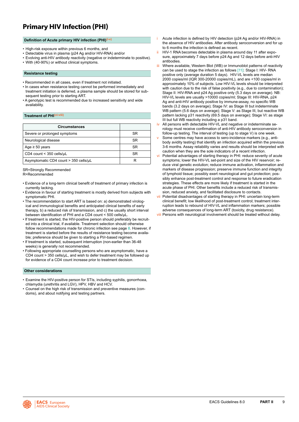### <span id="page-9-0"></span>**Primary HIV Infection (PHI)**

#### **Definition of Acute primary HIV infection (PHI)(i-v)**

- High-risk exposure within previous 6 months, and
- Detectable virus in plasma (p24 Ag and/or HIV-RNA) and/or
- Evolving anti-HIV antibody reactivity (negative or indeterminate to positive).
- With (40-90%) or without clinical symptoms.

#### **Resistance testing**

- Recommended in all cases, even if treatment not initiated.
- In cases when resistance testing cannot be performed immediately and treatment initiation is deferred, a plasma sample should be stored for subsequent testing prior to starting ART.
- A genotypic test is recommended due to increased sensitivity and wide availability.

#### **Treatment of PHI(vi-viii)**

| <b>Circumstances</b>                  |           |
|---------------------------------------|-----------|
| Severe or prolonged symptoms          | <b>SR</b> |
| Neurological disease                  | SR.       |
| Age $\geq 50$ years                   | <b>SR</b> |
| CD4 count < 350 cells/uL              | SR        |
| Asymptomatic CD4 count > 350 cells/uL |           |

SR=Strongly Recommended R=Recommended

- Evidence of a long-term clinical benefit of treatment of primary infection is currently lacking.
- Evidence in favour of starting treatment is mostly derived from subjects with symptomatic PHI.
- The recommendation to start ART is based on: a) demonstrated virological and immunological benefits and anticipated clinical benefits of early therapy, b) a reduced risk of transmission, and c) the usually short interval between identification of PHI and a CD4 count < 500 cells/µL.
- If treatment is started, the HIV-positive person should preferably be recruited into a clinical trial, if available. Treatment selection should otherwise follow recommendations made for chronic infection see page [8](#page-8-0). However, if treatment is started before the results of resistance testing become available; preference should be given to starting a PI/r-based regimen.
- If treatment is started, subsequent interruption (non-earlier than 36-48 weeks) is generally not recommended.
- Following appropriate counselling persons who are asymptomatic, have a CD4 count > 350 cells/µL, and wish to defer treatment may be followed up for evidence of a CD4 count increase prior to treatment decision.

#### **Other considerations**

- Examine the HIV-positive person for STIs, including syphilis, gonorrhoea, chlamydia (urethritis and LGV), HPV, HBV and HCV.
- Counsel on the high risk of transmission and preventive measures (condoms), and about notifying and testing partners.
- Acute infection is defined by HIV detection (p24 Ag and/or HIV-RNA) in the absence of HIV antibodies. After antibody seroconversion and for up to 6 months the infection is defined as recent.
- ii HIV-1 RNA becomes detectable in plasma around day 11 after exposure, approximately 7 days before p24 Ag and 12 days before anti-HIV antibodies.
- iii Where available, Western Blot (WB) or Immunoblot patterns of reactivity can be used to stage the infection as follows [\[11\]:](#page-91-0) Stage I: HIV- RNA positive only (average duration 5 days). HIV-VL levels are median 2000 copies/ml (IQR 300-20000 copies/mL), and are <100 copies/ml in approximately 10% of subjects. Low HIV-VL levels should be interpreted with caution due to the risk of false positivity (e.g., due to contamination); Stage II: HIV-RNA and p24 Ag positive only (5.3 days on average). NB: HIV-VL levels are usually >10000 copies/ml; Stage III: HIV-RNA, p24 Ag and anti-HIV antibody positive by immune-assay, no specific WB bands (3.2 days on average); Stage IV: as Stage III but indeterminate WB pattern (5.6 days on average); Stage V: as Stage III, but reactive WB pattern lacking p31 reactivity (69.5 days on average); Stage VI: as stage III but full WB reactivity including a p31 band.
- iv All persons with detectable HIV-VL and negative or indeterminate serology must receive confirmation of anti-HIV antibody seroconversion in follow-up testing. The interval of testing (up to stage V) is one week.
- Some centres may have access to sero-incidence markers (e.g., antibody avidity testing) that identify an infection acquired within the previous 3-6 months. Assay reliability varies and results should be interpreted with caution when they are the sole indicators of a recent infection.
- vi Potential advantages of starting therapy in PHI: reduce severity of acute symptoms; lower the HIV-VL set-point and size of the HIV reservoir; reduce viral genetic evolution; reduce immune activation, inflammation and markers of disease progression; preserve immune function and integrity of lymphoid tissue; possibly exert neurological and gut protection; possibly enhance post-treatment control and response to future eradication strategies. These effects are more likely if treatment is started in the acute phase of PHI. Other benefits include a reduced risk of transmission, reduced anxiety, and facilitated disclosure to contacts.
- vii Potential disadvantages of starting therapy in PHI: uncertain long-term clinical benefit; low likelihood of post-treatment control; treatment interruption leads to rebound of HIV-VL and inflammation markers; possible adverse consequences of long-term ART (toxicity, drug resistance).
- viii Persons with neurological involvement should be treated without delay.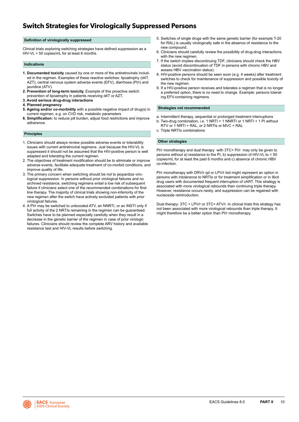### <span id="page-10-0"></span>**Switch Strategies for Virologically Suppressed Persons**

#### **Definition of virologically suppressed**

Clinical trials exploring switching strategies have defined suppression as a HIV-VL < 50 copies/mL for at least 6 months.

#### **Indications**

- **1. Documented toxicity** caused by one or more of the antiretrovirals included in the regimen. Examples of these reactive switches: lipoatrophy (d4T, AZT), central nervous system adverse events (EFV), diarrhoea (PI/r) and jaundice (ATV).
- **2. Prevention of long-term toxicity.** Example of this proactive switch: prevention of lipoatrophy in patients receiving d4T or AZT.
- **3. Avoid serious drug-drug interactions**
- **4. Planned pregnancy**
- **5. Ageing and/or co-morbidity** with a possible negative impact of drug(s) in current regimen, e.g. on CVD risk, metabolic parameters
- **6. Simplification:** to reduce pill burden, adjust food restrictions and improve adherence.

#### **Principles**

- 1. Clinicians should always review possible adverse events or tolerability issues with current antiretroviral regimens. Just because the HIV-VL is suppressed it should not be assumed that the HIV-positive person is well adapted and tolerating the current regimen.
- 2. The objectives of treatment modification should be to eliminate or improve adverse events, facilitate adequate treatment of co-morbid conditions, and improve quality of life.
- 3. The primary concern when switching should be not to jeopardize virological suppression. In persons without prior virological failures and no archived resistance, switching regimens entail a low risk of subsequent failure if clinicians select one of the recommended combinations for firstline therapy. The majority of clinical trials showing non-inferiority of the new regimen after the switch have actively excluded patients with prior virological failures.
- 4. A PI/r may be switched to unboosted ATV, an NNRTI, or an INSTI only if full activity of the 2 NRTIs remaining in the regimen can be guaranteed. Switches have to be planned especially carefully when they result in a decrease in the genetic barrier of the regimen in case of prior virologic failures. Clinicians should review the complete ARV history and available resistance test and HIV-VL results before switching.
- 5. Switches of single drugs with the same genetic barrier (for example T-20 for RAL) is usually virologically safe in the absence of resistance to the new compound.
- 6. Clinicians should carefully review the possibility of drug-drug interactions with the new regimen.
- 7. If the switch implies discontinuing TDF, clinicians should check the HBV status (avoid discontinuation of TDF in persons with chronic HBV and assess HBV vaccination status).
- 8. HIV-positive persons should be seen soon (e.g. 4 weeks) after treatment switches to check for maintenance of suppression and possible toxicity of the new regimen.
- 9. If a HIV-positive person receives and tolerates a regimen that is no longer a preferred option, there is no need to change. Example: persons tolerating EFV-containing regimens.

#### **Strategies not recommended**

- a. Intermittent therapy, sequential or prolonged treatment interruptions
- b. Two-drug combination, i.e. 1 NRTI + 1 NNRTI or 1 NRTI + 1 PI without RTV or 1 NRTI + RAL, or 2 NRTIs or MVC + RAL
- c. Triple NRTIs combinations

#### **Other strategies**

PI/r monotherapy and dual therapy with 3TC+ PI/r may only be given to persons without a) resistance to the PI, b) suppression of HIV-VL to < 50 copies/mL for at least the past 6 months and c) absence of chronic HBV co-infection.

PI/r monotherapy with DRV/r qd or LPV/r bid might represent an option in persons with intolerance to NRTIs or for treatment simplification or in illicit drug users with documented frequent interruption of cART. This strategy is associated with more virological rebounds than continuing triple therapy. However, resistance occurs rarely, and suppression can be regained with nucleoside reintroduction.

Dual therapy: 3TC + LPV/r or 3TC+ ATV/r. In clinical trials this strategy has not been associated with more virological rebounds than triple therapy. It might therefore be a better option than PI/r monotherapy.

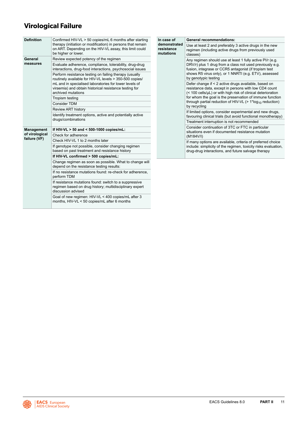### <span id="page-11-0"></span> **Virological Failure**

| <b>Definition</b> | Confirmed HIV-VL > 50 copies/mL 6 months after starting                                                                                       | In case of                              | <b>General recommendations:</b>                                                                                                                                               |  |  |  |
|-------------------|-----------------------------------------------------------------------------------------------------------------------------------------------|-----------------------------------------|-------------------------------------------------------------------------------------------------------------------------------------------------------------------------------|--|--|--|
|                   | therapy (initiation or modification) in persons that remain<br>on ART. Depending on the HIV-VL assay, this limit could<br>be higher or lower. | demonstrated<br>resistance<br>mutations | Use at least 2 and preferably 3 active drugs in the new<br>regimen (including active drugs from previously used<br>classes)                                                   |  |  |  |
| General           | Review expected potency of the regimen                                                                                                        |                                         | Any regimen should use at least 1 fully active PI/r (e.g.                                                                                                                     |  |  |  |
| measures          | Evaluate adherence, compliance, tolerability, drug-drug<br>interactions, drug-food interactions, psychosocial issues                          |                                         | DRV/r) plus 1 drug from a class not used previously e.g.<br>fusion, integrase or CCR5 antagonist (if tropism test                                                             |  |  |  |
|                   | Perform resistance testing on failing therapy (usually<br>routinely available for HIV-VL levels > 350-500 copies/                             |                                         | shows R5 virus only), or 1 NNRTI (e.g. ETV), assessed<br>by genotypic testing                                                                                                 |  |  |  |
|                   | mL and in specialised laboratories for lower levels of<br>viraemia) and obtain historical resistance testing for<br>archived mutations        |                                         | Defer change if < 2 active drugs available, based on<br>resistance data, except in persons with low CD4 count<br>(< 100 cells/µL) or with high risk of clinical deterioration |  |  |  |
|                   | Tropism testing                                                                                                                               |                                         | for whom the goal is the preservation of immune function                                                                                                                      |  |  |  |
|                   | Consider TDM                                                                                                                                  |                                         | through partial reduction of HIV-VL ( $> 1$ *log <sub>10</sub> reduction)<br>by recycling                                                                                     |  |  |  |
|                   | <b>Review ART history</b>                                                                                                                     |                                         | If limited options, consider experimental and new drugs,<br>favouring clinical trials (but avoid functional monotherapy)                                                      |  |  |  |
|                   | Identify treatment options, active and potentially active                                                                                     |                                         |                                                                                                                                                                               |  |  |  |
|                   | drugs/combinations                                                                                                                            |                                         | Treatment interruption is not recommended                                                                                                                                     |  |  |  |
| <b>Management</b> | If HIV-VL $>$ 50 and $<$ 500-1000 copies/mL:                                                                                                  |                                         | Consider continuation of 3TC or FTC in particular<br>situations even if documented resistance mutation                                                                        |  |  |  |
| of virological    | Check for adherence                                                                                                                           |                                         | (M184V/I)                                                                                                                                                                     |  |  |  |
| failure (VF)      | Check HIV-VL 1 to 2 months later                                                                                                              |                                         | If many options are available, criteria of preferred choice                                                                                                                   |  |  |  |
|                   | If genotype not possible, consider changing regimen<br>based on past treatment and resistance history                                         |                                         | include: simplicity of the regimen, toxicity risks evaluation,<br>drug-drug interactions, and future salvage therapy                                                          |  |  |  |
|                   | If HIV-VL confirmed > 500 copies/mL:                                                                                                          |                                         |                                                                                                                                                                               |  |  |  |
|                   | Change regimen as soon as possible. What to change will<br>depend on the resistance testing results:                                          |                                         |                                                                                                                                                                               |  |  |  |
|                   | If no resistance mutations found: re-check for adherence.<br>perform TDM                                                                      |                                         |                                                                                                                                                                               |  |  |  |
|                   | If resistance mutations found: switch to a suppressive                                                                                        |                                         |                                                                                                                                                                               |  |  |  |

regimen based on drug history; multidisciplinary expert

Goal of new regimen: HIV-VL < 400 copies/mL after 3 months, HIV-VL < 50 copies/mL after 6 months

discussion advised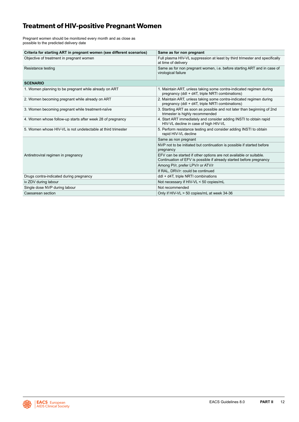### <span id="page-12-0"></span>**Treatment of HIV-positive Pregnant Women**

Pregnant women should be monitored every month and as close as possible to the predicted delivery date

| Criteria for starting ART in pregnant women (see different scenarios) | Same as for non pregnant                                                                                                                  |
|-----------------------------------------------------------------------|-------------------------------------------------------------------------------------------------------------------------------------------|
| Objective of treatment in pregnant women                              | Full plasma HIV-VL suppression at least by third trimester and specifically<br>at time of delivery                                        |
| Resistance testing                                                    | Same as for non pregnant women, i.e. before starting ART and in case of<br>virological failure                                            |
| <b>SCENARIO</b>                                                       |                                                                                                                                           |
| 1. Women planning to be pregnant while already on ART                 | 1. Maintain ART, unless taking some contra-indicated regimen during<br>pregnancy (ddl + d4T, triple NRTI combinations)                    |
| 2. Women becoming pregnant while already on ART                       | 2. Maintain ART, unless taking some contra-indicated regimen during<br>pregnancy (ddl + d4T, triple NRTI combinations)                    |
| 3. Women becoming pregnant while treatment-naïve                      | 3. Starting ART as soon as possible and not later than beginning of 2nd<br>trimester is highly recommended                                |
| 4. Women whose follow-up starts after week 28 of pregnancy            | 4. Start ART immediately and consider adding INSTI to obtain rapid<br>HIV-VL decline in case of high HIV-VL                               |
| 5. Women whose HIV-VL is not undetectable at third trimester          | 5. Perform resistance testing and consider adding INSTI to obtain<br>rapid HIV-VL decline                                                 |
|                                                                       | Same as non pregnant                                                                                                                      |
|                                                                       | NVP not to be initiated but continuation is possible if started before<br>pregnancy                                                       |
| Antiretroviral regimen in pregnancy                                   | EFV can be started if other options are not available or suitable.<br>Continuation of EFV is possible if already started before pregnancy |
|                                                                       | Among PI/r, prefer LPV/r or ATV/r                                                                                                         |
|                                                                       | If RAL, DRV/r: could be continued                                                                                                         |
| Drugs contra-indicated during pregnancy                               | ddl + d4T, triple NRTI combinations                                                                                                       |
| iv ZDV during labour                                                  | Not necessary if HIV-VL < 50 copies/mL                                                                                                    |
| Single dose NVP during labour                                         | Not recommended                                                                                                                           |
| Caesarean section                                                     | Only if HIV-VL > 50 copies/mL at week 34-36                                                                                               |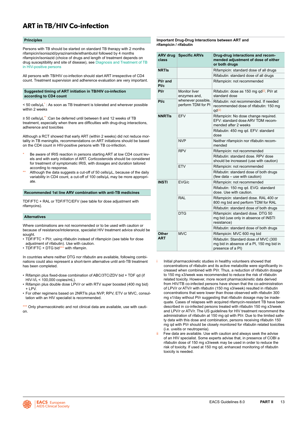### <span id="page-13-0"></span>**ART in TB/HIV Co-infection**

#### **Principles**

Persons with TB should be started on standard TB therapy with 2 months rifampicin/isoniazid/pyrazinamide/ethambutol followed by 4 months rifampicin/isoniazid (choice of drugs and length of treatment depends on drug susceptibility and site of disease), see [Diagnosis and Treatment of TB](#page-88-0)  [in HIV-positive persons](#page-88-0)

All persons with TB/HIV co-infection should start ART irrespective of CD4 count. Treatment supervision and adherence evaluation are very important.

#### **Suggested timing of ART initiation in TB/HIV co-infection according to CD4 count**

 $<$  50 cells/ $\mu$ L<sup>\*</sup> : As soon as TB treatment is tolerated and wherever possible within 2 weeks

≥ 50 cells/µL\*\* :Can be deferred until between 8 and 12 weeks of TB treatment, especially when there are difficulties with drug-drug interactions, adherence and toxicities

Although a RCT showed that early ART (within 2 weeks) did not reduce mortality in TB meningitis, recommendations on ART initiations should be based on the CD4 count in HIV-positive persons with TB co-infection.

- Be aware of IRIS reaction in persons starting ART at low CD4 count levels and with early initiation of ART. Corticosteroids should be considered for treatment of symptomatic IRIS, with dosages and duration tailored according to response.
- Although the data suggests a cut-off of 50 cells/ $\mu$ L, because of the daily variability in CD4 count, a cut-off of 100 cells/µL may be more appropriate.

#### **Recommended 1st line ARV combination with anti-TB medicines**

TDF/FTC + RAL or TDF/FTC/EFV (see table for dose adjustment with rifamycins).

#### **Alternatives**

Where combinations are not recommended or to be used with caution or because of resistance/intolerance, specialist HIV treatment advice should be sought.

- TDF/FTC + PI/r, using rifabutin instead of rifampicin (see table for dose adjustment of rifabutin). Use with caution.
- TDF/FTC + DTG bid\*\*\* with rifampin.

In countries where neither DTG nor rifabutin are available, following combinations could also represent a short-term alternative until anti-TB treatment has been completed.

- Rifampin plus fixed-dose combination of ABC/3TC/ZDV bid + TDF qd (if HIV-VL < 100,000 copies/mL).
- Rifampin plus double dose LPV/r or with RTV super boosted (400 mg bid) + LPV.
- For other regimens based on 2NRTIs plus NVP, RPV, ETV or MVC, consultation with an HIV specialist is recommended.

\*\*\* Only pharmacokinetic and not clinical data are available, use with caution.

**Important Drug-Drug Interactions between ART and rifampicin / rifabutin**

| class            | <b>ARV drug Specific ARVs</b>            | Drug-drug interactions and recom-<br>mended adjustment of dose of either<br>or both drugs             |  |  |  |  |
|------------------|------------------------------------------|-------------------------------------------------------------------------------------------------------|--|--|--|--|
| <b>NRTIS</b>     |                                          | Rifampicin: standard dose of all drugs                                                                |  |  |  |  |
|                  |                                          | Rifabutin: standard dose of all drugs                                                                 |  |  |  |  |
| Pl/r and<br>Pl/c |                                          | Rifampicin: not recommended                                                                           |  |  |  |  |
| Pl/r             | Monitor liver<br>enzymes and,            | Rifabutin: dose as 150 mg qd <sup>(i)</sup> . Pl/r at<br>standard dose                                |  |  |  |  |
| PI/c             | whenever possible,<br>perform TDM for PI | Rifabutin: not recommended. If needed<br>recommended dose of rifabutin: 150 mg<br>gd <sup>(ii)</sup>  |  |  |  |  |
| <b>NNRTIS</b>    | <b>EFV</b>                               | Rifampicin: No dose change required.<br>EFV: standard dose ARV TDM recom-<br>mended after 2 weeks     |  |  |  |  |
|                  |                                          | Rifabutin: 450 mg qd. EFV: standard<br>dose                                                           |  |  |  |  |
|                  | <b>NVP</b>                               | Neither rifampicin nor rifabutin recom-<br>mended                                                     |  |  |  |  |
|                  | <b>RPV</b>                               | Rifampicin: not recommended                                                                           |  |  |  |  |
|                  |                                          | Rifabutin: standard dose, RPV dose<br>should be increased (use with caution)                          |  |  |  |  |
|                  | <b>ETV</b>                               | Rifampicin: not recommended                                                                           |  |  |  |  |
|                  |                                          | Rifabutin: standard dose of both drugs<br>(few data - use with caution)                               |  |  |  |  |
| <b>INSTI</b>     | EVG/c                                    | Rifampicin: not recommended                                                                           |  |  |  |  |
|                  |                                          | Rifabutin: 150 mg qd. EVG: standard<br>dose. Use with caution.                                        |  |  |  |  |
|                  | RAI                                      | Rifampicin: standard dose. RAL 400 or<br>800 mg bid and perform TDM for RAL                           |  |  |  |  |
|                  |                                          | Rifabutin: standard dose of both drugs                                                                |  |  |  |  |
|                  | <b>DTG</b>                               | Rifampicin: standard dose. DTG 50<br>mg bid (use only in absence of INSTI<br>resistance)              |  |  |  |  |
|                  |                                          | Rifabutin: standard dose of both drugs                                                                |  |  |  |  |
| Other            | <b>MVC</b>                               | Rifampicin: MVC 600 mg bid                                                                            |  |  |  |  |
| ART              |                                          | Rifabutin: Standard dose of MVC (300<br>mg bid in absence of a PI, 150 mg bid in<br>presence of a PI) |  |  |  |  |

- Initial pharmacokinetic studies in healthy volunteers showed that concentrations of rifabutin and its active metabolite were significantly increased when combined with PI/r. Thus, a reduction of rifabutin dosage to 150 mg x3/week was recommended to reduce the risk of rifabutin related toxicity. However, more recent pharmacokinetic data derived from HIV/TB co-infected persons have shown that the co-administration of LPV/r or ATV/r with rifabutin (150 mg x3/week) resulted in rifabutin concentrations that were lower than those observed with rifabutin 300 mg x1/day without PI/r suggesting that rifabutin dosage may be inadequate. Cases of relapses with acquired rifamycin-resistant TB have been described in co-infected persons treated with rifabutin 150 mg x3/week and LPV/r or ATV/r. The US guidelines for HIV treatment recommend the administration of rifabutin at 150 mg qd with PI/r. Due to the limited safety data with this dose and combination, persons receiving rifabutin 150 mg qd with PI/r should be closely monitored for rifabutin related toxicities (i.e. uveitis or neutropenia).
- Few data are available. Use with caution and always seek the advise of an HIV specialist. Some experts advise that, in presence of COBI a rifabutin dose of 150 mg x3/week may be used in order to reduce the risk of toxicity. If used at 150 mg qd, enhanced monitoring of rifabutin toxicity is needed.

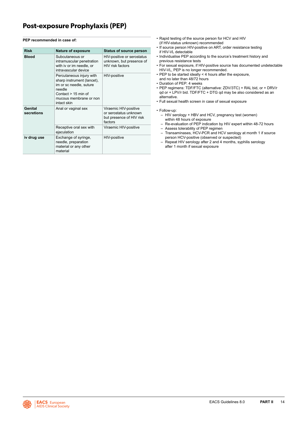### <span id="page-14-0"></span>**PEP recommended in case of:**

| <b>Risk</b>           | <b>Nature of exposure</b>                                                                                                                                     | <b>Status of source person</b>                                                        |
|-----------------------|---------------------------------------------------------------------------------------------------------------------------------------------------------------|---------------------------------------------------------------------------------------|
| <b>Blood</b>          | Subcutaneous or<br>intramuscular penetration<br>with iv or im needle, or<br>intravascular device                                                              | HIV-positive or serostatus<br>unknown, but presence of<br>HIV risk factors            |
|                       | Percutaneous injury with<br>sharp instrument (lancet).<br>im or sc needle, suture<br>needle<br>Contact $> 15$ min of<br>mucous membrane or non<br>intact skin | HIV-positive                                                                          |
| Genital<br>secretions | Anal or vaginal sex                                                                                                                                           | Viraemic HIV-positive<br>or serostatus unknown<br>but presence of HIV risk<br>factors |
|                       | Receptive oral sex with<br>ejaculation                                                                                                                        | Viraemic HIV-positive                                                                 |
| iv drug use           | Exchange of syringe,<br>needle, preparation<br>material or any other<br>material                                                                              | HIV-positive                                                                          |

- Rapid testing of the source person for HCV and HIV (if HIV-status unknown) recommended
- If source person HIV-positive on ART, order resistance testing if HIV-VL detectable
- Individualise PEP according to the source's treatment history and previous resistance tests
- For sexual exposure, if HIV-positive source has documented undetectable HIV-VL, PEP is no longer recommended.
- PEP to be started ideally < 4 hours after the exposure, and no later than 48/72 hours
- Duration of PEP: 4 weeks
- PEP regimens: TDF/FTC (alternative: ZDV/3TC) + RAL bid, or + DRV/r qd or + LPV/r bid. TDF/FTC + DTG qd may be also considered as an alternative.
- Full sexual health screen in case of sexual exposure
- Follow-up:
	- HIV serology + HBV and HCV, pregnancy test (women) within 48 hours of exposure
	- Re-evaluation of PEP indication by HIV expert within 48-72 hours – Assess tolerability of PEP regimen
	- Transaminases, HCV-PCR and HCV serology at month 1 if source person HCV-positive (observed or suspected)
	- Repeat HIV serology after 2 and 4 months, syphilis serology after 1 month if sexual exposure

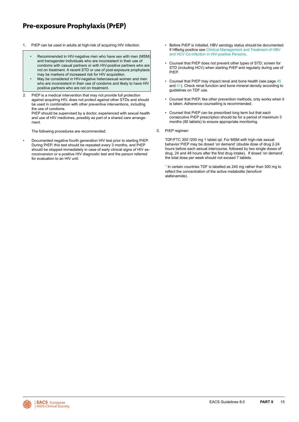### <span id="page-15-0"></span>**Pre-exposure Prophylaxis (PrEP)**

- - Recommended in HIV-negative men who have sex with men (MSM) and transgender individuals who are inconsistent in their use of condoms with casual partners or with HIV-positive partners who are not on treatment. A recent STD or use of post-exposure prophylaxis may be markers of increased risk for HIV acquisition.
	- May be considered in HIV-negative heterosexual women and men who are inconsistent in their use of condoms and likely to have HIV positive partners who are not on treatment.
- 2. PrEP is a medical intervention that may not provide full protection against acquiring HIV, does not protect against other STDs and should be used in combination with other preventive interventions, including the use of condoms.

PrEP should be supervised by a doctor, experienced with sexual health and use of HIV medicines, possibly as part of a shared care arrangement.

The following procedures are recommended:

• Documented negative fourth generation HIV test prior to starting PrEP. During PrEP, this test should be repeated every 3 months, and PrEP should be stopped immediately in case of early clinical signs of HIV seroconversion or a positive HIV diagnostic test and the person referred for evaluation to an HIV unit.

- 1. PrEP can be used in adults at high-risk of acquiring HIV infection. Before PrEP is initiated, HBV serology status should be documented. If HBsAg positive see [Clinlical Management and Treatment of HBV](#page-67-0)  [and HCV Co-infection in HIV-positive Persons](#page-67-0).
	- Counsel that PrEP does not prevent other types of STD; screen for STD (including HCV) when starting PrEP and regularly during use of PrEP.
	- Counsel that PrEP may impact renal and bone health (see page [45](#page-45-0) and [41](#page-41-0)). Check renal function and bone mineral density according to guidelines on TDF use.
	- Counsel that PrEP, like other prevention methods, only works when it is taken. Adherence counselling is recommended.
	- Counsel that PrEP can be prescribed long term but that each consecutive PrEP prescription should be for a period of maximum 3 months (90 tablets) to ensure appropriate monitoring.
	- 3. PrEP regimen

TDF/FTC 300\*/200 mg 1 tablet qd. For MSM with high-risk sexual behavior PrEP may be dosed 'on demand' (double dose of drug 2-24 hours before each sexual intercourse, followed by two single doses of drug, 24 and 48 hours after the first drug intake). If dosed 'on demand', the total dose per week should not exceed 7 tablets.

\* In certain countries TDF is labelled as 245 mg rather than 300 mg to reflect the concentration of the active metabolite (tenofovir alafenamide).

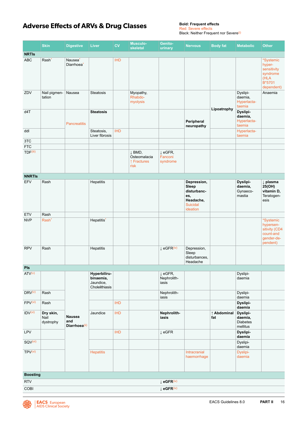### <span id="page-16-0"></span>**Adverse Effects of ARVs & Drug Classes**

Red: Severe effects Black: Neither Frequent nor Severe<sup>(i)</sup>

|                                    | <b>Skin</b>                    | <b>Digestive</b>                              | <b>Liver</b>                                             | <b>CV</b>  | <b>Musculo-</b><br>skeletal                              | Genito-<br>urinary                         | <b>Nervous</b>                                                                         | <b>Body fat</b>    | <b>Metabolic</b>                                   | <b>Other</b>                                                                   |
|------------------------------------|--------------------------------|-----------------------------------------------|----------------------------------------------------------|------------|----------------------------------------------------------|--------------------------------------------|----------------------------------------------------------------------------------------|--------------------|----------------------------------------------------|--------------------------------------------------------------------------------|
| <b>NRTIs</b>                       |                                |                                               |                                                          |            |                                                          |                                            |                                                                                        |                    |                                                    |                                                                                |
| <b>ABC</b>                         | Rash <sup>*</sup>              | Nausea <sup>*</sup><br>Diarrhoea <sup>*</sup> |                                                          | <b>IHD</b> |                                                          |                                            |                                                                                        |                    |                                                    | *Systemic<br>hyper-<br>sensitivity<br>syndrome<br>(HLA<br>B*5701<br>dependent) |
| ZDV                                | Nail pigmen-<br>tation         | Nausea                                        | <b>Steatosis</b>                                         |            | Myopathy,<br>Rhabdo-<br>myolysis                         |                                            |                                                                                        |                    | Dyslipi-<br>daemia,<br>Hyperlacta-<br>taemia       | Anaemia                                                                        |
| d4T                                |                                | <b>Pancreatitis</b>                           | <b>Steatosis</b>                                         |            |                                                          |                                            | Peripheral<br>neuropathy                                                               | Lipoatrophy        | Dyslipi-<br>daemia,<br>Hyperlacta-<br>taemia       |                                                                                |
| ddl                                |                                |                                               | Steatosis,<br>Liver fibrosis                             | <b>IHD</b> |                                                          |                                            |                                                                                        |                    | Hyperlacta-<br>taemia                              |                                                                                |
| 3TC                                |                                |                                               |                                                          |            |                                                          |                                            |                                                                                        |                    |                                                    |                                                                                |
| <b>FTC</b><br>TDF <sup>(iii)</sup> |                                |                                               |                                                          |            | $\downarrow$ BMD,<br>Osteomalacia<br>↑ Fractures<br>risk | $\downarrow$ eGFR,<br>Fanconi<br>syndrome  |                                                                                        |                    |                                                    |                                                                                |
| <b>NNRTIS</b>                      |                                |                                               |                                                          |            |                                                          |                                            |                                                                                        |                    |                                                    |                                                                                |
| EFV                                | Rash                           |                                               | Hepatitis                                                |            |                                                          |                                            | Depression,<br>Sleep<br>disturbanc-<br>es,<br>Headache,<br><b>Suicidal</b><br>ideation |                    | Dyslipi-<br>daemia,<br>Gynaeco-<br>mastia          | ↓ plasma<br>25(OH)<br>vitamin D,<br>Teratogen-<br>esis                         |
| <b>ETV</b>                         | Rash                           |                                               |                                                          |            |                                                          |                                            |                                                                                        |                    |                                                    |                                                                                |
| <b>NVP</b>                         | Rash <sup>*</sup>              |                                               | Hepatitis <sup>*</sup>                                   |            |                                                          |                                            |                                                                                        |                    |                                                    | *Systemic<br>hypersen-<br>sitivity (CD4<br>count-and<br>gender-de-<br>pendent) |
| <b>RPV</b>                         | Rash                           |                                               | Hepatitis                                                |            |                                                          | $\perp$ eGFR(iv)                           | Depression,<br>Sleep<br>disturbances,<br>Headache                                      |                    |                                                    |                                                                                |
| Pls                                |                                |                                               |                                                          |            |                                                          |                                            |                                                                                        |                    |                                                    |                                                                                |
| ATV <sup>(v)</sup>                 |                                |                                               | Hyperbiliru-<br>binaemia,<br>Jaundice,<br>Cholelithiasis |            |                                                          | $\downarrow$ eGFR,<br>Nephrolith-<br>iasis |                                                                                        |                    | Dyslipi-<br>daemia                                 |                                                                                |
| DRV <sup>(v)</sup>                 | Rash                           |                                               |                                                          |            |                                                          | Nephrolith-<br>iasis                       |                                                                                        |                    | Dyslipi-<br>daemia                                 |                                                                                |
| FPV <sup>(vi)</sup>                | Rash                           |                                               |                                                          | <b>IHD</b> |                                                          |                                            |                                                                                        |                    | Dyslipi-<br>daemia                                 |                                                                                |
| IDV <sup>(vi)</sup>                | Dry skin,<br>Nail<br>dystrophy | <b>Nausea</b><br>and<br>Diarrhoea(ii)         | Jaundice                                                 | <b>IHD</b> |                                                          | Nephrolith-<br>iasis                       |                                                                                        | ↑ Abdominal<br>fat | Dyslipi-<br>daemia,<br><b>Diabetes</b><br>mellitus |                                                                                |
| LPV                                |                                |                                               |                                                          | <b>IHD</b> |                                                          | $\downarrow$ eGFR                          |                                                                                        |                    | Dyslipi-<br>daemia                                 |                                                                                |
| SQV(vi)                            |                                |                                               |                                                          |            |                                                          |                                            |                                                                                        |                    | Dyslipi-<br>daemia                                 |                                                                                |
| TPV(vi)                            |                                |                                               | <b>Hepatitis</b>                                         |            |                                                          |                                            | Intracranial<br>haemorrhage                                                            |                    | Dyslipi-<br>daemia                                 |                                                                                |
| <b>Boosting</b>                    |                                |                                               |                                                          |            |                                                          |                                            |                                                                                        |                    |                                                    |                                                                                |
| <b>RTV</b>                         |                                |                                               |                                                          |            |                                                          | $\downarrow$ eGFR(iv)                      |                                                                                        |                    |                                                    |                                                                                |
| COBI                               |                                |                                               |                                                          |            |                                                          | $\downarrow$ eGFR(iv)                      |                                                                                        |                    |                                                    |                                                                                |

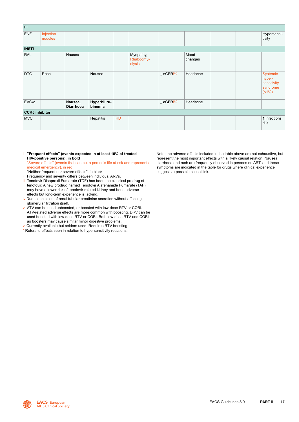<span id="page-17-0"></span>

| F1                    |                      |                             |                         |            |                                  |                                   |                 |  |                                                          |
|-----------------------|----------------------|-----------------------------|-------------------------|------------|----------------------------------|-----------------------------------|-----------------|--|----------------------------------------------------------|
| <b>ENF</b>            | Injection<br>nodules |                             |                         |            |                                  |                                   |                 |  | Hypersensi-<br>tivity                                    |
| <b>INSTI</b>          |                      |                             |                         |            |                                  |                                   |                 |  |                                                          |
| <b>RAL</b>            |                      | Nausea                      |                         |            | Myopathy,<br>Rhabdomy-<br>olysis |                                   | Mood<br>changes |  |                                                          |
| <b>DTG</b>            | Rash                 |                             | Nausea                  |            |                                  | $\downarrow$ eGFR <sup>(iv)</sup> | Headache        |  | Systemic<br>hyper-<br>sensitivity<br>syndrome<br>$(1\%)$ |
| EVG/c                 |                      | Nausea,<br><b>Diarrhoea</b> | Hyperbiliru-<br>binemia |            |                                  | $\downarrow$ eGFR(iv)             | Headache        |  |                                                          |
| <b>CCR5</b> inhibitor |                      |                             |                         |            |                                  |                                   |                 |  |                                                          |
| <b>MVC</b>            |                      |                             | Hepatitis               | <b>IHD</b> |                                  |                                   |                 |  | ↑ Infections<br>risk                                     |

i **"Frequent effects" (events expected in at least 10% of treated HIV-positive persons), in bold** 

"Severe effects" (events that can put a person's life at risk and represent a medical emergency), in red

- "Neither frequent nor severe effects", in black
- ii Frequency and severity differs between individual ARVs. iii Tenofovir Disoproxil Fumarate (TDF) has been the classical prodrug of tenofovir. A new prodrug named Tenofovir Alafenamide Fumarate (TAF) may have a lower risk of tenofovir-related kidney and bone adverse effects but long-term experience is lacking.
- iv Due to inhibition of renal tubular creatinine secretion without affecting glomerular filtration itself.
- v ATV can be used unboosted, or boosted with low-dose RTV or COBI. ATV-related adverse effects are more common with boosting. DRV can be used boosted with low-dose RTV or COBI. Both low-dose RTV and COBI as boosters may cause similar minor digestive problems.
- vi Currently available but seldom used. Requires RTV-boosting.
- \* Refers to effects seen in relation to hypersensitivity reactions.

Note: the adverse effects included in the table above are not exhaustive, but represent the most important effects with a likely causal relation. Nausea, diarrhoea and rash are frequently observed in persons on ART, and these symptoms are indicated in the table for drugs where clinical experience suggests a possible causal link.

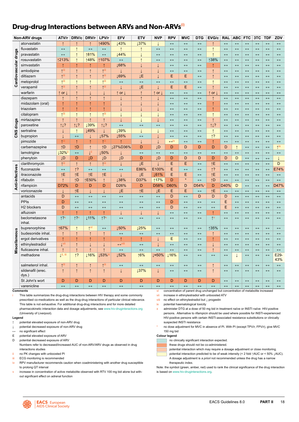### <span id="page-18-0"></span>**Drug-drug Interactions between ARVs and Non-ARVs(i)**

|                      | <b>Non-ARV drugs</b>          | ATV/r                      | DRV/c             | DRV/r             | LPV/r                     | <b>EFV</b>                        | <b>ETV</b>        | <b>NVP</b>        | <b>RPV</b>            | <b>MVC</b>        | <b>DTG</b>            | EVG/c              | <b>RAL</b>            | <b>ABC</b>            | <b>FTC</b>            | 3TC                   | <b>TDF</b>            | ZDV                      |
|----------------------|-------------------------------|----------------------------|-------------------|-------------------|---------------------------|-----------------------------------|-------------------|-------------------|-----------------------|-------------------|-----------------------|--------------------|-----------------------|-----------------------|-----------------------|-----------------------|-----------------------|--------------------------|
|                      | atorvastatin                  | $\uparrow$                 | $\uparrow$        | $\uparrow$        | ↑490%                     | ↓43%                              | ↓37%              | $\downarrow$      | $\longleftrightarrow$ | $\leftrightarrow$ | $\leftrightarrow$     | $\uparrow$         | $\longleftrightarrow$ | $\leftrightarrow$     | $\leftrightarrow$     | $\leftrightarrow$     | $\leftrightarrow$     | $\leftrightarrow$        |
|                      | fluvastatin                   | $\leftrightarrow$          |                   | $\leftrightarrow$ | $\leftrightarrow$         | $\uparrow$                        | $\uparrow$        | $\leftrightarrow$ | $\leftrightarrow$     | $\leftrightarrow$ | $\leftrightarrow$     | $\uparrow$         | $\leftrightarrow$     | $\leftrightarrow$     | $\leftrightarrow$     | $\leftrightarrow$     | $\leftrightarrow$     | $\leftrightarrow$        |
|                      | pravastatin                   | $\leftrightarrow$          | $\uparrow$        | ↑81%              | $\leftrightarrow$         | 144%                              | $\perp$           | $\leftrightarrow$ | $\leftrightarrow$     | $\leftrightarrow$ | $\leftrightarrow$     | $\uparrow$         | $\leftrightarrow$     | $\leftrightarrow$     | $\leftrightarrow$     | $\leftrightarrow$     | $\leftrightarrow$     | $\leftrightarrow$        |
|                      | rosuvastatin                  | ↑213%                      | $\uparrow$        | ↑48%              | ↑107%                     | $\leftrightarrow$                 | $\uparrow$        | $\leftrightarrow$ | $\leftrightarrow$     | $\leftrightarrow$ | $\leftrightarrow$     | ↑38%               | $\leftrightarrow$     | $\leftrightarrow$     | $\leftrightarrow$     | $\leftrightarrow$     | $\leftrightarrow$     | $\leftrightarrow$        |
|                      | simvastatin                   | ↑                          | ↑                 | $\uparrow$        | ↑                         | ↓68%                              | T                 |                   | $\leftrightarrow$     | $\leftrightarrow$ | $\leftrightarrow$     | ↑                  | $\longleftrightarrow$ | $\leftrightarrow$     | $\leftrightarrow$     | $\leftrightarrow$     | $\leftrightarrow$     | $\leftrightarrow$        |
|                      | amlodipine                    | $\uparrow$ <sup>iii</sup>  | $\uparrow$        | $\uparrow$        | $\uparrow$ <sup>iii</sup> | $\downarrow$                      | $\downarrow$      | T                 | $\longleftrightarrow$ | $\leftrightarrow$ | $\leftrightarrow$     | $\uparrow$         | $\longleftrightarrow$ | $\longleftrightarrow$ | $\leftrightarrow$     | $\leftrightarrow$     | $\longleftrightarrow$ | $\leftrightarrow$        |
|                      | diltiazem                     | $\uparrow$ <sup>iii</sup>  | ↑                 | $\uparrow$        | $\uparrow$ <sup>iii</sup> | 169%                              | JΕ                | $\downarrow$      | E                     | E                 | $\leftrightarrow$     |                    | $\leftrightarrow$     | $\longleftrightarrow$ | $\leftrightarrow$     | $\leftrightarrow$     | $\longleftrightarrow$ | $\leftrightarrow$        |
| Cardiovascular drugs | metoprolol                    | <b>Till</b>                | $\uparrow$        | $\uparrow$        | $\uparrow$ <sup>iii</sup> | $\leftrightarrow$                 | $\leftrightarrow$ | $\leftrightarrow$ | $\leftrightarrow$     | $\leftrightarrow$ | $\leftrightarrow$     | $\uparrow$         | $\leftrightarrow$     | $\leftrightarrow$     | $\leftrightarrow$     | $\leftrightarrow$     | $\leftrightarrow$     | $\leftrightarrow$        |
|                      | verapamil                     | $\uparrow$ <sup>iii</sup>  | $\uparrow$        | $\uparrow$        | $\uparrow$ <sup>iii</sup> |                                   | JΕ                | J.                | E                     | E                 | $\leftrightarrow$     | $\uparrow$         | $\leftrightarrow$     | $\leftrightarrow$     | $\leftrightarrow$     | $\leftrightarrow$     | $\leftrightarrow$     | $\leftrightarrow$        |
|                      | warfarin                      | $\uparrow$ or $\downarrow$ | $\uparrow$        | J.                | J.                        | $\uparrow$ or                     | $\uparrow$        | $\uparrow$ or     | $\leftrightarrow$     | $\leftrightarrow$ | $\leftrightarrow$     | or $\sqrt{ }$<br>1 | $\leftrightarrow$     | $\leftrightarrow$     | $\leftrightarrow$     | $\leftrightarrow$     | $\leftrightarrow$     | $\leftrightarrow$        |
|                      | diazepam                      | $\uparrow$                 | $\uparrow$        | $\uparrow$        | $\uparrow$                | J                                 | $\uparrow$        |                   | $\leftrightarrow$     | $\leftrightarrow$ | $\longleftrightarrow$ | $\uparrow$         | $\leftrightarrow$     | $\longleftrightarrow$ | $\leftrightarrow$     | $\longleftrightarrow$ | $\longleftrightarrow$ | $\longleftrightarrow$    |
|                      | midazolam (oral)              | $\uparrow$                 |                   | $\uparrow$        | $\uparrow$                | J                                 |                   | T                 | $\longleftrightarrow$ | $\leftrightarrow$ | $\leftrightarrow$     | $\uparrow$         | $\leftrightarrow$     | $\longleftrightarrow$ | $\leftrightarrow$     | $\leftrightarrow$     | $\longleftrightarrow$ | $\leftrightarrow$        |
|                      | triazolam                     | ↑                          | $\uparrow$        | $\uparrow$        | $\uparrow$                |                                   |                   | T                 | $\leftrightarrow$     | $\leftrightarrow$ | $\leftrightarrow$     | $\uparrow$         | $\longleftrightarrow$ | $\leftrightarrow$     | $\leftrightarrow$     | $\leftrightarrow$     | $\longleftrightarrow$ | $\leftrightarrow$        |
|                      | citalopram                    | $\uparrow$ iii             | $\uparrow$        | $\uparrow$        | $\uparrow$ <sup>iii</sup> |                                   | J.                | $\downarrow$      | $\leftrightarrow$     | $\leftrightarrow$ | $\leftrightarrow$     | $\uparrow$         | $\leftrightarrow$     | $\leftrightarrow$     | $\leftrightarrow$     | $\leftrightarrow$     | $\leftrightarrow$     | $\leftrightarrow$        |
|                      | mirtazapine                   | $\uparrow$                 | $\uparrow$        | $\uparrow$        | $\uparrow$                |                                   | T                 | T                 | $\leftrightarrow$     | $\leftrightarrow$ | $\leftrightarrow$     | $\uparrow$         | $\leftrightarrow$     | $\leftrightarrow$     | $\leftrightarrow$     | $\leftrightarrow$     | $\leftrightarrow$     | $\leftrightarrow$        |
| CNS drugs            | paroxetine                    | 11?                        | 1!                | $\sqrt{39\%}$     | 11?                       | $\leftrightarrow$                 | $\leftrightarrow$ | $\leftrightarrow$ | $\leftrightarrow$     | $\leftrightarrow$ | $\leftrightarrow$     | 11?                | $\longleftrightarrow$ | $\longleftrightarrow$ | $\leftrightarrow$     | $\longleftrightarrow$ | $\leftrightarrow$     | $\leftrightarrow$        |
|                      | sertraline                    | $\downarrow$               | $\uparrow$        | ↓49%              | $\downarrow$              | <b>139%</b>                       | $\perp$           | $\perp$           | $\longleftrightarrow$ | $\leftrightarrow$ | $\leftrightarrow$     | $\uparrow$         | $\leftrightarrow$     | $\longleftrightarrow$ | $\leftrightarrow$     | $\leftrightarrow$     | $\longleftrightarrow$ | $\leftrightarrow$        |
|                      | bupropion                     | T                          | $\leftrightarrow$ | $\downarrow$      | ↓57%                      | 155%                              | $\leftrightarrow$ | T                 | $\leftrightarrow$     | $\leftrightarrow$ | $\leftrightarrow$     | $\uparrow$ ?       | $\leftrightarrow$     | $\leftrightarrow$     | $\leftrightarrow$     | $\leftrightarrow$     | $\longleftrightarrow$ | $\leftrightarrow$        |
|                      | pimozide                      | $\uparrow$                 | $\uparrow$        | $\uparrow$        | $\mathbf{r}$              | $\uparrow$                        | $\perp$           | $\downarrow$      | $\leftrightarrow$ iv  | $\leftrightarrow$ | $\leftrightarrow$     | $\uparrow$         | $\leftrightarrow$     | $\leftrightarrow$     | $\leftrightarrow$     | $\leftrightarrow$     | $\leftrightarrow$     | $\leftrightarrow$        |
|                      | carbamazepine                 | $\uparrow$ D               | ↑D                | $\uparrow$        | ↑D                        | 127%D36%                          | D                 | <b>ĮD</b>         | D                     | D                 | D                     | D                  | D                     | $\uparrow$            | $\leftrightarrow$     | $\leftrightarrow$     | $\longleftrightarrow$ | $\uparrow$ <sup>ix</sup> |
|                      | lamotrigine                   | 132%                       | $\leftrightarrow$ | Τij               | 150%                      | $\mathbf 1$                       | $\leftrightarrow$ | $\leftrightarrow$ | $\longleftrightarrow$ | $\leftrightarrow$ | $\leftrightarrow$     | $\leftrightarrow$  | $\leftrightarrow$     | $\leftrightarrow$     | $\longleftrightarrow$ | $\leftrightarrow$     | $\leftrightarrow$     | $\leftrightarrow$        |
|                      | phenytoin                     | ĮD                         | D                 | ĮD                | <b>JD</b>                 | <b>JD</b>                         | D                 | <b>ID</b>         | D                     | D                 | D                     | D                  | D                     | D                     | $\leftrightarrow$     | $\leftrightarrow$     | $\leftrightarrow$     |                          |
|                      | clarithromycin                | <sup>1ii</sup>             | $\uparrow$        | $\uparrow$        | $\uparrow$ <sup>iii</sup> | J                                 | ĮΕ                |                   | E                     | E                 | $\leftrightarrow$     | <b>1Ε</b>          | $\leftrightarrow$     | $\leftrightarrow$     | $\leftrightarrow$     | $\leftrightarrow$     | $\leftrightarrow$     | D                        |
|                      | fluconazole                   | $\leftrightarrow$          | 1?                | $\leftrightarrow$ | $\leftrightarrow$         | $\leftrightarrow$                 | E86%              | E100%             | E                     | $\leftrightarrow$ | $\leftrightarrow$     | 1?                 | $\leftrightarrow$     | $\leftrightarrow$     | $\leftrightarrow$     | $\leftrightarrow$     | $\leftrightarrow$     | E74%                     |
| Anti-infectives      | itraconazole                  | $\uparrow$ E               | îΕ                | îΕ                | îΕ                        | $\perp$                           | ĮΕ                | 161%              | E                     | E                 | $\leftrightarrow$     | 1Ε                 | $\longleftrightarrow$ | $\leftrightarrow$     | $\leftrightarrow$     | $\leftrightarrow$     | $\longleftrightarrow$ | $\leftrightarrow$        |
|                      | rifabutin                     | $\uparrow$                 | ↑D                | ↑E50%             | $\uparrow$                | 138%                              | D37%              | ↑17%              | D                     | $\star$           | $\leftrightarrow$     | ↑D                 | $\leftrightarrow$     | $\leftrightarrow$     | $\leftrightarrow$     | $\longleftrightarrow$ | $\leftrightarrow$     | $\leftrightarrow$        |
|                      | rifampicin                    | D72%                       | D                 | D                 | D                         | D26%                              | D                 | D58%              | D80%                  | D                 | D54%                  | D                  | D40%                  | D                     | $\leftrightarrow$     | $\leftrightarrow$     | $\leftrightarrow$     | D47%                     |
|                      | voriconazole                  |                            | îΕ                | T                 | Т                         | JΕ                                | $\uparrow$ E      | <b>JE</b>         | Ε                     | E                 | $\leftrightarrow$     | <b>ήE</b>          | $\leftrightarrow$     | $\longleftrightarrow$ | $\leftrightarrow$     | $\leftrightarrow$     | $\longleftrightarrow$ | $\leftrightarrow$        |
|                      | antacids                      | D                          | $\leftrightarrow$ | $\leftrightarrow$ | $\leftrightarrow$         | $\leftrightarrow$                 | $\leftrightarrow$ | $\leftrightarrow$ | D                     | $\leftrightarrow$ | D                     | D                  | D                     | $\leftrightarrow$     | $\leftrightarrow$     | $\leftrightarrow$     | $\leftrightarrow$     | $\leftrightarrow$        |
|                      | PPIs                          | D                          | $\leftrightarrow$ | $\leftrightarrow$ | $\leftrightarrow$         | $\leftrightarrow$                 | $\leftrightarrow$ | $\leftrightarrow$ | D                     | $\leftrightarrow$ | $\leftrightarrow$     | $\leftrightarrow$  | E                     | $\leftrightarrow$     | $\leftrightarrow$     | $\leftrightarrow$     | $\longleftrightarrow$ | $\leftrightarrow$        |
|                      | H <sub>2</sub> blockers       | D                          | $\leftrightarrow$ | $\leftrightarrow$ | $\leftrightarrow$         | $\leftrightarrow$                 | $\leftrightarrow$ | $\leftrightarrow$ | D                     | $\leftrightarrow$ | $\longleftrightarrow$ | $\leftrightarrow$  | E                     | $\leftrightarrow$     | $\longleftrightarrow$ | $\leftrightarrow$     | $\longleftrightarrow$ | $\leftrightarrow$        |
|                      | alfuzosin                     | $\uparrow$                 | $\uparrow$        | $\uparrow$        | $\uparrow$                | $\perp$                           | $\downarrow$      | $\downarrow$      | $\leftrightarrow$     | $\leftrightarrow$ | $\leftrightarrow$     | $\uparrow$         | $\leftrightarrow$     | $\leftrightarrow$     | $\leftrightarrow$     | $\leftrightarrow$     | $\leftrightarrow$     | $\leftrightarrow$        |
|                      | beclometasone<br>inhal.       | 12v                        | 12v               | ↓11%              | 12v                       | $\leftrightarrow$                 | $\leftrightarrow$ | $\leftrightarrow$ | $\leftrightarrow$     | $\leftrightarrow$ | $\leftrightarrow$     | $\uparrow^{\vee}$  | $\longleftrightarrow$ | $\leftrightarrow$     | $\leftrightarrow$     | $\leftrightarrow$     | $\leftrightarrow$     | $\leftrightarrow$        |
|                      | buprenorphine                 | ↑67%                       | $\uparrow$        | $1$ <sup>vi</sup> | $\leftrightarrow$         | <b>150%</b>                       | <b>125%</b>       | $\leftrightarrow$ | $\leftrightarrow$     | $\leftrightarrow$ | $\leftrightarrow$     | ↑35%               | $\leftrightarrow$     | $\longleftrightarrow$ | $\leftrightarrow$     | $\leftrightarrow$     | $\longleftrightarrow$ | $\leftrightarrow$        |
| Miscellaneous        | budesonide inhal.             | $\uparrow$                 | $\uparrow$        | $\uparrow$        | $\uparrow$                | $\leftrightarrow$                 | $\leftrightarrow$ | $\leftrightarrow$ | $\leftrightarrow$     | $\leftrightarrow$ | $\longleftrightarrow$ | $\uparrow$         | $\longleftrightarrow$ | $\longleftrightarrow$ | $\longleftrightarrow$ | $\longleftrightarrow$ | $\longleftrightarrow$ | $\leftrightarrow$        |
|                      | ergot derivatives             | $\uparrow$                 | $\uparrow$        | $\uparrow$        | $\uparrow$                | $\uparrow$                        | $\uparrow$        |                   | E                     | $\leftrightarrow$ | $\leftrightarrow$     | $\uparrow$         | $\leftrightarrow$     | $\leftrightarrow$     | $\leftrightarrow$     | $\leftrightarrow$     | $\leftrightarrow$     | $\leftrightarrow$        |
|                      | ethinylestradiol              | $\downarrow$ vii           | $\uparrow$        | $\downarrow$      | $\downarrow$              | $\leftrightarrow$ <sup>VIII</sup> | $\leftrightarrow$ | I                 | $\leftrightarrow$     | $\leftrightarrow$ | $\leftrightarrow$     | T                  | $\leftrightarrow$     | $\leftrightarrow$     | $\leftrightarrow$     | $\leftrightarrow$     | $\leftrightarrow$     | $\leftrightarrow$        |
|                      | fluticasone inhal.            | $\uparrow$                 | $\uparrow$        | $\uparrow$        | $\uparrow$                | $\leftrightarrow$                 | $\leftrightarrow$ | $\leftrightarrow$ | $\leftrightarrow$     | $\leftrightarrow$ | $\leftrightarrow$     | $\uparrow$         | $\leftrightarrow$     | $\leftrightarrow$     | $\leftrightarrow$     | $\longleftrightarrow$ | $\longleftrightarrow$ | $\leftrightarrow$        |
|                      | methadone                     | L <sup>ii, iii</sup>       | $\uparrow$ ?      | 116%              | 153%                      | 152%                              | 16%               | 1≈50%             | <b>16%</b>            | $\leftrightarrow$ | $\leftrightarrow$     | $\leftrightarrow$  | $\leftrightarrow$     | J.                    | $\leftrightarrow$     | $\leftrightarrow$     | $\leftrightarrow$     | E29<br>43%               |
|                      | salmeterol inhal.             | ↑ <sup>iii</sup>           | $\uparrow$        | $\uparrow$        | $\uparrow$ <sup>iii</sup> | $\leftrightarrow$                 | $\leftrightarrow$ | $\leftrightarrow$ | $\leftrightarrow$     | $\leftrightarrow$ | $\leftrightarrow$     | $\uparrow$         | $\leftrightarrow$     | $\leftrightarrow$     | $\leftrightarrow$     | $\leftrightarrow$     | $\longleftrightarrow$ | $\leftrightarrow$        |
|                      | sildenafil (erec.<br>$dys.$ ) | $\uparrow$                 | $\uparrow$        | $\uparrow$        | $\uparrow$                | $\downarrow$                      | <b>137%</b>       | $\downarrow$      | $\leftrightarrow$     | $\leftrightarrow$ | $\leftrightarrow$     | $\uparrow$         | $\leftrightarrow$     | $\leftrightarrow$     | $\leftrightarrow$     | $\leftrightarrow$     | $\longleftrightarrow$ | $\leftrightarrow$        |
|                      | St John's wort                | D                          | D                 | D                 | D                         | D                                 | D                 | D                 | D                     | D                 | D                     | D                  | $\leftrightarrow$     | $\leftrightarrow$     | $\leftrightarrow$     | $\leftrightarrow$     | $\leftrightarrow$     | $\leftrightarrow$        |
|                      | varenicline                   | $\leftrightarrow$          | $\leftrightarrow$ | $\leftrightarrow$ | $\leftrightarrow$         | $\leftrightarrow$                 | $\leftrightarrow$ | $\leftrightarrow$ | $\leftrightarrow$     | $\leftrightarrow$ | $\leftrightarrow$     | $\leftrightarrow$  | $\leftrightarrow$     | $\leftrightarrow$     | $\leftrightarrow$     | $\leftrightarrow$     | $\leftrightarrow$     | $\leftrightarrow$        |

#### **Comments**

This table summarizes the drug-drug interactions between HIV therapy and some commonly prescribed co-medications as well as the drug-drug interactions of particular clinical relevance. This table is not exhaustive. For additional drug-drug interactions and for more detailed pharmacokinetic interaction data and dosage adjustments, see [www.hiv-druginteractions.org](http://www.hiv-druginteractions.org) (University of Liverpool).

#### **Legend**

- potential elevated exposure of non-ARV drug
- ↓ potential decreased exposure of non-ARV drug
- ↔ no significant effect
- E potential elevated exposure of ARV
- D potential decreased exposure of ARV
- Numbers refer to decreased/increased AUC of non-ARV/ARV drugs as observed in drug interactions studies
- ii no PK changes with unboosted PI
- iii ECG monitoring is recommended
- iv RPV manufacturer recommends caution when coadministering with another drug susceptible to prolong QT interval
- increase in concentration of active metabolite observed with RTV 100 mg bid alone but without significant effect on adrenal function
- vi concentration of parent drug unchanged but concentration of metabolite increased vii increase in ethinylestradiol with unboosted ATV
- viii no effect on ethinylestradiol but ↓ progestin
- ix potential haematological toxicity
- x administer DTG at a dose of 50 mg bid in treatment naïve or INSTI naïve HIV-positive persons. Alternative to rifampicin should be used where possible for INSTI-experienced HIV-positive persons with certain INSTI-associated resistance substitutions or clinically suspected INSTI resistance
- no dose adjustment for MVC in absence of PI. With PI (except TPV/r; FPV/r), give MVC 150 mg bid

#### **Colour legend**

- no clinically significant interaction expected.
- these drugs should not be co-administered.
- potential interaction which may require a dosage adjustment or close monitoring.
- potential interaction predicted to be of weak intensity (< 2 fold ↑AUC or < 50% ↓AUC). A dosage adjustment is *a priori* not recommended unless the drug has a narrow therapeutic index.

Note: the symbol (green, amber, red) used to rank the clinical significance of the drug interaction is based on [www.hiv-druginteractions.org](http://www.hiv-druginteractions.org).

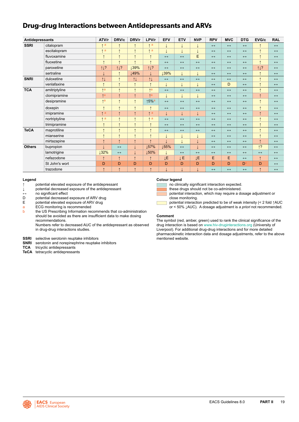### <span id="page-19-0"></span>**Drug-drug Interactions between Antidepressants and ARVs**

| Antidepressants |                | ATV/r                   | DRV/c             | DRV/r                | LPV/r                 | <b>EFV</b>            | <b>ETV</b>        | <b>NVP</b>        | <b>RPV</b>            | <b>MVC</b>            | <b>DTG</b>        | EVG/c             | <b>RAL</b>            |
|-----------------|----------------|-------------------------|-------------------|----------------------|-----------------------|-----------------------|-------------------|-------------------|-----------------------|-----------------------|-------------------|-------------------|-----------------------|
| <b>SSRI</b>     | citalopram     | $\uparrow$ a            | $\uparrow$        | $\uparrow$           | $\uparrow$ a          | ↓                     |                   |                   | $\leftrightarrow$     | $\leftrightarrow$     | $\leftrightarrow$ | $\uparrow$        | $\leftrightarrow$     |
|                 | escitalopram   | $\uparrow$ a            | $\uparrow$        | $\uparrow$           | $\uparrow$ a          |                       |                   | ↓                 | $\longleftrightarrow$ | $\leftrightarrow$     | $\leftrightarrow$ | $\uparrow$        | $\leftrightarrow$     |
|                 | fluvoxamine    | $\uparrow$              | $\uparrow$        | $\uparrow$           | $\uparrow$            | $\leftrightarrow$     | $\leftrightarrow$ | E                 | $\longleftrightarrow$ | $\leftrightarrow$     | $\leftrightarrow$ | $\uparrow$        | $\leftrightarrow$     |
|                 | fluoxetine     | $\uparrow$              | $\uparrow$        | $\uparrow$           | $\uparrow$            | $\longleftrightarrow$ | $\leftrightarrow$ | $\leftrightarrow$ | $\longleftrightarrow$ | $\leftrightarrow$     | $\leftrightarrow$ | $\uparrow$        | $\leftrightarrow$     |
|                 | paroxetine     | 11?                     | 11?               | 139%                 | 11?                   | $\leftrightarrow$     | $\leftrightarrow$ | $\leftrightarrow$ | $\leftrightarrow$     | $\leftrightarrow$     | $\leftrightarrow$ | 11?               | $\leftrightarrow$     |
|                 | sertraline     |                         | $\uparrow$        | ↓49%                 |                       | 139%                  |                   |                   | $\leftrightarrow$     | $\leftrightarrow$     | $\leftrightarrow$ | ↑                 | $\leftrightarrow$     |
| <b>SNRI</b>     | duloxetine     | $\uparrow \downarrow$   | $\uparrow$        | $\uparrow\downarrow$ | $\uparrow \downarrow$ | $\leftrightarrow$     | $\leftrightarrow$ | $\leftrightarrow$ | $\longleftrightarrow$ | $\leftrightarrow$     | $\leftrightarrow$ | $\uparrow$        | $\leftrightarrow$     |
|                 | venlafaxine    | $\uparrow$              | $\uparrow$        | $\uparrow$           | $\uparrow$            |                       | $\downarrow$      |                   | $\leftrightarrow$     | D                     | $\leftrightarrow$ | $\uparrow$        | $\leftrightarrow$     |
| <b>TCA</b>      | amitriptyline  | $\uparrow$ a            | $\uparrow$        | $\uparrow$           | $\uparrow$ a          | $\leftrightarrow$     | $\leftrightarrow$ | $\leftrightarrow$ | $\leftrightarrow$     | $\leftrightarrow$     | $\leftrightarrow$ | $\uparrow$        | $\leftrightarrow$     |
|                 | clomipramine   | $\uparrow$ a            | $\uparrow$        | $\uparrow$           | $\uparrow$ a          | $\downarrow$          |                   | ↓                 | $\longleftrightarrow$ | $\leftrightarrow$     | $\leftrightarrow$ | $\uparrow$        | $\longleftrightarrow$ |
|                 | desipramine    | $\uparrow$ <sup>a</sup> | $\uparrow$        | $\uparrow$           | $15%$ <sup>a</sup>    | $\leftrightarrow$     | $\leftrightarrow$ | $\leftrightarrow$ | $\leftrightarrow$     | $\leftrightarrow$     | $\leftrightarrow$ | $\uparrow$        | $\leftrightarrow$     |
|                 | doxepin        | $\uparrow$              | $\uparrow$        | $\uparrow$           | $\uparrow$            | $\leftrightarrow$     | $\leftrightarrow$ | $\leftrightarrow$ | $\leftrightarrow$     | $\leftrightarrow$     | $\leftrightarrow$ | $\uparrow$        | $\leftrightarrow$     |
|                 | imipramine     | $\uparrow$ a            | $\uparrow$        | $\uparrow$           | $\uparrow$ a          | $\downarrow$          |                   | ↓                 | $\leftrightarrow$     | $\leftrightarrow$     | $\leftrightarrow$ | $\uparrow$        | $\leftrightarrow$     |
|                 | nortriptyline  | $\uparrow$ a            | $\uparrow$        | $\uparrow$           | $\uparrow$ a          | $\leftrightarrow$     | $\leftrightarrow$ | $\leftrightarrow$ | $\longleftrightarrow$ | $\leftrightarrow$     | $\leftrightarrow$ | $\uparrow$        | $\longleftrightarrow$ |
|                 | trimipramine   | $\uparrow$              | $\uparrow$        | $\uparrow$           | $\uparrow$            | $\longleftrightarrow$ | $\leftrightarrow$ | $\leftrightarrow$ | $\longleftrightarrow$ | $\leftrightarrow$     | $\leftrightarrow$ | $\uparrow$        | $\leftrightarrow$     |
| <b>TeCA</b>     | maprotiline    | $\uparrow$              | $\uparrow$        | $\uparrow$           | $\uparrow$            | $\leftrightarrow$     | $\leftrightarrow$ | $\leftrightarrow$ | $\leftrightarrow$     | $\leftrightarrow$     | $\leftrightarrow$ | 4                 | $\leftrightarrow$     |
|                 | mianserine     | 1                       | $\uparrow$        | $\uparrow$           | $\uparrow$            | ↓                     | J                 | ↓                 | $\leftrightarrow$     | $\leftrightarrow$     | $\leftrightarrow$ | $\uparrow$        | $\leftrightarrow$     |
|                 | mirtazapine    | $\uparrow$              | $\uparrow$        | $\uparrow$           | $\uparrow$            |                       |                   |                   | $\leftrightarrow$     | $\leftrightarrow$     | $\leftrightarrow$ | $\uparrow$        | $\leftrightarrow$     |
| <b>Others</b>   | bupropion      |                         | $\leftrightarrow$ | $\downarrow$         | 157%                  | ↓55%                  | $\leftrightarrow$ |                   | $\longleftrightarrow$ | $\longleftrightarrow$ | $\leftrightarrow$ | $\uparrow$ ?      | $\leftrightarrow$     |
|                 | lamotrigine    | ↓32%                    | $\leftrightarrow$ | $\downarrow$         | ↓50%                  |                       | $\leftrightarrow$ | $\leftrightarrow$ | $\longleftrightarrow$ | $\leftrightarrow$     | $\leftrightarrow$ | $\leftrightarrow$ | $\longleftrightarrow$ |
|                 | nefazodone     | $\uparrow$              | $\uparrow$        | $\uparrow$           | $\uparrow$            | ĮΕ                    | <b>JE</b>         | ĮΕ                | E                     | E                     | $\leftrightarrow$ | $\uparrow$        | $\leftrightarrow$     |
|                 | St John's wort | D                       | D                 | D                    | D                     | D                     | D                 | D                 | D                     | D                     | D                 | D                 | $\leftrightarrow$     |
|                 | trazodone      | $\rightarrow$           | $\uparrow$        | $\uparrow$           | $\uparrow$            |                       |                   |                   | $\leftrightarrow$     | $\leftrightarrow$     | $\leftrightarrow$ | $\uparrow$        | $\leftrightarrow$     |

#### **Legend**

- **↑** potential elevated exposure of the antidepressant
- **↓** potential decreased exposure of the antidepressant
- **↔** no significant effect
- D potential decreased exposure of ARV drug<br>E potential elevated exposure of ARV drug
- E potential elevated exposure of ARV drug<br>a ECG monitoring is recommended
- a ECG monitoring is recommended<br>b the US Prescribing Information real

the US Prescribing Information recommends that co-administration should be avoided as there are insufficient data to make dosing recommendations.

Numbers refer to decreased AUC of the antidepressant as observed in drug-drug interactions studies.

- **SSRI** selective serotonin reuptake inhibitors
- **SNRI** serotonin and norepinephrine reuptake inhibitors<br> **TCA** tricyclic antidepressants
- tricyclic antidepressants
- **TeCA** tetracyclic antidepressants

#### **Colour legend**

no clinically significant interaction expected.

- these drugs should not be co-administered.
- potential interaction, which may require a dosage adjustment or close monitoring.
- 

potential interaction predicted to be of weak intensity (< 2 fold ↑AUC or < 50% ↓AUC). A dosage adjustment is *a priori* not recommended.

#### **Comment**

The symbol (red, amber, green) used to rank the clinical significance of the drug interaction is based on [www.hiv-druginteractions.org](http://www.hiv-druginteractions.org) (University of Liverpool). For additional drug-drug interactions and for more detailed pharmacokinetic interaction data and dosage adjustments, refer to the above mentioned website.



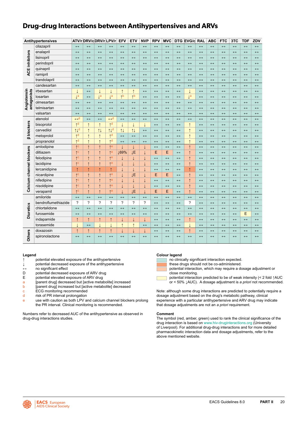### <span id="page-20-0"></span>**Drug-drug Interactions between Antihypertensives and ARVs**

|                            | Antihypertensives   |                         | ATV/r DRV/c DRV/r LPV/r |                          |                         | <b>EFV</b>        | <b>ETV</b>           | <b>NVP</b>               | <b>RPV</b>        | <b>MVC</b>            |                       | DTG EVG/c RAL         |                       | <b>ABC</b>            | <b>FTC</b>        | 3TC               | <b>TDF</b>        | ZDV                   |
|----------------------------|---------------------|-------------------------|-------------------------|--------------------------|-------------------------|-------------------|----------------------|--------------------------|-------------------|-----------------------|-----------------------|-----------------------|-----------------------|-----------------------|-------------------|-------------------|-------------------|-----------------------|
|                            | cilazapril          | $\leftrightarrow$       | $\leftrightarrow$       | $\leftrightarrow$        | $\leftrightarrow$       | $\leftrightarrow$ | $\leftrightarrow$    | $\leftrightarrow$        | $\leftrightarrow$ | $\leftrightarrow$     | $\leftrightarrow$     | $\leftrightarrow$     | $\leftrightarrow$     | $\leftrightarrow$     | $\leftrightarrow$ | $\leftrightarrow$ | $\leftrightarrow$ | $\leftrightarrow$     |
|                            | enalapril           | $\leftrightarrow$       | $\leftrightarrow$       | $\leftrightarrow$        | $\leftrightarrow$       | $\leftrightarrow$ | $\leftrightarrow$    | $\leftrightarrow$        | $\leftrightarrow$ | $\leftrightarrow$     | $\leftrightarrow$     | $\leftrightarrow$     | $\leftrightarrow$     | $\leftrightarrow$     | $\leftrightarrow$ | $\leftrightarrow$ | $\leftrightarrow$ | $\leftrightarrow$     |
|                            | lisinopril          | $\leftrightarrow$       | $\leftrightarrow$       | $\leftrightarrow$        | $\leftrightarrow$       | $\leftrightarrow$ | $\leftrightarrow$    | $\leftrightarrow$        | $\leftrightarrow$ | $\leftrightarrow$     | $\leftrightarrow$     | $\leftrightarrow$     | $\leftrightarrow$     | $\leftrightarrow$     | $\leftrightarrow$ | $\leftrightarrow$ | $\leftrightarrow$ | $\longleftrightarrow$ |
| <b>ACE inhibitors</b>      | perindopril         | $\leftrightarrow$       | $\leftrightarrow$       | $\leftrightarrow$        | $\leftrightarrow$       | $\leftrightarrow$ | $\leftrightarrow$    | $\leftrightarrow$        | $\leftrightarrow$ | $\longleftrightarrow$ | $\leftrightarrow$     | $\leftrightarrow$     | $\leftrightarrow$     | $\leftrightarrow$     | $\leftrightarrow$ | $\leftrightarrow$ | $\leftrightarrow$ | $\longleftrightarrow$ |
|                            | quinapril           | $\leftrightarrow$       | $\leftrightarrow$       | $\leftrightarrow$        | $\leftrightarrow$       | $\leftrightarrow$ | $\leftrightarrow$    | $\leftrightarrow$        | $\leftrightarrow$ | $\leftrightarrow$     | $\leftrightarrow$     | $\leftrightarrow$     | $\leftrightarrow$     | $\leftrightarrow$     | $\leftrightarrow$ | $\leftrightarrow$ | $\leftrightarrow$ | $\leftrightarrow$     |
|                            | ramipril            | $\leftrightarrow$       | $\leftrightarrow$       | $\leftrightarrow$        | $\leftrightarrow$       | $\leftrightarrow$ | $\leftrightarrow$    | $\leftrightarrow$        | $\leftrightarrow$ | $\leftrightarrow$     | $\leftrightarrow$     | $\longleftrightarrow$ | $\leftrightarrow$     | $\leftrightarrow$     | $\leftrightarrow$ | $\leftrightarrow$ | $\leftrightarrow$ | $\leftrightarrow$     |
|                            | trandolapril        | $\leftrightarrow$       | $\leftrightarrow$       | $\leftrightarrow$        | $\leftrightarrow$       | $\leftrightarrow$ | $\leftrightarrow$    | $\leftrightarrow$        | $\leftrightarrow$ | $\leftrightarrow$     | $\leftrightarrow$     | $\leftrightarrow$     | $\leftrightarrow$     | $\leftrightarrow$     | $\leftrightarrow$ | $\leftrightarrow$ | $\leftrightarrow$ | $\leftrightarrow$     |
|                            | candesartan         | $\leftrightarrow$       | $\leftrightarrow$       | $\leftrightarrow$        | $\leftrightarrow$       | $\leftrightarrow$ | $\leftrightarrow$    | $\leftrightarrow$        | $\leftrightarrow$ | $\leftrightarrow$     | $\leftrightarrow$     | $\leftrightarrow$     | $\leftrightarrow$     | $\leftrightarrow$     | $\leftrightarrow$ | $\leftrightarrow$ | $\leftrightarrow$ | $\leftrightarrow$     |
|                            | irbesartan          | $\downarrow$            | $\leftrightarrow$       | $\downarrow$             | T                       | $\uparrow$        | $\uparrow$           | $\leftrightarrow$        | $\leftrightarrow$ | $\leftrightarrow$     | $\longleftrightarrow$ | T                     | $\leftrightarrow$     | $\leftrightarrow$     | $\leftrightarrow$ | $\leftrightarrow$ | $\leftrightarrow$ | $\longleftrightarrow$ |
|                            | losartan            | $l^a$                   | $\leftrightarrow$       | $l^a$                    | $l^a$                   | $\uparrow$ b      | <sup>1</sup> b       | $\leftrightarrow$        | $\leftrightarrow$ | $\longleftrightarrow$ | $\leftrightarrow$     | $\downarrow$ a        | $\leftrightarrow$     | $\leftrightarrow$     | $\leftrightarrow$ | $\leftrightarrow$ | $\leftrightarrow$ | $\longleftrightarrow$ |
| Angiotensin<br>antagonists | olmesartan          | $\leftrightarrow$       | $\leftrightarrow$       | $\leftrightarrow$        | $\leftrightarrow$       | $\leftrightarrow$ | $\leftrightarrow$    | $\leftrightarrow$        | $\leftrightarrow$ | $\leftrightarrow$     | $\longleftrightarrow$ | $\leftrightarrow$     | $\leftrightarrow$     | $\leftrightarrow$     | $\leftrightarrow$ | $\leftrightarrow$ | $\leftrightarrow$ | $\leftrightarrow$     |
|                            | telmisartan         | $\leftrightarrow$       | $\leftrightarrow$       | $\leftrightarrow$        | $\leftrightarrow$       | $\leftrightarrow$ | $\leftrightarrow$    | $\leftrightarrow$        | $\leftrightarrow$ | $\leftrightarrow$     | $\leftrightarrow$     | $\leftrightarrow$     | $\leftrightarrow$     | $\leftrightarrow$     | $\leftrightarrow$ | $\leftrightarrow$ | $\leftrightarrow$ | $\leftrightarrow$     |
|                            | valsartan           | $\leftrightarrow$       | $\leftrightarrow$       | $\leftrightarrow$        | $\leftrightarrow$       | $\leftrightarrow$ | $\leftrightarrow$    | $\leftrightarrow$        | $\leftrightarrow$ | $\leftrightarrow$     | $\longleftrightarrow$ | $\leftrightarrow$     | $\leftrightarrow$     | $\leftrightarrow$     | $\leftrightarrow$ | $\leftrightarrow$ | $\leftrightarrow$ | $\leftrightarrow$     |
|                            | atenolol            | $\leftrightarrow$ d     | $\leftrightarrow$       | $\leftrightarrow$        | $\leftrightarrow$ d     | $\leftrightarrow$ | $\leftrightarrow$    | $\leftrightarrow$        | $\leftrightarrow$ | $\leftrightarrow$     | $\leftrightarrow$     | $\longleftrightarrow$ | $\leftrightarrow$     | $\leftrightarrow$     | $\leftrightarrow$ | $\leftrightarrow$ | $\leftrightarrow$ | $\leftrightarrow$     |
| <b>B</b> blockers          | bisoprolol          | $\uparrow$ d            | $\uparrow$              | $\uparrow$               | $\uparrow$ d            | T                 | $\downarrow$         | ↓                        | $\leftrightarrow$ | $\leftrightarrow$     | $\longleftrightarrow$ | $\uparrow$            | $\longleftrightarrow$ | $\leftrightarrow$     | $\leftrightarrow$ | $\leftrightarrow$ | $\leftrightarrow$ | $\longleftrightarrow$ |
|                            | carvedilol          | 11 <sup>d</sup>         | $\uparrow$              | $\uparrow \downarrow$    | 11 <sup>d</sup>         | 11                | $\uparrow\downarrow$ | $\leftrightarrow$        | $\leftrightarrow$ | $\leftrightarrow$     | $\longleftrightarrow$ | $\uparrow$            | $\longleftrightarrow$ | $\leftrightarrow$     | $\leftrightarrow$ | $\leftrightarrow$ | $\leftrightarrow$ | $\longleftrightarrow$ |
|                            | metoprolol          | $\uparrow$ d            | $\uparrow$              | $\uparrow$               | $\uparrow^{\mathsf{d}}$ | $\leftrightarrow$ | $\leftrightarrow$    | $\leftrightarrow$        | $\leftrightarrow$ | $\leftrightarrow$     | $\longleftrightarrow$ | $\uparrow$            | $\longleftrightarrow$ | $\leftrightarrow$     | $\leftrightarrow$ | $\leftrightarrow$ | $\leftrightarrow$ | $\longleftrightarrow$ |
|                            | propranolol         | $\uparrow$ d            | $\uparrow$              | $\uparrow$               | $\uparrow$ d            | $\leftrightarrow$ | $\leftrightarrow$    | $\leftrightarrow$        | $\leftrightarrow$ | $\leftrightarrow$     | $\longleftrightarrow$ | $\uparrow$            | $\leftrightarrow$     | $\leftrightarrow$     | $\leftrightarrow$ | $\leftrightarrow$ | $\leftrightarrow$ | $\leftrightarrow$     |
|                            | amlodipine          | $\uparrow$ C            | $\uparrow$              | $\uparrow$               | $\uparrow$ e            |                   | ↓                    |                          | $\leftrightarrow$ | $\leftrightarrow$     | $\leftrightarrow$     | $\uparrow$            | $\leftrightarrow$     | $\leftrightarrow$     | $\leftrightarrow$ | $\leftrightarrow$ | $\leftrightarrow$ | $\leftrightarrow$     |
|                            | diltiazem           | $\uparrow$ <sup>C</sup> | $\uparrow$              | $\uparrow$               | $\uparrow$ e            | ↓69%              | ĮΕ                   | ↓                        | E                 | E                     | $\leftrightarrow$     | $\uparrow$            | $\leftrightarrow$     | $\leftrightarrow$     | $\leftrightarrow$ | $\leftrightarrow$ | $\leftrightarrow$ | $\longleftrightarrow$ |
| Calcium channel blockers   | felodipine          | $\uparrow$ C            | $\uparrow$              | $\uparrow$               | $\uparrow$ e            |                   | $\downarrow$         | ↓                        | $\leftrightarrow$ | $\leftrightarrow$     | $\leftrightarrow$     | $\uparrow$            | $\leftrightarrow$     | $\leftrightarrow$     | $\leftrightarrow$ | $\leftrightarrow$ | $\leftrightarrow$ | $\longleftrightarrow$ |
|                            | lacidipine          | $\uparrow$ C            | $\uparrow$              | $\uparrow$               | $\uparrow$ e            | T                 | $\downarrow$         | ↓                        | $\leftrightarrow$ | $\longleftrightarrow$ | $\leftrightarrow$     | $\uparrow$            | $\longleftrightarrow$ | $\leftrightarrow$     | $\leftrightarrow$ | $\leftrightarrow$ | $\leftrightarrow$ | $\longleftrightarrow$ |
|                            | lercanidipine       | $\uparrow$              | $\uparrow$              | $\uparrow$               | $\uparrow$              |                   | $\downarrow$         | ↓                        | $\leftrightarrow$ | $\leftrightarrow$     | $\leftrightarrow$     | $\uparrow$            | $\leftrightarrow$     | $\leftrightarrow$     | $\leftrightarrow$ | $\leftrightarrow$ | $\leftrightarrow$ | $\longleftrightarrow$ |
|                            | nicardipine         | $\uparrow$ C            | $\uparrow$              | $\uparrow$               | $\uparrow$ e            | T                 | ĮΕ                   | ↓                        | E                 | E                     | $\leftrightarrow$     | $\uparrow$            | $\leftrightarrow$     | $\leftrightarrow$     | $\leftrightarrow$ | $\leftrightarrow$ | $\leftrightarrow$ | $\longleftrightarrow$ |
|                            | nifedipine          | $\uparrow$ C            | $\uparrow$              | $\uparrow$               | $\uparrow$ e            | J.                | $\downarrow$         | T                        | $\leftrightarrow$ | $\leftrightarrow$     | $\leftrightarrow$     | $\uparrow$            | $\leftrightarrow$     | $\leftrightarrow$     | $\leftrightarrow$ | $\leftrightarrow$ | $\leftrightarrow$ | $\leftrightarrow$     |
|                            | nisoldipine         | $\uparrow$ C            | $\uparrow$              | $\uparrow$               | $\uparrow$ e            |                   | T                    | T                        | $\leftrightarrow$ | $\longleftrightarrow$ | $\longleftrightarrow$ | $\uparrow$            | $\longleftrightarrow$ | $\leftrightarrow$     | $\leftrightarrow$ | $\leftrightarrow$ | $\leftrightarrow$ | $\longleftrightarrow$ |
|                            | verapamil           | $\uparrow$ C            | $\uparrow$              | $\uparrow$               | $\uparrow$ e            |                   | ĮΕ                   | ↓                        | E                 | E                     | $\leftrightarrow$     | $\uparrow$            | $\leftrightarrow$     | $\leftrightarrow$     | $\leftrightarrow$ | $\leftrightarrow$ | $\leftrightarrow$ | $\leftrightarrow$     |
|                            | amiloride           | $\leftrightarrow$       | $\leftrightarrow$       | $\leftrightarrow$        | $\leftrightarrow$       | $\leftrightarrow$ | $\leftrightarrow$    | $\leftrightarrow$        | $\leftrightarrow$ | $\leftrightarrow$     | $\longleftrightarrow$ | $\leftrightarrow$     | $\longleftrightarrow$ | $\leftrightarrow$     | $\leftrightarrow$ | $\leftrightarrow$ | $\leftrightarrow$ | $\longleftrightarrow$ |
|                            | bendroflumethiazide | ?                       | ?                       | $\overline{\phantom{0}}$ | ?                       | ?                 | $\gamma$             | $\overline{\phantom{0}}$ | $\leftrightarrow$ | $\longleftrightarrow$ | $\longleftrightarrow$ | ?                     | $\leftrightarrow$     | $\leftrightarrow$     | $\leftrightarrow$ | $\leftrightarrow$ | $\leftrightarrow$ | $\leftrightarrow$     |
|                            | chlortalidone       | $\leftrightarrow$       | $\leftrightarrow$       | $\leftrightarrow$        | $\leftrightarrow$       | $\leftrightarrow$ | $\leftrightarrow$    | $\leftrightarrow$        | $\leftrightarrow$ | $\leftrightarrow$     | $\leftrightarrow$     | $\leftrightarrow$     | $\leftrightarrow$     | $\leftrightarrow$     | $\leftrightarrow$ | $\leftrightarrow$ | $\leftrightarrow$ | $\longleftrightarrow$ |
| <b>Diuretics</b>           | furosemide          | $\leftrightarrow$       | $\leftrightarrow$       | $\leftrightarrow$        | $\leftrightarrow$       | $\leftrightarrow$ | $\leftrightarrow$    | $\leftrightarrow$        | $\leftrightarrow$ | $\leftrightarrow$     | $\longleftrightarrow$ | $\longleftrightarrow$ | $\longleftrightarrow$ | $\longleftrightarrow$ | $\leftrightarrow$ | $\leftrightarrow$ | E                 | $\longleftrightarrow$ |
|                            | indapamide          | $\uparrow$              | $\uparrow$              | $\uparrow$               | $\uparrow$              | T                 | $\downarrow$         | Ť.                       | $\leftrightarrow$ | $\leftrightarrow$     | $\longleftrightarrow$ | $\uparrow$            | $\leftrightarrow$     | $\leftrightarrow$     | $\leftrightarrow$ | $\leftrightarrow$ | $\leftrightarrow$ | $\longleftrightarrow$ |
|                            | torasemide          | $\downarrow$            | $\leftrightarrow$       | $\downarrow$             | $\overline{1}$          | $\uparrow$        | $\uparrow$           | $\leftrightarrow$        | $\leftrightarrow$ | $\leftrightarrow$     | $\longleftrightarrow$ | $\downarrow$          | $\longleftrightarrow$ | $\leftrightarrow$     | $\leftrightarrow$ | $\leftrightarrow$ | $\leftrightarrow$ | $\longleftrightarrow$ |
|                            | doxazosin           | $\uparrow$              | $\uparrow$              | $\uparrow$               | $\uparrow$              | T                 | $\downarrow$         | $\downarrow$             | $\leftrightarrow$ | $\leftrightarrow$     | $\leftrightarrow$     | $\uparrow$            | $\leftrightarrow$     | $\leftrightarrow$     | $\leftrightarrow$ | $\leftrightarrow$ | $\leftrightarrow$ | $\leftrightarrow$     |
| <b>Others</b>              | spironolactone      | $\leftrightarrow$       | $\leftrightarrow$       | $\leftrightarrow$        | $\leftrightarrow$       | $\leftrightarrow$ | $\leftrightarrow$    | $\leftrightarrow$        | $\leftrightarrow$ | $\leftrightarrow$     | $\leftrightarrow$     | $\leftrightarrow$     | $\leftrightarrow$     | $\leftrightarrow$     | $\leftrightarrow$ | $\leftrightarrow$ | $\leftrightarrow$ | $\leftrightarrow$     |

#### **Legend**

- **↑** potential elevated exposure of the antihypertensive
- **↓** potential decreased exposure of the antihypertensive
- **↔** no significant effect
- D potential decreased exposure of ARV drug<br>E potential elevated exposure of ARV drug
- potential elevated exposure of ARV drug
- a [parent drug] decreased but [active metabolite] increased<br>b [parent drug] increased but [active metabolite] decreased
- [parent drug] increased but [active metabolite] decreased
- c ECG monitoring recommended
- d risk of PR interval prolongation
- e use with caution as both LPV and calcium channel blockers prolong the PR interval. Clinical monitoring is recommended.

Numbers refer to decreased AUC of the antihypertensive as observed in drug-drug interactions studies.

#### **Colour legend**

no clinically significant interaction expected.

- these drugs should not be co-administered.
- potential interaction, which may require a dosage adjustment or close monitoring.
- potential interaction predicted to be of weak intensity (< 2 fold ↑AUC or < 50% ↓AUC). A dosage adjustment is *a priori* not recommended.

Note: although some drug interactions are predicted to potentially require a dosage adjustment based on the drug's metabolic pathway, clinical experience with a particular antihypertensive and ARV drug may indicate that dosage adjustments are not an *a priori* requirement.

#### **Comment**

The symbol (red, amber, green) used to rank the clinical significance of the drug interaction is based on [www.hiv-druginteractions.org](http://www.hiv-druginteractions.org) (University of Liverpool). For additional drug-drug interactions and for more detailed pharmacokinetic interaction data and dosage adjustments, refer to the above mentioned website.

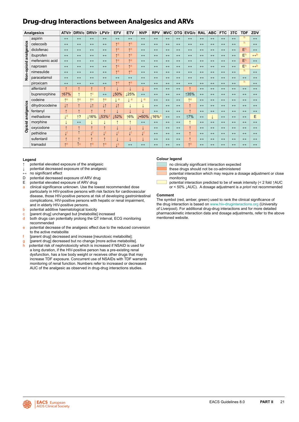### <span id="page-21-0"></span>**Drug-drug Interactions between Analgesics and ARVs**

|            | <b>Analgesics</b> | ATV/r                   | DRV/c             | DRV/r                   | LPV/r                   | <b>EFV</b>              | <b>ETV</b>        | <b>NVP</b>            | <b>RPV</b>        | <b>MVC</b>        | <b>DTG</b>        | EVG/c             | <b>RAL</b>        | <b>ABC</b>        | <b>FTC</b>        | 3TC               | <b>TDF</b>        | ZDV                 |
|------------|-------------------|-------------------------|-------------------|-------------------------|-------------------------|-------------------------|-------------------|-----------------------|-------------------|-------------------|-------------------|-------------------|-------------------|-------------------|-------------------|-------------------|-------------------|---------------------|
|            | aspirin           | $\leftrightarrow$       | $\leftrightarrow$ | $\leftrightarrow$       | $\leftrightarrow$       | $\leftrightarrow$       | $\leftrightarrow$ | $\leftrightarrow$     | $\leftrightarrow$ | $\leftrightarrow$ | $\leftrightarrow$ | $\leftrightarrow$ | $\leftrightarrow$ | $\leftrightarrow$ | $\leftrightarrow$ | $\leftrightarrow$ | h                 | $\leftrightarrow$   |
| analgesics | celecoxib         | $\leftrightarrow$       | $\leftrightarrow$ | $\leftrightarrow$       | $\leftrightarrow$       | $*a$                    | $*a$              | $\leftrightarrow$     | $\leftrightarrow$ | $\leftrightarrow$ | $\leftrightarrow$ | $\leftrightarrow$ | $\leftrightarrow$ | $\leftrightarrow$ | $\leftrightarrow$ | $\leftrightarrow$ | h                 | $\leftrightarrow$   |
|            | diclofenac        | $\leftrightarrow$       | $\leftrightarrow$ | $\leftrightarrow$       | $\leftrightarrow$       | $*a$                    | $*a$              | $\leftrightarrow$     | $\leftrightarrow$ | $\leftrightarrow$ | $\leftrightarrow$ | $\leftrightarrow$ | $\leftrightarrow$ | $\leftrightarrow$ | $\leftrightarrow$ | $\leftrightarrow$ | E <sup>h</sup>    | $\leftrightarrow$   |
|            | ibuprofen         | $\leftrightarrow$       | $\leftrightarrow$ | $\leftrightarrow$       | $\leftrightarrow$       | $*a$                    | $\uparrow$ a      | $\leftrightarrow$     | $\leftrightarrow$ | $\leftrightarrow$ | $\leftrightarrow$ | $\leftrightarrow$ | $\leftrightarrow$ | $\leftrightarrow$ | $\leftrightarrow$ | $\leftrightarrow$ | E <sup>h</sup>    | $\leftrightarrow$ b |
|            | mefenamic acid    | $\leftrightarrow$       | $\leftrightarrow$ | $\leftrightarrow$       | $\leftrightarrow$       | $*a$                    | $*a$              | $\leftrightarrow$     | $\leftrightarrow$ | $\leftrightarrow$ | $\leftrightarrow$ | $\leftrightarrow$ | $\leftrightarrow$ | $\leftrightarrow$ | $\leftrightarrow$ | $\leftrightarrow$ | E <sup>h</sup>    | $\leftrightarrow$   |
|            | naproxen          | $\leftrightarrow$       | $\leftrightarrow$ | $\leftrightarrow$       | $\leftrightarrow$       | $A^a$                   | $\uparrow$ a      | $\leftrightarrow$     | $\leftrightarrow$ | $\leftrightarrow$ | $\leftrightarrow$ | $\leftrightarrow$ | $\leftrightarrow$ | $\leftrightarrow$ | $\leftrightarrow$ | $\leftrightarrow$ | E <sub>h</sub>    | $\leftrightarrow$ b |
|            | nimesulide        | $\leftrightarrow$       | $\leftrightarrow$ | $\leftrightarrow$       | $\leftrightarrow$       | $A^a$                   | $\uparrow$ a      | $\leftrightarrow$     | $\leftrightarrow$ | $\leftrightarrow$ | $\leftrightarrow$ | $\leftrightarrow$ | $\leftrightarrow$ | $\leftrightarrow$ | $\leftrightarrow$ | $\leftrightarrow$ | h                 | $\leftrightarrow$   |
| Non-opioid | paracetamol       | $\leftrightarrow$       | $\leftrightarrow$ | $\leftrightarrow$       | $\leftrightarrow$       | $\leftrightarrow$       | $\leftrightarrow$ | $\leftrightarrow$     | $\leftrightarrow$ | $\leftrightarrow$ | $\leftrightarrow$ | $\leftrightarrow$ | $\leftrightarrow$ | $\leftrightarrow$ | $\leftrightarrow$ | $\leftrightarrow$ | $\leftrightarrow$ | $\leftrightarrow$   |
|            | piroxicam         | $\leftrightarrow$       | $\leftrightarrow$ | $\leftrightarrow$       | $\leftrightarrow$       | $\uparrow$ a            | $\uparrow$ a      | $\leftrightarrow$     | $\leftrightarrow$ | $\leftrightarrow$ | $\leftrightarrow$ | $\leftrightarrow$ | $\leftrightarrow$ | $\leftrightarrow$ | $\leftrightarrow$ | $\leftrightarrow$ | h                 | $\leftrightarrow$   |
|            | alfentanil        | $\uparrow$              | $\uparrow$        | $\uparrow$              | $\uparrow$              |                         |                   |                       | $\leftrightarrow$ | $\leftrightarrow$ | $\leftrightarrow$ | $\uparrow$        | $\leftrightarrow$ | $\leftrightarrow$ | $\leftrightarrow$ | $\leftrightarrow$ | $\leftrightarrow$ | $\leftrightarrow$   |
|            | buprenorphine     | ↑67%                    | $\uparrow$        | $\uparrow$ C            | $\leftrightarrow$       | 150%                    | 125%              | $\leftrightarrow$     | $\leftrightarrow$ | $\leftrightarrow$ | $\leftrightarrow$ | ↑35%              | $\leftrightarrow$ | $\leftrightarrow$ | $\leftrightarrow$ | $\leftrightarrow$ | $\leftrightarrow$ | $\leftrightarrow$   |
|            | codeine           | $*e$                    | Ae                | Ae                      | Ae                      | <sub>1</sub> e          | $\downarrow$ e    | $\downarrow$ e        | $\leftrightarrow$ | $\leftrightarrow$ | $\leftrightarrow$ | $\uparrow$ e      | $\leftrightarrow$ | $\leftrightarrow$ | $\leftrightarrow$ | $\leftrightarrow$ | $\leftrightarrow$ | $\leftrightarrow$   |
|            | dihydrocodeine    | $\downarrow \uparrow$   | $\uparrow$        | l1                      | l1                      | l1                      |                   |                       | $\leftrightarrow$ | $\leftrightarrow$ | $\leftrightarrow$ | $\uparrow$        | $\leftrightarrow$ | $\leftrightarrow$ | $\leftrightarrow$ | $\leftrightarrow$ | $\leftrightarrow$ | $\leftrightarrow$   |
|            | fentanyl          | $\uparrow$              | $\uparrow$        | $\uparrow$              | $\uparrow$              |                         |                   |                       | $\leftrightarrow$ | $\leftrightarrow$ | $\leftrightarrow$ | $\uparrow$        | $\leftrightarrow$ | $\leftrightarrow$ | $\leftrightarrow$ | $\leftrightarrow$ | $\leftrightarrow$ | $\leftrightarrow$   |
| analgesics | methadone         | $\downarrow$ d          | $\uparrow$ ?      | ↓16%                    | ↓53%                    | 152%                    | 16%               | ↓≈50% ↓16%            |                   | $\leftrightarrow$ | $\leftrightarrow$ | ↑7%               | $\leftrightarrow$ |                   | $\leftrightarrow$ | $\leftrightarrow$ | $\leftrightarrow$ | E                   |
|            | morphine          |                         | $\leftrightarrow$ |                         |                         | 1                       | $\uparrow$        | $\leftrightarrow$     | $\leftrightarrow$ | $\leftrightarrow$ | $\leftrightarrow$ | $\uparrow$        | $\leftrightarrow$ | $\leftrightarrow$ | $\leftrightarrow$ | $\leftrightarrow$ | $\leftrightarrow$ | $\leftrightarrow$   |
| Opioid     | oxycodone         | $\uparrow$              | ↑                 | ↑                       | $\uparrow$              |                         |                   |                       | $\leftrightarrow$ | $\leftrightarrow$ | $\leftrightarrow$ | $\uparrow$        | $\leftrightarrow$ | $\leftrightarrow$ | $\leftrightarrow$ | $\leftrightarrow$ | $\leftrightarrow$ | $\leftrightarrow$   |
|            | pethidine         | $\downarrow^{\text{f}}$ | ↑                 | $\downarrow^{\text{f}}$ | $\downarrow^{\text{f}}$ | $\downarrow^{\text{f}}$ |                   | $\downarrow^\text{f}$ | $\leftrightarrow$ | $\leftrightarrow$ | $\leftrightarrow$ | $\uparrow$        | $\leftrightarrow$ | $\leftrightarrow$ | $\leftrightarrow$ | $\leftrightarrow$ | $\leftrightarrow$ | $\leftrightarrow$   |
|            | sufentanil        | $\uparrow$              | $\uparrow$        | $\uparrow$              | $\uparrow$              |                         |                   | T                     | $\leftrightarrow$ | $\leftrightarrow$ | $\leftrightarrow$ | $\uparrow$        | $\leftrightarrow$ | $\leftrightarrow$ | $\leftrightarrow$ | $\leftrightarrow$ | $\leftrightarrow$ | $\leftrightarrow$   |
|            | tramadol          | r e                     | ↑e                | Ae                      | Ae                      | $T_{\mathsf{a}}$        | $\leftrightarrow$ | $\leftrightarrow$     | $\leftrightarrow$ | $\leftrightarrow$ | $\leftrightarrow$ | $\uparrow$ e      | $\leftrightarrow$ | $\leftrightarrow$ | $\leftrightarrow$ | $\leftrightarrow$ | $\leftrightarrow$ | $\leftrightarrow$   |

#### **Legend**

- potential elevated exposure of the analgesic
- **↓** potential decreased exposure of the analgesic
- **↔** no significant effect
- D potential decreased exposure of ARV drug
- E potential elevated exposure of ARV drug
- a clinical significance unknown. Use the lowest recommended dose particularly in HIV-positive persons with risk factors for cardiovascular disease, those HIV-positive persons at risk of developing gastrointestinal complications, HIV-positive persons with hepatic or renal impairment, and in elderly HIV-positive persons.
- **b** potential additive haematological toxicity
- c [parent drug] unchanged but [metabolite] increased
- d both drugs can potentially prolong the QT interval, ECG monitoring recommended
- e potential decrease of the analgesic effect due to the reduced conversion to the active metabolite
- f [parent drug] decreased and increase [neurotoxic metabolite];
- g [parent drug] decreased but no change [more active metabolite].
- h potential risk of nephrotoxicity which is increased if NSAID is used for a long duration, if the HIV-positive person has a pre-existing renal dysfunction, has a low body weight or receives other drugs that may increase TDF exposure. Concurrent use of NSAIDs with TDF warrants monitoring of renal function. Numbers refer to increased or decreased AUC of the analgesic as observed in drug-drug interactions studies.

#### **Colour legend**

no clinically significant interaction expected

these drugs should not be co-administered

potential interaction which may require a dosage adjustment or close monitoring

potential interaction predicted to be of weak intensity (< 2 fold ↑AUC or < 50% ↓AUC). A dosage adjustment is *a priori* not recommended

#### **Comment**

The symbol (red, amber, green) used to rank the clinical significance of the drug interaction is based on [www.hiv-druginteractions.org](http://www.hiv-druginteractions.org) (University of Liverpool). For additional drug-drug interactions and for more detailed pharmacokinetic interaction data and dosage adjustments, refer to the above mentioned website.

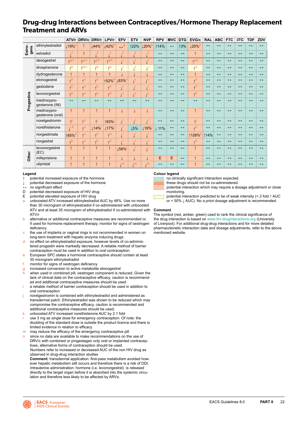### <span id="page-22-0"></span>**Drug-drug Interactions between Contraceptives/Hormone Therapy Replacement Treatment and ARVs**

|                |                                 | ATV/r             | DRV/c                   | DRV/r                | LPV/r             | <b>EFV</b>                  | <b>ETV</b>              | <b>NVP</b>                    | <b>RPV</b>        | <b>MVC</b>        | <b>DTG</b>        | EVG/c               | <b>RAL</b>        | <b>ABC</b>        | <b>FTC</b>        | 3TC               | <b>TDF</b>        | ZDV               |
|----------------|---------------------------------|-------------------|-------------------------|----------------------|-------------------|-----------------------------|-------------------------|-------------------------------|-------------------|-------------------|-------------------|---------------------|-------------------|-------------------|-------------------|-------------------|-------------------|-------------------|
| gens<br>Estro- | ethinylestradiol                | ⊥19% <sup>a</sup> |                         | $144\%$ <sup>b</sup> | 142%              | $H^d$                       | ↑22%                    | $120\%$                       | ↑14%              | $\leftrightarrow$ | 13%               | $125%$ <sup>e</sup> | $\leftrightarrow$ | $\leftrightarrow$ | $\leftrightarrow$ | $\leftrightarrow$ | $\leftrightarrow$ | $\leftrightarrow$ |
|                | estradiol                       | ıf                | $\uparrow$              |                      |                   | f,                          |                         | ۰. ۱                          | $\leftrightarrow$ | $\leftrightarrow$ | $\leftrightarrow$ |                     | $\leftrightarrow$ | $\leftrightarrow$ | $\leftrightarrow$ | $\leftrightarrow$ | $\leftrightarrow$ | $\leftrightarrow$ |
|                | desogestrel                     | $T^{g,h}$         | $+9, n$                 | $+9, h$              | $+9, h$           |                             |                         |                               | $\leftrightarrow$ | $\leftrightarrow$ | $\leftrightarrow$ | $+9n$               | $\leftrightarrow$ | $\leftrightarrow$ | $\leftrightarrow$ | $\leftrightarrow$ | $\leftrightarrow$ | $\leftrightarrow$ |
|                | drospirenone                    | $*^h$             | h, n                    | $\star$ h            | $\lambda$ h       | ٦i                          | ٠İ.                     | ٠i                            | $\leftrightarrow$ | $\leftrightarrow$ | $\leftrightarrow$ | $*h$                | $\leftrightarrow$ | $\leftrightarrow$ | $\leftrightarrow$ | $\leftrightarrow$ | $\leftrightarrow$ | $\leftrightarrow$ |
|                | dydrogesterone                  | $\uparrow$        | $\uparrow$              | $\uparrow$           | $\uparrow$        | J                           | J                       | $\downarrow$                  | $\leftrightarrow$ | $\leftrightarrow$ | $\leftrightarrow$ |                     | $\leftrightarrow$ | $\leftrightarrow$ | $\leftrightarrow$ | $\leftrightarrow$ | $\leftrightarrow$ | $\leftrightarrow$ |
|                | etonogestrel                    | $\uparrow$ h      | $\uparrow$ <sup>n</sup> | $*h$                 | ↑52% <sup>h</sup> | $\downarrow$ 63%            | $\downarrow^{\text{c}}$ | $\uparrow$ c                  | $\leftrightarrow$ | $\leftrightarrow$ | $\leftrightarrow$ | $*h$                | $\leftrightarrow$ | $\leftrightarrow$ | $\leftrightarrow$ | $\leftrightarrow$ | $\leftrightarrow$ | $\leftrightarrow$ |
|                | gestodene                       | $\uparrow$ h      | $\uparrow$              | $*h$                 | $\star$ h         | 1j                          | ٠i<br>↓                 | $\downarrow^{\dagger}$        | $\leftrightarrow$ | $\leftrightarrow$ | $\leftrightarrow$ | $\star$ h           | $\leftrightarrow$ | $\leftrightarrow$ | $\leftrightarrow$ | $\leftrightarrow$ | $\leftrightarrow$ | $\leftrightarrow$ |
|                | levonorgestrel                  | $\uparrow$ h      | $T^n$                   | $*h$                 | $\star$ h         | $\mathfrak{t}^{\mathsf{c}}$ | $\downarrow^{\text{c}}$ | $\downarrow$ <sup>c</sup>     | $\leftrightarrow$ | $\leftrightarrow$ | $\leftrightarrow$ | $\star$ h           | $\leftrightarrow$ | $\leftrightarrow$ | $\leftrightarrow$ | $\leftrightarrow$ | $\leftrightarrow$ | $\leftrightarrow$ |
| Progestins     | medroxypro-<br>gesterone (IM)   | $\leftrightarrow$ | $\leftrightarrow$       | $\leftrightarrow$    | $\leftrightarrow$ | $\leftrightarrow$           | $\leftrightarrow$       | $\leftrightarrow$             | $\leftrightarrow$ | $\leftrightarrow$ | $\leftrightarrow$ | $\leftrightarrow$   | $\leftrightarrow$ | $\leftrightarrow$ | $\leftrightarrow$ | $\leftrightarrow$ | $\leftrightarrow$ | $\leftrightarrow$ |
|                | medroxypro-<br>gesterone (oral) | $\uparrow$        | $\uparrow$              | $\uparrow$           | $\uparrow$        | $\downarrow$                | T                       | $\downarrow$                  | $\leftrightarrow$ | $\leftrightarrow$ | $\leftrightarrow$ | $\uparrow$          | $\leftrightarrow$ | $\leftrightarrow$ | $\leftrightarrow$ | $\leftrightarrow$ | $\leftrightarrow$ | $\leftrightarrow$ |
|                | norelgestromin                  | $\Delta$          | $T^n$                   | $\overline{A}$       | ↑83%              | $\uparrow^{\mathsf{i}}$     | ٦Ì.                     | 1j                            | $\leftrightarrow$ | $\leftrightarrow$ | $\leftrightarrow$ | ᅯ                   | $\leftrightarrow$ | $\leftrightarrow$ | $\leftrightarrow$ | $\leftrightarrow$ | $\leftrightarrow$ | $\leftrightarrow$ |
|                | norethisterone                  | i, k              | T <sup>n</sup>          | 114%                 | $17\%$            | $\downarrow^{\mathsf{i}}$   | <b>15%</b>              | $\downarrow$ 19%              | $\downarrow$ 11%  | $\leftrightarrow$ | $\leftrightarrow$ | $\star$ h           | $\leftrightarrow$ | $\leftrightarrow$ | $\leftrightarrow$ | $\leftrightarrow$ | $\leftrightarrow$ | $\leftrightarrow$ |
|                | norgestimate                    | ↑85%              | $\uparrow$ <sup>n</sup> | $\uparrow$ h         | $\star$ h         | $\downarrow^{\mathsf{i}}$   |                         | $\mathfrak{t}^{\mathfrak{l}}$ | $\leftrightarrow$ | $\leftrightarrow$ | $\leftrightarrow$ | ↑126% <sup>h</sup>  | ↑14%              | $\leftrightarrow$ | $\leftrightarrow$ | $\leftrightarrow$ | $\leftrightarrow$ | $\leftrightarrow$ |
|                | norgestrel                      | h                 | $\uparrow$ <sup>n</sup> | $\star$ h            | $\star$ h         |                             |                         |                               | $\leftrightarrow$ | $\leftrightarrow$ | $\leftrightarrow$ | $\star$ h           | $\leftrightarrow$ | $\leftrightarrow$ | $\leftrightarrow$ | $\leftrightarrow$ | $\leftrightarrow$ | $\leftrightarrow$ |
|                | levonorgestrel<br>(EC)          | $\uparrow$        | $\uparrow$              | $\uparrow$           | $\uparrow$        | ⊥58% <sup>'</sup>           | î,                      |                               | $\leftrightarrow$ | $\leftrightarrow$ | $\leftrightarrow$ |                     | $\leftrightarrow$ | $\leftrightarrow$ | $\leftrightarrow$ | $\leftrightarrow$ | $\leftrightarrow$ | $\leftrightarrow$ |
| Other          | mifepristone                    | $\uparrow$        | $\uparrow$              | $\uparrow$           | $\uparrow$        | ↓                           | ↓                       | $\downarrow$                  | E                 | E                 | $\leftrightarrow$ | $\uparrow$          | $\leftrightarrow$ | $\leftrightarrow$ | $\leftrightarrow$ | $\leftrightarrow$ | $\leftrightarrow$ | $\leftrightarrow$ |
|                | ulipristal                      | $\uparrow$        | $\uparrow$              | $\uparrow$           | $\uparrow$        | , m                         | m                       | , m                           | $\leftrightarrow$ | $\leftrightarrow$ | $\leftrightarrow$ |                     | $\leftrightarrow$ | $\leftrightarrow$ | $\leftrightarrow$ | $\leftrightarrow$ | $\leftrightarrow$ | $\leftrightarrow$ |

#### **Legend**

- potential increased exposure of the hormone
- potential decreased exposure of the hormone
- **↔** no significant effect
- potential decreased exposure of HIV drug
- E potential elevated exposure of HIV drug
- unboosted ATV increased ethinylestradiol AUC by 48%. Use no more than 30 microgram of ethinylestradiol if co-administered with unboosted ATV and at least 35 microgram of ethinylestradiol if co-administered with ATV/r
- b alternative or additional contraceptive measures are recommended or, if used for hormone replacement therapy, monitor for signs of oestrogen deficiency
- c the use of implants or vaginal rings is not recommended in women on long-term treatment with hepatic enzyme inducing drugs
- d no effect on ethinylestradiol exposure, however levels of co-administered progestin were markedly decreased. A reliable method of barrier contraception must be used in addition to oral contraception
- e European SPC states a hormonal contraceptive should contain at least 30 microgram ethinylestradiol
- monitor for signs of oestrogen deficiency
- g increased conversion to active metabolite etonogestrel
- when used in combined pill, oestrogen component is reduced. Given the lack of clinical data on the contraceptive efficacy, caution is recommended and additional contraceptive measures should be used
- a reliable method of barrier contraception should be used in addition to oral contraception
- norelgestromin is combined with ethinylestradiol and administered as transdermal patch. Ethinylestradiol was shown to be reduced which may compromise the contraceptive efficacy, caution is recommended and additional contraceptive measures should be used;
- unboosted ATV increased norethisterone AUC by 2.1 fold use 3 mg as single dose for emergency contraception. Of note: the doubling of the standard dose is outside the product licence and there is limited evidence in relation to efficacy
- m may reduce the efficacy of the emergency contraceptive pill since no data are available to make recommendations on the use of DRV/c with combined or progestagen only oral or implanted contraceptives, alternative forms of contraception should be used. Numbers refer to increased or decreased AUC of the non HIV drug as observed in drug-drug interaction studies

**Comment:** transdermal application: first-pass metabolism avoided however hepatic metabolism still occurs and therefore there is a risk of DDI. Intrauterine administration: hormone (i.e. levonorgestrel) is released directly to the target organ before it is absorbed into the systemic circulation and therefore less likely to be affected by ARVs.

#### **Colour legend**

no clinically significant interaction expected.

- these drugs should not be co-administered.
- potential interaction which may require a dosage adjustment or close monitoring.
- potential interaction predicted to be of weak intensity (< 2 fold ↑ AUC or < 50% ↓ AUC). No *a priori* dosage adjustment is recommended.

#### **Comment**

The symbol (red, amber, green) used to rank the clinical significance of the drug interaction is based on [www.hiv-druginteractions.org](http://www.hiv-druginteractions.org) (University of Liverpool). For additional drug-drug interactions and for more detailed pharmacokinetic interaction data and dosage adjustments, refer to the above mentioned website.

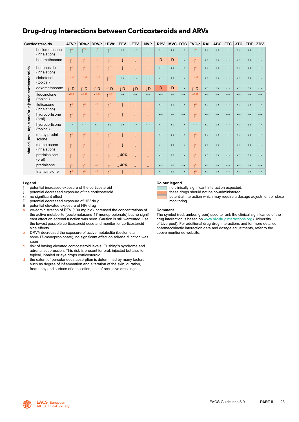### <span id="page-23-0"></span>**Drug-drug Interactions between Corticosteroids and ARVs**

|                                 | Corticosteroids               | ATV/r                   | DRV/c                   | DRV/r                   | LPV/r                    | <b>EFV</b>        | <b>ETV</b>        | <b>NVP</b>        | <b>RPV</b>        | <b>MVC</b>        |                   | DTG EVG/c RAL           |                   | <b>ABC</b>        | <b>FTC</b>        | 3TC               | <b>TDF</b>        | ZDV               |
|---------------------------------|-------------------------------|-------------------------|-------------------------|-------------------------|--------------------------|-------------------|-------------------|-------------------|-------------------|-------------------|-------------------|-------------------------|-------------------|-------------------|-------------------|-------------------|-------------------|-------------------|
|                                 | beclometasone<br>(inhalation) | $*^a$                   | $\lambda$ ?a            | $\uparrow$ <sub>p</sub> | $*^a$                    | $\leftrightarrow$ | $\leftrightarrow$ | $\leftrightarrow$ | $\leftrightarrow$ | $\leftrightarrow$ | $\leftrightarrow$ | $*^a$                   | $\leftrightarrow$ | $\leftrightarrow$ | $\leftrightarrow$ | $\leftrightarrow$ | $\leftrightarrow$ | $\leftrightarrow$ |
|                                 | betamethasone                 | $\uparrow$ <sup>C</sup> | $\uparrow^{\mathsf{C}}$ | $\uparrow^{\circ}$      | $\uparrow^{\text{C}}$    | $\downarrow$      | $\downarrow$      | $\downarrow$      | D                 | D                 | $\leftrightarrow$ | $\uparrow$ <sup>C</sup> | $\leftrightarrow$ | $\leftrightarrow$ | $\leftrightarrow$ | $\leftrightarrow$ | $\leftrightarrow$ | $\leftrightarrow$ |
|                                 | budenoside<br>(inhalation)    | $\uparrow$ <sup>C</sup> | $\uparrow^{\circ}$      | $\uparrow^{\circ}$      | $\uparrow^{\text{C}}$    | $\downarrow$      | $\downarrow$      |                   | $\leftrightarrow$ | $\leftrightarrow$ | $\leftrightarrow$ | $\uparrow$ <sup>C</sup> | $\leftrightarrow$ | $\leftrightarrow$ | $\leftrightarrow$ | $\leftrightarrow$ | $\leftrightarrow$ | $\leftrightarrow$ |
| and/or injected corticosteroids | clobetasol<br>(topical)       | $\uparrow$ c,d          | $\uparrow$ C, d         | $\uparrow$ C, d         | $\Lambda$ <sup>c,d</sup> | $\leftrightarrow$ | $\leftrightarrow$ | $\leftrightarrow$ | $\leftrightarrow$ | $\leftrightarrow$ | $\leftrightarrow$ | $\uparrow$ c,d          | $\leftrightarrow$ | $\leftrightarrow$ | $\leftrightarrow$ | $\leftrightarrow$ | $\leftrightarrow$ | $\leftrightarrow$ |
|                                 | dexamethasone                 | $\uparrow^c D$          | $\uparrow^c$ D          | $\uparrow^c$ D          | $\uparrow^c D$           | $\downarrow$ D    | <b>JD</b>         | <b>JD</b>         | D                 | D                 | $\leftrightarrow$ | $\uparrow^c D$          | $\leftrightarrow$ | $\leftrightarrow$ | $\leftrightarrow$ | $\leftrightarrow$ | $\leftrightarrow$ | $\leftrightarrow$ |
|                                 | fluocinolone<br>(topical)     | $\Lambda$ c,d           | $\uparrow$ c,d          | $\Lambda$ c,d           | $\Lambda$ <sup>c,d</sup> | $\leftrightarrow$ | $\leftrightarrow$ | $\leftrightarrow$ | $\leftrightarrow$ | $\leftrightarrow$ | $\leftrightarrow$ | $\uparrow$ c,d          | $\leftrightarrow$ | $\leftrightarrow$ | $\leftrightarrow$ | $\leftrightarrow$ | $\leftrightarrow$ | $\leftrightarrow$ |
|                                 | fluticasone<br>(inhalation)   | $\uparrow$ <sup>C</sup> | $\uparrow^{\text{c}}$   | $\uparrow^{\circ}$      | $\uparrow^{\text{C}}$    | $\downarrow$      | $\downarrow$      | $\downarrow$      | $\leftrightarrow$ | $\leftrightarrow$ | $\leftrightarrow$ | $\uparrow^{\circ}$      | $\leftrightarrow$ | $\leftrightarrow$ | $\leftrightarrow$ | $\leftrightarrow$ | $\leftrightarrow$ | $\leftrightarrow$ |
|                                 | hydrocortisone<br>(oral)      | $\uparrow$ C            | $\uparrow^{\mathsf{C}}$ | $\uparrow^{\text{C}}$   | $\uparrow^{\mathsf{C}}$  | $\downarrow$      | $\downarrow$      |                   | $\leftrightarrow$ | $\leftrightarrow$ | $\leftrightarrow$ | $\uparrow$ <sup>C</sup> | $\leftrightarrow$ | $\leftrightarrow$ | $\leftrightarrow$ | $\leftrightarrow$ | $\leftrightarrow$ | $\leftrightarrow$ |
| Inhaled, oral, topic            | hydrocortisone<br>(topical)   | $\leftrightarrow$       | $\leftrightarrow$       | $\leftrightarrow$       | $\leftrightarrow$        | $\leftrightarrow$ | $\leftrightarrow$ | $\leftrightarrow$ | $\leftrightarrow$ | $\leftrightarrow$ | $\leftrightarrow$ | $\leftrightarrow$       | $\leftrightarrow$ | $\leftrightarrow$ | $\leftrightarrow$ | $\leftrightarrow$ | $\leftrightarrow$ | $\leftrightarrow$ |
|                                 | methylpredni-<br>solone       | $\uparrow^{\text{C}}$   | $\uparrow^{\mathsf{C}}$ | $\uparrow^{\circ}$      | $\uparrow^{\text{C}}$    | $\downarrow$      | $\downarrow$      | ↓                 | $\leftrightarrow$ | $\leftrightarrow$ | $\leftrightarrow$ | $\uparrow$ <sup>C</sup> | $\leftrightarrow$ | $\leftrightarrow$ | $\leftrightarrow$ | $\leftrightarrow$ | $\leftrightarrow$ | $\leftrightarrow$ |
|                                 | mometasone<br>(inhalation)    | $\uparrow$ C            | $\uparrow^{\text{C}}$   | $\uparrow^{\circ}$      | $\uparrow$ <sup>C</sup>  | $\downarrow$      | $\downarrow$      | $\downarrow$      | $\leftrightarrow$ | $\leftrightarrow$ | $\leftrightarrow$ | $\uparrow$ <sup>C</sup> | $\leftrightarrow$ | $\leftrightarrow$ | $\leftrightarrow$ | $\leftrightarrow$ | $\leftrightarrow$ | $\leftrightarrow$ |
|                                 | prednisolone<br>(oral)        | $\uparrow$ <sup>C</sup> | $\uparrow^{\mathsf{C}}$ | $\uparrow^{\mathsf{C}}$ | $\uparrow^{\mathsf{C}}$  | 40%               | $\downarrow$      | $\downarrow$      | $\leftrightarrow$ | $\leftrightarrow$ | $\leftrightarrow$ | $\uparrow^{\circ}$      | $\leftrightarrow$ | $\leftrightarrow$ | $\leftrightarrow$ | $\leftrightarrow$ | $\leftrightarrow$ | $\leftrightarrow$ |
|                                 | prednisone                    | $\uparrow$ C            | $\uparrow^{\mathsf{C}}$ | $\uparrow^{\mathsf{C}}$ | $\uparrow$ <sup>C</sup>  | $\downarrow$ 40%  | $\downarrow$      | $\downarrow$      | $\leftrightarrow$ | $\leftrightarrow$ | $\leftrightarrow$ | $\uparrow$ <sup>C</sup> | $\leftrightarrow$ | $\leftrightarrow$ | $\leftrightarrow$ | $\leftrightarrow$ | $\leftrightarrow$ | $\leftrightarrow$ |
|                                 | triamcinolone                 | $\uparrow$ <sup>C</sup> | $\uparrow$ C            | $\uparrow$ C            | $\uparrow$ C             |                   | T                 | T                 | $\leftrightarrow$ | $\leftrightarrow$ | $\leftrightarrow$ | $\uparrow$ C            | $\leftrightarrow$ | $\leftrightarrow$ | $\leftrightarrow$ | $\leftrightarrow$ | $\leftrightarrow$ | $\leftrightarrow$ |

### **Legend**

- **↑** potential increased exposure of the corticosteroid
- potential decreased exposure of the corticosteroid
- **↔** no significant effect
- 
- D potential decreased exposure of HIV drug<br>E potential elevated exposure of HIV drug potential elevated exposure of HIV drug
- a co-administration of RTV (100 mg bid) increased the concentrations of the active metabolite (beclometasone-17-monopropionate) but no significant effect on adrenal function was seen. Caution is still warrented, use the lowest possible corticosteroid dose and monitor for corticosteroid side effects
- b DRV/r decreased the exposure of active metabolite (beclometasone-17-monopropionate), no significant effect on adrenal function was seen
- c risk of having elevated corticosteroid levels, Cushing's syndrome and adrenal suppression. This risk is present for oral, injected but also for topical, inhaled or eye drops corticosteroid
- d the extent of percutaneous absorption is determined by many factors such as degree of inflammation and alteration of the skin, duration, frequency and surface of application, use of occlusive dressings

#### **Colour legend**

no clinically significant interaction expected.

these drugs should not be co-administered.

potential interaction which may require a dosage adjustment or close monitoring.

#### **Comment**

The symbol (red, amber, green) used to rank the clinical significance of the drug interaction is based on [www.hiv-druginteractions.org](http://www.hiv-druginteractions.org) (University of Liverpool). For additional drug-drug interactions and for more detailed pharmacokinetic interaction data and dosage adjustments, refer to the above mentioned website.

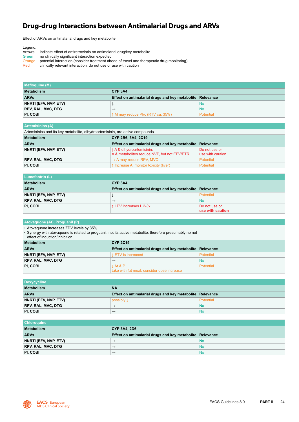### <span id="page-24-0"></span>**Drug-drug Interactions between Antimalarial Drugs and ARVs**

Effect of ARVs on antimalarial drugs and key metabolite

| Legend: |                                                                                            |
|---------|--------------------------------------------------------------------------------------------|
| Arrows  | indicate effect of antiretrovirals on antimalarial drug/key metabolite                     |
| Green   | no clinically significant interaction expected                                             |
| Orange  | potential interaction (consider treatment ahead of travel and therapeutic drug monitoring) |
| Red     | clinically relevant interaction, do not use or use with caution                            |

| Mefloquine (M)        |                                                           |           |
|-----------------------|-----------------------------------------------------------|-----------|
| <b>Metabolism</b>     | CYP <sub>3A4</sub>                                        |           |
| <b>ARVs</b>           | Effect on antimalarial drugs and key metabolite Relevance |           |
| NNRTI (EFV, NVP, ETV) |                                                           | <b>No</b> |
| RPV, RAL, MVC, DTG    | $\rightarrow$                                             | <b>No</b> |
| PI. COBI              | $\uparrow$ M may reduce PI/c (RTV ca. 35%)                | Potential |

| <b>Artemisinins (A)</b>                                                       |                                                                        |                                   |  |  |  |  |  |  |
|-------------------------------------------------------------------------------|------------------------------------------------------------------------|-----------------------------------|--|--|--|--|--|--|
| Artemisinins and its key metabolite, dihydroartemisinin, are active compounds |                                                                        |                                   |  |  |  |  |  |  |
| <b>Metabolism</b>                                                             | CYP 2B6, 3A4, 2C19                                                     |                                   |  |  |  |  |  |  |
| <b>ARVs</b>                                                                   | Effect on antimalarial drugs and key metabolite                        | Relevance                         |  |  |  |  |  |  |
| NNRTI (EFV, NVP, ETV)                                                         | LA& dihydroartemisinin;<br>A & metabolites reduce NVP, but not EFV/ETR | Do not use or<br>use with caution |  |  |  |  |  |  |
| RPV, RAL, MVC, DTG                                                            | $\rightarrow$ A may reduce RPV, MVC                                    | <b>Potential</b>                  |  |  |  |  |  |  |
| PI, COBI                                                                      | ↑ Increase A: monitor toxicity (liver)                                 | Potential                         |  |  |  |  |  |  |

| <b>Lumefantrin (L)</b>    |                                                           |                                   |
|---------------------------|-----------------------------------------------------------|-----------------------------------|
| Metabolism                | CYP <sub>3A4</sub>                                        |                                   |
| <b>ARVs</b>               | Effect on antimalarial drugs and key metabolite Relevance |                                   |
| NNRTI (EFV, NVP, ETV)     |                                                           | Potential                         |
| <b>RPV, RAL, MVC, DTG</b> | $\rightarrow$                                             | No                                |
| PI, COBI                  | ↑ LPV increases L 2-3x                                    | Do not use or<br>use with caution |

### **Atovaquone (At), Proguanil (P)**

• Atovaquone increases ZDV levels by 35%

• Synergy with atovaquone is related to proguanil, not its active metabolite; therefore presumably no net

| effect of induction/inhibition |                                                              |                  |
|--------------------------------|--------------------------------------------------------------|------------------|
| Metabolism                     | <b>CYP 2C19</b>                                              |                  |
| <b>ARVs</b>                    | Effect on antimalarial drugs and key metabolite Relevance    |                  |
| NNRTI (EFV, NVP, ETV)          | <b>LETV</b> is increased                                     | <b>Potential</b> |
| RPV, RAL, MVC, DTG             | $\rightarrow$                                                | <b>No</b>        |
| PI. COBI                       | $\perp$ At & P<br>take with fat meal, consider dose increase | <b>Potential</b> |

| <b>Doxycycline</b>    |                                                           |           |
|-----------------------|-----------------------------------------------------------|-----------|
| <b>Metabolism</b>     | <b>NA</b>                                                 |           |
| <b>ARVs</b>           | Effect on antimalarial drugs and key metabolite Relevance |           |
| NNRTI (EFV, NVP, ETV) | possibly 1                                                | Potential |
| RPV, RAL, MVC, DTG    | $\rightarrow$                                             | No        |
| PI, COBI              | $\rightarrow$                                             | No        |

| <b>Chloroquine</b>        |                                                           |           |
|---------------------------|-----------------------------------------------------------|-----------|
| <b>Metabolism</b>         | <b>CYP 3A4, 2D6</b>                                       |           |
| <b>ARVs</b>               | Effect on antimalarial drugs and key metabolite Relevance |           |
| NNRTI (EFV, NVP, ETV)     | $\rightarrow$                                             | <b>No</b> |
| <b>RPV, RAL, MVC, DTG</b> | $\rightarrow$                                             | No        |
| PI, COBI                  | $\rightarrow$                                             | <b>No</b> |

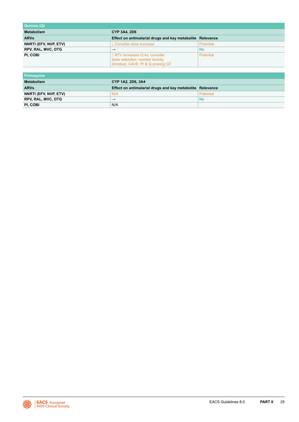| Quinine (Q)               |                                                                                                           |           |
|---------------------------|-----------------------------------------------------------------------------------------------------------|-----------|
| <b>Metabolism</b>         | <b>CYP 3A4, 2D6</b>                                                                                       |           |
| <b>ARVs</b>               | Effect on antimalarial drugs and key metabolite Relevance                                                 |           |
| NNRTI (EFV, NVP, ETV)     | L Consider dose increase                                                                                  | Potential |
| <b>RPV, RAL, MVC, DTG</b> | $\rightarrow$                                                                                             | <b>No</b> |
| PI, COBI                  | ↑ RTV increases Q 4x: consider<br>dose reduction, monitor toxicity<br>(tinnitus). CAVE: PI & Q prolong QT | Potential |

| Primaguine            |                                                           |           |
|-----------------------|-----------------------------------------------------------|-----------|
| <b>Metabolism</b>     | CYP 1A2, 2D6, 3A4                                         |           |
| <b>ARVs</b>           | Effect on antimalarial drugs and key metabolite Relevance |           |
| NNRTI (EFV, NVP, ETV) | N/A                                                       | Potential |
| RPV, RAL, MVC, DTG    | $\rightarrow$                                             | <b>No</b> |
| PI. COBI              | N/A                                                       |           |

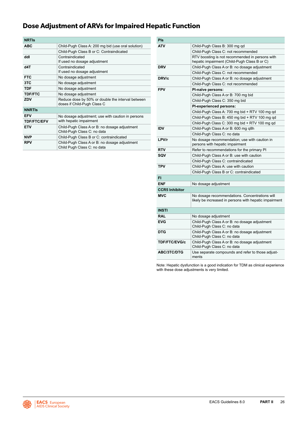### <span id="page-26-0"></span>**Dose Adjustment of ARVs for Impaired Hepatic Function**

| <b>NRTIS</b>       |                                                                                  |
|--------------------|----------------------------------------------------------------------------------|
| <b>ABC</b>         | Child-Pugh Class A: 200 mg bid (use oral solution)                               |
|                    | Child-Pugh Class B or C: Contraindicated                                         |
| ddl                | Contraindicated<br>If used no dosage adjustment                                  |
| d4T                | Contraindicated<br>If used no dosage adjustment                                  |
| <b>FTC</b>         | No dosage adjustment                                                             |
| 3TC                | No dosage adjustment                                                             |
| <b>TDF</b>         | No dosage adjustment                                                             |
| <b>TDF/FTC</b>     | No dosage adjustment                                                             |
| ZDV                | Reduce dose by 50% or double the interval between<br>doses if Child-Pugh Class C |
| <b>NNRTIS</b>      |                                                                                  |
| <b>EFV</b>         | No dosage adjustment; use with caution in persons                                |
| <b>TDF/FTC/EFV</b> | with hepatic impairment                                                          |
| <b>ETV</b>         | Child-Pugh Class A or B: no dosage adjustment<br>Child-Pugh Class C: no data     |
| <b>NVP</b>         | Child-Pugh Class B or C: contraindicated                                         |
| <b>RPV</b>         | Child-Pugh Class A or B: no dosage adjustment<br>Child Pugh Class C: no data     |

| Pls                   |                                                                                                          |  |  |  |
|-----------------------|----------------------------------------------------------------------------------------------------------|--|--|--|
| ATV                   | Child-Pugh Class B: 300 mg gd                                                                            |  |  |  |
|                       | Child-Pugh Class C: not recommended                                                                      |  |  |  |
|                       | RTV boosting is not recommended in persons with<br>hepatic impairment (Child-Pugh Class B or C)          |  |  |  |
| <b>DRV</b>            | Child-Pugh Class A or B: no dosage adjustment                                                            |  |  |  |
|                       | Child-Pugh Class C: not recommended                                                                      |  |  |  |
| DRV/c                 | Child-Pugh Class A or B: no dosage adjustment                                                            |  |  |  |
|                       | Child-Pugh Class C: not recommended                                                                      |  |  |  |
| <b>FPV</b>            | PI-naïve persons:                                                                                        |  |  |  |
|                       | Child-Pugh Class A or B: 700 mg bid                                                                      |  |  |  |
|                       | Child-Pugh Class C: 350 mg bid                                                                           |  |  |  |
|                       | <b>PI-experienced persons:</b>                                                                           |  |  |  |
|                       | Child-Pugh Class A: 700 mg bid + RTV 100 mg qd                                                           |  |  |  |
|                       | Child-Pugh Class B: 450 mg bid + RTV 100 mg qd                                                           |  |  |  |
|                       | Child-Pugh Class C: 300 mg bid + RTV 100 mg qd                                                           |  |  |  |
| <b>IDV</b>            | Child-Pugh Class A or B: 600 mg q8h                                                                      |  |  |  |
|                       | Child-Pugh Class C: no data                                                                              |  |  |  |
| LPV/r                 | No dosage recommendation; use with caution in<br>persons with hepatic impairment                         |  |  |  |
| <b>RTV</b>            | Refer to recommendations for the primary PI                                                              |  |  |  |
| SQV                   | Child-Pugh Class A or B: use with caution                                                                |  |  |  |
|                       | Child-Pugh Class C: contraindicated                                                                      |  |  |  |
| <b>TPV</b>            | Child-Pugh Class A: use with caution                                                                     |  |  |  |
|                       | Child-Pugh Class B or C: contraindicated                                                                 |  |  |  |
| FI                    |                                                                                                          |  |  |  |
| <b>ENF</b>            | No dosage adjustment                                                                                     |  |  |  |
| <b>CCR5 Inhibitor</b> |                                                                                                          |  |  |  |
| <b>MVC</b>            | No dosage recommendations. Concentrations will<br>likely be increased in persons with hepatic impairment |  |  |  |
| <b>INSTI</b>          |                                                                                                          |  |  |  |
| <b>RAL</b>            | No dosage adjustment                                                                                     |  |  |  |
| <b>EVG</b>            | Child-Pugh Class A or B: no dosage adjustment<br>Child-Pugh Class C: no data                             |  |  |  |
| <b>DTG</b>            | Child-Pugh Class A or B: no dosage adjustment<br>Child-Pugh Class C: no data                             |  |  |  |
| <b>TDF/FTC/EVG/c</b>  | Child-Pugh Class A or B: no dosage adjustment<br>Child-Pugh Class C: no data                             |  |  |  |
| <b>ABC/3TC/DTG</b>    | Use separate compounds and refer to those adjust-<br>ments                                               |  |  |  |

Note: Hepatic dysfunction is a good indication for TDM as clinical experience with these dose adjustments is very limited.

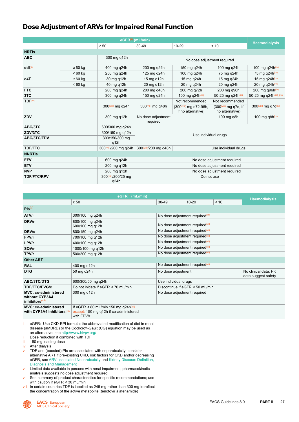### <span id="page-27-0"></span>**Dose Adjustment of ARVs for Impaired Renal Function**

| $eGFR^{(i)}$ (mL/min) |              |                             |                                                                      |                                                          |                                                      |                                |  |
|-----------------------|--------------|-----------------------------|----------------------------------------------------------------------|----------------------------------------------------------|------------------------------------------------------|--------------------------------|--|
|                       |              | $\geq 50$                   | $30 - 49$                                                            | $10 - 29$                                                | < 10                                                 | <b>Haemodialysis</b>           |  |
| <b>NRTIS</b>          |              |                             |                                                                      |                                                          |                                                      |                                |  |
| <b>ABC</b>            |              | 300 mg q12h                 |                                                                      | No dose adjustment required                              |                                                      |                                |  |
| ddl(ii)               | $\geq 60$ kg | 400 mg q24h                 | 200 mg q24h                                                          | 150 mg q24h                                              | 100 mg q24h                                          | 100 mg q24h(iv)                |  |
|                       | $< 60$ kg    | 250 mg q24h                 | 125 mg q24h                                                          | 100 mg q24h                                              | 75 mg q24h                                           | 75 mg q24h(iv)                 |  |
| d4T                   | $\geq 60$ kg | 30 mg g12h                  | 15 mg g12h                                                           | 15 mg q24h                                               | 15 mg g24h                                           | 15 mg q24h(iv)                 |  |
|                       | $< 60$ kg    | 40 mg q12h                  | 20 mg q12h                                                           | 20 mg q24h                                               | 20 mg q24h                                           | 20 mg q24h(iv)                 |  |
| <b>FTC</b>            |              | 200 mg q24h                 | 200 mg g48h                                                          | 200 mg g72h                                              | 200 mg g96h                                          | 200 mg g $96h$ <sup>(iv)</sup> |  |
| 3TC                   |              | 300 mg q24h                 | 150 mg q24h                                                          | 100 mg q24h(iii)                                         | 50-25 mg q24h(iii)                                   | 50-25 mg q24h(iii), (iv)       |  |
| TDF <sup>(v)</sup>    |              |                             |                                                                      | Not recommended                                          | Not recommended                                      |                                |  |
|                       |              | 300(viii) mg g24h           | 300(viii) mg g48h                                                    | (300 <sup>(viii)</sup> mg q72-96h,<br>if no alternative) | (300 <sup>(viii)</sup> mg q7d, if<br>no alternative) | 300(viii) mg g7d(iv)           |  |
| ZDV                   |              | 300 mg q12h                 | 100 mg q8 $h^{(iv)}$<br>No dose adjustment<br>100 mg q8h<br>required |                                                          |                                                      |                                |  |
| ABC/3TC               |              | 600/300 mg q24h             |                                                                      |                                                          |                                                      |                                |  |
| ZDV/3TC               |              | 300/150 mg g12h             |                                                                      |                                                          | Use individual drugs                                 |                                |  |
| ABC/3TC/ZDV           |              | 300/150/300 mg<br>q12h      |                                                                      |                                                          |                                                      |                                |  |
| <b>TDF/FTC</b>        |              | 300(viii)/200 mg g24h       | 300(viii)/200 mg q48h                                                |                                                          | Use individual drugs                                 |                                |  |
| <b>NNRTIS</b>         |              |                             |                                                                      |                                                          |                                                      |                                |  |
| <b>EFV</b>            |              | 600 mg q24h                 | No dose adjustment required                                          |                                                          |                                                      |                                |  |
| <b>ETV</b>            |              | 200 mg q12h                 | No dose adjustment required                                          |                                                          |                                                      |                                |  |
| <b>NVP</b>            |              | 200 mg q12h                 | No dose adjustment required                                          |                                                          |                                                      |                                |  |
| <b>TDF/FTC/RPV</b>    |              | 300(viii)/200/25 mg<br>q24h | Do not use                                                           |                                                          |                                                      |                                |  |

|                                                                              | <b>Haemodialysis</b>                                                                           |                                             |                                   |      |                                             |  |
|------------------------------------------------------------------------------|------------------------------------------------------------------------------------------------|---------------------------------------------|-----------------------------------|------|---------------------------------------------|--|
|                                                                              | $\geq 50$                                                                                      | $30 - 49$                                   | $10 - 29$                         | < 10 |                                             |  |
| $Pis^{(V)}$                                                                  |                                                                                                |                                             |                                   |      |                                             |  |
| ATV/r                                                                        | 300/100 mg q24h                                                                                | No dose adjustment required <sup>(vi)</sup> |                                   |      |                                             |  |
| DRV/r                                                                        | 800/100 mg g24h<br>600/100 mg q12h                                                             | No dose adjustment required <sup>(vi)</sup> |                                   |      |                                             |  |
| DRV/c                                                                        | 800/150 mg q24h                                                                                | No dose adjustment required <sup>(vi)</sup> |                                   |      |                                             |  |
| FPV/r                                                                        | 700/100 mg q12h                                                                                | No dose adjustment required <sup>(vi)</sup> |                                   |      |                                             |  |
| LPV/r                                                                        | 400/100 mg q12h                                                                                | No dose adjustment required <sup>(vi)</sup> |                                   |      |                                             |  |
| SQV/r                                                                        | 1000/100 mg q12h                                                                               | No dose adjustment required <sup>(vi)</sup> |                                   |      |                                             |  |
| TPV/r                                                                        | 500/200 mg q12h                                                                                | No dose adjustment required <sup>(vi)</sup> |                                   |      |                                             |  |
| <b>Other ART</b>                                                             |                                                                                                |                                             |                                   |      |                                             |  |
| <b>RAL</b>                                                                   | 400 mg q12h                                                                                    | No dose adjustment required <sup>(vi)</sup> |                                   |      |                                             |  |
| <b>DTG</b>                                                                   | 50 mg q24h                                                                                     | No dose adjustment                          |                                   |      | No clinical data; PK<br>data suggest safety |  |
| ABC/3TC/DTG                                                                  | 600/300/50 mg g24h                                                                             | Use individual drugs                        |                                   |      |                                             |  |
| <b>TDF/FTC/EVG/c</b>                                                         | Do not initiate if eGFR < 70 mL/min                                                            |                                             | Discontinue if $eGFR < 50$ mL/min |      |                                             |  |
| <b>MVC: co-administered</b><br>without CYP3A4<br>inhibitors <sup>(vii)</sup> | 300 mg q12h                                                                                    | No dose adjustment required                 |                                   |      |                                             |  |
| <b>MVC: co-administered</b><br>with CYP3A4 inhibitors (viii)                 | If eGFR $<$ 80 mL/min 150 mg q24h(vii)<br>except: 150 mg q12h if co-administered<br>with FPV/r |                                             |                                   |      |                                             |  |

i eGFR: Use CKD-EPI formula; the abbreviated modification of diet in renal disease (aMDRD) or the Cockcroft-Gault (CG) equation may be used as an alternative; see [http://www.hivpv.org/](http://www.hivpv.org/ .)

ii Dose reduction if combined with TDF<br>iii 150 mg loading dose

150 mg loading dose

iv After dialysis

v TDF and (boosted) PIs are associated with nephrotoxicity; consider alternative ART if pre-existing CKD, risk factors for CKD and/or decreasing eGFR, see [ARV-associated Nephrotoxicity](#page-45-0) and [Kidney Disease: Definition,](#page-44-0)  [Diagnosis and Management](#page-44-0)

 $vi$  Limited data available in persons with renal impairment; pharmacokinetic analysis suggests no dose adjustment required

vii See summary of product characteristics for specific recommendations; use with caution if eGFR < 30 mL/min

viii In certain countries TDF is labelled as 245 mg rather than 300 mg to reflect the concentration of the active metabolite (tenofovir alafenamide)

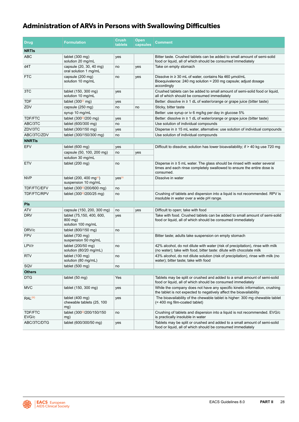### <span id="page-28-0"></span>**Administration of ARVs in Persons with Swallowing Difficulties**

| <b>Drug</b>          | <b>Formulation</b>                                           | <b>Crush</b><br>tablets | <b>Open</b><br>capsules | Comment                                                                                                                                                             |
|----------------------|--------------------------------------------------------------|-------------------------|-------------------------|---------------------------------------------------------------------------------------------------------------------------------------------------------------------|
| <b>NRTIS</b>         |                                                              |                         |                         |                                                                                                                                                                     |
| ABC                  | tablet $(300 \text{ mg})$<br>solution 20 mg/mL               | yes                     |                         | Bitter taste. Crushed tablets can be added to small amount of semi-solid<br>food or liquid, all of which should be consumed immediately                             |
| d4T                  | capsule (20, 30, 40 mg)<br>oral solution 1 mg/mL             | no                      | yes                     | Take on empty stomach                                                                                                                                               |
| <b>FTC</b>           | capsule (200 mg)<br>solution 10 mg/mL                        | no                      | yes                     | Dissolve in $\geq$ 30 mL of water, contains Na 460 µmol/mL<br>Bioequivalence: 240 mg solution = 200 mg capsule; adjust dosage<br>accordingly                        |
| 3TC                  | tablet (150, 300 mg)<br>solution 10 mg/mL                    | yes                     |                         | Crushed tablets can be added to small amount of semi-solid food or liquid.<br>all of which should be consumed immediately                                           |
| <b>TDF</b>           | tablet $(300(i)$ mg)                                         | yes                     |                         | Better: dissolve in $\geq 1$ dL of water/orange or grape juice (bitter taste)                                                                                       |
| ZDV                  | capsule (250 mg)                                             | no                      | no                      | Sticky, bitter taste                                                                                                                                                |
|                      | syrup 10 mg/mL                                               |                         |                         | Better: use syrup or iv 6 mg/kg per day in glucose 5%                                                                                                               |
| TDF/FTC              | tablet $(300\%)/200$ mg)                                     | yes                     |                         | Better: dissolve in ≥ 1 dL of water/orange or grape juice (bitter taste)                                                                                            |
| ABC/3TC              | tablet (600/300 mg)                                          | no                      |                         | Use solution of individual compounds                                                                                                                                |
| ZDV/3TC              | tablet (300/150 mg)                                          | yes                     |                         | Disperse in $\geq 15$ mL water, alternative: use solution of individual compounds                                                                                   |
| ABC/3TC/ZDV          | tablet (300/150/300 mg)                                      | no                      |                         | Use solution of individual compounds                                                                                                                                |
| <b>NNRTIS</b>        |                                                              |                         |                         |                                                                                                                                                                     |
| <b>EFV</b>           | tablet $(600 \text{ mg})$                                    | yes                     |                         | Difficult to dissolve; solution has lower bioavailability; if $>$ 40 kg use 720 mg                                                                                  |
|                      | capsule (50, 100, 200 mg)                                    | no                      | yes                     |                                                                                                                                                                     |
|                      | solution 30 mg/mL                                            |                         |                         |                                                                                                                                                                     |
| <b>ETV</b>           | tablet $(200 \text{ mg})$                                    | no                      |                         | Disperse in $\geq$ 5 mL water. The glass should be rinsed with water several<br>times and each rinse completely swallowed to ensure the entire dose is<br>consumed. |
| <b>NVP</b>           | tablet (200, 400 mg $^{(ii)}$ )<br>suspension 10 mg/mL       | Yes <sup>(ii)</sup>     |                         | Dissolve in water                                                                                                                                                   |
| TDF/FTC/EFV          | tablet (3000/200/600 mg)                                     | no                      |                         |                                                                                                                                                                     |
| TDF/FTC/RPV          | tablet (3000/200/25 mg)                                      | no                      |                         | Crushing of tablets and dispersion into a liquid is not recommended. RPV is<br>insoluble in water over a wide pH range.                                             |
| Pls                  |                                                              |                         |                         |                                                                                                                                                                     |
| ATV                  | capsule (150, 200, 300 mg)                                   | no                      | yes                     | Difficult to open; take with food                                                                                                                                   |
| <b>DRV</b>           | tablet (75,150, 400, 600,<br>$800$ mg)<br>solution 100 mg/mL | yes                     |                         | Take with food. Crushed tablets can be added to small amount of semi-solid<br>food or liquid, all of which should be consumed immediately                           |
| DRV/c                | tablet (800/150 mg)                                          | no                      |                         |                                                                                                                                                                     |
| <b>FPV</b>           | tablet (700 mg)<br>suspension 50 mg/mL                       |                         |                         | Bitter taste; adults take suspension on empty stomach                                                                                                               |
| LPV/r                | tablet (200/50 mg)<br>solution (80/20 mg/mL)                 | no                      |                         | 42% alcohol, do not dilute with water (risk of precipitation), rinse with milk<br>(no water); take with food, bitter taste: dilute with chocolate milk              |
| <b>RTV</b>           | tablet $(100 \text{ mg})$<br>solution (80 mg/mL)             | no                      |                         | 43% alcohol, do not dilute solution (risk of precipitation), rinse with milk (no<br>water); bitter taste; take with food                                            |
| SQV                  | tablet (500 mg)                                              | no                      |                         |                                                                                                                                                                     |
| <b>Others</b>        |                                                              |                         |                         |                                                                                                                                                                     |
| <b>DTG</b>           | tablet $(50 \text{ mg})$                                     | Yes                     |                         | Tablets may be split or crushed and added to a small amount of semi-solid<br>food or liquid, all of which should be consumed immediately                            |
| <b>MVC</b>           | tablet (150, 300 mg)                                         | yes                     |                         | While the company does not have any specific kinetic information, crushing<br>the tablet is not expected to negatively affect the bioavailability                   |
| RAL <sup>(iii)</sup> | tablet (400 mg)<br>chewable tablets (25, 100<br>mg)          | yes                     |                         | The bioavailability of the chewable tablet is higher: 300 mg chewable tablet<br>(= 400 mg film-coated tablet)                                                       |
| TDF/FTC<br>EVG/c     | tablet (3000/200/150/150<br>mg)                              | no                      |                         | Crushing of tablets and dispersion into a liquid is not recommended. EVG/c<br>is practically insoluble in water                                                     |
| ABC/3TC/DTG          | tablet (600/300/50 mg)                                       | yes                     |                         | Tablets may be split or crushed and added to a small amount of semi-solid<br>food or liquid, all of which should be consumed immediately                            |

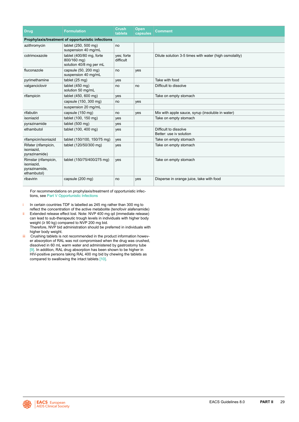| <b>Drug</b>                                                        | <b>Formulation</b>                                                 | <b>Crush</b><br>tablets | Open<br>capsules | Comment                                                |
|--------------------------------------------------------------------|--------------------------------------------------------------------|-------------------------|------------------|--------------------------------------------------------|
|                                                                    | Prophylaxis/treatment of opportunistic infections                  |                         |                  |                                                        |
| azithromycin                                                       | tablet (250, 500 mg)<br>suspension 40 mg/mL                        | no                      |                  |                                                        |
| cotrimoxazole                                                      | tablet (400/80 mg, forte<br>800/160 mg)<br>solution 40/8 mg per mL | ves: forte<br>difficult |                  | Dilute solution 3-5 times with water (high osmolality) |
| fluconazole                                                        | capsule (50, 200 mg)<br>suspension 40 mg/mL                        | no                      | yes              |                                                        |
| pyrimethamine                                                      | tablet $(25 \text{ mg})$                                           | ves                     |                  | Take with food                                         |
| valganciclovir                                                     | tablet $(450 \text{ ma})$<br>solution 50 mg/mL                     | no                      | no               | Difficult to dissolve                                  |
| rifampicin                                                         | tablet (450, 600 mg)                                               | yes                     |                  | Take on empty stomach                                  |
|                                                                    | capsule (150, 300 mg)                                              | no                      | yes              |                                                        |
|                                                                    | suspension 20 mg/mL                                                |                         |                  |                                                        |
| rifabutin                                                          | capsule (150 mg)                                                   | no                      | yes              | Mix with apple sauce, syrup (insoluble in water)       |
| isoniazid                                                          | tablet (100, 150 mg)                                               | yes                     |                  | Take on empty stomach                                  |
| pyrazinamide                                                       | tablet $(500 \text{ mg})$                                          | yes                     |                  |                                                        |
| ethambutol                                                         | tablet (100, 400 mg)                                               | yes                     |                  | Difficult to dissolve<br>Better: use iv solution       |
| rifampicin/isoniazid                                               | tablet (150/100, 150/75 mg)                                        | yes                     |                  | Take on empty stomach                                  |
| Rifater (rifampicin,<br>isoniazid.<br>pyrazinamide)                | tablet (120/50/300 mg)                                             | yes                     |                  | Take on empty stomach                                  |
| Rimstar (rifampicin,<br>isoniazid,<br>pyrazinamide,<br>ethambutol) | tablet (150/75/400/275 mg)                                         | ves                     |                  | Take on empty stomach                                  |
| ribavirin                                                          | capsule (200 mg)                                                   | no                      | yes              | Disperse in orange juice, take with food               |

 For recommendations on prophylaxis/treatment of opportunistic infections, see [Part V Opportunistic Infections](#page-79-0)

- i In certain countries TDF is labelled as 245 mg rather than 300 mg to reflect the concentration of the active metabolite (tenofovir alafenamide)
- ii Extended release effect lost. Note: NVP 400 mg qd (immediate release) can lead to sub-therapeutic trough levels in individuals with higher body weight (≥ 90 kg) compared to NVP 200 mg bid. Therefore, NVP bid administration should be preferred in individuals with
- higher body weight.
- iii Crushing tablets is not recommended in the product information however absorption of RAL was not compromised when the drug was crushed, dissolved in 60 mL warm water and administered by gastrostomy tube [\[9\].](#page-91-0) In addition, RAL drug absorption has been shown to be higher in HIV-positive persons taking RAL 400 mg bid by chewing the tablets as compared to swallowing the intact tablets [\[10\].](#page-91-0)

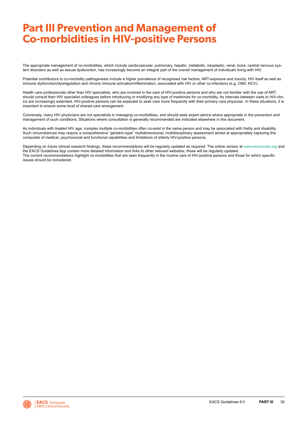# <span id="page-30-0"></span>**Part III Prevention and Management of Co-morbidities in HIV-positive Persons**

The appropriate management of co-morbidities, which include cardiovascular, pulmonary, hepatic, metabolic, neoplastic, renal, bone, central nervous system disorders as well as sexual dysfunction, has increasingly become an integral part of the overall management of individuals living with HIV.

Potential contributors to co-morbidity pathogenesis include a higher prevalence of recognised risk factors, ART-exposure and toxicity, HIV itself as well as immune dysfunction/dysregulation and chronic immune activation/inflammation, associated with HIV or other co-infections (e.g. CMV, HCV).

Health care professionals other than HIV specialists, who are involved in the care of HIV-positive persons and who are not familiar with the use of ART, should consult their HIV specialist colleagues before introducing or modifying any type of medicines for co-morbidity. As intervals between visits to HIV-clinics are increasingly extended, HIV-positive persons can be expected to seek care more frequently with their primary care physician. In these situations, it is important to ensure some level of shared-care arrangement.

Conversely, many HIV physicians are not specialists in managing co-morbidities, and should seek expert advice where appropriate in the prevention and management of such conditions. Situations where consultation is generally recommended are indicated elsewhere in this document.

As individuals with treated HIV age, complex multiple co-morbidities often co-exist in the same person and may be associated with frailty and disability. Such circumstances may require a comprehensive "geriatric-type" multidimensional, multidisciplinary assessment aimed at appropriately capturing the composite of medical, psychosocial and functional capabilities and limitations of elderly HIV-positive persons.

Depending on future clinical research findings, these recommendations will be regularly updated as required. The online version at [www.eacsociety.org](http://www.eacsociety.org) and the EACS Guidelines App contain more detailed information and links to other relevant websites; these will be regularly updated. The current recommendations highlight co-morbidities that are seen frequently in the routine care of HIV-positive persons and those for which specific issues should be considered.

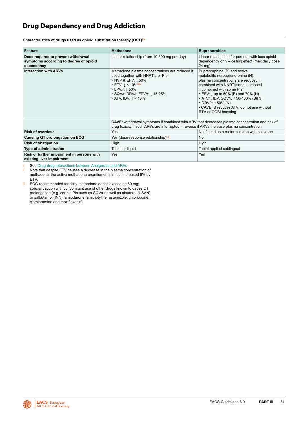### <span id="page-31-0"></span>**Drug Dependency and Drug Addiction**

**Characteristics of drugs used as opioid substitution therapy (OST)**(i)

| Feature                                                                                     | <b>Methadone</b>                                                                                                                                                                                                                                                       | <b>Buprenorphine</b>                                                                                                                                                                                                                                                                                                                                                                         |  |  |  |
|---------------------------------------------------------------------------------------------|------------------------------------------------------------------------------------------------------------------------------------------------------------------------------------------------------------------------------------------------------------------------|----------------------------------------------------------------------------------------------------------------------------------------------------------------------------------------------------------------------------------------------------------------------------------------------------------------------------------------------------------------------------------------------|--|--|--|
| Dose required to prevent withdrawal<br>symptoms according to degree of opioid<br>dependency | Linear relationship (from 10-300 mg per day)                                                                                                                                                                                                                           | Linear relationship for persons with less opioid<br>dependency only - ceiling effect (max daily dose<br>24 mg)                                                                                                                                                                                                                                                                               |  |  |  |
| <b>Interaction with ARVs</b>                                                                | Methadone plasma concentrations are reduced if<br>used together with NNRTIs or PIs:<br>• NVP & EFV: $1,50\%$<br>• ETV: $\downarrow$ < 10% <sup>(ii)</sup><br>• LPV/r: $\downarrow$ 50%<br>• SQV/r, DRV/r, FPV/r: $\downarrow$ 15-25%<br>• ATV, IDV: $\downarrow$ < 10% | Buprenorphine (B) and active<br>metabolite norbuprenorphine (N)<br>plasma concentrations are reduced if<br>combined with NNRTIs and increased<br>if combined with some PIs<br>$\cdot$ EFV: $\downarrow$ up to 50% (B) and 70% (N)<br>• ATV/r, IDV, SQV/r: $\uparrow$ 50-100% (B&N)<br>$\cdot$ DRV/r: $\uparrow$ 50% (N)<br>• CAVE: B reduces ATV; do not use without<br>RTV or COBI boosting |  |  |  |
|                                                                                             | <b>CAVE:</b> withdrawal symptoms if combined with ARV that decreases plasma concentration and risk of<br>drug toxicity if such ARVs are interrupted – reverse if ARVs increase plasma concentration                                                                    |                                                                                                                                                                                                                                                                                                                                                                                              |  |  |  |
| <b>Risk of overdose</b>                                                                     | <b>Yes</b>                                                                                                                                                                                                                                                             | No if used as a co-formulation with naloxone                                                                                                                                                                                                                                                                                                                                                 |  |  |  |
| Causing QT prolongation on ECG                                                              | Yes (dose-response relationship)(iii)                                                                                                                                                                                                                                  | No.                                                                                                                                                                                                                                                                                                                                                                                          |  |  |  |
| <b>Risk of obstipation</b>                                                                  | High                                                                                                                                                                                                                                                                   | High                                                                                                                                                                                                                                                                                                                                                                                         |  |  |  |
| Type of administration                                                                      | Tablet or liquid                                                                                                                                                                                                                                                       | Tablet applied sublingual                                                                                                                                                                                                                                                                                                                                                                    |  |  |  |
| Risk of further impairment in persons with<br>existing liver impairment                     | Yes<br>Yes                                                                                                                                                                                                                                                             |                                                                                                                                                                                                                                                                                                                                                                                              |  |  |  |

i See [Drug-drug Interactions between Analgesics and ARVs](#page-21-0)<br>ii Note that despite ETV causes a decrease in the plasma co Note that despite ETV causes a decrease in the plasma concentration of methadone, the active methadone enantiomer is in fact increased 6% by ETV.

iii ECG recommended for daily methadone doses exceeding 50 mg; special caution with concomitant use of other drugs known to cause QT prolongation (e.g. certain PIs such as SQV/r as well as albuterol (USAN) or salbutamol (INN), amiodarone, amitriptyline, astemizole, chloroquine, clomipramine and moxifloxacin).

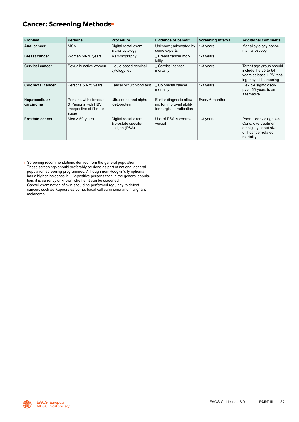### <span id="page-32-0"></span>**Cancer: Screening Methods(i)**

| Problem                     | <b>Persons</b>                                                                    | <b>Procedure</b>                                              | <b>Evidence of benefit</b>                                                       | <b>Screening interval</b> | <b>Additional comments</b>                                                                                              |
|-----------------------------|-----------------------------------------------------------------------------------|---------------------------------------------------------------|----------------------------------------------------------------------------------|---------------------------|-------------------------------------------------------------------------------------------------------------------------|
| Anal cancer                 | <b>MSM</b>                                                                        | Digital rectal exam<br>$±$ anal cytology                      | Unknown; advocated by<br>some experts                                            | 1-3 years                 | If anal cytology abnor-<br>mal, anoscopy                                                                                |
| <b>Breast cancer</b>        | Women 50-70 years                                                                 | Mammography                                                   | Breast cancer mor-<br>tality                                                     | 1-3 years                 |                                                                                                                         |
| <b>Cervical cancer</b>      | Sexually active women                                                             | Liquid based cervical<br>cytology test                        | L Cervical cancer<br>mortality                                                   | 1-3 years                 | Target age group should<br>include the 25 to 64<br>years at least. HPV test-<br>ing may aid screening                   |
| <b>Colorectal cancer</b>    | Persons 50-75 years                                                               | Faecal occult blood test                                      | L Colorectal cancer<br>mortality                                                 | 1-3 years                 | Flexible sigmoidsco-<br>py at 55-years is an<br>alternative                                                             |
| Hepatocellular<br>carcinoma | Persons with cirrhosis<br>& Persons with HBV<br>irrespective of fibrosis<br>stage | Ultrasound and alpha-<br>foetoprotein                         | Earlier diagnosis allow-<br>ing for improved ability<br>for surgical eradication | Every 6 months            |                                                                                                                         |
| <b>Prostate cancer</b>      | Men $> 50$ years                                                                  | Digital rectal exam<br>$±$ prostate specific<br>antigen (PSA) | Use of PSA is contro-<br>versial                                                 | 1-3 years                 | Pros: ↑ early diagnosis.<br>Cons: overtreatment;<br>ambiguity about size<br>of $\downarrow$ cancer-related<br>mortality |

i Screening recommendations derived from the general population. These screenings should preferably be done as part of national general population-screening programmes. Although non-Hodgkin's lymphoma has a higher incidence in HIV-positive persons than in the general population, it is currently unknown whether it can be screened. Careful examination of skin should be performed regularly to detect cancers such as Kaposi's sarcoma, basal cell carcinoma and malignant melanoma.

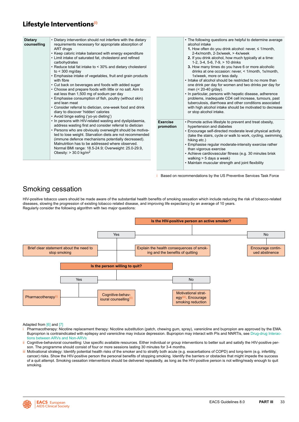### <span id="page-33-0"></span>**Lifestyle Interventions(i)**

| • Dietary intervention should not interfere with the dietary<br><b>Dietary</b><br>requirements necessary for appropriate absorption of<br>counselling<br>ART drugs<br>• Keep caloric intake balanced with energy expenditure<br>• Limit intake of saturated fat, cholesterol and refined<br>carbohydrates<br>• Reduce total fat intake to < 30% and dietary cholesterol<br>to $<$ 300 mg/day<br>• Emphasise intake of vegetables, fruit and grain products<br>with fibre<br>• Cut back on beverages and foods with added sugar<br>• Choose and prepare foods with little or no salt. Aim to<br>eat less than 1,500 mg of sodium per day<br>• Emphasise consumption of fish, poultry (without skin)<br>and lean meat<br>• Consider referral to dietician, one-week food and drink<br>diary to discover 'hidden' calories<br>• Avoid binge eating ('yo-yo dieting') |                              | • The following questions are helpful to determine average<br>alcohol intake<br>1. How often do you drink alcohol: never, $\leq$ 1/month,<br>2-4x/month, 2-3x/week, > 4x/week<br>2. If you drink alcohol, how much typically at a time:<br>1-2, 3-4, 5-6, 7-9, > 10 drinks<br>3. How many times do you have 6 or more alcoholic<br>drinks at one occasion: never, < 1/month, 1x/month,<br>1x/week, more or less daily.<br>. Intake of alcohol should be restricted to no more than<br>one drink per day for women and two drinks per day for<br>men $(< 20-40$ g/day).<br>• In particular, persons with hepatic disease, adherence<br>problems, inadequate CD4 cell increase, tumours, past<br>tuberculosis, diarrhoea and other conditions associated<br>with high alcohol intake should be motivated to decrease<br>or stop alcohol intake. |
|-------------------------------------------------------------------------------------------------------------------------------------------------------------------------------------------------------------------------------------------------------------------------------------------------------------------------------------------------------------------------------------------------------------------------------------------------------------------------------------------------------------------------------------------------------------------------------------------------------------------------------------------------------------------------------------------------------------------------------------------------------------------------------------------------------------------------------------------------------------------|------------------------------|-----------------------------------------------------------------------------------------------------------------------------------------------------------------------------------------------------------------------------------------------------------------------------------------------------------------------------------------------------------------------------------------------------------------------------------------------------------------------------------------------------------------------------------------------------------------------------------------------------------------------------------------------------------------------------------------------------------------------------------------------------------------------------------------------------------------------------------------------|
| • In persons with HIV-related wasting and dyslipidaemia,<br>address wasting first and consider referral to dietician<br>• Persons who are obviously overweight should be motiva-<br>ted to lose weight. Starvation diets are not recommended<br>(immune defence mechanisms potentially decreased).<br>Malnutrition has to be addressed where observed.<br>Normal BMI range: 18.5-24.9; Overweight: 25.0-29.9,<br>Obesity: $> 30.0$ kg/m <sup>2</sup>                                                                                                                                                                                                                                                                                                                                                                                                              | <b>Exercise</b><br>promotion | • Promote active lifestyle to prevent and treat obesity,<br>hypertension and diabetes<br>• Encourage self-directed moderate level physical activity<br>(take the stairs, cycle or walk to work, cycling, swimming,<br>hiking etc.)<br>• Emphasise regular moderate-intensity exercise rather<br>than vigorous exercise<br>• Achieve cardiovascular fitness (e.g. 30 minutes brisk<br>walking > 5 days a week)<br>• Maintain muscular strength and joint flexibility                                                                                                                                                                                                                                                                                                                                                                           |

Based on recommendations by the US Preventive Services Task Force

### Smoking cessation

HIV-positive tobacco users should be made aware of the substantial health benefits of smoking cessation which include reducing the risk of tobacco-related diseases, slowing the progression of existing tobacco related disease, and improving life expectancy by an average of 10 years. Regularly consider the following algorithm with two major questions:



Adapted from [\[6\]](#page-91-0) and [\[7\]](#page-91-0)

- Pharmacotherapy: Nicotine replacement therapy: Nicotine substitution (patch, chewing gum, spray), varenicline and bupropion are approved by the EMA. Buproprion is contraindicated with epilepsy and varenicline may induce depression. Bupropion may interact with PIs and NNRTIs, see [Drug-drug Interac](#page-18-0)[tions between ARVs and Non-ARVs](#page-18-0)
- ii Cognitive-behavioral counselling: Use specific available resources. Either individual or group interventions to better suit and satisfy the HIV-positive person. The programme should consist of four or more sessions lasting 30 minutes for 3-4 months.
- iii Motivational strategy: Identify potential health risks of the smoker and to stratify both acute (e.g. exacerbations of COPD) and long-term (e.g. infertility, cancer) risks. Show the HIV-positive person the personal benefits of stopping smoking. Identify the barriers or obstacles that might impede the success of a quit attempt. Smoking cessation interventions should be delivered repeatedly, as long as the HIV-positive person is not willing/ready enough to quit smoking.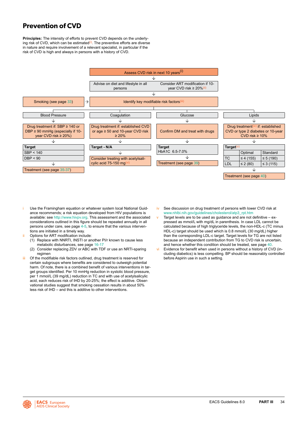### <span id="page-34-0"></span>**Prevention of CVD**

**Principles:** The intensity of efforts to prevent CVD depends on the underlying risk of CVD, which can be estimated<sup>(i)</sup>. The preventive efforts are diverse in nature and require involvement of a relevant specialist, in particular if the risk of CVD is high and always in persons with a history of CVD.



- Use the Framingham equation or whatever system local National Guidance recommends; a risk equation developed from HIV populations is available: see<http://www.hivpv.org>. This assessment and the associated considerations outlined in this figure should be repeated annually in all persons under care, see page [4](#page-4-0)-[5](#page-5-0), to ensure that the various interventions are initiated in a timely way.
- ii Options for ART modification include:
	- (1) Replace with NNRTI, INSTI or another PI/r known to cause less metabolic disturbances, see page [16](#page-16-0)[-17](#page-17-0)
	- (2) Consider replacing ZDV or ABC with TDF or use an NRTI-sparing regimen
- iii Of the modifiable risk factors outlined, drug treatment is reserved for certain subgroups where benefits are considered to outweigh potential harm. Of note, there is a combined benefit of various interventions in target groups identified. Per 10 mmHg reduction in systolic blood pressure, per 1 mmol/L (39 mg/dL) reduction in TC and with use of acetylsalicylic acid, each reduces risk of IHD by 20-25%; the effect is additive. Observational studies suggest that smoking cessation results in about 50% less risk of IHD – and this is additive to other interventions.
- iv See discussion on drug treatment of persons with lower CVD risk at [www.nhlbi.nih.gov/guidelines/cholesterol/atp3\\_rpt.htm](http://www.nhlbi.nih.gov/guidelines/cholesterol/atp3_rpt.htm)
- v Target levels are to be used as guidance and are not definitive expressed as mmol/L with mg/dL in parenthesis. In case LDL cannot be calculated because of high triglyceride levels, the non-HDL-c (TC minus HDL-c) target should be used which is 0.8 mmol/L (30 mg/dL) higher than the corresponding LDL-c target. Target levels for TG are not listed because an independent contribution from TG to CVD risk is uncertain and hence whether this condition should be treated, see page [40](#page-40-0).
- vi Evidence for benefit when used in persons without a history of CVD (including diabetics) is less compelling. BP should be reasonably controlled before Aspirin use in such a setting.

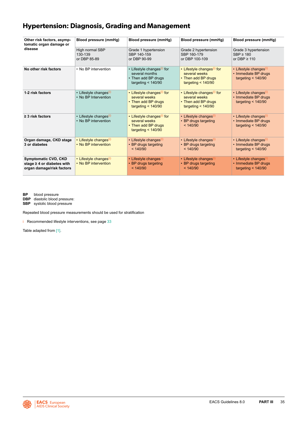### <span id="page-35-0"></span>**Hypertension: Diagnosis, Grading and Management**

| Other risk factors, asymp-<br>tomatic organ damage or<br>disease                            | Blood pressure (mmHg)                                      | Blood pressure (mmHg)                                                                                   | Blood pressure (mmHg)                                                                                  | Blood pressure (mmHg)                                                              |
|---------------------------------------------------------------------------------------------|------------------------------------------------------------|---------------------------------------------------------------------------------------------------------|--------------------------------------------------------------------------------------------------------|------------------------------------------------------------------------------------|
|                                                                                             | High normal SBP<br>130-139<br>or DBP 85-89                 | Grade 1 hypertension<br>SBP 140-159<br>or DBP 90-99                                                     | Grade 2 hypertension<br>SBP 160-179<br>or DBP 100-109                                                  | Grade 3 hypertension<br>$SBP \geq 180$<br>or DBP $\geq$ 110                        |
| No other risk factors                                                                       | • No BP intervention                                       | • Lifestyle changes <sup>(i)</sup> for<br>several months<br>• Then add BP drugs<br>targeting $<$ 140/90 | • Lifestyle changes <sup>(i)</sup> for<br>several weeks<br>• Then add BP drugs<br>targeting $<$ 140/90 | • Lifestyle changes <sup>(i)</sup><br>• Immediate BP drugs<br>targeting $<$ 140/90 |
| 1-2 risk factors                                                                            | • Lifestyle changes <sup>(i)</sup><br>• No BP Intervention | • Lifestyle changes <sup>(i)</sup> for<br>several weeks<br>• Then add BP drugs<br>targeting $<$ 140/90  | • Lifestyle changes <sup>(i)</sup> for<br>several weeks<br>• Then add BP drugs<br>targeting $< 140/90$ | • Lifestyle changes <sup>(i)</sup><br>• Immediate BP drugs<br>targeting $<$ 140/90 |
| $\geq$ 3 risk factors                                                                       | • Lifestyle changes <sup>(i)</sup><br>• No BP intervention | • Lifestyle changes <sup>(i)</sup> for<br>several weeks<br>• Then add BP drugs<br>targeting $<$ 140/90  | • Lifestyle changes <sup>(i)</sup><br>• BP drugs targeting<br>< 140/90                                 | • Lifestyle changes <sup>(i)</sup><br>• Immediate BP drugs<br>targeting $<$ 140/90 |
| Organ damage, CKD stage<br>3 or diabetes                                                    | • Lifestyle changes <sup>(i)</sup><br>• No BP intervention | • Lifestyle changes <sup>(1)</sup><br>• BP drugs targeting<br>< 140/90                                  | • Lifestyle changes <sup>(i)</sup><br>• BP drugs targeting<br>< 140/90                                 | • Lifestyle changes <sup>(i)</sup><br>• Immediate BP drugs<br>targeting $<$ 140/90 |
| <b>Symptomatic CVD, CKD</b><br>stage $\geq$ 4 or diabetes with<br>organ damage/risk factors | • Lifestyle changes <sup>(i)</sup><br>• No BP intervention | • Lifestyle changes(i)<br>• BP drugs targeting<br>< 140/90                                              | • Lifestyle changes <sup>(i)</sup><br>• BP drugs targeting<br>< 140/90                                 | • Lifestyle changes(i)<br>• Immediate BP drugs<br>targeting $<$ 140/90             |

**BP** blood pressure

**DBP** diastolic blood pressure:

**SBP** systolic blood pressure

Repeated blood pressure measurements should be used for stratification

i Recommended lifestyle interventions, see page [33](#page-33-0)

Table adapted from [\[1\].](#page-91-0)

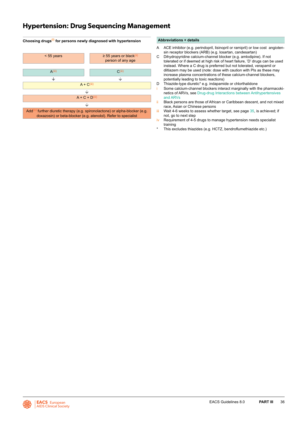### **Hypertension: Drug Sequencing Management**

### **Choosing drugs(i) for persons newly diagnosed with hypertension**  $\le$  55 years  $\le$  55 years or black<sup>(ii)</sup> person of any age  $\mathsf{A}^{\mathsf{(iii)}}$  and  $\mathsf{C}^{\mathsf{(iii)}}$  $\overline{\downarrow}$  $\overline{\downarrow}$  $A + C(iii)$  $\overline{\downarrow}$  $A + C + D$ <sup>(iii)</sup> J.

Add<sup>(iv)</sup> further diuretic therapy (e.g. spironolactone) or alpha-blocker (e.g. doxazosin) or beta-blocker (e.g. atenolol). Refer to specialist

#### **Abbreviations + details**

- A ACE inhibitor (e.g. perindopril, lisinopril or ramipril) or low cost angiotensin receptor blockers (ARB) (e.g. losartan, candesartan)
- C Dihydropyridine calcium-channel blocker (e.g. amlodipine). If not tolerated or if deemed at high risk of heart failure, 'D' drugs can be used instead. Where a C drug is preferred but not tolerated, verapamil or diltiazem may be used (note: dose with caution with PIs as these may increase plasma concentrations of these calcium-channel blockers, potentially leading to toxic reactions)
- D Thiazide-type diuretic\* e.g. indapamide or chlorthalidone
- Some calcium-channel blockers interact marginally with the pharmacokinetics of ARVs, see [Drug-drug Interactions between Antihypertensives](#page-20-0)  [and ARVs](#page-20-0)
- ii Black persons are those of African or Caribbean descent, and not mixed race, Asian or Chinese persons
- $iii$  Wait 4-6 weeks to assess whether target, see page  $35$ , is achieved; if not, go to next step
- iv Requirement of 4-5 drugs to manage hypertension needs specialist training
- This excludes thiazides (e.g. HCTZ, bendroflumethiazide etc.)

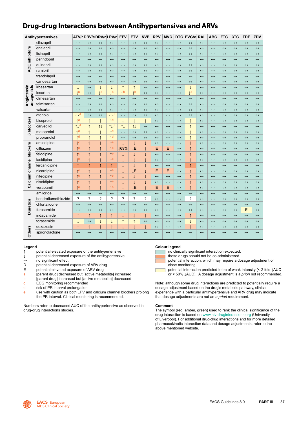### **Drug-drug Interactions between Antihypertensives and ARVs**

|                            | Antihypertensives   | ATV/r DRV/c DRV/r LPV/r        |                          |                   |                                | EFV                     | ETV                   | <b>NVP</b>        | <b>RPV</b>        | <b>MVC</b>        |                   | DTG EVG/c RAL     |                       | <b>ABC</b>            | <b>FTC</b>        | 3TC               | <b>TDF</b>        | ZDV                   |
|----------------------------|---------------------|--------------------------------|--------------------------|-------------------|--------------------------------|-------------------------|-----------------------|-------------------|-------------------|-------------------|-------------------|-------------------|-----------------------|-----------------------|-------------------|-------------------|-------------------|-----------------------|
|                            | cilazapril          | $\leftrightarrow$              | $\leftrightarrow$        | $\leftrightarrow$ | $\leftrightarrow$              | $\leftrightarrow$       | $\leftrightarrow$     | $\leftrightarrow$ | $\leftrightarrow$ | $\leftrightarrow$ | $\leftrightarrow$ | $\leftrightarrow$ | $\leftrightarrow$     | $\leftrightarrow$     | $\leftrightarrow$ | $\leftrightarrow$ | $\leftrightarrow$ | $\leftrightarrow$     |
|                            | enalapril           | $\leftrightarrow$              | $\leftrightarrow$        | $\leftrightarrow$ | $\leftrightarrow$              | $\leftrightarrow$       | $\leftrightarrow$     | $\leftrightarrow$ | $\leftrightarrow$ | $\leftrightarrow$ | $\leftrightarrow$ | $\leftrightarrow$ | $\leftrightarrow$     | $\leftrightarrow$     | $\leftrightarrow$ | $\leftrightarrow$ | $\leftrightarrow$ | $\leftrightarrow$     |
|                            | lisinopril          | $\leftrightarrow$              | $\leftrightarrow$        | $\leftrightarrow$ | $\leftrightarrow$              | $\leftrightarrow$       | $\leftrightarrow$     | $\leftrightarrow$ | $\leftrightarrow$ | $\leftrightarrow$ | $\leftrightarrow$ | $\leftrightarrow$ | $\leftrightarrow$     | $\leftrightarrow$     | $\leftrightarrow$ | $\leftrightarrow$ | $\leftrightarrow$ | $\leftrightarrow$     |
| <b>ACE inhibitors</b>      | perindopril         | $\leftrightarrow$              | $\leftrightarrow$        | $\leftrightarrow$ | $\longleftrightarrow$          | $\leftrightarrow$       | $\leftrightarrow$     | $\leftrightarrow$ | $\leftrightarrow$ | $\leftrightarrow$ | $\leftrightarrow$ | $\leftrightarrow$ | $\leftrightarrow$     | $\leftrightarrow$     | $\leftrightarrow$ | $\leftrightarrow$ | $\leftrightarrow$ | $\leftrightarrow$     |
|                            | quinapril           | $\leftrightarrow$              | $\leftrightarrow$        | $\leftrightarrow$ | $\leftrightarrow$              | $\leftrightarrow$       | $\leftrightarrow$     | $\leftrightarrow$ | $\leftrightarrow$ | $\leftrightarrow$ | $\leftrightarrow$ | $\leftrightarrow$ | $\leftrightarrow$     | $\leftrightarrow$     | $\leftrightarrow$ | $\leftrightarrow$ | $\leftrightarrow$ | $\leftrightarrow$     |
|                            | ramipril            | $\leftrightarrow$              | $\leftrightarrow$        | $\leftrightarrow$ | $\leftrightarrow$              | $\leftrightarrow$       | $\leftrightarrow$     | $\leftrightarrow$ | $\leftrightarrow$ | $\leftrightarrow$ | $\leftrightarrow$ | $\leftrightarrow$ | $\leftrightarrow$     | $\leftrightarrow$     | $\leftrightarrow$ | $\leftrightarrow$ | $\leftrightarrow$ | $\leftrightarrow$     |
|                            | trandolapril        | $\leftrightarrow$              | $\leftrightarrow$        | $\leftrightarrow$ | $\leftrightarrow$              | $\leftrightarrow$       | $\leftrightarrow$     | $\leftrightarrow$ | $\leftrightarrow$ | $\leftrightarrow$ | $\leftrightarrow$ | $\leftrightarrow$ | $\leftrightarrow$     | $\leftrightarrow$     | $\leftrightarrow$ | $\leftrightarrow$ | $\leftrightarrow$ | $\leftrightarrow$     |
|                            | candesartan         | $\leftrightarrow$              | $\leftrightarrow$        | $\leftrightarrow$ | $\leftrightarrow$              | $\leftrightarrow$       | $\leftrightarrow$     | $\leftrightarrow$ | $\leftrightarrow$ | $\leftrightarrow$ | $\leftrightarrow$ | $\leftrightarrow$ | $\leftrightarrow$     | $\leftrightarrow$     | $\leftrightarrow$ | $\leftrightarrow$ | $\leftrightarrow$ | $\leftrightarrow$     |
|                            | irbesartan          | t                              | $\leftrightarrow$        | t                 | $\downarrow$                   | $\uparrow$              | $\uparrow$            | $\leftrightarrow$ | $\leftrightarrow$ | $\leftrightarrow$ | $\leftrightarrow$ | t                 | $\leftrightarrow$     | $\leftrightarrow$     | $\leftrightarrow$ | $\leftrightarrow$ | $\leftrightarrow$ | $\leftrightarrow$     |
|                            | losartan            | $\downarrow$ a                 | $\leftrightarrow$        | $\downarrow$ a    | $\downarrow$ a                 | $\uparrow^{\mathsf{b}}$ | $\uparrow$ b          | $\leftrightarrow$ | $\leftrightarrow$ | $\leftrightarrow$ | $\leftrightarrow$ | $\downarrow$ a    | $\leftrightarrow$     | $\leftrightarrow$     | $\leftrightarrow$ | $\leftrightarrow$ | $\leftrightarrow$ | $\leftrightarrow$     |
| Angiotensin<br>antagonists | olmesartan          | $\leftrightarrow$              | $\leftrightarrow$        | $\leftrightarrow$ | $\leftrightarrow$              | $\leftrightarrow$       | $\leftrightarrow$     | $\leftrightarrow$ | $\leftrightarrow$ | $\leftrightarrow$ | $\leftrightarrow$ | $\leftrightarrow$ | $\leftrightarrow$     | $\leftrightarrow$     | $\leftrightarrow$ | $\leftrightarrow$ | $\leftrightarrow$ | $\leftrightarrow$     |
|                            | telmisartan         | $\leftrightarrow$              | $\leftrightarrow$        | $\leftrightarrow$ | $\longleftrightarrow$          | $\leftrightarrow$       | $\leftrightarrow$     | $\leftrightarrow$ | $\leftrightarrow$ | $\leftrightarrow$ | $\leftrightarrow$ | $\leftrightarrow$ | $\leftrightarrow$     | $\leftrightarrow$     | $\leftrightarrow$ | $\leftrightarrow$ | $\leftrightarrow$ | $\leftrightarrow$     |
|                            | valsartan           | $\leftrightarrow$              | $\leftrightarrow$        | $\leftrightarrow$ | $\longleftrightarrow$          | $\leftrightarrow$       | $\leftrightarrow$     | $\leftrightarrow$ | $\leftrightarrow$ | $\leftrightarrow$ | $\leftrightarrow$ | $\leftrightarrow$ | $\longleftrightarrow$ | $\longleftrightarrow$ | $\leftrightarrow$ | $\leftrightarrow$ | $\leftrightarrow$ | $\longleftrightarrow$ |
|                            | atenolol            | $\leftrightarrow$ <sup>d</sup> | $\leftrightarrow$        | $\leftrightarrow$ | $\leftrightarrow$ <sup>d</sup> | $\leftrightarrow$       | $\leftrightarrow$     | $\leftrightarrow$ | $\leftrightarrow$ | $\leftrightarrow$ | $\leftrightarrow$ | $\leftrightarrow$ | $\leftrightarrow$     | $\leftrightarrow$     | $\leftrightarrow$ | $\leftrightarrow$ | $\leftrightarrow$ | $\leftrightarrow$     |
|                            | bisoprolol          | $\uparrow$ d                   | $\uparrow$               | $\uparrow$        | $\uparrow$ d                   |                         | $\downarrow$          | $\downarrow$      | $\leftrightarrow$ | $\leftrightarrow$ | $\leftrightarrow$ | $\uparrow$        | $\leftrightarrow$     | $\leftrightarrow$     | $\leftrightarrow$ | $\leftrightarrow$ | $\leftrightarrow$ | $\leftrightarrow$     |
| <b>B</b> blockers          | carvedilol          | 11 <sup>d</sup>                | $\uparrow$               | 11                | 11 <sub>d</sub>                | 11                      | $\uparrow \downarrow$ | $\leftrightarrow$ | $\leftrightarrow$ | $\leftrightarrow$ | $\leftrightarrow$ | $\uparrow$        | $\leftrightarrow$     | $\leftrightarrow$     | $\leftrightarrow$ | $\leftrightarrow$ | $\leftrightarrow$ | $\leftrightarrow$     |
|                            | metoprolol          | T <sup>d</sup>                 | $\uparrow$               | $\uparrow$        | $\uparrow$ d                   | $\leftrightarrow$       | $\leftrightarrow$     | $\leftrightarrow$ | $\leftrightarrow$ | $\leftrightarrow$ | $\leftrightarrow$ | $\uparrow$        | $\leftrightarrow$     | $\leftrightarrow$     | $\leftrightarrow$ | $\leftrightarrow$ | $\leftrightarrow$ | $\leftrightarrow$     |
|                            | propranolol         | $\uparrow$ d                   | $\uparrow$               | $\uparrow$        | $\uparrow$ d                   | $\leftrightarrow$       | $\leftrightarrow$     | $\leftrightarrow$ | $\leftrightarrow$ | $\leftrightarrow$ | $\leftrightarrow$ | $\uparrow$        | $\leftrightarrow$     | $\leftrightarrow$     | $\leftrightarrow$ | $\leftrightarrow$ | $\leftrightarrow$ | $\leftrightarrow$     |
|                            | amlodipine          | $\uparrow$ C                   | $\uparrow$               | $\uparrow$        | $\uparrow$ e                   |                         | $\downarrow$          |                   | $\leftrightarrow$ | $\leftrightarrow$ | $\leftrightarrow$ | $\uparrow$        | $\leftrightarrow$     | $\leftrightarrow$     | $\leftrightarrow$ | $\leftrightarrow$ | $\leftrightarrow$ | $\leftrightarrow$     |
|                            | diltiazem           | $\uparrow$ C                   | $\uparrow$               | $\uparrow$        | $\uparrow$ <sup>e</sup>        | 169%                    | ĮΕ                    | ţ                 | E                 | E                 | $\leftrightarrow$ | $\uparrow$        | $\leftrightarrow$     | $\leftrightarrow$     | $\leftrightarrow$ | $\leftrightarrow$ | $\leftrightarrow$ | $\leftrightarrow$     |
|                            | felodipine          | $\uparrow$ C                   | $\uparrow$               | $\uparrow$        | $\uparrow$ <sup>e</sup>        |                         | $\downarrow$          | ↓                 | $\leftrightarrow$ | $\leftrightarrow$ | $\leftrightarrow$ | $\uparrow$        | $\leftrightarrow$     | $\leftrightarrow$     | $\leftrightarrow$ | $\leftrightarrow$ | $\leftrightarrow$ | $\leftrightarrow$     |
|                            | lacidipine          | $\uparrow$ C                   | $\uparrow$               | $\uparrow$        | $\uparrow$ e                   |                         | $\downarrow$          | T                 | $\leftrightarrow$ | $\leftrightarrow$ | $\leftrightarrow$ | $\uparrow$        | $\leftrightarrow$     | $\leftrightarrow$     | $\leftrightarrow$ | $\leftrightarrow$ | $\leftrightarrow$ | $\leftrightarrow$     |
| Calcium channel blockers   | lercanidipine       | $\uparrow$                     | $\uparrow$               | $\uparrow$        | $\uparrow$                     |                         | $\downarrow$          | T                 | $\leftrightarrow$ | $\leftrightarrow$ | $\leftrightarrow$ | $\uparrow$        | $\leftrightarrow$     | $\leftrightarrow$     | $\leftrightarrow$ | $\leftrightarrow$ | $\leftrightarrow$ | $\leftrightarrow$     |
|                            | nicardipine         | $\uparrow$ C                   | $\uparrow$               | $\uparrow$        | $\uparrow$ <sup>e</sup>        | T                       | ĮΕ                    | Ť.                | E                 | E                 | $\leftrightarrow$ | $\uparrow$        | $\leftrightarrow$     | $\leftrightarrow$     | $\leftrightarrow$ | $\leftrightarrow$ | $\leftrightarrow$ | $\longleftrightarrow$ |
|                            | nifedipine          | $\uparrow$ C                   | $\uparrow$               | $\uparrow$        | $\uparrow$ e                   | T                       | $\downarrow$          | $\downarrow$      | $\leftrightarrow$ | $\leftrightarrow$ | $\leftrightarrow$ | $\uparrow$        | $\leftrightarrow$     | $\leftrightarrow$     | $\leftrightarrow$ | $\leftrightarrow$ | $\leftrightarrow$ | $\leftrightarrow$     |
|                            | nisoldipine         | $\uparrow$ C                   | $\uparrow$               | $\uparrow$        | $\uparrow$ e                   | T                       | $\downarrow$          | Ť.                | $\leftrightarrow$ | $\leftrightarrow$ | $\leftrightarrow$ | $\uparrow$        | $\leftrightarrow$     | $\leftrightarrow$     | $\leftrightarrow$ | $\leftrightarrow$ | $\leftrightarrow$ | $\leftrightarrow$     |
|                            | verapamil           | $\uparrow$ <sup>C</sup>        | $\uparrow$               | $\uparrow$        | 1 <sup>e</sup>                 |                         | ĮΕ                    | $\downarrow$      | E                 | E                 | $\leftrightarrow$ | $\uparrow$        | $\leftrightarrow$     | $\leftrightarrow$     | $\leftrightarrow$ | $\leftrightarrow$ | $\leftrightarrow$ | $\leftrightarrow$     |
|                            | amiloride           | $\leftrightarrow$              | $\leftrightarrow$        | $\leftrightarrow$ | $\leftrightarrow$              | $\leftrightarrow$       | $\leftrightarrow$     | $\leftrightarrow$ | $\leftrightarrow$ | $\leftrightarrow$ | $\leftrightarrow$ | $\leftrightarrow$ | $\leftrightarrow$     | $\leftrightarrow$     | $\leftrightarrow$ | $\leftrightarrow$ | $\leftrightarrow$ | $\leftrightarrow$     |
|                            | bendroflumethiazide | ?                              | $\overline{\phantom{0}}$ | ?                 | $\gamma$                       | ?                       | ?                     | ?                 | $\leftrightarrow$ | $\leftrightarrow$ | $\leftrightarrow$ | ?                 | $\leftrightarrow$     | $\leftrightarrow$     | $\leftrightarrow$ | $\leftrightarrow$ | $\leftrightarrow$ | $\leftrightarrow$     |
| <b>Diuretics</b>           | chlortalidone       | $\leftrightarrow$              | $\leftrightarrow$        | $\leftrightarrow$ | $\leftrightarrow$              | $\leftrightarrow$       | $\leftrightarrow$     | $\leftrightarrow$ | $\leftrightarrow$ | $\leftrightarrow$ | $\leftrightarrow$ | $\leftrightarrow$ | $\leftrightarrow$     | $\leftrightarrow$     | $\leftrightarrow$ | $\leftrightarrow$ | $\leftrightarrow$ | $\leftrightarrow$     |
|                            | furosemide          | $\leftrightarrow$              | $\leftrightarrow$        | $\leftrightarrow$ | $\leftrightarrow$              | $\leftrightarrow$       | $\leftrightarrow$     | $\leftrightarrow$ | $\leftrightarrow$ | $\leftrightarrow$ | $\leftrightarrow$ | $\leftrightarrow$ | $\leftrightarrow$     | $\leftrightarrow$     | $\leftrightarrow$ | $\leftrightarrow$ | E                 | $\leftrightarrow$     |
|                            | indapamide          | $\uparrow$                     | $\uparrow$               | $\uparrow$        | $\uparrow$                     | T                       | $\downarrow$          | ţ                 | $\leftrightarrow$ | $\leftrightarrow$ | $\leftrightarrow$ | $\uparrow$        | $\leftrightarrow$     | $\leftrightarrow$     | $\leftrightarrow$ | $\leftrightarrow$ | $\leftrightarrow$ | $\leftrightarrow$     |
|                            | torasemide          |                                | $\leftrightarrow$        | $\downarrow$      | J                              | $\uparrow$              | $\uparrow$            | $\leftrightarrow$ | $\leftrightarrow$ | $\leftrightarrow$ | $\leftrightarrow$ | $\downarrow$      | $\leftrightarrow$     | $\leftrightarrow$     | $\leftrightarrow$ | $\leftrightarrow$ | $\leftrightarrow$ | $\leftrightarrow$     |
|                            | doxazosin           | $\uparrow$                     | $\uparrow$               | $\uparrow$        | $\uparrow$                     | T                       | $\downarrow$          | ţ                 | $\leftrightarrow$ | $\leftrightarrow$ | $\leftrightarrow$ | $\uparrow$        | $\leftrightarrow$     | $\leftrightarrow$     | $\leftrightarrow$ | $\leftrightarrow$ | $\leftrightarrow$ | $\leftrightarrow$     |
| <b>Others</b>              | spironolactone      | $\leftrightarrow$              | $\leftrightarrow$        | $\leftrightarrow$ | $\leftrightarrow$              | $\leftrightarrow$       | $\leftrightarrow$     | $\leftrightarrow$ | $\leftrightarrow$ | $\leftrightarrow$ | $\leftrightarrow$ | $\leftrightarrow$ | $\leftrightarrow$     | $\leftrightarrow$     | $\leftrightarrow$ | $\leftrightarrow$ | $\leftrightarrow$ | $\leftrightarrow$     |

#### **Legend**

- **↓** potential decreased exposure of the antihypertensive
- 
- → no significant effect<br>
D potential decreased potential decreased exposure of ARV drug
- E potential elevated exposure of ARV drug
- 
- a [parent drug] decreased but [active metabolite] increased b [parent drug] increased but [active metabolite] decreased
- c ECG monitoring recommended
- 
- d risk of PR interval prolongation<br>e use with caution as both LPV a use with caution as both LPV and calcium channel blockers prolong the PR interval. Clinical monitoring is recommended.

Numbers refer to decreased AUC of the antihypertensive as observed in drug-drug interactions studies.

#### **Colour legend**

no clinically significant interaction expected.

these drugs should not be co-administered.

potential interaction, which may require a dosage adjustment or close monitoring.

potential interaction predicted to be of weak intensity (< 2 fold ↑AUC or < 50% ↓AUC). A dosage adjustment is *a priori* not recommended.

Note: although some drug interactions are predicted to potentially require a dosage adjustment based on the drug's metabolic pathway, clinical experience with a particular antihypertensive and ARV drug may indicate that dosage adjustments are not an *a priori* requirement.

#### **Comment**

The symbol (red, amber, green) used to rank the clinical significance of the drug interaction is based on [www.hiv-druginteractions.org](http://www.hiv-druginteractions.org) (University of Liverpool). For additional drug-drug interactions and for more detailed pharmacokinetic interaction data and dosage adjustments, refer to the above mentioned website.



**<sup>↑</sup>** potential elevated exposure of the antihypertensive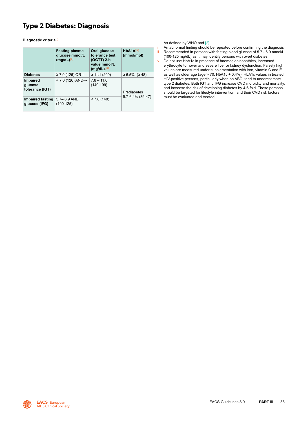## <span id="page-38-0"></span>**Type 2 Diabetes: Diagnosis**

**Diagnostic criteria**(i)

|                                        | <b>Fasting plasma</b><br>glucose mmol/L<br>$(mg/dL)^{(ii)}$ | Oral glucose<br>tolerance test<br>$(OGTT)$ 2-h<br>value mmol/L<br>$(mg/dL)^{(iii)}$ | HbA1c <sup>(iv)</sup><br>(mmol/mol) |
|----------------------------------------|-------------------------------------------------------------|-------------------------------------------------------------------------------------|-------------------------------------|
| <b>Diabetes</b>                        | $\geq$ 7.0 (126) OR $\rightarrow$                           | $\geq$ 11.1 (200)                                                                   | $≥ 6.5\%$ (≥ 48)                    |
| Impaired<br>glucose<br>tolerance (IGT) | $<$ 7.0 (126) AND $\rightarrow$                             | $7.8 - 11.0$<br>$(140-199)$                                                         | Prediabetes                         |
| Impaired fasting<br>glucose (IFG)      | $5.7 - 6.9$ AND<br>$(100-125)$                              | < 7.8(140)                                                                          | $5.7 - 6.4\%$ (39-47)               |

i As defined by WHO and  $[2]$ <br>ii An abnormal finding should

An abnormal finding should be repeated before confirming the diagnosis iii Recommended in persons with fasting blood glucose of 5.7 - 6.9 mmol/L

(100-125 mg/dL) as it may identify persons with overt diabetes iv Do not use HbA1c in presence of haemoglobinopathies, increased erythrocyte turnover and severe liver or kidney dysfunction. Falsely high values are measured under supplementation with iron, vitamin C and E

as well as older age (age > 70: HbA1c + 0.4%). HbA1c values in treated HIV-positive persons, particularly when on ABC, tend to underestimate type 2 diabetes. Both IGT and IFG increase CVD morbidity and mortality, and increase the risk of developing diabetes by 4-6 fold. These persons should be targeted for lifestyle intervention, and their CVD risk factors must be evaluated and treated.

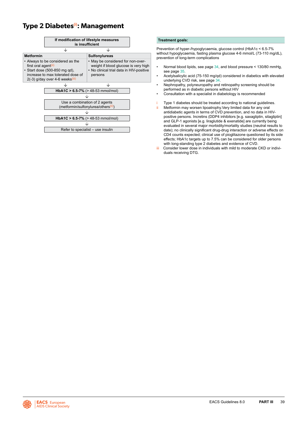### <span id="page-39-0"></span>**Type 2 Diabetes(i): Management**



#### **Treatment goals:**

Prevention of hyper-/hypoglycaemia, glucose control (HbA1c < 6.5-7% without hypoglycaemia, fasting plasma glucose 4-6 mmol/L (73-110 mg/dL), prevention of long-term complications

- Normal blood lipids, see page [34](#page-34-0), and blood pressure < 130/80 mmHg, see page [35](#page-35-0).
- Acetylsalicylic acid (75-150 mg/qd) considered in diabetics with elevated underlying CVD risk, see page [34](#page-34-0).
- Nephropathy, polyneuropathy and retinopathy screening should be performed as in diabetic persons without HIV
- Consultation with a specialist in diabetology is recommended
- Type 1 diabetes should be treated according to national guidelines. ii Metformin may worsen lipoatrophy. Very limited data for any oral antidiabetic agents in terms of CVD prevention, and no data in HIVpositive persons. Incretins (DDP4 inhibitors [e.g. saxagliptin, sitagliptin] and GLP-1 agonists [e.g. liraglutide & exenatide] are currently being evaluated in several major morbidity/mortality studies (neutral results to date); no clinically significant drug-drug interaction or adverse effects on CD4 counts expected; clinical use of pioglitazone questioned by its side effects; HbA1c targets up to 7.5% can be considered for older persons with long-standing type 2 diabetes and evidence of CVD.
- iii Consider lower dose in individuals with mild to moderate CKD or individuals receiving DTG.

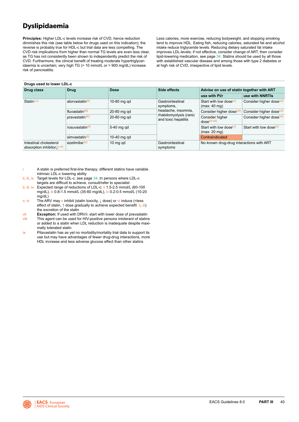## <span id="page-40-0"></span>**Dyslipidaemia**

**Principles:** Higher LDL-c levels increase risk of CVD, hence reduction diminishes this risk (see table below for drugs used on this indication); the reverse is probably true for HDL-c but trial data are less compelling. The CVD risk implications from higher than normal TG levels are even less clear, as TG has not consistently been shown to independently predict the risk of CVD. Furthermore, the clinical benefit of treating moderate hypertriglyceridaemia is uncertain; very high TG (> 10 mmol/L or > 900 mg/dL) increase risk of pancreatitis.

**Drugs used to lower LDL-c**

#### Less calories, more exercise, reducing bodyweight, and stopping smoking tend to improve HDL. Eating fish, reducing calories, saturated fat and alcohol intake reduce triglyceride levels. Reducing dietary saturated fat intake improves LDL-levels; if not effective, consider change of ART, then consider lipid-lowering medication, see page [34](#page-34-0). Statins should be used by all those with established vascular disease and among those with type 2 diabetes or at high risk of CVD, irrespective of lipid levels.

| <b>Drugs used to lower LDL-C</b>                         |                              |             |                                                                     |                                           |                                              |                                      |  |  |
|----------------------------------------------------------|------------------------------|-------------|---------------------------------------------------------------------|-------------------------------------------|----------------------------------------------|--------------------------------------|--|--|
| Drug class                                               | <b>Drug</b>                  | <b>Dose</b> | Side effects                                                        | Advise on use of statin together with ART |                                              |                                      |  |  |
|                                                          |                              |             |                                                                     | use with Pl/r                             | use with NNRTIs                              |                                      |  |  |
| Station(i, ix)                                           | atorvastatin <sup>(ii)</sup> | 10-80 mg gd | Gastrointestinal<br>symptoms,                                       | Start with low dose $(v)$<br>(max: 40 mg) | Consider higher dose <sup>(vi)</sup>         |                                      |  |  |
|                                                          | fluvastatin <sup>(iii)</sup> | 20-80 mg gd | headache, insomnia,<br>rhabdomyolysis (rare)<br>and toxic hepatitis | Consider higher dose                      | Consider higher dose <sup>(vi)</sup>         |                                      |  |  |
|                                                          | pravastatin <sup>(iii)</sup> | 20-80 mg gd |                                                                     |                                           | Consider higher<br>dose <sup>(Vi, Vil)</sup> | Consider higher dose <sup>(vi)</sup> |  |  |
|                                                          | rosuvastatin <sup>(ii)</sup> | 5-40 mg gd  |                                                                     | Start with low dose $(v)$<br>(max: 20 mg) | Start with low dose $(v)$                    |                                      |  |  |
|                                                          | simvastatin <sup>(ii)</sup>  | 10-40 mg gd |                                                                     | Contraindicated                           |                                              |                                      |  |  |
| Intestinal cholesterol<br>absorption inhibitor [(i,viii) | ezetimibe <sup>(iv)</sup>    | 10 mg gd    | Gastrointestinal<br>symptoms                                        | No known drug-drug interactions with ART  |                                              |                                      |  |  |

- A statin is preferred first-line therapy; different statins have variable intrinsic LDL-c lowering ability
- ii, iii, iv Target levels for LDL-c, see page [34](#page-34-0). In persons where LDL-c targets are difficult to achieve, consult/refer to specialist
- ii, iii, iv Expected range of reductions of LDL-c: ii 1.5-2.5 mmol/L (60-100 mg/dL), iii 0.8-1.5 mmol/L (35-60 mg/dL), iv 0.2-0.5 mmol/L (10-20 mg/dL)
- v, vi The ARV may v inhibit (statin toxicity, ↓ dose) or vi induce (=less effect of statin, ↑ dose gradually to achieve expected benefit ii, iii) the excretion of the statin
- vii **Exception:** If used with DRV/r, start with lower dose of pravastatin viii This agent can be used for HIV-positive persons intolerant of statins
- or added to a statin when LDL reduction is inadequate despite maximally tolerated statin
- $ix$  Pitavastatin has as yet no morbidity/mortality trial data to support its use but may have advantages of fewer drug-drug interactions, more HDL increase and less adverse glucose effect than other statins

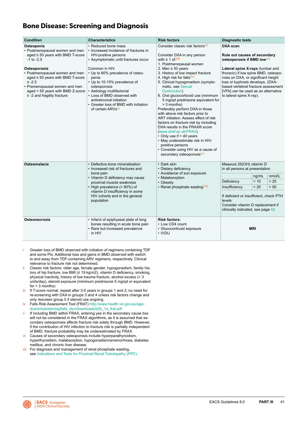### <span id="page-41-0"></span>**Bone Disease: Screening and Diagnosis**

| <b>Condition</b>                                                                                                                                                                                                                                                                                                          | <b>Characteristics</b>                                                                                                                                                                                                                                                                                                                                                                                          | <b>Risk factors</b>                                                                                                                                                                                                                                                                                                                                                                                                                                                                                                                                                                                                                                                                                                                                                                                                              | <b>Diagnostic tests</b>                                                                                                                                                                                                                                                                                                                         |  |                        |
|---------------------------------------------------------------------------------------------------------------------------------------------------------------------------------------------------------------------------------------------------------------------------------------------------------------------------|-----------------------------------------------------------------------------------------------------------------------------------------------------------------------------------------------------------------------------------------------------------------------------------------------------------------------------------------------------------------------------------------------------------------|----------------------------------------------------------------------------------------------------------------------------------------------------------------------------------------------------------------------------------------------------------------------------------------------------------------------------------------------------------------------------------------------------------------------------------------------------------------------------------------------------------------------------------------------------------------------------------------------------------------------------------------------------------------------------------------------------------------------------------------------------------------------------------------------------------------------------------|-------------------------------------------------------------------------------------------------------------------------------------------------------------------------------------------------------------------------------------------------------------------------------------------------------------------------------------------------|--|------------------------|
| Osteopenia<br>• Postmenopausal women and men<br>aged $\geq$ 50 years with BMD T-score<br>$-1$ to $-2.5$<br>Osteoporosis<br>• Postmenopausal women and men<br>aged $\geq$ 50 years with BMD T-score<br>$\leq -2.5$<br>• Premenopausal women and men<br>aged < 50 years with BMD Z-score<br>$\le$ -2 and fragility fracture | • Reduced bone mass<br>• Increased incidence of fractures in<br>HIV-positive persons<br>• Asymptomatic until fractures occur<br>Common in HIV<br>• Up to 60% prevalence of osteo-<br>penia<br>• Up to 10-15% prevalence of<br>osteoporosis<br>• Aetiology multifactorial<br>• Loss of BMD observed with<br>antiretroviral initiation<br>• Greater loss of BMD with initiation<br>of certain ARVs <sup>(i)</sup> | Consider classic risk factors <sup>(ii)</sup><br>Consider DXA in any person<br>with $\geq 1$ of $\frac{\text{(iii)}}{\text{ii}}$<br>1. Postmenopausal women<br>2. Men $\geq$ 50 years<br>3. History of low impact fracture<br>4. High risk for falls <sup>(iv)</sup><br>5. Clinical hypogonadism (sympto-<br>matic, see Sexual<br>Dysfunction)<br>6. Oral glucocorticoid use (minimum<br>5 mg/qd prednisone equivalent for<br>> 3 months)<br>Preferably perform DXA in those<br>with above risk factors prior to<br>ART initiation. Assess effect of risk<br>factors on fracture risk by including<br>DXA results in the FRAX® score<br>(www.shef.ac.uk/FRAX)<br>• Only use if > 40 years<br>• May underestimate risk in HIV-<br>positive persons<br>• Consider using HIV as a cause of<br>secondary osteoporosis <sup>(v)</sup> | <b>DXA</b> scan<br>Rule out causes of secondary<br>osteoporosis if BMD low(vi)<br>Lateral spine X-rays (lumbar and<br>thoracic) if low spine BMD, osteopo-<br>rosis on DXA, or significant height<br>loss or kyphosis develops. (DXA-<br>based vertebral fracture assessment<br>[VFA] can be used as an alternative<br>to lateral spine X-ray). |  |                        |
| Osteomalacia                                                                                                                                                                                                                                                                                                              | • Defective bone mineralisation<br>• Increased risk of fractures and<br>bone pain<br>• Vitamin D deficiency may cause<br>proximal muscle weakness<br>• High prevalence (> 80%) of<br>vitamin D insufficiency in some<br>HIV cohorts and in the general<br>population                                                                                                                                            | • Dark skin<br>• Dietary deficiency<br>• Avoidance of sun exposure<br>• Malabsorption<br>• Obesity<br>• Renal phosphate wasting <sup>(vii)</sup>                                                                                                                                                                                                                                                                                                                                                                                                                                                                                                                                                                                                                                                                                 | Measure 25(OH) vitamin D<br>in all persons at presentation<br>ng/mL<br>< 10<br>Deficiency<br>Insufficiency<br>< 20<br>If deficient or insufficient, check PTH<br>levels<br>Consider vitamin D replacement if<br>clinically indicated, see page 42                                                                                               |  | nmol/L<br>< 25<br>< 50 |
| <b>Osteonecrosis</b>                                                                                                                                                                                                                                                                                                      | • Infarct of epiphyseal plate of long<br>bones resulting in acute bone pain<br>• Rare but increased prevalence<br>in HIV                                                                                                                                                                                                                                                                                        | <b>Risk factors:</b><br>• Low CD4 count<br>• Glucocorticoid exposure<br>• IVDU                                                                                                                                                                                                                                                                                                                                                                                                                                                                                                                                                                                                                                                                                                                                                   | <b>MRI</b>                                                                                                                                                                                                                                                                                                                                      |  |                        |

- Greater loss of BMD observed with initiation of regimens containing TDF and some PIs. Additional loss and gains in BMD observed with switch to and away from TDF-containing ARV regimens, respectively. Clinical relevance to fracture risk not determined.
- ii Classic risk factors: older age, female gender, hypogonadism, family history of hip fracture, low BMI (≤ 19 kg/m2), vitamin D deficiency, smoking, physical inactivity, history of low trauma fracture, alcohol excess (> 3 units/day), steroid exposure (minimum prednisone 5 mg/qd or equivalent for  $> 3$  months)
- iii If T-score normal, repeat after 3-5 years in groups 1 and 2; no need for re-screening with DXA in groups 3 and 4 unless risk factors change and only rescreen group 5 if steroid use ongoing.
- iv Falls Risk Assessment Tool (FRAT[\)](http:// www.health.vic.gov.au/agedcare/  maintaining/falls/downloads/ph_frat.pdf ) [http://www.health.vic.gov.au/age](http://www.health.vic.gov.au/agedcare/maintaining/falls_dev/downloads/b2b_1a_frat.pdf)[dcare/maintaining/falls\\_dev/downloads/b2b\\_1a\\_frat.pdf](http://www.health.vic.gov.au/agedcare/maintaining/falls_dev/downloads/b2b_1a_frat.pdf)
- v If including BMD within FRAX, entering yes in the secondary cause box will not be considered in the FRAX algorithms, as it is assumed that secondary osteoporosis affects fracture risk solely through BMD. However, if the contribution of HIV infection to fracture risk is partially independent of BMD, fracture probability may be underestimated by FRAX.
- vi Causes of secondary osteoporosis include hyperparathyroidism, hyperthyroidism, malabsorption, hypogonadism/amenorrhoea, diabetes mellitus, and chronic liver disease.
- vii For diagnosis and management of renal phosphate wasting, see [Indications and Tests for Proximal Renal Tubulopathy \(PRT\)](#page-46-0).

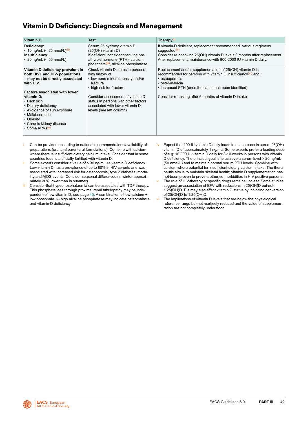### <span id="page-42-0"></span>**Vitamin D Deficiency: Diagnosis and Management**

| <b>Vitamin D</b>                                                                                                                                                  | <b>Test</b>                                                                                                                                                                       | Therapy $(i)$                                                                                                                                                                                                                                  |
|-------------------------------------------------------------------------------------------------------------------------------------------------------------------|-----------------------------------------------------------------------------------------------------------------------------------------------------------------------------------|------------------------------------------------------------------------------------------------------------------------------------------------------------------------------------------------------------------------------------------------|
| Deficiency:<br>< 10 ng/mL (< 25 nmol/L) <sup>(ii)</sup><br>Insufficiency:<br>$<$ 20 ng/mL ( $<$ 50 nmol/L)                                                        | Serum 25 hydroxy vitamin D<br>(25(OH) vitamin D)<br>If deficient, consider checking par-<br>athyroid hormone (PTH), calcium,<br>phosphate <sup>(iii)</sup> , alkaline phosphatase | If vitamin D deficient, replacement recommended. Various regimens<br>suggested <sup>(iv)</sup><br>Consider re-checking 25(OH) vitamin D levels 3 months after replacement.<br>After replacement, maintenance with 800-2000 IU vitamin D daily. |
| Vitamin D deficiency prevalent in<br>both HIV+ and HIV- populations<br>- may not be directly associated<br>with HIV.<br><b>Factors associated with lower</b>      | Check vitamin D status in persons<br>with history of:<br>• low bone mineral density and/or<br>fracture<br>• high risk for fracture                                                | Replacement and/or supplementation of 25(OH) vitamin D is<br>recommended for persons with vitamin D insufficiency $(vi)$ and:<br>• osteoporosis<br>• osteomalacia<br>• increased PTH (once the cause has been identified)                      |
| vitamin D:<br>• Dark skin<br>• Dietary deficiency<br>• Avoidance of sun exposure<br>• Malabsorption<br>• Obesity<br>• Chronic kidney disease<br>• Some ARVs $(V)$ | Consider assessment of vitamin D<br>status in persons with other factors<br>associated with lower vitamin D<br>levels (see left column)                                           | Consider re-testing after 6 months of vitamin D intake                                                                                                                                                                                         |

- Can be provided according to national recommendations/availability of preparations (oral and parenteral formulations). Combine with calcium where there is insufficient dietary calcium intake. Consider that in some countries food is artificially fortified with vitamin D.
- ii Some experts consider a value of ≤ 30 ng/mL as vitamin D deficiency. Low vitamin D has a prevalence of up to 80% in HIV cohorts and was associated with increased risk for osteoporosis, type 2 diabetes, mortality and AIDS events. Consider seasonal differences (in winter approximately 20% lower than in summer).
- iii Consider that hypophosphataemia can be associated with TDF therapy. This phosphate loss through proximal renal tubulopathy may be independent of low vitamin D, see page [45](#page-45-0). A combination of low calcium + low phosphate +/- high alkaline phosphatase may indicate osteomalacia and vitamin D deficiency.
- Expect that 100 IU vitamin D daily leads to an increase in serum 25(OH) vitamin D of approximately 1 ng/mL. Some experts prefer a loading dose of e.g. 10,000 IU vitamin D daily for 8-10 weeks in persons with vitamin D deficiency. The principal goal is to achieve a serum level > 20 ng/mL (50 nmol/L) and to maintain normal serum PTH levels. Combine with calcium where potential for insufficient dietary calcium intake. The therapeutic aim is to maintain skeletal health; vitamin D supplementation has not been proven to prevent other co-morbidities in HIV-positive persons.
- The role of HIV-therapy or specific drugs remains unclear. Some studies suggest an association of EFV with reductions in 25(OH)D but not 1.25(OH)D. PIs may also affect vitamin D status by inhibiting conversion of 25(OH)D to 1.25(OH)D.
- vi The implications of vitamin D levels that are below the physiological reference range but not markedly reduced and the value of supplementation are not completely understood.

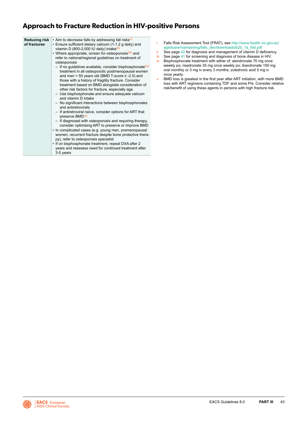### **Approach to Fracture Reduction in HIV-positive Persons**

| <b>Reducing risk</b><br>of fractures | • Aim to decrease falls by addressing fall risks <sup>(i)</sup><br>• Ensure sufficient dietary calcium (1-1.2 g daily) and<br>vitamin D (800-2,000 IU daily) intake <sup>(ii)</sup><br>• Where appropriate, screen for osteoporosis <sup>(iii)</sup> and<br>refer to national/regional guidelines on treatment of<br>osteoporosis                                                                                           |
|--------------------------------------|-----------------------------------------------------------------------------------------------------------------------------------------------------------------------------------------------------------------------------------------------------------------------------------------------------------------------------------------------------------------------------------------------------------------------------|
|                                      | $-$ If no guidelines available, consider bisphosphonate $(iv)$<br>treatment in all osteoporotic postmenopausal women<br>and men $> 50$ years old (BMD T-score $\leq$ -2.5) and<br>those with a history of fragility fracture. Consider<br>treatment based on BMD alongside consideration of<br>other risk factors for fracture, especially age.<br>- Use bisphosphonate and ensure adequate calcium<br>and vitamin D intake |
|                                      | - No significant interactions between bisphosphonates<br>and antiretrovirals                                                                                                                                                                                                                                                                                                                                                |
|                                      | - If antiretroviral naïve, consider options for ART that<br>preserve BMD <sup>(v)</sup>                                                                                                                                                                                                                                                                                                                                     |
|                                      | - If diagnosed with osteoporosis and requiring therapy,<br>consider optimising ART to preserve or improve BMD<br>• In complicated cases (e.g. young men, premenopausal<br>women, recurrent fracture despite bone protective thera-<br>py), refer to osteoporosis specialist                                                                                                                                                 |
|                                      | • If on bisphosphonate treatment, repeat DXA after 2<br>years and reassess need for continued treatment after<br>3-5 years                                                                                                                                                                                                                                                                                                  |

- i Falls Risk Assessment Tool (FRAT), see http://www.health.vic.gov.au/ agedcare/maintaining/falls\_dev/downloads/b2b\_1a\_frat.pdf
- ii See page [42](#page-42-0) for diagnosis and management of vitamin D deficiency.
- iii See page [41](#page-41-0) for screening and diagnosis of bone disease in HIV.
- iv Bisphosphonate treatment with either of: alendronate 70 mg once weekly po; risedronate 35 mg once weekly po; ibandronate 150 mg oral monthly or 3 mg iv every 3 months; zoledronic acid 5 mg iv once yearly.
- v BMD loss is greatest in the first year after ART initiation, with more BMD loss with ART regimens containing TDF and some PIs. Consider relative risk/benefit of using these agents in persons with high fracture risk.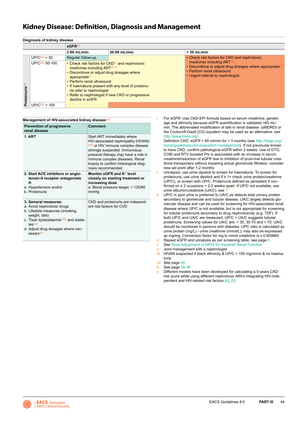### <span id="page-44-0"></span>**Kidney Disease: Definition, Diagnosis and Management**

|                             | <b>Diagnosis Of Kidney Gisease</b> |                                                                                                                                                                                                      |                                                                                                                                                               |                                                                                                                                                      |
|-----------------------------|------------------------------------|------------------------------------------------------------------------------------------------------------------------------------------------------------------------------------------------------|---------------------------------------------------------------------------------------------------------------------------------------------------------------|------------------------------------------------------------------------------------------------------------------------------------------------------|
|                             |                                    | $e$ GFR $(i)$                                                                                                                                                                                        |                                                                                                                                                               |                                                                                                                                                      |
|                             |                                    | $\geq 60$ mL/min                                                                                                                                                                                     | 30-59 mL/min                                                                                                                                                  | $<$ 30 mL/min                                                                                                                                        |
|                             | UP/C <sup>(iii)</sup> < 50         | Regular follow-up                                                                                                                                                                                    |                                                                                                                                                               | • Check risk factors for CKD and nephrotoxic                                                                                                         |
| Proteinuria <sup>(ii)</sup> | UP/C(iii) 50-100                   | medicines including ART <sup>(iv, x)</sup><br>• Discontinue or adjust drug dosages where<br>appropriate <sup>(v)</sup><br>• Perform renal ultrasound<br>ria refer to nephrologist<br>decline in eGFR | • Check risk factors for $CKD(x)$ and nephrotoxic<br>• If haematuria present with any level of proteinu-<br>• Refer to nephrologist if new CKD or progressive | medicines including ART<br>• Discontinue or adjust drug dosages where appropriate<br>• Perform renal ultrasound<br>• Urgent referral to nephrologist |
|                             | $UP/C^{(iii)} > 100$               |                                                                                                                                                                                                      |                                                                                                                                                               |                                                                                                                                                      |

#### **Management of HIV-associated kidney disease**(vi) **Prevention of progressive renal disease Comment 1. ART 1. ART 1. ART immediately where** HIV-associated nephropathy (HIVAN) (vii) or HIV immune complex disease strongly suspected. Immunosuppressive therapy may have a role in immune complex diseases. Renal biopsy to confirm histological diagnosis recommended **2. Start ACE inhibitors or angiotensin-II receptor antagonists if:** a. Hypertension and/or b. Proteinuria **Monitor eGFR and K**+ **level closely on starting treatment or increasing dose** a. Blood pressure target: < 130/80 mmHg **3. General measures:** a. Avoid nephrotoxic drugs b. Lifestyle measures (smoking, weight, diet) c. Treat dyslipidaemia<sup>(viii)</sup> and diabetes(ix) d. Adjust drug dosages where necessary(v) CKD and proteinuria are independent risk factors for CVD

**Diagnosis of kidney disease**

For eGFR: Use CKD-EPI formula based on serum creatinine, gender, age and ethnicity because eGFR quantification is validated >60 mL/ min. The abbreviated modification of diet in renal disease (aMDRD) or the Cockcroft-Gault (CG) equation may be used as an alternative; see [http://www.hivpv.org/.](http://www.hivpv.org/)

Definition CKD: eGFR < 60 ml/min for > 3 months (see [http://kdigo.org/](http://kdigo.org/home/guidelines/ckd-evaluation-management) [home/guidelines/ckd-evaluation-management](http://kdigo.org/home/guidelines/ckd-evaluation-management)). If not previously known to have CKD, confirm pathological eGFR within 2 weeks. Use of DTG, COBI and RTV boosted PIs is associated with an increase in serum creatinine/reduction of eGFR due to inhibition of proxi-mal tubular creatinine transporters without impairing actual glomerular filtration: consider new set point after 1-2 months

- Urinalysis: use urine dipstick to screen for haematuria. To screen for proteinuria, use urine dipstick and if ≥ 1+ check urine protein/creatinine (UP/C), or screen with UP/C. Proteinuria defined as persistent if confirmed on ≥ 2 occasions > 2-3 weeks apart. If UP/C not available, use  $u$  in  $u = -1$ <br>urine albumin/creatinine (UA/C), see
- iii UP/C in spot urine is preferred to UA/C as detects total urinary protein secondary to glomerular and tubular disease. UA/C largely detects glomerular disease and can be used for screening for HIV-associated renal disease where UP/C is not available, but is not appropriate for screening for tubular proteinuria secondary to drug nephrotoxicity (e.g. TDF). If both UP/C and UA/C are measured, UP/C > UA/C suggests tubular proteinuria. Screening values for UA/C are: < 30, 30-70 and > 70. UA/C should be monitored in persons with diabetes. UPC ratio is calculated as urine protein (mg/L) / urine creatinine (mmol/L); may also be expressed as mg/mg. Conversion factor for mg to mmol creatinine is x 0.000884
- iv Repeat eGFR and urinalysis as per screening table, see page [5](#page-5-0) See [Dose Adjustment of ARVs for Impaired Renal Function](#page-47-0)
- vi Joint management with a nephrologist
- vii HIVAN suspected if black ethnicity & UP/C > 100 mg/mmol & no haematuria
- viii See page [40](#page-40-0)
- ix See page [38-](#page-38-0)[39](#page-39-0)
- Different models have been developed for calculating a 5-years CKD risk score while using different nephrotoxic ARVs integrating HIV-independent and HIV-related risk factors [\[4\]](#page-91-0), [\[5\]](#page-91-0)

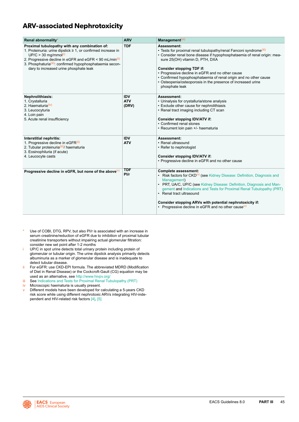### <span id="page-45-0"></span>**ARV-associated Nephrotoxicity**

| Renal abnormality*                                                                                                                                                                                                                                                                                                               | <b>ARV</b>                        | Management $(vi)$                                                                                                                                                                                                                                                                                                                                                                                                                                          |
|----------------------------------------------------------------------------------------------------------------------------------------------------------------------------------------------------------------------------------------------------------------------------------------------------------------------------------|-----------------------------------|------------------------------------------------------------------------------------------------------------------------------------------------------------------------------------------------------------------------------------------------------------------------------------------------------------------------------------------------------------------------------------------------------------------------------------------------------------|
| Proximal tubulopathy with any combination of:<br>1. Proteinuria: urine dipstick ≥ 1, or confirmed increase in<br>$UP/C > 30$ mg/mmol <sup>(i)</sup><br>2. Progressive decline in eGFR and eGFR < 90 mL/min <sup>(ii)</sup><br>3. Phosphaturia(iii): confirmed hypophosphataemia secon-<br>dary to increased urine phosphate leak | <b>TDF</b>                        | Assessment:<br>• Tests for proximal renal tubulopathy/renal Fanconi syndrome <sup>(iii)</sup><br>• Consider renal bone disease if hypophosphataemia of renal origin: mea-<br>sure 25(OH) vitamin D, PTH, DXA<br><b>Consider stopping TDF if:</b><br>• Progressive decline in eGFR and no other cause<br>• Confirmed hypophosphataemia of renal origin and no other cause<br>• Osteopenia/osteoporosis in the presence of increased urine<br>phosphate leak |
| Nephrolithiasis:<br>1. Crystalluria<br>2. Haematuria <sup>(iv)</sup><br>3. Leucocyturia<br>4. Loin pain<br>5. Acute renal insufficiency                                                                                                                                                                                          | <b>IDV</b><br><b>ATV</b><br>(DRV) | Assessment:<br>• Urinalysis for crystalluria/stone analysis<br>• Exclude other cause for nephrolithiasis<br>• Renal tract imaging including CT scan<br>Consider stopping IDV/ATV if:<br>• Confirmed renal stones<br>• Recurrent loin pain +/- haematuria                                                                                                                                                                                                   |
| Interstitial nephritis:<br>1. Progressive decline in eGFR(ii)<br>2. Tubular proteinuria (iii)/ haematuria<br>3. Eosinophiluria (if acute)<br>4. Leucocyte casts                                                                                                                                                                  | <b>IDV</b><br><b>ATV</b>          | Assessment:<br>• Renal ultrasound<br>• Refer to nephrologist<br>Consider stopping IDV/ATV if:<br>• Progressive decline in eGFR and no other cause                                                                                                                                                                                                                                                                                                          |
| Progressive decline in eGFR, but none of the above $(v)$                                                                                                                                                                                                                                                                         | <b>TDF</b><br>P1/r                | <b>Complete assessment:</b><br>• Risk factors for $CKD(v)$ (see Kidney Disease: Definition, Diagnosis and<br>Management)<br>• PRT, UA/C, UP/C (see Kidney Disease: Definition, Diagnosis and Man-<br>gement and Indications and Tests for Proximal Renal Tubulopathy (PRT)<br>• Renal tract ultrasound<br>Consider stopping ARVs with potential nephrotoxicity if:<br>• Progressive decline in eGFR and no other cause $(v)$                               |

- Use of COBI, DTG, RPV, but also PI/r is associated with an increase in serum creatinine/reduction of eGFR due to inhibition of proximal tubular creatinine transporters without impairing actual glomerular filtration: consider new set point after 1-2 months
- i UP/C in spot urine detects total urinary protein including protein of glomerular or tubular origin. The urine dipstick analysis primarily detects albuminuria as a marker of glomerular disease and is inadequate to detect tubular disease.
- ii For eGFR: use CKD-EPI formula. The abbreviated MDRD (Modification of Diet in Renal Disease) or the Cockcroft-Gault (CG) equation may be used as an alternative, see [http://www.hivpv.org/](http://www.hivpv.org/ )
- iii See [Indications and Tests for Proximal Renal Tubulopathy \(PRT\)](#page-46-0)
- iv Microscopic haematuria is usually present.
- v Different models have been developed for calculating a 5-years CKD risk score while using different nephrotoxic ARVs integrating HIV-independent and HIV-related risk factors [\[4\],](#page-91-0) [\[5\]](#page-91-0)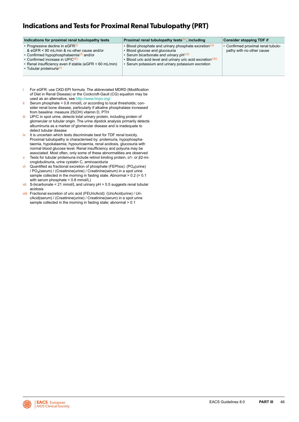### <span id="page-46-0"></span>**Indications and Tests for Proximal Renal Tubulopathy (PRT)**

| Indications for proximal renal tubulopathy tests                                                                                                                                                                                                                                  | Proximal renal tubulopathy tests $(iv)$ , including                                                                                                                                                                                                                               | <b>Consider stopping TDF if</b>                                 |
|-----------------------------------------------------------------------------------------------------------------------------------------------------------------------------------------------------------------------------------------------------------------------------------|-----------------------------------------------------------------------------------------------------------------------------------------------------------------------------------------------------------------------------------------------------------------------------------|-----------------------------------------------------------------|
| • Progressive decline in eGFR(i)<br>& eGFR < 90 mL/min & no other cause and/or<br>• Confirmed hypophosphataemia <sup>(ii)</sup> and/or<br>• Confirmed increase in UP/C <sup>(iii)</sup><br>• Renal insufficiency even if stable (eGFR < 60 mL/min)<br>• Tubular proteinuria $(v)$ | • Blood phosphate and urinary phosphate excretion <sup>(vi)</sup><br>• Blood glucose and glucosuria<br>• Serum bicarbonate and urinary pH <sup>(vii)</sup><br>• Blood uric acid level and urinary uric acid excretion (Vili)<br>• Serum potassium and urinary potassium excretion | • Confirmed proximal renal tubulo-<br>pathy with no other cause |

- For eGFR: use CKD-EPI formula. The abbreviated MDRD (Modification of Diet in Renal Disease) or the Cockcroft-Gault (CG) equation may be used as an alternative, see<http://www.hivpv.org/>
- $ii$  Serum phosphate < 0.8 mmol/L or according to local thresholds: consider renal bone disease, particularly if alkaline phosphatase increased from baseline: measure 25(OH) vitamin D, PTH
- iii UP/C in spot urine, detects total urinary protein, including protein of glomerular or tubular origin. The urine dipstick analysis primarily detects albuminuria as a marker of glomerular disease and is inadequate to detect tubular disease
- iv It is uncertain which tests discriminate best for TDF renal toxicity. Proximal tubulopathy is characterised by: proteinuria, hypophosphataemia, hypokalaemia, hypouricaemia, renal acidosis, glucosuria with normal blood glucose level. Renal insufficiency and polyuria may be associated. Most often, only some of these abnormalities are observed
- v Tests for tubular proteinuria include retinol binding protein, α1- or β2-microglobulinuria, urine cystatin C, aminoaciduria
- vi Quantified as fractional excretion of phosphate (FEPhos):  $(PO<sub>4</sub>(urine))$ /  $PO<sub>4</sub>(serum)$  / (Creatinine(urine) / Creatinine(serum) in a spot urine sample collected in the morning in fasting state. Abnormal > 0.2 (> 0.1 with serum phosphate < 0.8 mmol/L)
- vii S-bicarbonate < 21 mmol/L and urinary  $pH > 5.5$  suggests renal tubular acidosis
- viii Fractional excretion of uric acid (FEUricAcid): (UricAcid(urine) / UricAcid(serum) / (Creatinine(urine) / Creatinine(serum) in a spot urine sample collected in the morning in fasting state; abnormal > 0.1

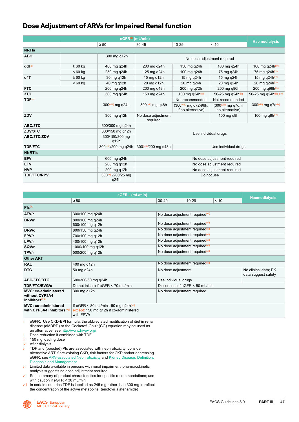### <span id="page-47-0"></span>**Dose Adjustment of ARVs for Impaired Renal function**

| eGFR(i) (mL/min)   |              |                             |                                |                                                            |                                          |                          |  |
|--------------------|--------------|-----------------------------|--------------------------------|------------------------------------------------------------|------------------------------------------|--------------------------|--|
|                    |              | $\geq 50$                   | $30 - 49$                      | $10 - 29$                                                  | < 10                                     | <b>Haemodialysis</b>     |  |
| <b>NRTIS</b>       |              |                             |                                |                                                            |                                          |                          |  |
| <b>ABC</b>         |              | 300 mg q12h                 |                                | No dose adjustment required                                |                                          |                          |  |
| ddl(ii)            | $\geq 60$ kg | 400 mg q24h                 | 200 mg q24h                    | 150 mg q24h                                                | 100 mg q24h                              | 100 mg q24h(iv)          |  |
|                    | $< 60$ kg    | 250 mg q24h                 | 125 mg q24h                    | 100 mg q24h                                                | 75 mg q24h                               | 75 mg q24h(iv)           |  |
| d4T                | $\geq 60$ kg | 30 mg q12h                  | 15 mg g12h                     | 15 mg q24h                                                 | 15 mg q24h                               | 15 mg q24h(iv)           |  |
|                    | $< 60$ kg    | 40 mg q12h                  | 20 mg g12h                     | 20 mg q24h                                                 | 20 mg g24h                               | 20 mg q24h(iv)           |  |
| <b>FTC</b>         |              | 200 mg q24h                 | 200 mg g48h                    | 200 mg q72h                                                | 200 mg g96h                              | 200 mg q96h(iv)          |  |
| 3TC                |              | 300 mg q24h                 | 150 mg q24h                    | 100 mg q24h(iii)                                           | 50-25 mg q24h(iii)                       | 50-25 mg q24h(iii), (iv) |  |
| TDF <sup>(v)</sup> |              |                             |                                | Not recommended                                            | Not recommended                          |                          |  |
|                    |              | 300(viii) mg g24h           | 300(viii) mg g48h              | (300(viii) mg q72-96h,<br>if no alternative)               | (300(viii) mg q7d, if<br>no alternative) | 300(viii) mg g7d(iv)     |  |
| ZDV                |              | 300 mg q12h                 | No dose adjustment<br>required |                                                            | 100 mg q8h                               | 100 mg q8 $h^{(iv)}$     |  |
| ABC/3TC            |              | 600/300 mg q24h             |                                |                                                            |                                          |                          |  |
| ZDV/3TC            |              | 300/150 mg q12h             |                                |                                                            |                                          |                          |  |
| ABC/3TC/ZDV        |              | 300/150/300 mg<br>q12h      | Use individual drugs           |                                                            |                                          |                          |  |
| <b>TDF/FTC</b>     |              | 300(viii)/200 mg g24h       | 300(viii)/200 mg g48h          |                                                            | Use individual drugs                     |                          |  |
| <b>NNRTIS</b>      |              |                             |                                |                                                            |                                          |                          |  |
| <b>EFV</b>         |              | 600 mg q24h                 |                                |                                                            |                                          |                          |  |
| <b>ETV</b>         |              | 200 mg q12h                 |                                | No dose adjustment required<br>No dose adjustment required |                                          |                          |  |
| <b>NVP</b>         |              | 200 mg q12h                 |                                |                                                            | No dose adjustment required              |                          |  |
| <b>TDF/FTC/RPV</b> |              | 300(viii)/200/25 mg<br>q24h | Do not use                     |                                                            |                                          |                          |  |

|                                                                              | <b>Haemodialysis</b>                                                                                     |                                             |           |      |                                             |  |
|------------------------------------------------------------------------------|----------------------------------------------------------------------------------------------------------|---------------------------------------------|-----------|------|---------------------------------------------|--|
|                                                                              | $\geq 50$                                                                                                | $30 - 49$                                   | $10 - 29$ | < 10 |                                             |  |
| $Pis^{(v)}$                                                                  |                                                                                                          |                                             |           |      |                                             |  |
| ATV/r                                                                        | 300/100 mg q24h                                                                                          | No dose adjustment required <sup>(vi)</sup> |           |      |                                             |  |
| DRV/r                                                                        | 800/100 mg g24h<br>600/100 mg q12h                                                                       | No dose adjustment required <sup>(vi)</sup> |           |      |                                             |  |
| DRV/c                                                                        | 800/150 mg q24h                                                                                          | No dose adjustment required <sup>(vi)</sup> |           |      |                                             |  |
| FPV/r                                                                        | 700/100 mg q12h                                                                                          | No dose adjustment required <sup>(vi)</sup> |           |      |                                             |  |
| LPV/r                                                                        | 400/100 mg g12h                                                                                          | No dose adjustment required <sup>(vi)</sup> |           |      |                                             |  |
| SQV/r                                                                        | 1000/100 mg q12h                                                                                         | No dose adjustment required <sup>(vi)</sup> |           |      |                                             |  |
| TPV/r                                                                        | 500/200 mg q12h                                                                                          | No dose adjustment required <sup>(vi)</sup> |           |      |                                             |  |
| <b>Other ART</b>                                                             |                                                                                                          |                                             |           |      |                                             |  |
| <b>RAL</b>                                                                   | 400 mg q12h                                                                                              | No dose adjustment required <sup>(vi)</sup> |           |      |                                             |  |
| <b>DTG</b>                                                                   | 50 mg q24h                                                                                               | No dose adjustment                          |           |      | No clinical data; PK<br>data suggest safety |  |
| <b>ABC/3TC/DTG</b>                                                           | 600/300/50 mg q24h                                                                                       | Use individual drugs                        |           |      |                                             |  |
| <b>TDF/FTC/EVG/c</b>                                                         | Do not initiate if eGFR < 70 mL/min                                                                      | Discontinue if eGFR < 50 mL/min             |           |      |                                             |  |
| <b>MVC: co-administered</b><br>without CYP3A4<br>inhibitors <sup>(vii)</sup> | 300 mg q12h                                                                                              | No dose adjustment required                 |           |      |                                             |  |
| <b>MVC: co-administered</b><br>with CYP3A4 inhibitors (vii)                  | If eGFR < 80 mL/min 150 mg q24h <sup>(vii)</sup><br>except: 150 mg q12h if co-administered<br>with FPV/r |                                             |           |      |                                             |  |

i eGFR: Use CKD-EPI formula; the abbreviated modification of diet in renal disease (aMDRD) or the Cockcroft-Gault (CG) equation may be used as an alternative; see [http://www.hivpv.org/](http://www.hivpv.org/ .)

ii Dose reduction if combined with TDF

iii 150 mg loading dose

iv After dialysis<br>v TDF and (box

TDF and (boosted) PIs are associated with nephrotoxicity; consider alternative ART if pre-existing CKD, risk factors for CKD and/or decreasing eGFR, see [ARV-associated Nephrotoxicity](#page-45-0) and [Kidney Disease: Definition,](#page-44-0)  [Diagnosis and Management](#page-44-0)

vi Limited data available in persons with renal impairment; pharmacokinetic analysis suggests no dose adjustment required

vii See summary of product characteristics for specific recommendations; use with caution if eGFR < 30 mL/min

viii In certain countries TDF is labelled as 245 mg rather than 300 mg to reflect the concentration of the active metabolite (tenofovir alafenamide)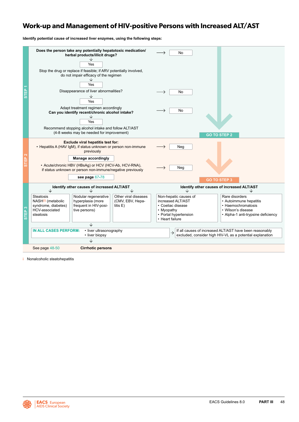### **Work-up and Management of HIV-positive Persons with Increased ALT/AST**

**Identify potential cause of increased liver enzymes, using the following steps:**



Nonalcoholic steatohepatitis

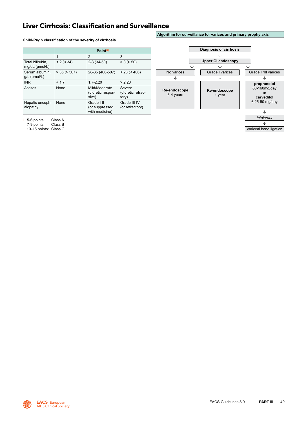### <span id="page-49-0"></span>**Liver Cirrhosis: Classification and Surveillance**

#### **Child-Pugh classification of the severity of cirrhosis**

|                                    |                   | Point <sup>(i)</sup>                           |                                      |  |  |  |
|------------------------------------|-------------------|------------------------------------------------|--------------------------------------|--|--|--|
|                                    | $\mathbf{1}$      | $\overline{2}$                                 | 3                                    |  |  |  |
| Total bilirubin,<br>mg/dL (µmol/L) | < 2 (< 34)        | $2-3(34-50)$                                   | > 3 (> 50)                           |  |  |  |
| Serum albumin.<br>$g/L$ (µmol/L)   | $>$ 35 ( $>$ 507) | 28-35 (406-507)                                | < 28 (< 406)                         |  |  |  |
| <b>INR</b>                         | < 1.7             | $1.7 - 2.20$                                   | > 2.20                               |  |  |  |
| Ascites                            | None              | Mild/Moderate<br>(diuretic respon-<br>sive)    | Severe<br>(diuretic refrac-<br>tory) |  |  |  |
| Hepatic enceph-<br>alopathy        | None              | Grade I-II<br>(or suppressed<br>with medicine) | Grade III-IV<br>(or refractory)      |  |  |  |



**Algorithm for surveillance for varices and primary prophylaxis**

i 5-6 points: Class A 7-9 points: Class B

10-15 points: Class C

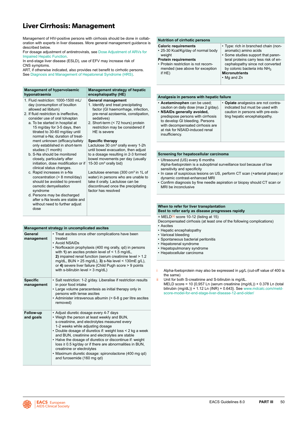## <span id="page-50-0"></span>**Liver Cirrhosis: Management**

Management of HIV-positive persons with cirrhosis should be done in collaboration with experts in liver diseases. More general management guidance is described below.

For dosage adjustment of antiretrovirals, see [Dose Adjustment of ARVs for](#page-26-0)  [Impaired Hepatic Function.](#page-26-0)

In end-stage liver disease (ESLD), use of EFV may increase risk of CNS symptoms.

ART, if otherwise indicated, also provides net benefit to cirrhotic persons. See [Diagnosis and Management of Hepatorenal Syndrome \(HRS\).](#page-51-0)

| <b>Management of hypervolaemic</b><br>hyponatraemia                                                                                                                                                                                                                                                                                              | Management strategy of hepatic<br>encephalopathy (HE)                                                                                                                                                                                                                    |
|--------------------------------------------------------------------------------------------------------------------------------------------------------------------------------------------------------------------------------------------------------------------------------------------------------------------------------------------------|--------------------------------------------------------------------------------------------------------------------------------------------------------------------------------------------------------------------------------------------------------------------------|
| 1. Fluid restriction: 1000-1500 mL/<br>day (consumption of bouillon<br>allowed ad libitum)<br>2. If fluid restriction is ineffective,<br>consider use of oral tolvaptan<br>a. To be started in hospital at<br>15 mg/day for 3-5 days, then<br>titrated to 30-60 mg/day until<br>normal s-Na; duration of treat-<br>ment unknown (efficacy/safety | General management<br>1. Identify and treat precipitating<br>factor (GI haemorrhage, infection,<br>pre-renal azotaemia, constipation,<br>sedatives)<br>2. Short-term (< 72 hours) protein<br>restriction may be considered if<br>HE is severe<br><b>Specific therapy</b> |
| only established in short-term<br>studies (1 month)<br>b. S-Na should be monitored<br>closely, particularly after<br>initiation, dose modification or if<br>clinical status changes.                                                                                                                                                             | Lactulose 30 cm <sup>3</sup> orally every 1-2h<br>until bowel evacuation, then adjust<br>to a dosage resulting in 2-3 formed<br>bowel movements per day (usually<br>15-30 cm <sup>3</sup> orally bid)                                                                    |
| c. Rapid increases in s-Na<br>concentration (> 8 mmol/day)<br>should be avoided to prevent<br>osmotic demyelisation<br>syndrome<br>d. Persons may be discharged                                                                                                                                                                                  | Lactulose enemas (300 cm <sup>3</sup> in 1L of<br>water) in persons who are unable to<br>take it orally. Lactulose can be<br>discontinued once the precipitating<br>factor has resolved                                                                                  |
| after s-Na levels are stable and<br>without need to further adjust<br>dose                                                                                                                                                                                                                                                                       |                                                                                                                                                                                                                                                                          |

| General<br>management         | • Treat ascites once other complications have been<br>treated<br>• Avoid NSAIDs<br>• Norfloxacin prophylaxis (400 mg orally, gd) in persons<br>with 1) an ascites protein level of $\leq$ 1.5 mg/dL,<br>2) impaired renal function (serum creatinine level > 1.2<br>mg/dL, BUN > 25 mg/dL), 3) s-Na level < $130$ mE g/L),<br>or 4) severe liver failure (Child Pugh score > 9 points<br>with s-bilirubin level > 3 mg/dL) |
|-------------------------------|----------------------------------------------------------------------------------------------------------------------------------------------------------------------------------------------------------------------------------------------------------------------------------------------------------------------------------------------------------------------------------------------------------------------------|
| <b>Specific</b><br>management | · Salt restriction: 1-2 g/day. Liberalise if restriction results<br>in poor food intake<br>• Large volume paracentesis as initial therapy only in<br>persons with tense ascites<br>• Administer intravenous albumin (= 6-8 g per litre ascites<br>removed)                                                                                                                                                                 |
| Follow-up<br>and goals        | • Adjust diuretic dosage every 4-7 days<br>• Weigh the person at least weekly and BUN,<br>s-creatinine, and electrolytes measured every                                                                                                                                                                                                                                                                                    |

**Management strategy in uncomplicated ascites**

| 1-2 weeks while adjusting dosage                             |
|--------------------------------------------------------------|
| • Double dosage of diuretics if: weight loss < 2 kg a week   |
| and BUN, creatinine and electrolytes are stable              |
| • Halve the dosage of diuretics or discontinue if: weight    |
| $loss \geq 0.5$ kg/day or if there are abnormalities in BUN, |
| creatinine or electrolytes                                   |
| • Maximum diuretic dosage: spironolactone (400 mg qd)        |
|                                                              |

and furosemide (160 mg qd)

#### **Nutrition of cirrhotic persons**

- **Caloric requirements** • 25-30 Kcal/Kg/day of normal body
- weight **Protein requirements**
- Protein restriction is not recom-
- mended (see above for exception if HE)
	- **Micronutrients** • Mg and Zn

#### **Analgesia in persons with hepatic failure**

- **Acetaminophen** can be used; caution on daily dose (max 2 g/day).
- **NSAIDs generally avoided,** predispose persons with cirrhosis to develop GI bleeding. Persons with decompensated cirrhosis are at risk for NSAID-induced renal insufficiency.

• **Opiate** analgesics are not contraindicated but must be used with caution in persons with pre-existing hepatic encephalopathy.

• Type: rich in branched chain (nonaromatic) amino acids

Some studies support that parenteral proteins carry less risk of encephalopathy since not converted by colonic bacteria into NH<sub>3</sub>

#### **Screening for hepatocellular carcinoma**

- Ultrasound (US) every 6 months Alpha-foetoprotein is a suboptimal surveillance tool because of low sensitivity and specificity
- In case of suspicious lesions on US, perform CT scan (+arterial phase) or dynamic contrast-enhanced MRI
- Confirm diagnosis by fine needle aspiration or biopsy should CT scan or MRI be inconclusive

### **When to refer for liver transplantation**

- **Best to refer early as disease progresses rapidly**
- $=$  MELD<sup>(ii)</sup> score 10-12 (listing at 15)
- Decompensated cirrhosis (at least one of the following complications) • Ascites
- Hepatic encephalopathy<br>• Variceal bleeding
- Variceal bleeding
- Spontaneous bacterial peritonitis
- Hepatorenal syndrome
- Hepatopulmonary syndrome
- Hepatocellular carcinoma

Alpha-foetoprotein may also be expressed in μg/L (cut-off value of 400 is the same)

ii Unit for both S-creatinine and S-bilirubin is mg/dL. MELD score = 10 {0,957 Ln (serum creatinine (mg/dL)) + 0.378 Ln (total bilirubin  $(mq/dL)) + 1.12$  Ln  $(lNR) + 0.643$ . See [www.mdcalc.com/meld](http:/www.mdcalc.com/meld-score-model-for-end-stage-liver-disease-12-and-older//www.mdcalc.com/meld-score-model-for-end-stage-liver-disease-12-and-older/)[score-model-for-end-stage-liver-disease-12-and-older/](http:/www.mdcalc.com/meld-score-model-for-end-stage-liver-disease-12-and-older//www.mdcalc.com/meld-score-model-for-end-stage-liver-disease-12-and-older/)

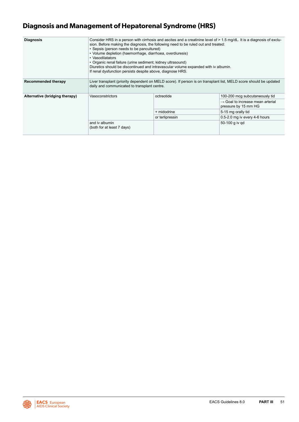## <span id="page-51-0"></span>**Diagnosis and Management of Hepatorenal Syndrome (HRS)**

| <b>Diagnosis</b>               | Consider HRS in a person with cirrhosis and ascites and a creatinine level of $> 1.5$ mg/dL. It is a diagnosis of exclu-<br>sion. Before making the diagnosis, the following need to be ruled out and treated:<br>• Sepsis (person needs to be pancultured)<br>• Volume depletion (haemorrhage, diarrhoea, overdiuresis)<br>• Vasodilatators<br>• Organic renal failure (urine sediment; kidney ultrasound)<br>Diuretics should be discontinued and intravascular volume expanded with iv albumin.<br>If renal dysfunction persists despite above, diagnose HRS. |                 |                                                                      |
|--------------------------------|------------------------------------------------------------------------------------------------------------------------------------------------------------------------------------------------------------------------------------------------------------------------------------------------------------------------------------------------------------------------------------------------------------------------------------------------------------------------------------------------------------------------------------------------------------------|-----------------|----------------------------------------------------------------------|
| Recommended therapy            | Liver transplant (priority dependent on MELD score). If person is on transplant list, MELD score should be updated<br>daily and communicated to transplant centre.                                                                                                                                                                                                                                                                                                                                                                                               |                 |                                                                      |
| Alternative (bridging therapy) | Vasoconstrictors                                                                                                                                                                                                                                                                                                                                                                                                                                                                                                                                                 | octreotide      | 100-200 mcg subcutaneously tid                                       |
|                                |                                                                                                                                                                                                                                                                                                                                                                                                                                                                                                                                                                  |                 | $\rightarrow$ Goal to increase mean arterial<br>pressure by 15 mm HG |
|                                |                                                                                                                                                                                                                                                                                                                                                                                                                                                                                                                                                                  | + midodrine     | 5-15 mg orally tid                                                   |
|                                |                                                                                                                                                                                                                                                                                                                                                                                                                                                                                                                                                                  | or terlipressin | 0.5-2.0 mg iv every 4-6 hours                                        |
|                                | and iv albumin<br>(both for at least 7 days)                                                                                                                                                                                                                                                                                                                                                                                                                                                                                                                     |                 | 50-100 g iv gd                                                       |

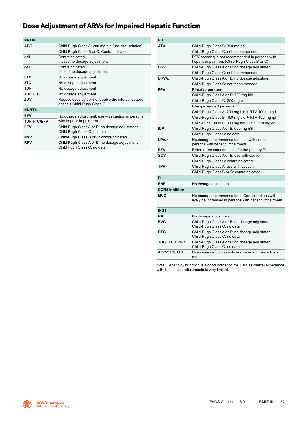## <span id="page-52-0"></span>**Dose Adjustment of ARVs for Impaired Hepatic Function**

| <b>NRTIS</b>       |                                                                                  |
|--------------------|----------------------------------------------------------------------------------|
| <b>ABC</b>         | Child-Pugh Class A: 200 mg bid (use oral solution)                               |
|                    | Child-Pugh Class B or C: Contraindicated                                         |
| ddl                | Contraindicated<br>If used no dosage adjustment                                  |
| d4T                | Contraindicated<br>If used no dosage adjustment                                  |
| <b>FTC</b>         | No dosage adjustment                                                             |
| 3TC                | No dosage adjustment                                                             |
| <b>TDF</b>         | No dosage adjustment                                                             |
| <b>TDF/FTC</b>     | No dosage adjustment                                                             |
| ZDV                | Reduce dose by 50% or double the interval between<br>doses if Child-Pugh Class C |
| <b>NNRTIS</b>      |                                                                                  |
| <b>EFV</b>         | No dosage adjustment; use with caution in persons                                |
| <b>TDF/FTC/EFV</b> | with hepatic impairment                                                          |
| <b>ETV</b>         | Child-Pugh Class A or B: no dosage adjustment<br>Child-Pugh Class C: no data     |
| <b>NVP</b>         | Child-Pugh Class B or C: contraindicated                                         |
| <b>RPV</b>         | Child-Pugh Class A or B: no dosage adjustment<br>Child Pugh Class C: no data     |

| Pls                   |                                                                                                          |  |
|-----------------------|----------------------------------------------------------------------------------------------------------|--|
| ATV                   | Child-Pugh Class B: 300 mg gd                                                                            |  |
|                       | Child-Pugh Class C: not recommended                                                                      |  |
|                       | RTV boosting is not recommended in persons with<br>hepatic impairment (Child-Pugh Class B or C)          |  |
| <b>DRV</b>            | Child-Pugh Class A or B: no dosage adjustment                                                            |  |
|                       | Child-Pugh Class C: not recommended                                                                      |  |
| DRV/c                 | Child-Pugh Class A or B: no dosage adjustment                                                            |  |
|                       | Child-Pugh Class C: not recommended                                                                      |  |
| <b>FPV</b>            | PI-naïve persons:                                                                                        |  |
|                       | Child-Pugh Class A or B: 700 mg bid                                                                      |  |
|                       | Child-Pugh Class C: 350 mg bid                                                                           |  |
|                       | <b>PI-experienced persons:</b>                                                                           |  |
|                       | Child-Pugh Class A: 700 mg bid + RTV 100 mg qd                                                           |  |
|                       | Child-Pugh Class B: 450 mg bid + RTV 100 mg qd                                                           |  |
|                       | Child-Pugh Class C: 300 mg bid + RTV 100 mg qd                                                           |  |
| <b>IDV</b>            | Child-Pugh Class A or B: 600 mg q8h                                                                      |  |
|                       | Child-Pugh Class C: no data                                                                              |  |
| LPV/r                 | No dosage recommendation; use with caution in<br>persons with hepatic impairment                         |  |
| <b>RTV</b>            | Refer to recommendations for the primary PI                                                              |  |
| SQV                   | Child-Pugh Class A or B: use with caution                                                                |  |
|                       | Child-Pugh Class C: contraindicated                                                                      |  |
| <b>TPV</b>            | Child-Pugh Class A: use with caution                                                                     |  |
|                       | Child-Pugh Class B or C: contraindicated                                                                 |  |
| FI                    |                                                                                                          |  |
| <b>ENF</b>            | No dosage adjustment                                                                                     |  |
| <b>CCR5 Inhibitor</b> |                                                                                                          |  |
| <b>MVC</b>            | No dosage recommendations. Concentrations will<br>likely be increased in persons with hepatic impairment |  |
| <b>INSTI</b>          |                                                                                                          |  |
| <b>RAL</b>            | No dosage adjustment                                                                                     |  |
| <b>EVG</b>            | Child-Pugh Class A or B: no dosage adjustment<br>Child-Pugh Class C: no data                             |  |
| <b>DTG</b>            | Child-Pugh Class A or B: no dosage adjustment<br>Child-Pugh Class C: no data                             |  |
| <b>TDF/FTC/EVG/c</b>  | Child-Pugh Class A or B: no dosage adjustment<br>Child-Pugh Class C: no data                             |  |
| <b>ABC/3TC/DTG</b>    | Use separate compounds and refer to those adjust-<br>ments                                               |  |

Note: Hepatic dysfunction is a good indication for TDM as clinical experience with these dose adjustments is very limited.

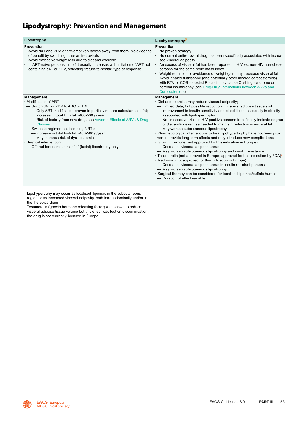## **Lipodystrophy: Prevention and Management**

| Lipoatrophy                                                                                                                                                                                                                                                                                                                                                                                                                                                                                                                 | Lipohypertrophy(i)                                                                                                                                                                                                                                                                                                                                                                                                                                                                                                                                                                                                                                                                                                                                                                                                                                                                                                                                                                                                                                                                                                                                                                     |
|-----------------------------------------------------------------------------------------------------------------------------------------------------------------------------------------------------------------------------------------------------------------------------------------------------------------------------------------------------------------------------------------------------------------------------------------------------------------------------------------------------------------------------|----------------------------------------------------------------------------------------------------------------------------------------------------------------------------------------------------------------------------------------------------------------------------------------------------------------------------------------------------------------------------------------------------------------------------------------------------------------------------------------------------------------------------------------------------------------------------------------------------------------------------------------------------------------------------------------------------------------------------------------------------------------------------------------------------------------------------------------------------------------------------------------------------------------------------------------------------------------------------------------------------------------------------------------------------------------------------------------------------------------------------------------------------------------------------------------|
| <b>Prevention</b><br>• Avoid d4T and ZDV or pre-emptively switch away from them. No evidence<br>of benefit by switching other antiretrovirals.<br>• Avoid excessive weight loss due to diet and exercise.<br>• In ART-naïve persons, limb fat usually increases with initiation of ART not<br>containing d4T or ZDV, reflecting "return-to-health" type of response                                                                                                                                                         | <b>Prevention</b><br>No proven strategy<br>• No current antiretroviral drug has been specifically associated with increa-<br>sed visceral adiposity<br>• An excess of visceral fat has been reported in HIV vs. non-HIV non-obese<br>persons for the same body mass index<br>• Weight reduction or avoidance of weight gain may decrease visceral fat<br>• Avoid inhaled fluticasone (and potentially other inhaled corticosteroids)<br>with RTV or COBI-boosted PIs as it may cause Cushing syndrome or<br>adrenal insufficiency (see Drug-Drug Interactions between ARVs and<br>Corticosteroids)                                                                                                                                                                                                                                                                                                                                                                                                                                                                                                                                                                                     |
| <b>Management</b><br>• Modification of ART<br>-Switch d4T or ZDV to ABC or TDF:<br>- Only ART modification proven to partially restore subcutaneous fat;<br>increase in total limb fat ~400-500 q/year<br>- Risk of toxicity from new drug, see Adverse Effects of ARVs & Drug<br><b>Classes</b><br>-Switch to regimen not including NRTIs<br>- Increase in total limb fat ~400-500 g/year<br>- May increase risk of dyslipidaemia<br>• Surgical intervention<br>- Offered for cosmetic relief of (facial) lipoatrophy only | <b>Management</b><br>• Diet and exercise may reduce visceral adiposity;<br>- Limited data, but possible reduction in visceral adipose tissue and<br>improvement in insulin sensitivity and blood lipids, especially in obesity<br>associated with lipohypertrophy<br>- No prospective trials in HIV-positive persons to definitely indicate degree<br>of diet and/or exercise needed to maintain reduction in visceral fat<br>- May worsen subcutaneous lipoatrophy<br>• Pharmacological interventions to treat lipohypertrophy have not been pro-<br>ven to provide long-term effects and may introduce new complications;<br>• Growth hormone (not approved for this indication in Europe)<br>- Decreases visceral adipose tissue<br>- May worsen subcutaneous lipoatrophy and insulin resistance<br>• Tesamorelin (not approved in Europe; approved for this indication by FDA) <sup>ii</sup><br>• Metformin (not approved for this indication in Europe)<br>- Decreases visceral adipose tissue in insulin resistant persons<br>- May worsen subcutaneous lipoatrophy<br>• Surgical therapy can be considered for localised lipomas/buffalo humps<br>- Duration of effect variable |

i Lipohypertrohy may occur as localised lipomas in the subcutaneous region or as increased visceral adiposity, both intraabdominally and/or in the the epicardium

ii Tesamorelin (growth hormone releasing factor) was shown to reduce visceral adipose tissue volume but this effect was lost on discontinuation; the drug is not currently licensed in Europe

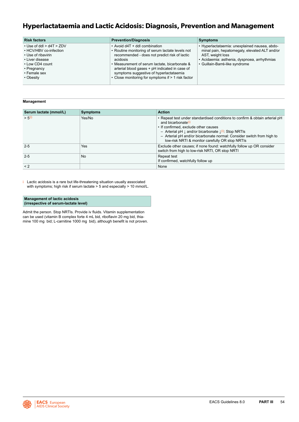### **Hyperlactataemia and Lactic Acidosis: Diagnosis, Prevention and Management**

| <b>Risk factors</b>                                                                                                                                              | <b>Prevention/Diagnosis</b>                                                                                                                                                                                                                                                                                                                        | <b>Symptoms</b>                                                                                                                                                                                      |
|------------------------------------------------------------------------------------------------------------------------------------------------------------------|----------------------------------------------------------------------------------------------------------------------------------------------------------------------------------------------------------------------------------------------------------------------------------------------------------------------------------------------------|------------------------------------------------------------------------------------------------------------------------------------------------------------------------------------------------------|
| $\cdot$ Use of ddl > d4T > ZDV<br>• HCV/HBV co-infection<br>• Use of ribavirin<br>• Liver disease<br>• Low CD4 count<br>• Pregnancy<br>• Female sex<br>• Obesity | • Avoid d4T + ddl combination<br>• Routine monitoring of serum lactate levels not<br>recommended - does not predict risk of lactic<br>acidosis<br>• Measurement of serum lactate, bicarbonate &<br>arterial blood gases + pH indicated in case of<br>symptoms suggestive of hyperlactataemia<br>• Close monitoring for symptoms if > 1 risk factor | • Hyperlactataemia: unexplained nausea, abdo-<br>minal pain, hepatomegaly, elevated ALT and/or<br>AST, weight loss<br>• Acidaemia: asthenia, dyspnoea, arrhythmias<br>· Guillain-Barré-like syndrome |

#### **Management**

| Serum lactate (mmol/L) | <b>Symptoms</b> | <b>Action</b>                                                                                                                                                                                                                                                                                                                                                      |
|------------------------|-----------------|--------------------------------------------------------------------------------------------------------------------------------------------------------------------------------------------------------------------------------------------------------------------------------------------------------------------------------------------------------------------|
| $> 5^{(i)}$            | Yes/No          | . Repeat test under standardised conditions to confirm & obtain arterial pH<br>and bicarbonate <sup>(i)</sup><br>• If confirmed, exclude other causes<br>- Arterial pH $\downarrow$ and/or bicarbonate $\downarrow^{(i)}$ : Stop NRTIs<br>- Arterial pH and/or bicarbonate normal: Consider switch from high to<br>low-risk NRTI & monitor carefully OR stop NRTIs |
| $2 - 5$                | Yes             | Exclude other causes; if none found: watchfully follow up OR consider<br>switch from high to low-risk NRTI, OR stop NRTI                                                                                                                                                                                                                                           |
| $2 - 5$                | <b>No</b>       | Repeat test<br>If confirmed, watchfully follow up                                                                                                                                                                                                                                                                                                                  |
| $\leq$ 2               |                 | None                                                                                                                                                                                                                                                                                                                                                               |

i Lactic acidosis is a rare but life-threatening situation usually associated with symptoms; high risk if serum lactate  $> 5$  and especially  $> 10$  mmol/L.

#### **Management of lactic acidosis (irrespective of serum-lactate level)**

Admit the person. Stop NRTIs. Provide iv fluids. Vitamin supplementation can be used (vitamin B complex forte 4 mL bid, riboflavin 20 mg bid, thiamine 100 mg bid; L-carnitine 1000 mg bid), although benefit is not proven.

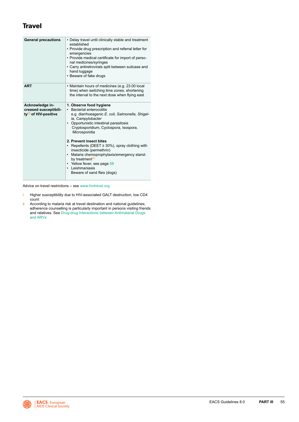### **Travel**

| <b>General precautions</b>                                                    | • Delay travel until clinically stable and treatment<br>established<br>• Provide drug prescription and referral letter for<br>emergencies<br>• Provide medical certificate for import of perso-<br>nal medicines/syringes<br>• Carry antiretrovirals split between suitcase and<br>hand luggage<br>• Beware of fake drugs                                                                                                                                                                                                          |
|-------------------------------------------------------------------------------|------------------------------------------------------------------------------------------------------------------------------------------------------------------------------------------------------------------------------------------------------------------------------------------------------------------------------------------------------------------------------------------------------------------------------------------------------------------------------------------------------------------------------------|
| <b>ART</b>                                                                    | • Maintain hours of medicines (e.g. 23.00 local<br>time) when switching time zones, shortening<br>the interval to the next dose when flying east                                                                                                                                                                                                                                                                                                                                                                                   |
| Acknowledge in-<br>creased susceptibili-<br>ty <sup>(i)</sup> of HIV-positive | 1. Observe food hygiene<br>Bacterial enterocolitis<br>e.g. diarrhoeagenic E. coli, Salmonella, Shigel-<br>la, Campylobacter<br>Opportunistic intestinal parasitosis<br>$\bullet$<br>Cryptosporidium, Cyclospora, Isospora,<br>Microsporidia<br>2. Prevent insect bites<br>Repellents (DEET $\geq$ 30%), spray clothing with<br>insecticide (permethrin)<br>Malaria chemoprophylaxis/emergency stand-<br>$\bullet$<br>by treatment <sup>(II)</sup><br>• Yellow fever, see page 58<br>• Leishmaniasis<br>Beware of sand flies (dogs) |

Advice on travel restrictions – see [www.hivtravel.org](http://www.hivtravel.org)

- i Higher susceptibility due to HIV-associated GALT destruction, low CD4 count
- ii According to malaria risk at travel destination and national guidelines; adherence counselling is particularly important in persons visiting friends and relatives. See [Drug-drug Interactions between Antimalarial Drugs](#page-24-0)  [and ARVs](#page-24-0)

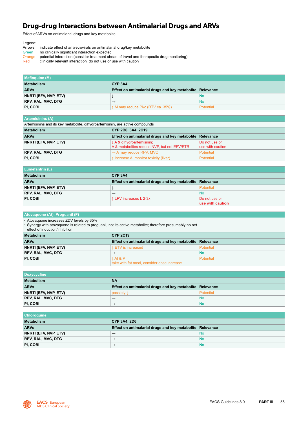### **Drug-drug Interactions between Antimalarial Drugs and ARVs**

Effect of ARVs on antimalarial drugs and key metabolite

- Legend:<br>Arrows Arrows indicate effect of antiretrovirals on antimalarial drug/key metabolite<br>Green no clinically significant interaction expected
- Green no clinically significant interaction expected<br>Orange potential interaction (consider treatment ahe
- Orange potential interaction (consider treatment ahead of travel and therapeutic drug monitoring)<br>Red clinically relevant interaction, do not use or use with caution
- clinically relevant interaction, do not use or use with caution

| Mefloquine (M)            |                                                           |           |
|---------------------------|-----------------------------------------------------------|-----------|
| <b>Metabolism</b>         | CYP <sub>3</sub> A <sub>4</sub>                           |           |
| <b>ARVs</b>               | Effect on antimalarial drugs and key metabolite Relevance |           |
| NNRTI (EFV, NVP, ETV)     |                                                           | No        |
| <b>RPV, RAL, MVC, DTG</b> | $\rightarrow$                                             | <b>No</b> |
| PI. COBI                  | $\uparrow$ M may reduce PI/c (RTV ca. 35%)                | Potential |

| <b>Artemisinins (A)</b>                                                       |                                                                          |                                   |  |
|-------------------------------------------------------------------------------|--------------------------------------------------------------------------|-----------------------------------|--|
| Artemisinins and its key metabolite, dihydroartemisinin, are active compounds |                                                                          |                                   |  |
| <b>Metabolism</b>                                                             | CYP 2B6, 3A4, 2C19                                                       |                                   |  |
| <b>ARVs</b>                                                                   | Effect on antimalarial drugs and key metabolite Relevance                |                                   |  |
| NNRTI (EFV, NVP, ETV)                                                         | J A & dihydroartemisinin;<br>A & metabolites reduce NVP, but not EFV/ETR | Do not use or<br>use with caution |  |
| <b>RPV, RAL, MVC, DTG</b>                                                     | $\rightarrow$ A may reduce RPV, MVC                                      | <b>Potential</b>                  |  |
| PI, COBI                                                                      | ↑ Increase A: monitor toxicity (liver)                                   | Potential                         |  |

| Lumefantrin (L)           |                                                           |                                   |  |
|---------------------------|-----------------------------------------------------------|-----------------------------------|--|
| Metabolism                | CYP <sub>3A4</sub>                                        |                                   |  |
| <b>ARVs</b>               | Effect on antimalarial drugs and key metabolite Relevance |                                   |  |
| NNRTI (EFV, NVP, ETV)     |                                                           | Potential                         |  |
| <b>RPV, RAL, MVC, DTG</b> | $\rightarrow$                                             | <b>No</b>                         |  |
| PI, COBI                  | ↑ LPV increases L 2-3x                                    | Do not use or<br>use with caution |  |

#### **Atovaquone (At), Proguanil (P)**

• Atovaquone increases ZDV levels by 35%<br>• Synergy with atovaguone is related to proc

Synergy with atovaquone is related to proguanil, not its active metabolite; therefore presumably no net

effect of induction/inhibition

| <b>Metabolism</b>     | <b>CYP 2C19</b>                                              |                  |
|-----------------------|--------------------------------------------------------------|------------------|
| <b>ARVs</b>           | Effect on antimalarial drugs and key metabolite Relevance    |                  |
| NNRTI (EFV, NVP, ETV) | LETV is increased                                            | Potential        |
| RPV, RAL, MVC, DTG    | $\rightarrow$                                                | <b>No</b>        |
| PI. COBI              | $\perp$ At & P<br>take with fat meal, consider dose increase | <b>Potential</b> |

| <b>Doxycycline</b>    |                                                           |           |  |
|-----------------------|-----------------------------------------------------------|-----------|--|
| <b>Metabolism</b>     | <b>NA</b>                                                 |           |  |
| <b>ARVs</b>           | Effect on antimalarial drugs and key metabolite Relevance |           |  |
| NNRTI (EFV, NVP, ETV) | possibly 1                                                | Potential |  |
| RPV, RAL, MVC, DTG    | $\rightarrow$                                             | <b>No</b> |  |
| PI, COBI              | $\rightarrow$                                             | <b>No</b> |  |

| <b>Chloroquine</b>        |                                                           |           |
|---------------------------|-----------------------------------------------------------|-----------|
| <b>Metabolism</b>         | <b>CYP 3A4, 2D6</b>                                       |           |
| <b>ARVs</b>               | Effect on antimalarial drugs and key metabolite Relevance |           |
| NNRTI (EFV, NVP, ETV)     | $\rightarrow$                                             | <b>No</b> |
| <b>RPV, RAL, MVC, DTG</b> | $\rightarrow$                                             | <b>No</b> |
| PI, COBI                  | $\rightarrow$                                             | <b>No</b> |

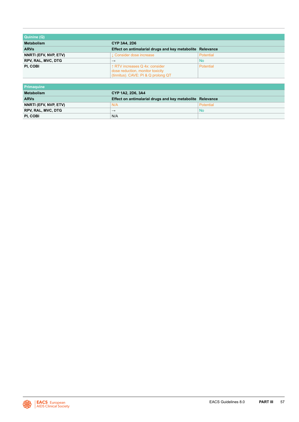| Quinine (Q)               |                                                                                                           |                  |
|---------------------------|-----------------------------------------------------------------------------------------------------------|------------------|
| <b>Metabolism</b>         | <b>CYP 3A4, 2D6</b>                                                                                       |                  |
| <b>ARVs</b>               | Effect on antimalarial drugs and key metabolite Relevance                                                 |                  |
| NNRTI (EFV, NVP, ETV)     | L Consider dose increase                                                                                  | Potential        |
| <b>RPV, RAL, MVC, DTG</b> | $\rightarrow$                                                                                             | <b>No</b>        |
| PI, COBI                  | ↑ RTV increases Q 4x: consider<br>dose reduction, monitor toxicity<br>(tinnitus). CAVE: PI & Q prolong QT | <b>Potential</b> |

| l Primaquine              |                                                           |           |
|---------------------------|-----------------------------------------------------------|-----------|
| Metabolism                | CYP 1A2, 2D6, 3A4                                         |           |
| <b>ARVs</b>               | Effect on antimalarial drugs and key metabolite Relevance |           |
| NNRTI (EFV, NVP, ETV)     | N/A                                                       | Potential |
| <b>RPV, RAL, MVC, DTG</b> | $\rightarrow$                                             | No        |
| PI, COBI                  | N/A                                                       |           |

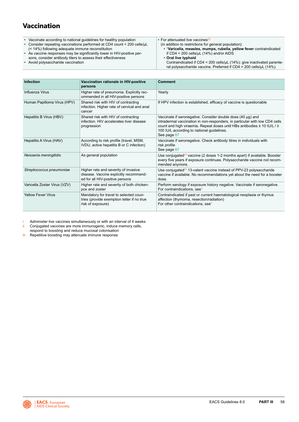# <span id="page-58-0"></span>**Vaccination**

- Vaccinate according to national guidelines for healthy population
- Consider repeating vaccinations performed at CD4 count < 200 cells/μL (< 14%) following adequate immune reconstitution
- As vaccine responses may be significantly lower in HIV-positive persons, consider antibody titers to assess their effectiveness
- Avoid polysaccharide vaccination

• For attenuated live vaccines(i) (in addition to restrictions for general population): • **\*Varicella, measles, mumps, rubella, yellow fever** contraindicated if CD4 < 200 cells/μL (14%) and/or AIDS • **Oral live typhoid** Contraindicated if CD4 < 200 cells/μL (14%): give inactivated parente-

ral polysaccharide vaccine. Preferred if CD4 > 200 cells/μL (14%).

| <b>Infection</b>             | Vaccination rationale in HIV-positive<br>persons                                                                  | <b>Comment</b>                                                                                                                                                                                                                                                                      |
|------------------------------|-------------------------------------------------------------------------------------------------------------------|-------------------------------------------------------------------------------------------------------------------------------------------------------------------------------------------------------------------------------------------------------------------------------------|
| Influenza Virus              | Higher rate of pneumonia. Explicitly rec-<br>ommended in all HIV-positive persons                                 | Yearly                                                                                                                                                                                                                                                                              |
| Human Papilloma Virus (HPV)  | Shared risk with HIV of contracting<br>infection. Higher rate of cervical and anal<br>cancer                      | If HPV infection is established, efficacy of vaccine is questionable                                                                                                                                                                                                                |
| Hepatitis B Virus (HBV)      | Shared risk with HIV of contracting<br>infection. HIV accelerates liver disease<br>progression                    | Vaccinate if seronegative. Consider double dose (40 µg) and<br>intradermal vaccination in non-responders, in particular with low CD4 cells<br>count and high viraemia. Repeat doses until HBs antibodies ≥ 10 IU/L / ≥<br>100 IU/L according to national guidelines.<br>See page 67 |
| Hepatitis A Virus (HAV)      | According to risk profile (travel, MSM,<br>IVDU, active hepatitis B or C infection)                               | Vaccinate if seronegative. Check antibody titres in individuals with<br>risk profile<br>See page 67                                                                                                                                                                                 |
| Neisseria meningitidis       | As general population                                                                                             | Use conjugated <sup>(ii)</sup> vaccine (2 doses 1-2 months apart) if available. Booster<br>every five years if exposure continues. Polysaccharide vaccine not recom-<br>mended anymore.                                                                                             |
| Streptococcus pneumoniae     | Higher rate and severity of invasive<br>disease. Vaccine explicitly recommend-<br>ed for all HIV-positive persons | Use conjugated <sup>(ii)</sup> 13-valent vaccine instead of PPV-23 polysaccharide<br>vaccine if available. No recommendations yet about the need for a booster<br>dose.                                                                                                             |
| Varicella Zoster Virus (VZV) | Higher rate and severity of both chicken-<br>pox and zoster                                                       | Perform serology if exposure history negative. Vaccinate if seronegative.<br>For contraindications, see*                                                                                                                                                                            |
| <b>Yellow Fever Virus</b>    | Mandatory for travel to selected coun-<br>tries (provide exemption letter if no true<br>risk of exposure)         | Contraindicated if past or current haematological neoplasia or thymus<br>affection (thymoma, resection/radiation)<br>For other contraindications, see <sup>*</sup>                                                                                                                  |

Administer live vaccines simultaneously or with an interval of 4 weeks

ii Conjugated vaccines are more immunogenic, induce memory cells,

respond to boosting and reduce mucosal colonisation

iii Repetitive boosting may attenuate immune response

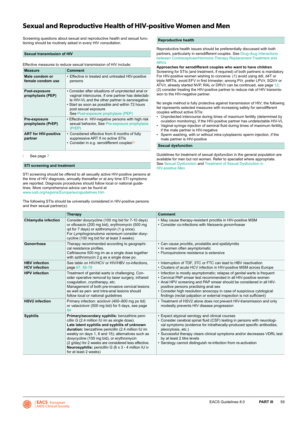### **Sexual and Reproductive Health of HIV-positive Women and Men**

Screening questions about sexual and reproductive health and sexual functioning should be routinely asked in every HIV consultation.

#### **Sexual transmission of HIV**

Effective measures to reduce sexual transmission of HIV include:

| <b>Measure</b>                         | <b>Comment</b>                                                                                                                                                                                                                                                               |
|----------------------------------------|------------------------------------------------------------------------------------------------------------------------------------------------------------------------------------------------------------------------------------------------------------------------------|
| Male condom or<br>female condom use    | • Effective in treated and untreated HIV-positive<br>persons                                                                                                                                                                                                                 |
| Post-exposure<br>prophylaxis (PEP)     | • Consider after situations of unprotected anal or<br>vaginal intercourse, if one partner has detectab-<br>le HIV-VL and the other partner is seronegative<br>• Start as soon as possible and within 72 hours<br>post sexual exposure<br>See Post-exposure prophylaxis (PEP) |
| Pre-exposure<br>prophylaxis (PrEP)     | • Effective in HIV-negative persons with high risk<br>sexual behavior, See Pre-exposure prophylaxis<br>(PrEP)                                                                                                                                                                |
| <b>ART for HIV-positive</b><br>partner | • Considered effective from 6 months of fully<br>suppressive ART if no active STIs<br>• Consider in e.g. serodifferent couples <sup>(i)</sup>                                                                                                                                |

See page [7](#page-7-0)

#### **STI screening and treatment**

STI screening should be offered to all sexually active HIV-positive persons at the time of HIV diagnosis, annually thereafter or at any time STI symptoms are reported. Diagnosis procedures should follow local or national guidelines. More comprehensive advice can be found at <www.iusti.org/regions/Europe/euroguidelines.htm>

The following STIs should be universally considered in HIV-positive persons and their sexual partner(s):

**Reproductive health** 

Reproductive health issues should be preferentially discussed with both partners, particularly in serodifferent couples. See [Drug-drug Interactions](#page-22-0)  [between Contraceptives/Hormone Therapy Replacement Treatment and](#page-22-0)  [ARVs](#page-22-0) 

#### **Approaches for serodifferent couples who want to have children**

Screening for STIs (and treatment, if required) of both partners is mandatory. For HIV-positive women wishing to conceive: (1) avoid using ddI, d4T or triple NRTIs, avoid EFV in first trimester; among PI/r, prefer LPV/r, SQV/r or ATV/r, already started NVP, RAL or DRV/r can be continued, see page [12;](#page-12-0) (2) consider treating the HIV-positive partner to reduce risk of HIV transmission to the HIV-negative partner.

No single method is fully protective against transmission of HIV; the following list represents selected measures with increasing safety for serodifferent couples without active STIs:

- Unprotected intercourse during times of maximum fertility (determined by ovulation monitoring), if the HIV-positive partner has undetectable HIV-VL
- Vaginal syringe injection of seminal fluid during times of maximum fertility, if the male partner is HIV-negative
- Sperm washing, with or without intra-cytoplasmic sperm injection, if the male partner is HIV-positive

#### **Sexual dysfunction**

Guidelines for treatment of sexual dysfunction in the general population are available for men but not women. Refer to specialist where appropriate. See [Sexual Dysfunction](#page-60-0) and [Treatment of Sexual Dysfunction in](#page-61-0)  [HIV-positive Men](#page-61-0)

|                                              | <b>Therapy</b>                                                                                                                                                                                                                                                                                                                                                                                                                                | <b>Comment</b>                                                                                                                                                                                                                                                                                                                                                                                              |
|----------------------------------------------|-----------------------------------------------------------------------------------------------------------------------------------------------------------------------------------------------------------------------------------------------------------------------------------------------------------------------------------------------------------------------------------------------------------------------------------------------|-------------------------------------------------------------------------------------------------------------------------------------------------------------------------------------------------------------------------------------------------------------------------------------------------------------------------------------------------------------------------------------------------------------|
| <b>Chlamydia infection</b>                   | Consider doxycycline (100 mg bid for 7-10 days)<br>or ofloxacin (200 mg bid), erythromycin (500 mg<br>gd for 7 days) or azithromycin (1 g once).<br>For Lymphogranuloma venereum consider doxy-<br>cycline (100 mg bid for at least 3 weeks)                                                                                                                                                                                                  | • May cause therapy-resistant proctitis in HIV-positive MSM<br>• Consider co-infections with Neisseria gonorrhoeae                                                                                                                                                                                                                                                                                          |
| Gonorrhoea                                   | Therapy recommended according to geographi-<br>cal resistance profiles.<br>Ceftriaxone 500 mg im as a single dose together<br>with azithromycin 2 g as a single dose po.                                                                                                                                                                                                                                                                      | • Can cause proctitis, prostatitis and epididymitis<br>• In women often asymptomatic<br>• Fluroquinolone resistance is extensive                                                                                                                                                                                                                                                                            |
| <b>HBV</b> infection<br><b>HCV</b> infection | See table on HIV/HCV or HIV/HBV co-infections,<br>page 67, 68-78                                                                                                                                                                                                                                                                                                                                                                              | • Interruption of TDF, 3TC or FTC can lead to HBV reactivation<br>• Clusters of acute HCV infection in HIV-positive MSM across Europe                                                                                                                                                                                                                                                                       |
| <b>HPV</b> infection                         | Treatment of genital warts is challenging. Con-<br>sider operative removal by laser surgery, infrared<br>coaquiation, cryotherapy, etc.<br>Management of both pre-invasive cervical lesions<br>as well as peri- and intra-anal lesions should<br>follow local or national quidelines                                                                                                                                                          | • Infection is mostly asymptomatic; relapse of genital warts is frequent<br>• Cervical PAP smear test recommended in all HIV-positive women<br>• Anal HPV screening and PAP smear should be considered in all HIV-<br>positive persons practising anal sex<br>• Consider high resolution anoscopy in case of suspicious cytological<br>findings (rectal palpation or external inspection is not sufficient) |
| <b>HSV2</b> infection                        | Primary infection: aciclovir (400–800 mg po tid)<br>or valaciclovir (500 mg bid) for 5 days, see page<br>84                                                                                                                                                                                                                                                                                                                                   | • Treatment of HSV2 alone does not prevent HIV-transmission and only<br>modestly prevents HIV disease progression                                                                                                                                                                                                                                                                                           |
| <b>Syphilis</b>                              | Primary/secondary syphilis: benzathine peni-<br>cillin G (2.4 million IU im as single dose).<br>Late latent syphilis and syphilis of unknown<br>duration: benzathine penicillin (2.4 million IU im<br>weekly on days 1, 8 and 15); alternatives such as<br>doxycycline (100 mg bid), or erythromycin<br>(2 g/day) for 2 weeks are considered less effective.<br>Neurosyphilis: penicillin G (6 x 3 - 4 million IU iv<br>for at least 2 weeks) | • Expect atypical serology and clinical courses<br>• Consider cerebral spinal fluid (CSF) testing in persons with neurologi-<br>cal symptoms (evidence for intrathecally-produced specific antibodies,<br>pleocytosis, etc.)<br>• Successful therapy clears clinical symptoms and/or decreases VDRL test<br>by at least 2 titre levels<br>• Serology cannot distinguish re-infection from re-activation     |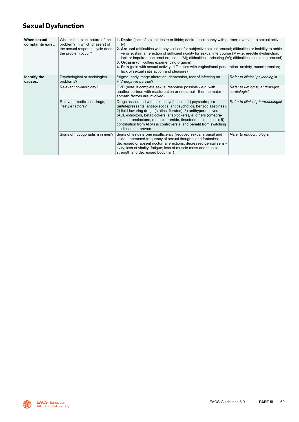# <span id="page-60-0"></span>**Sexual Dysfunction**

| When sexual<br>complaints exist: | What is the exact nature of the<br>problem? In which phase(s) of<br>the sexual response cycle does<br>the problem occur? | 1. Desire (lack of sexual desire or libido; desire discrepancy with partner; aversion to sexual activi-<br>ty)<br>2. Arousal (difficulties with physical and/or subjective sexual arousal; difficulties or inability to achie-<br>ve or sustain an erection of sufficient rigidity for sexual intercourse (M)-i.e. erectile dysfunction;<br>lack or impaired nocturnal erections (M); difficulties lubricating (W); difficulties sustaining arousal)<br>3. Orgasm (difficulties experiencing orgasm)<br>4. Pain (pain with sexual activity; difficulties with vaginal/anal penetration–anxiety, muscle tension;<br>lack of sexual satisfaction and pleasure) |                                                  |
|----------------------------------|--------------------------------------------------------------------------------------------------------------------------|--------------------------------------------------------------------------------------------------------------------------------------------------------------------------------------------------------------------------------------------------------------------------------------------------------------------------------------------------------------------------------------------------------------------------------------------------------------------------------------------------------------------------------------------------------------------------------------------------------------------------------------------------------------|--------------------------------------------------|
| Identify the<br>causes:          | Psychological or sociological<br>problems?                                                                               | Stigma, body image alteration, depression, fear of infecting an<br>HIV-negative partner?                                                                                                                                                                                                                                                                                                                                                                                                                                                                                                                                                                     | Refer to clinical psychologist                   |
|                                  | Relevant co-morbidity?                                                                                                   | CVD (note: if complete sexual response possible - e.g. with<br>another partner, with masturbation or nocturnal - then no major<br>somatic factors are involved)                                                                                                                                                                                                                                                                                                                                                                                                                                                                                              | Refer to urologist, andrologist,<br>cardiologist |
|                                  | Relevant medicines, drugs,<br>lifestyle factors?                                                                         | Drugs associated with sexual dysfunction: 1) psychotropics<br>(antidepressants, antiepileptics, antipsychotics, benzodiazepines),<br>2) lipid-lowering drugs (statins, fibrates), 3) antihypertensives<br>(ACE-inhibitors, betablockers, alfablockers), 4) others (omepra-<br>zole, spironolactone, metoclopramide, finasteride, cimetidine); 5)<br>contribution from ARVs is controversial and benefit from switching<br>studies is not proven.                                                                                                                                                                                                             | Refer to clinical pharmacologist                 |
|                                  | Signs of hypogonadism in men?                                                                                            | Signs of testosterone insufficiency (reduced sexual arousal and<br>libido; decreased frequency of sexual thoughts and fantasies;<br>decreased or absent nocturnal erections; decreased genital sensi-<br>tivity; loss of vitality; fatigue; loss of muscle mass and muscle<br>strength and decreased body hair)                                                                                                                                                                                                                                                                                                                                              | Refer to endocrinologist                         |

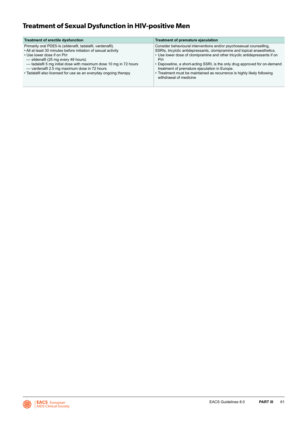## <span id="page-61-0"></span>**Treatment of Sexual Dysfunction in HIV-positive Men**

| Treatment of erectile dysfunction                                                                                                                                                                                                                                                                                                                                                            | Treatment of premature ejaculation                                                                                                                                                                                                                                                                                                                                                                                                                                         |
|----------------------------------------------------------------------------------------------------------------------------------------------------------------------------------------------------------------------------------------------------------------------------------------------------------------------------------------------------------------------------------------------|----------------------------------------------------------------------------------------------------------------------------------------------------------------------------------------------------------------------------------------------------------------------------------------------------------------------------------------------------------------------------------------------------------------------------------------------------------------------------|
| Primarily oral PDE5-Is (sildenafil, tadalafil, vardenafil).<br>• All at least 30 minutes before initiation of sexual activity<br>• Use lower dose if on PI/r<br>- sildenafil (25 mg every 48 hours)<br>- tadalafil 5 mg initial dose with maximum dose 10 mg in 72 hours<br>- vardenafil 2.5 mg maximum dose in 72 hours<br>• Tadalafil also licensed for use as an everyday ongoing therapy | Consider behavioural interventions and/or psychosexual counselling.<br>SSRIs, tricylclic antidepressants, clomipramine and topical anaesthetics.<br>• Use lower dose of clomipramine and other tricyclic antidepressants if on<br>Pl/r<br>• Dapoxetine, a short-acting SSRI, is the only drug approved for on-demand<br>treatment of premature ejaculation in Europe.<br>• Treatment must be maintained as recurrence is highly likely following<br>withdrawal of medicine |

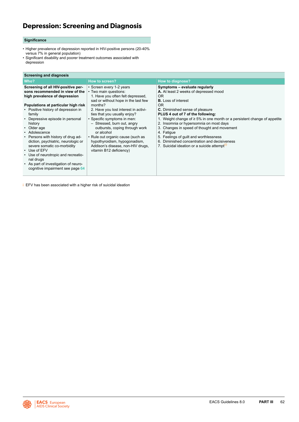## <span id="page-62-0"></span>**Depression: Screening and Diagnosis**

#### **Significance**

- Higher prevalence of depression reported in HIV-positive persons (20-40% versus 7% in general population)
- Significant disability and poorer treatment outcomes associated with depression

#### **Screening and diagnosis**

| Who?                                                                                                                                                                                                                                                                                                                                                                                                                                                                                                                                            | How to screen?                                                                                                                                                                                                                                                                                                                                                                                                                                                       | <b>How to diagnose?</b>                                                                                                                                                                                                                                                                                                                                                                                                                                                                                                                                 |
|-------------------------------------------------------------------------------------------------------------------------------------------------------------------------------------------------------------------------------------------------------------------------------------------------------------------------------------------------------------------------------------------------------------------------------------------------------------------------------------------------------------------------------------------------|----------------------------------------------------------------------------------------------------------------------------------------------------------------------------------------------------------------------------------------------------------------------------------------------------------------------------------------------------------------------------------------------------------------------------------------------------------------------|---------------------------------------------------------------------------------------------------------------------------------------------------------------------------------------------------------------------------------------------------------------------------------------------------------------------------------------------------------------------------------------------------------------------------------------------------------------------------------------------------------------------------------------------------------|
| Screening of all HIV-positive per-<br>sons recommended in view of the<br>high prevalence of depression<br>Populations at particular high risk<br>• Positive history of depression in<br>family<br>• Depressive episode in personal<br>history<br>• Older age<br>• Adolescence<br>• Persons with history of drug ad-<br>diction, psychiatric, neurologic or<br>severe somatic co-morbidity<br>$\cdot$ Use of EFV<br>• Use of neurotropic and recreatio-<br>nal drugs<br>• As part of investigation of neuro-<br>cognitive impairment see page 64 | • Screen every 1-2 years<br>• Two main questions:<br>1. Have you often felt depressed,<br>sad or without hope in the last few<br>months?<br>2. Have you lost interest in activi-<br>ties that you usually enjoy?<br>• Specific symptoms in men:<br>- Stressed, burn out, angry<br>outbursts, coping through work<br>or alcohol<br>• Rule out organic cause (such as<br>hypothyroidism, hypogonadism,<br>Addison's disease, non-HIV drugs,<br>vitamin B12 deficiency) | Symptoms - evaluate regularly<br>A. At least 2 weeks of depressed mood<br>OR.<br><b>B.</b> Loss of interest<br><b>OR</b><br><b>C.</b> Diminished sense of pleasure<br>PLUS 4 out of 7 of the following:<br>1. Weight change of $\geq 5\%$ in one month or a persistent change of appetite<br>2. Insomnia or hypersomnia on most days<br>3. Changes in speed of thought and movement<br>4. Fatique<br>5. Feelings of guilt and worthlessness<br>6. Diminished concentration and decisiveness<br>7. Suicidal ideation or a suicide attempt <sup>(1)</sup> |

i EFV has been associated with a higher risk of suicidal ideation

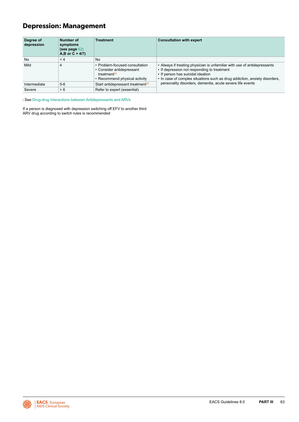## **Depression: Management**

| Degree of<br>depression | Number of<br>symptoms<br>(see page $62$ :<br>$A,B$ or $C + 4/7$ ) | <b>Treatment</b>                                                                                                         | <b>Consultation with expert</b>                                                                                                                                                                                                            |  |  |  |  |  |
|-------------------------|-------------------------------------------------------------------|--------------------------------------------------------------------------------------------------------------------------|--------------------------------------------------------------------------------------------------------------------------------------------------------------------------------------------------------------------------------------------|--|--|--|--|--|
| <b>No</b>               | $\leq 4$                                                          | <b>No</b>                                                                                                                |                                                                                                                                                                                                                                            |  |  |  |  |  |
| Mild                    | $\overline{4}$                                                    | • Problem-focused consultation<br>• Consider antidepressant<br>treatment <sup>(i)</sup><br>• Recommend physical activity | • Always if treating physician is unfamiliar with use of antidepressants<br>• If depression not responding to treatment<br>• If person has suicidal ideation<br>• In case of complex situations such as drug addiction, anxiety disorders, |  |  |  |  |  |
| Intermediate            | $5-6$                                                             | Start antidepressant treatment <sup>(i)</sup>                                                                            | personality disorders, dementia, acute severe life events                                                                                                                                                                                  |  |  |  |  |  |
| Severe                  | > 6                                                               | Refer to expert (essential)                                                                                              |                                                                                                                                                                                                                                            |  |  |  |  |  |

i See [Drug-drug Interactions between Antidepressants and ARVs](#page-19-0)

If a person is diagnosed with depression switching off EFV to another third ARV drug according to switch rules is recommended

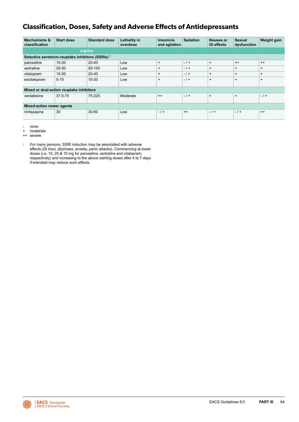### <span id="page-64-0"></span>**Classification, Doses, Safety and Adverse Effects of Antidepressants**

| <b>Mechanisms &amp;</b><br>classification          | <b>Start dose</b> | <b>Standard dose</b> | Lethality in<br>overdose | Insomnia<br>and agitation | <b>Sedation</b> | Nausea or<br><b>GI</b> effects | Sexual<br>dysfunction | Weight gain |  |  |
|----------------------------------------------------|-------------------|----------------------|--------------------------|---------------------------|-----------------|--------------------------------|-----------------------|-------------|--|--|
|                                                    | mg/day            |                      |                          |                           |                 |                                |                       |             |  |  |
| Selective serotonin-reuptake inhibitors (SSRIs)(i) |                   |                      |                          |                           |                 |                                |                       |             |  |  |
| paroxetine                                         | $10 - 20$         | $20 - 40$            | Low                      | $+$                       | $-1+$           | $+$                            | $^{++}$               | $^{++}$     |  |  |
| sertraline                                         | 25-50             | 50-150               | Low                      | $\ddot{}$                 | $-1+$           | $\overline{+}$                 | $\ddot{}$             | $\ddot{}$   |  |  |
| citalopram                                         | $10 - 20$         | $20 - 40$            | Low                      | $\ddot{}$                 | $-1+$           | $\overline{+}$                 | $+$                   | $\ddot{}$   |  |  |
| escitalopram                                       | $5 - 10$          | $10 - 20$            | Low                      | $\ddot{}$                 | $-1+$           | $\overline{+}$                 | $\ddot{}$             | $\ddot{}$   |  |  |
| Mixed or dual-action reuptake inhibitors           |                   |                      |                          |                           |                 |                                |                       |             |  |  |
| venlafaxine                                        | 37.5-75           | 75-225               | Moderate                 | $++$                      | $-1+$           | $\ddot{}$                      | $\ddot{}$             | $-1+$       |  |  |
| <b>Mixed-action newer agents</b>                   |                   |                      |                          |                           |                 |                                |                       |             |  |  |
| mirtazapine                                        | 30                | $30 - 60$            | Low                      | $-1+$                     | $++$            | $-1$ +                         | $-1+$                 | $++$        |  |  |

- none

moderate

++ severe

i For many persons, SSRI induction may be associated with adverse effects (GI tract, dizziness, anxiety, panic attacks). Commencing at lower doses (i.e. 10, 25 & 10 mg for paroxetine, sertraline and citalopram, respectively) and increasing to the above starting doses after 4 to 7 days if tolerated may reduce such effects.

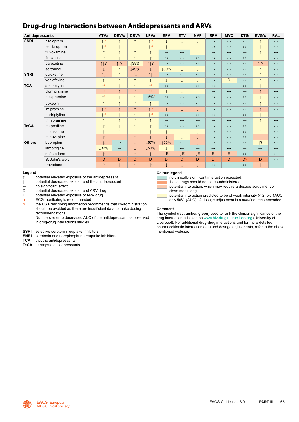### **Drug-drug Interactions between Antidepressants and ARVs**

| Antidepressants |                | ATV/r                 | DRV/c             | DRV/r        | LPV/r                 | <b>EFV</b>            | <b>ETV</b>        | <b>NVP</b>        | <b>RPV</b>            | <b>MVC</b>            | <b>DTG</b>            | EVG/c             | <b>RAL</b>            |
|-----------------|----------------|-----------------------|-------------------|--------------|-----------------------|-----------------------|-------------------|-------------------|-----------------------|-----------------------|-----------------------|-------------------|-----------------------|
| <b>SSRI</b>     | citalopram     | $\uparrow$ a          | $\uparrow$        | $\uparrow$   | $\uparrow$ a          | $\downarrow$          |                   |                   | $\longleftrightarrow$ | $\leftrightarrow$     | $\longleftrightarrow$ | ↑                 | $\leftrightarrow$     |
|                 | escitalopram   | $\uparrow$ a          | $\uparrow$        | $\uparrow$   | $\uparrow$ a          |                       |                   | ↓                 | $\leftrightarrow$     | $\leftrightarrow$     | $\leftrightarrow$     | $\uparrow$        | $\leftrightarrow$     |
|                 | fluvoxamine    | $\uparrow$            | $\uparrow$        | $\uparrow$   | $\uparrow$            | $\leftrightarrow$     | $\leftrightarrow$ | E                 | $\leftrightarrow$     | $\leftrightarrow$     | $\leftrightarrow$     | $\uparrow$        | $\leftrightarrow$     |
|                 | fluoxetine     | $\uparrow$            | $\uparrow$        | $\uparrow$   | $\uparrow$            | $\longleftrightarrow$ | $\leftrightarrow$ | $\leftrightarrow$ | $\longleftrightarrow$ | $\longleftrightarrow$ | $\leftrightarrow$     | $\uparrow$        | $\longleftrightarrow$ |
|                 | paroxetine     | 11?                   | 11?               | <b>139%</b>  | 11?                   | $\leftrightarrow$     | $\leftrightarrow$ | $\leftrightarrow$ | $\longleftrightarrow$ | $\leftrightarrow$     | $\leftrightarrow$     | 11?               | $\leftrightarrow$     |
|                 | sertraline     |                       | $\uparrow$        | ↓49%         | T                     | <b>139%</b>           |                   |                   | $\leftrightarrow$     | $\leftrightarrow$     | $\leftrightarrow$     | $\uparrow$        | $\leftrightarrow$     |
| <b>SNRI</b>     | duloxetine     | $\uparrow \downarrow$ | $\uparrow$        | 11           | $\uparrow \downarrow$ | $\leftrightarrow$     | $\leftrightarrow$ | $\leftrightarrow$ | $\leftrightarrow$     | $\leftrightarrow$     | $\leftrightarrow$     | $\uparrow$        | $\leftrightarrow$     |
|                 | venlafaxine    | $\uparrow$            | $\uparrow$        | $\uparrow$   | $\uparrow$            |                       |                   | ↓                 | $\leftrightarrow$     | D                     | $\leftrightarrow$     | $\uparrow$        | $\leftrightarrow$     |
| <b>TCA</b>      | amitriptyline  | $\uparrow$ a          | $\uparrow$        | $\uparrow$   | $\uparrow$ a          | $\leftrightarrow$     | $\leftrightarrow$ | $\leftrightarrow$ | $\leftrightarrow$     | $\leftrightarrow$     | $\leftrightarrow$     | $\uparrow$        | $\leftrightarrow$     |
|                 | clomipramine   | $\uparrow$ a          | $\uparrow$        | $\uparrow$   | $\uparrow$ a          | $\downarrow$          | ↓                 | ↓                 | $\longleftrightarrow$ | $\leftrightarrow$     | $\leftrightarrow$     | $\uparrow$        | $\leftrightarrow$     |
|                 | desipramine    | $\uparrow$ a          | $\uparrow$        | $\uparrow$   | ↑5%a                  | $\leftrightarrow$     | $\leftrightarrow$ | $\leftrightarrow$ | $\leftrightarrow$     | $\leftrightarrow$     | $\leftrightarrow$     | $\uparrow$        | $\leftrightarrow$     |
|                 | doxepin        | $\uparrow$            | $\uparrow$        | $\uparrow$   | $\uparrow$            | $\leftrightarrow$     | $\leftrightarrow$ | $\leftrightarrow$ | $\leftrightarrow$     | $\leftrightarrow$     | $\leftrightarrow$     | $\uparrow$        | $\leftrightarrow$     |
|                 | imipramine     | $\uparrow$ a          | $\uparrow$        | $\uparrow$   | $\uparrow$ a          | $\downarrow$          |                   | ↓                 | $\leftrightarrow$     | $\leftrightarrow$     | $\leftrightarrow$     | $\uparrow$        | $\leftrightarrow$     |
|                 | nortriptyline  | $\uparrow$ a          | $\uparrow$        | $\uparrow$   | $\uparrow$ a          | $\leftrightarrow$     | $\leftrightarrow$ | $\leftrightarrow$ | $\longleftrightarrow$ | $\leftrightarrow$     | $\leftrightarrow$     | $\uparrow$        | $\leftrightarrow$     |
|                 | trimipramine   | $\uparrow$            | $\uparrow$        | $\uparrow$   | $\uparrow$            | $\leftrightarrow$     | $\leftrightarrow$ | $\leftrightarrow$ | $\leftrightarrow$     | $\leftrightarrow$     | $\leftrightarrow$     | $\uparrow$        | $\leftrightarrow$     |
| <b>TeCA</b>     | maprotiline    | $\uparrow$            | $\uparrow$        | $\uparrow$   | $\uparrow$            | $\leftrightarrow$     | $\leftrightarrow$ | $\leftrightarrow$ | $\longleftrightarrow$ | $\leftrightarrow$     | $\leftrightarrow$     | 4                 | $\leftrightarrow$     |
|                 | mianserine     | $\uparrow$            | $\uparrow$        | $\uparrow$   | $\uparrow$            |                       |                   | $\downarrow$      | $\longleftrightarrow$ | $\leftrightarrow$     | $\leftrightarrow$     | $\uparrow$        | $\leftrightarrow$     |
|                 | mirtazapine    | $\uparrow$            | $\uparrow$        | $\uparrow$   | $\uparrow$            |                       |                   | t                 | $\longleftrightarrow$ | $\leftrightarrow$     | $\leftrightarrow$     | $\uparrow$        | $\leftrightarrow$     |
| <b>Others</b>   | bupropion      |                       | $\leftrightarrow$ | $\downarrow$ | 157%                  | ↓55%                  | $\leftrightarrow$ |                   | $\longleftrightarrow$ | $\leftrightarrow$     | $\leftrightarrow$     | $\uparrow$ ?      | $\leftrightarrow$     |
|                 | lamotrigine    | 132%                  | $\leftrightarrow$ | $\downarrow$ | ↓50%                  |                       | $\leftrightarrow$ | $\leftrightarrow$ | $\longleftrightarrow$ | $\leftrightarrow$     | $\leftrightarrow$     | $\leftrightarrow$ | $\leftrightarrow$     |
|                 | nefazodone     | $\uparrow$            | $\uparrow$        | $\uparrow$   | $\uparrow$            | JΕ.                   | <b>JE</b>         | ĮΕ                | Е                     | E                     | $\leftrightarrow$     | $\uparrow$        | $\leftrightarrow$     |
|                 | St John's wort | D                     | D                 | D            | D                     | D                     | D                 | D                 | D                     | D                     | D                     | D                 | $\leftrightarrow$     |
|                 | trazodone      | $\uparrow$            | $\uparrow$        | $\uparrow$   | $\uparrow$            |                       |                   |                   | $\leftrightarrow$     | $\leftrightarrow$     | $\leftrightarrow$     | $\uparrow$        | $\leftrightarrow$     |

#### **Legend**

**↑** potential elevated exposure of the antidepressant

**↓** potential decreased exposure of the antidepressant

**↔** no significant effect

D potential decreased exposure of ARV drug<br>E potential elevated exposure of ARV drug

E potential elevated exposure of ARV drug<br>a ECG monitoring is recommended

a ECG monitoring is recommended<br>b the US Prescribing Information real

the US Prescribing Information recommends that co-administration should be avoided as there are insufficient data to make dosing recommendations.

Numbers refer to decreased AUC of the antidepressant as observed in drug-drug interactions studies.

- **SSRI** selective serotonin reuptake inhibitors
- **SNRI** serotonin and norepinephrine reuptake inhibitors<br> **TCA** tricyclic antidepressants
- tricyclic antidepressants
- **TeCA** tetracyclic antidepressants

#### **Colour legend**

no clinically significant interaction expected.

these drugs should not be co-administered.



potential interaction, which may require a dosage adjustment or close monitoring.

potential interaction predicted to be of weak intensity (< 2 fold ↑AUC or < 50% ↓AUC). A dosage adjustment is *a priori* not recommended.

#### **Comment**

The symbol (red, amber, green) used to rank the clinical significance of the drug interaction is based on [www.hiv-druginteractions.org](http://www.hiv-druginteractions.org) (University of Liverpool). For additional drug-drug interactions and for more detailed pharmacokinetic interaction data and dosage adjustments, refer to the above mentioned website.

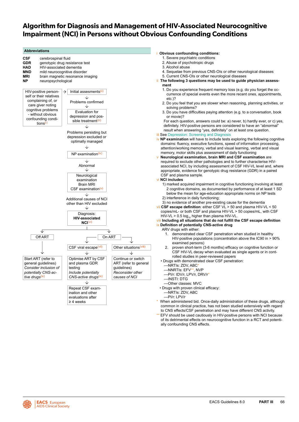### **Algorithm for Diagnosis and Management of HIV-Associated Neurocognitive Impairment (NCI) in Persons without Obvious Confounding Conditions**



of its detrimental effects on neurocognitive function in a RCT and potentially confounding CNS effects.

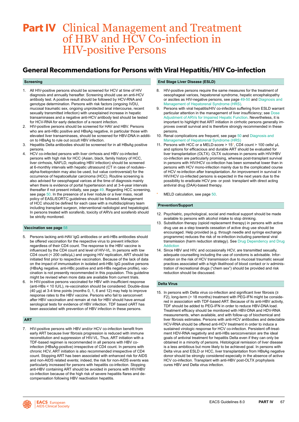# <span id="page-67-0"></span>Part IV Clinical Management and Treatment of HBV and HCV Co-infection in HIV-positive Persons

### **General Recommendations for Persons with Viral Hepatitis/HIV Co-infection**

#### **Screening**

- 1. All HIV-positive persons should be screened for HCV at time of HIV diagnosis and annually hereafter. Screening should use an anti-HCV antibody test. A positive result should be followed by HCV-RNA and genotype determination. Persons with risk factors (ongoing IVDU, mucosal traumatic sex, ongoing unprotected anal intercourse, recent sexually transmitted infection) with unexplained increase in hepatic transaminases and a negative anti-HCV antibody test should be tested for HCV-RNA for early detection of a recent infection.
- 2. HIV-positive persons should be screened for HAV and HBV. Persons who are anti-HBc positive and HBsAg negative, in particular those with elevated liver transaminases, should be screened for HBV-DNA in addition to HBsAg to rule out occult HBV infection.
- 3. Hepatitis Delta antibodies should be screened for in all HBsAg positive persons.
- 4. HCV co-infected persons with liver cirrhosis and HBV co-infected persons with high risk for HCC (Asian, black, family history of HCC, liver cirrhosis, NAFLD, replicating HBV infection) should be screened at 6-monthly intervals with hepatic ultrasound (CT in case of nodules– alpha-foetoprotein may also be used, but value controversial) for the occurrence of hepatocellular carcinoma (HCC). Routine screening is also advised for oesophageal varices at the time of diagnosis mainly when there is evidence of portal hypertension and at 3-4-year intervals thereafter if not present initially, see page [49.](#page-49-0) Regarding HCC screening, see page [50.](#page-50-0) In the presence of a liver nodule or a liver mass, recall policy of EASL/EORTC guidelines should be followed. Management of HCC should be defined for each case with a multidisciplinary team including transplant surgeon, interventional radiologist and hepatologist. In persons treated with sorafenib, toxicity of ARVs and sorafenib should be strictly monitored.

#### **Vaccination see page** [5](#page-58-0)8

- 5. Persons lacking anti-HAV IgG antibodies or anti-HBs antibodies should be offered vaccination for the respective virus to prevent infection regardless of their CD4 count. The response to the HBV vaccine is influenced by the CD4 count and level of HIV-VL. In persons with low CD4 count (< 200 cells/μL) and ongoing HIV replication, ART should be initiated first prior to respective vaccination. Because of the lack of data on the impact of immunisation in isolated anti-HBc IgG positive persons (HBsAg negative, anti-HBc positive and anti-HBs negative profile), vaccination is not presently recommended in this population. This guideline might be revised when more data are available from current trials.
- 6. In HIV-positive persons vaccinated for HBV with insufficient response (anti-HBs < 10 IU/L), re-vaccination should be considered. Double-dose (40 μg) at 3-4 time points (months 0, 1, 6 and 12) may help to improve response rates to the HBV vaccine. Persons who fail to seroconvert after HBV vaccination and remain at risk for HBV should have annual serological tests for evidence of HBV infection. TDF based cART has been associated with prevention of HBV infection in these persons.

#### **ART**

7. HIV-positive persons with HBV and/or HCV co-infection benefit from early ART because liver fibrosis progression is reduced with immune reconstitution and suppression of HIV-VL. Thus, ART initiation with a TDF-based regimen is recommended in all persons with HBV coinfection (HBsAg-positive) irrespective of CD4 count. In persons with chronic HCV, ART initiation is also recommended irrespective of CD4 count. Stopping ART has been associated with enhanced risk for AIDS and non-AIDS related events; indeed, the risk for non-AIDS events was particularly increased for persons with hepatitis co-infection. Stopping anti-HBV containing ART should be avoided in persons with HIV/HBV co-infection because of the high risk of severe hepatitis flares and decompensation following HBV reactivation hepatitis.

#### **End Stage Liver Disease (ESLD)**

- 8. HIV-positive persons require the same measures for the treatment of oesophageal varices, hepatorenal syndrome, hepatic encephalopathy or ascites as HIV-negative persons, see page [49-](#page-49-0)[50](#page-50-0) and [Diagnosis and](#page-51-0)  [Management of Hepatorenal Syndrome \(HRS\)](#page-51-0).
- 9. Persons with viral hepatitis/HIV co-infection suffering from ESLD warrant particular attention in the management of liver insufficiency; see [Dose](#page-52-0)  [Adjustment of ARVs for Impaired Hepatic Function](#page-52-0). Nevertheless, it is important to highlight that ART initiation in cirrhotic persons generally improves overall survival and is therefore strongly recommended in these persons.
- 10. Renal complications are frequent, see page [50](#page-50-0) and [Diagnosis and](#page-51-0)  [Management of Hepatorenal Syndrome \(HRS\)](#page-51-0)
- 11. Persons with HCC or a MELD-score > 15\*, CD4 count > 100 cells/ μL and options for efficacious and durable ART should be evaluated for liver transplantation (OLTX). OLTX outcomes in persons with HIV/HBV co-infection are particularly promising, whereas post-transplant survival in persons with HIV/HCV co-infection has been somewhat lower than in persons with HCV mono-infection mainly due to the complicated course of HCV re-infection after transplantation. An improvement in survival in HIV/HCV co-infected persons is expected in the next years due to the possibility to eradicate HCV pre- or post- transplant with direct acting antiviral drug (DAA)-based therapy.

MELD calculation, see page [50.](#page-50-0)

#### **Prevention/Support**

- 12. Psychiatric, psychological, social and medical support should be made available to persons with alcohol intake to stop drinking.
- 13. Substitution therapy (opioid replacement therapy) in persons with active drug use as a step towards cessation of active drug use should be encouraged. Help provided (e.g. through needle and syringe exchange programme) reduces the risk of re-infection including parenteral viral transmission (harm reduction strategy). See [Drug Dependency and Drug](#page-31-0)  **[Addiction](#page-31-0)**
- 14. Since HBV and HIV, and occasionally HCV, are transmitted sexually, adequate counselling including the use of condoms is advisable. Information on the risk of HCV transmission due to mucosal traumatic sexual practices associated with a high likelihood of blood contact or iv administration of recreational drugs ("chem sex") should be provided and risk reduction should be discussed.

#### **Delta Virus**

15. In persons with Delta virus co-infection and significant liver fibrosis (≥ F2), long-term (> 18 months) treatment with PEG-IFN might be considered in association with TDF-based ART. Because of its anti-HBV activity, TDF should be added to PEG-IFN in order to reduce HBV-DNA load. Treatment efficacy should be monitored with HBV-DNA and HDV-RNA measurements, when available, and with follow-up of biochemical and liver fibrosis estimates. Persons with anti-HCV antibodies and detectable HCV-RNA should be offered anti-HCV treatment in order to induce a sustained virologic response for HCV co-infection. Persistent off-treatment HDV-RNA negativity and anti-HBs seroconversion are the ideal goals of antiviral treatment for hepatitis Delta even if they can only be obtained in a minority of persons. Histological remission of liver disease is a less ambitious but more likely to be achieved goal. In persons with Delta virus and ESLD or HCC, liver transplantation from HBsAg negative donor should be strongly considered especially in the absence of active HCV co-infection. Transplant with anti-HBV post-OLTX prophylaxis cures HBV and Delta virus infection.

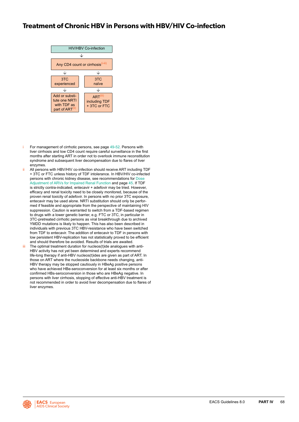### <span id="page-68-0"></span>**Treatment of Chronic HBV in Persons with HBV/HIV Co-infection**



- For management of cirrhotic persons, see page [49-](#page-49-0)[52](#page-52-0). Persons with liver cirrhosis and low CD4 count require careful surveillance in the first months after starting ART in order not to overlook immune reconstitution syndrome and subsequent liver decompensation due to flares of liver enzymes.
- ii All persons with HBV/HIV co-infection should receive ART including TDF + 3TC or FTC unless history of TDF intolerance. In HBV/HIV co-infected persons with chronic kidney disease, see recommendations fo[r Dose](#page-27-0)  [Adjustment of ARVs for Impaired Renal Function](#page-27-0) and page [45.](#page-45-0) If TDF is strictly contra-indicated, entecavir + adefovir may be tried. However, efficacy and renal toxicity need to be closely monitored, because of the proven renal toxicity of adefovir. In persons with no prior 3TC exposure, entecavir may be used alone. NRTI substitution should only be performed if feasible and appropriate from the perspective of maintaining HIV suppression. Caution is warranted to switch from a TDF-based regimen to drugs with a lower genetic barrier, e.g. FTC or 3TC, in particular in 3TC-pretreated cirrhotic persons as viral breakthrough due to archived YMDD mutations is likely to happen. This has also been described in individuals with previous 3TC HBV-resistance who have been switched from TDF to entecavir. The addition of entecavir to TDF in persons with low persistent HBV-replication has not statistically proved to be efficient and should therefore be avoided. Results of trials are awaited.
- The optimal treatment duration for nucleos(t)ide analogues with anti-HBV activity has not yet been determined and experts recommend life-long therapy if anti-HBV nucleos(t)ides are given as part of ART. In those on ART where the nucleoside backbone needs changing, anti-HBV therapy may be stopped cautiously in HBeAg positive persons who have achieved HBe-seroconversion for at least six months or after confirmed HBs-seroconversion in those who are HBeAg negative. In persons with liver cirrhosis, stopping of effective anti-HBV treatment is not recommended in order to avoid liver decompensation due to flares of liver enzymes.

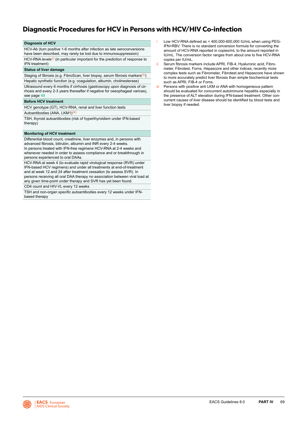### **Diagnostic Procedures for HCV in Persons with HCV/HIV Co-infection**

#### **Diagnosis of HCV**

HCV-Ab (turn positive 1-6 months after infection as late seroconversions have been described, may rarely be lost due to immunosuppression) HCV-RNA levels<sup>(i)</sup> (in particular important for the prediction of response to IFN treatment)

#### **Status of liver damage**

Staging of fibrosis (e.g. FibroScan, liver biopsy, serum fibrosis markers(ii)) Hepatic synthetic function (e.g. coagulation, albumin, cholinesterase) Ultrasound every 6 months if cirrhosis (gastroscopy upon diagnosis of cirrhosis and every 2-3 years thereafter if negative for oesophageal varices), see page [49](#page-49-0)

#### **Before HCV treatment**

HCV genotype (GT), HCV-RNA, renal and liver function tests

Autoantibodies (ANA, LKM1)<sup>(iii)</sup>

TSH, thyroid autoantibodies (risk of hyperthyroidism under IFN-based therapy)

#### **Monitoring of HCV treatment**

Differential blood count, creatinine, liver enzymes and, in persons with advanced fibrosis, bilirubin, albumin and INR every 2-4 weeks. In persons treated with IFN-free regimens HCV-RNA at 2-4 weeks and whenever needed in order to assess compliance and or breakthrough in persons experienced to oral DAAs.

HCV-RNA at week 4 (to evaluate rapid virological response (RVR) under IFN-based HCV regimens) and under all treatments at end-of-treatment and at week 12 and 24 after treatment cessation (to assess SVR). In persons receiving all oral DAA therapy no association between viral load at any given time-point under therapy and SVR has yet been found.

CD4 count and HIV-VL every 12 weeks

TSH and non-organ specific autoantibodies every 12 weeks under IFNbased therapy

- Low HCV-RNA defined as < 400,000-600,000 IU/mL when using PEG-IFN+RBV. There is no standard conversion formula for converting the amount of HCV-RNA reported in copies/mL to the amount reported in IU/mL. The conversion factor ranges from about one to five HCV-RNA copies per IU/mL.
- ii Serum fibrosis markers include APRI, FIB-4, Hyaluronic acid, Fibrometer, Fibrotest, Forns, Hepascore and other indices; recently more complex tests such as Fibrometer, Fibrotest and Hepascore have shown to more accurately predict liver fibrosis than simple biochemical tests such as APRI, FIB-4 or Forns.
- iii Persons with positive anti LKM or ANA with homogeneous pattern should be evaluated for concurrent autoimmune hepatitis especially in the presence of ALT elevation during IFN-based treatment. Other concurrent causes of liver disease should be identified by blood tests and liver biopsy if needed.

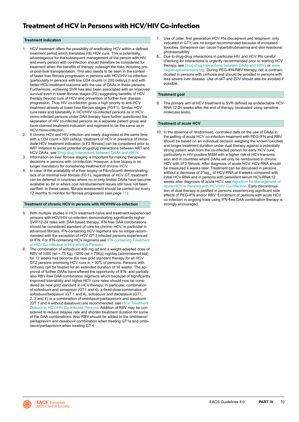### **Treatment of HCV in Persons with HCV/HIV Co-infection**

#### **Treatment indication**

- 1. HCV treatment offers the possibility of eradicating HCV within a defined treatment period which translates into HCV cure. This is potentially advantageous for the subsequent management of the person with HIV, and every person with co-infection should therefore be considered for treatment when the benefits of therapy outweigh the risks including preor post-liver transplantation. This also needs to be seen in the context of faster liver fibrosis progression in persons with HCV/HIV co-infection (particularly in persons with low CD4 counts (< 200 cells/µL)) and with better HCV-treatment outcome with the use of DAAs in these persons. Furthermore, achieving SVR has also been associated with an improved survival even in lower fibrosis stages (F2) suggesting benefits of HCV therapy beyond cure of HCV and prevention of further liver disease progression. Thus HIV co-infection gives a high priority to anti-HCV treatment already at lower liver fibrosis stages (F0/F1). Similar HCV cure rates and tolerability in HCV/HIV co-infected persons as in HCV mono-infected persons under DAA therapy have further questioned the separation of HIV co-infected persons as a separate patient group and have claimed treatment indication and regimens to be the same as in HCV mono-infection.
- 2. If chronic HCV and HIV infection are newly diagnosed at the same time with a CD4 count > 500 cells/µL treatment of HCV in presence of immediate HCV treatment indication (≥ F2 fibrosis) can be considered prior to ART initiation to avoid potential drug-drug interactions between ART and HCV DAAs, see [Drug-drug Interactions between DAAs and ARVs](#page-73-0).
- 3. Information on liver fibrosis staging is important for making therapeutic decisions in persons with co-infection. However, a liver biopsy is no longer mandatory for considering treatment of chronic HCV.
- 4. In case of the availability of a liver biopsy or FibroScan® demonstrating lack of or minimal liver fibrosis (F0-1), regardless of HCV GT, treatment can be deferred in countries where no or only limited DAAs have become available so far or where cost reimbursement issues still have not been clarified. In these cases, fibrosis assessment should be carried out every 12 months to monitor for fibrosis progression (see page [71\)](#page-71-0).

#### **Treatment of chronic HCV in persons with HCV/HIV-co-infection**

- 5. With multiple studies in HCV treatment-naïve and treatment experienced persons with HCV/HIV co-infection demonstrating significantly higher SVR 12-24 rates with DAA based therapy, IFN-free DAA combinations should be considered standard of care for chronic HCV, in particular in advanced fibrosis. IFN-containing HCV regimens are no longer recommended with the exception of HCV GT 3 infected persons experienced to IFN. For IFN-containing HCV regimens see [IFN-containing Treatment](#page-75-0)  [of HCV Co-infection in HIV-positive Persons](#page-75-0)
- 6. The combination of sofosbuvir 400 mg qd and a weight-adapted dose of RBV of 1000 (wt < 75 Kg) -1200 (wt > 75Kg) mg/day (administered bid) for 12 weeks has become the new gold standard therapy for all HCV GT2 persons promising HCV cure in > 90% of persons. Persons with cirrhosis can be treated for an extended duration of 16 weeks. The approval of further DAAs have offered the opportunity of IFN- and partially also RBV-free DAA combination regimens which because of significantly improved tolerability and higher HCV cure rates should now be considered as new gold standard in HCV therapy. In particular, combination of sofosbuvir and simeprevir (GT1 and 4), a fixed-dose combination of sofosbuvir/ledipasvir (GT 1 and 4), sofosbuvir and daclatasvir (GT1, 2, 3 and 4) or a combination of ombitasvir/paritaprevir/r and dasabuvir (GT 1 and 4 without dasabuvir) are recommended, see [HCV Treatment](#page-72-0)  [Options in HCV/HIV Co-infected Persons.](#page-72-0) Addition of RBV may be considered to reduce relapse rate and shorten treatment duration for some of the DAA combinations. Also RBV should be added to the ombitasvir/ paritaprevir/r and dasabuvir combination when treating GT1a and ombitasvir/paritaprevir/r when treating GT 4.
- 7. Use of older, first generation HCV PIs (boceprevir and telaprevir; only indicated in GT1) are no longer recommended because of increased toxicities. Simeprevir can cause hyperbilirubinaemia and skin reactions/ photosensibility.
- 8. Due to drug-drug interactions in particular HIV and HCV PIs careful checking for interactions is urgently recommended prior to starting HCV therapy, see [Drug-drug Interactions between DAAs and ARVs](#page-73-0) or [www.](http://www.hep-druginteractions.org) [hep-druginteractions.org](http://www.hep-druginteractions.org). During PEG-IFN-RBV therapy, ddI is contraindicated in persons with cirrhosis and should be avoided in persons with less severe liver disease. Use of d4T and ZDV should also be avoided if possible.

#### **Treatment goal**

9. The primary aim of HCV treatment is SVR defined as undetectable HCV-RNA 12-24 weeks after the end of therapy (evaluated using sensitive molecular tests).

#### **Treatment of acute HCV**

10. In the absence of randomised, controlled data on the use of DAAs in the setting of acute HCV co-infection treatment with PEG-IFN and RBV should be based on an individual decision weighing the known toxicities and longer treatment duration under dual therapy against a potentially strong patient wish from the co-infected person for early HCV cure, particularly in HIV-positive MSM with a higher risk of HCV transmission and in countries where DAAs will only be reimbursed in chronic HCV with ≥F3 fibrosis. After diagnosis of acute HCV, HCV-RNA should be measured 4 weeks later. Treatment can be discussed in persons without a decrease of  $2*log_{10}$  of HCV-RNA at 4 weeks compared with initial HCV-RNA and in persons with persistent serum HCV-RNA 12 weeks after diagnosis of acute HCV, see [Algorithm for Management of](#page-74-0)  [Acute HCV in Persons with HCV/HIV Co-infection.](#page-74-0) Early discontinuation of dual therapy is justified in persons experiencing significant side effects of PEG-IFN and/or RBV. Enrollment of persons with acute HCV co-infection in ongoing trials using IFN-free DAA combination therapy is strongly encouraged.

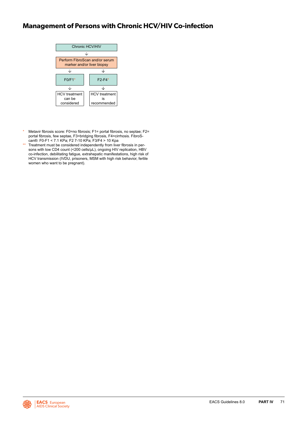# <span id="page-71-0"></span>**Management of Persons with Chronic HCV/HIV Co-infection**



- \* Metavir fibrosis score: F0=no fibrosis; F1= portal fibrosis, no septae; F2= portal fibrosis, few septae, F3=bridging fibrosis, F4=cirrhosis. FibroScan®: F0-F1 < 7.1 KPa; F2 7-10 KPa; F3/F4 > 10 Kpa
- \*\* Treatment must be considered independently from liver fibrosis in persons with low CD4 count (<200 cells/uL), ongoing HIV replication, HBV co-infection, debilitating fatigue, extrahepatic manifestations, high risk of HCV transmission (IVDU, prisoners, MSM with high risk behavior, fertile women who want to be pregnant).

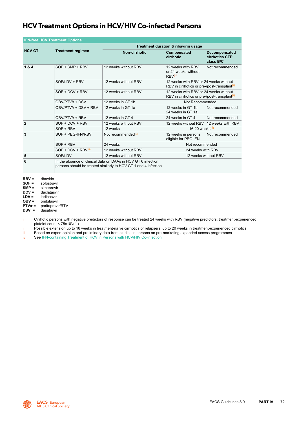# **HCV Treatment Options in HCV/HIV Co-infected Persons**

| <b>IFN-free HCV Treatment Options</b> |                          |                                                                                                                                  |                                                                                                   |                                              |  |  |  |
|---------------------------------------|--------------------------|----------------------------------------------------------------------------------------------------------------------------------|---------------------------------------------------------------------------------------------------|----------------------------------------------|--|--|--|
|                                       |                          | Treatment duration & ribavirin usage                                                                                             |                                                                                                   |                                              |  |  |  |
| <b>HCV GT</b>                         | <b>Treatment regimen</b> | Non-cirrhotic                                                                                                                    | Compensated<br>cirrhotic                                                                          | Decompensated<br>cirrhotics CTP<br>class B/C |  |  |  |
| 1&4                                   | $SOF + SMP + RBV$        | 12 weeks without RBV                                                                                                             | 12 weeks with RBV<br>or 24 weeks without<br>RBV <sup>(i)</sup>                                    | Not recommended                              |  |  |  |
|                                       | SOF/LDV + RBV            | 12 weeks without RBV                                                                                                             | 12 weeks with RBV or 24 weeks without<br>RBV in cirrhotics or pre-/post-transplant <sup>(1)</sup> |                                              |  |  |  |
|                                       | $SOF + DCV + RRV$        | 12 weeks without RBV                                                                                                             | 12 weeks with RBV or 24 weeks without<br>RBV in cirrhotics or pre-/post-transplant <sup>(1)</sup> |                                              |  |  |  |
|                                       | OBV/PTV/r + DSV          | 12 weeks in GT 1b                                                                                                                | Not Recommended                                                                                   |                                              |  |  |  |
|                                       | OBV/PTV/r + DSV + RBV    | 12 weeks in GT 1a                                                                                                                | 12 weeks in GT 1b<br>24 weeks in GT 1a                                                            | Not recommended                              |  |  |  |
|                                       | OBV/PTV/r + RBV          | 12 weeks in GT 4                                                                                                                 | 24 weeks in GT 4                                                                                  | Not recommended                              |  |  |  |
| $\overline{2}$                        | $SOF + DCV + RBV$        | 12 weeks without RBV                                                                                                             | 12 weeks without RBV 12 weeks with RBV                                                            |                                              |  |  |  |
|                                       | $SOF + RBV$              | 12 weeks                                                                                                                         | 16-20 weeks $(i)$                                                                                 |                                              |  |  |  |
| 3                                     | SOF + PEG-IFN/RBV        | Not recommended <sup>(iv)</sup>                                                                                                  | 12 weeks in persons<br>eligible for PEG-IFN                                                       | Not recommended                              |  |  |  |
|                                       | SOF + RBV                | 24 weeks                                                                                                                         | Not recommended                                                                                   |                                              |  |  |  |
|                                       | SOF + DCV + RBV(iii)     | 12 weeks without RBV                                                                                                             | 24 weeks with RBV                                                                                 |                                              |  |  |  |
| 5                                     | SOF/LDV                  | 12 weeks without RBV                                                                                                             | 12 weeks without RBV                                                                              |                                              |  |  |  |
| 6                                     |                          | In the absence of clinical data on DAAs in HCV GT 6 infection<br>persons should be treated similarly to HCV GT 1 and 4 infection |                                                                                                   |                                              |  |  |  |

**RBV** = ribavirin<br>**SOF** = sofosbuy

**SOF =** sofosbuvir<br>**SMP =** simeprevir

**SMP** = simeprevir<br>**DCV** = daclatasvir

**DCV =** daclatasvir<br>**LDV =** ledipasvir

**LDV =** ledipasvir

**OBV =** ombitasvir

**PTV/r =** paritaprevir/RTV

**DSV =** dasabuvir

i Cirrhotic persons with negative predictors of response can be treated 24 weeks with RBV (negative predictors: treatment-experienced, platelet count < 75x103 /uL)

ii Possible extension up to 16 weeks in treatment-naïve cirrhotics or relapsers; up to 20 weeks in treatment-experienced cirrhotics in treatment-<br>iii Based on expert opinion and preliminary data from studies in persons on

iii Based on expert opinion and preliminary data from studies in persons on pre-marketing expanded access programmes<br>iv See IFN-containing Treatment of HCV in Persons with HCV/HIV Co-infection

See [IFN-containing Treatment of HCV in Persons with HCV/HIV Co-infection](#page-75-0)

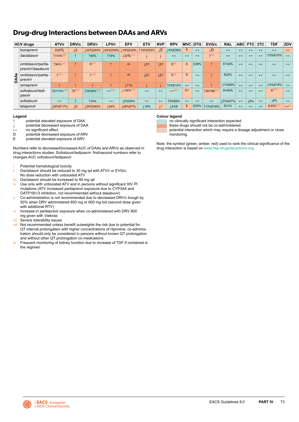# <span id="page-73-0"></span>**Drug-drug Interactions between DAAs and ARVs**

|   | <b>HCV</b> drugs                         | ATV/r                 | DRV/c     | DRV/r           | LPV/r             | <b>EFV</b>       | <b>ETV</b>        | <b>NVP</b>        | <b>RPV</b>         | <b>MVC</b>        | <b>DTG</b>        | EVG/c             | <b>RAL</b>        |                   | ABC FTC           | 3TC               | <b>TDF</b>              | ZDV               |
|---|------------------------------------------|-----------------------|-----------|-----------------|-------------------|------------------|-------------------|-------------------|--------------------|-------------------|-------------------|-------------------|-------------------|-------------------|-------------------|-------------------|-------------------------|-------------------|
|   | boceprevir                               | D35%                  | LD        | 132%D44%        |                   | 145%D34% 19%E20% | <b>10%D23%</b>    | ŢЕ                | L6%E39%            | E.                | $\leftrightarrow$ | I.D               | $\leftrightarrow$ | $\leftrightarrow$ | $\leftrightarrow$ | $\leftrightarrow$ | $\leftrightarrow$       | $\leftrightarrow$ |
|   | daclatasvir                              | ↑110% <sup>(Ⅱ</sup>   |           | 140%            | <b>115%</b>       | $32\%$           |                   |                   | $\leftrightarrow$  | $\leftrightarrow$ | $\leftrightarrow$ | $\uparrow$ (ii)   | $\leftrightarrow$ | $\leftrightarrow$ | $\leftrightarrow$ | $\leftrightarrow$ | 110%E10%                | $\leftrightarrow$ |
|   | ombitasvir/parita-<br>previr/r/dasabuvir | <b>194%</b>           |           | $D^{(V)}$       |                   | vii              | LE?               | LE?               | E <sup>(iii)</sup> | E                 | E38%              |                   | E134%             | $\leftrightarrow$ | $\leftrightarrow$ | $\leftrightarrow$ | $\leftrightarrow$       | $\leftrightarrow$ |
| á | ombitasvir/parita-<br>previr/r           | $\uparrow$ (iv)       |           | $\uparrow$ (vi) |                   | <b>Vii</b>       | LE?               | LE?               | E <sup>(iii)</sup> | E                 | $\leftrightarrow$ |                   | E20%              | $\leftrightarrow$ | $\leftrightarrow$ | $\leftrightarrow$ | $\leftrightarrow$       | $\leftrightarrow$ |
|   | simeprevir                               |                       |           |                 |                   | 171%             |                   |                   | 16%E12%            | $\leftrightarrow$ | $\leftrightarrow$ |                   | <b>L11%E8%</b>    | $\leftrightarrow$ | $\leftrightarrow$ | $\leftrightarrow$ | 14%E18%                 | $\leftrightarrow$ |
|   | sofosbuvir/ledi-<br>pasvir               | 18/113% <sup>(1</sup> | $TE$ (ix) | 134/39% (ix     | $\leftarrow$ (ix) | $1 - 134\%$ (ix) | $\leftrightarrow$ | $\leftrightarrow$ | $\leftarrow$ (ix)  | E?                | $\leftrightarrow$ | 136/78E           | D≈20%             | $\leftrightarrow$ | $\leftrightarrow$ | $\leftrightarrow$ | $E$ (ix)                | $\leftrightarrow$ |
|   | sofosbuvir                               | $\leftrightarrow$     |           | <b>134%</b>     | $\leftrightarrow$ | 16%D4%           | $\leftrightarrow$ | $\leftrightarrow$ | <b>19%E6%</b>      | $\leftrightarrow$ | $\leftrightarrow$ | $\leftrightarrow$ | L5%D27%           | $\leftrightarrow$ | 16%               | $\leftrightarrow$ | 16%                     | $\leftrightarrow$ |
|   | telaprevir                               | 120%E17%              | LD        | 135%D40%        | 154%              | 126%D7%          | 16%               | Ţ3                | 15%E               | E                 | E25%              | 113%D16%          | E31%              | $\leftrightarrow$ | $\leftrightarrow$ | $\leftrightarrow$ | $E30\%$ <sup>(ix)</sup> | $\leftrightarrow$ |

### **Legend**

- **↑** potential elevated exposure of DAA
- **↓** potential decreased exposure of DAA
- 
- **↔** no significant effect D potential decreased exposure of ARV<br>E potential elevated exposure of ARV
- potential elevated exposure of ARV

Numbers refer to decreased/increased AUC of DAAs and ARVs as observed in drug interactions studies. Sofosbuvir/ledipasvir: first/second numbers refer to changes AUC sofosbuvir/ledipasvir.

- Potential hematological toxicity
- ii Daclatasvir should be reduced to 30 mg qd with ATV/r or EVG/c. No dose reduction with unboosted ATV
- iii Daclatasvir should be increased to 90 mg qd
- iv Use only with unboosted ATV and in persons without significant HIV PI mutations (ATV increased paritaprevir exposure due to CYP3A4 and OATP1B1/3 inhibition, not recommended without dasabuvir)
- v Co-administration is not recommended due to decreased DRV/c trough by 50% when DRV administered 800 mg or 600 mg bid (second dose given with additional RTV)
- vi Increase in paritepravir exposure when co-administered with DRV 800 mg given with Viekirax
- vii Severe tolerability issues
- viii Not recommended unless benefit outweights the risk due to potential for QT interval prolongation with higher concentrations of rilpivirine, co-administration should only be considered in persons without known QT prolongation and without other QT prolongation co-medications
- ix Frequent monitoring of kidney function due to increase of TDF if contained in the regimen

## **Colour legend**

- no clinically significant interaction expected.
- these drugs should not be co-administered.
- potential interaction which may require a dosage adjustment or close monitoring.

Note: the symbol (green, amber, red) used to rank the clinical significance of the drug interaction is based on [www.hep-druginteractions.org](http://www.hep-druginteractions.org).

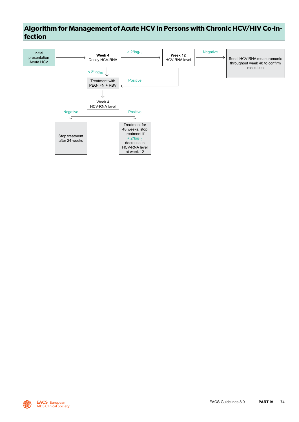# **Algorithm for Management of Acute HCV in Persons with Chronic HCV/HIV Co-infection**



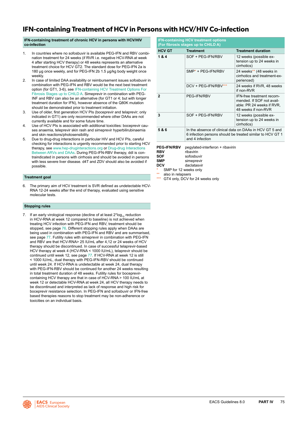# <span id="page-75-0"></span>**IFN-containing Treatment of HCV in Persons with HCV/HIV Co-infection**

# **IFN-containing treatment of chronic HCV in persons with HCV/HIV co-infection**

- 1. In countries where no sofosbuvir is available PEG-IFN and RBV combination treatment for 24 weeks (if RVR i.e. negative HCV-RNA at week 4 after starting HCV therapy) or 48 weeks represents an alternative treatment choice for HCV GT2. The standard dose for PEG-IFN 2a is 180 μg once weekly, and for PEG-IFN 2b 1.5 μg/kg body weight once weekly.
- 2. In case of limited DAA availability or reimbursement issues sofosbuvir in combination with PEG-IFN and RBV would be the next best treatment option (for GT1, 3-6), see IFN-containing HCV Treatment Options For Fibrosis Stages up to CHILD A. Simeprevir in combination with PEG-INF and RBV can also be an alternative (for GT1 or 4; but with longer treatment duration for IFN), however absence of the Q80K mutation should be demonstrated prior to treatment initiation.
- 3. Use of older, first generation HCV PIs (boceprevir and telaprevir; only indicated in GT1) are only recommended where other DAAs are not currently available and for some future time.
- 4. Use of HCV PIs is associated with additional toxicities: boceprevir causes anaemia, teleprevir skin rash and simeprevir hyperbilirubinaemia and skin reactions/photosensibility.
- 5. Due to drug-drug interactions in particular HIV and HCV PIs, careful checking for interactions is urgently recommended prior to starting HCV therapy, see [www.hep-druginteractions.org](http://www.hep-druginteractions.org) or [Drug-drug Interactions](#page-73-0)  [Between ARVs and DAAs.](#page-73-0) During PEG-IFN-RBV therapy, ddI is contraindicated in persons with cirrhosis and should be avoided in persons with less severe liver disease. d4T and ZDV should also be avoided if possible.

# **Treatment goal**

6. The primary aim of HCV treatment is SVR defined as undetectable HCV-RNA 12-24 weeks after the end of therapy, evaluated using sensitive molecular tests.

### **Stopping rules**

7. If an early virological response (decline of at least  $2<sup>*</sup> \log_{10}$  reduction in HCV-RNA at week 12 compared to baseline) is not achieved when treating HCV infection with PEG-IFN and RBV, treatment should be stopped, see page [76](#page-76-0). Different stopping rules apply when DAAs are being used in combination with PEG-IFN and RBV and are summarised, see page [77.](#page-77-0) Futility rules with simeprevir in combination with PEG-IFN and RBV are that HCV-RNA> 25 IU/mL after 4,12 or 24 weeks of HCV therapy should be discontinued. In case of successful telaprevir-based HCV therapy at week 4 (HCV-RNA < 1000 IU/mL), telaprevir should be continued until week 12, see page [77](#page-77-0). If HCV-RNA at week 12 is still < 1000 IU/mL, dual therapy with PEG-IFN-RBV should be continued until week 24. If HCV-RNA is undetectable at week 24, dual therapy with PEG-IFN-RBV should be continued for another 24 weeks resulting in total treatment duration of 48 weeks. Futility rules for boceprevircontaining HCV therapy are that in case of HCV-RNA > 100 IU/mL at week 12 or detectable HCV-RNA at week 24, all HCV therapy needs to be discontinued and interpreted as lack of response and high risk for boceprevir resistance selection. In PEG-IFN and sofosbuvir or IFN-free based therapies reasons to stop treatment may be non-adherence or toxicities on an individual basis.

| <b>IFN-containing HCV treatment options</b><br>(For fibrosis stages up to CHILD A) |                                                                                                                                         |                                                                                                            |  |  |  |  |
|------------------------------------------------------------------------------------|-----------------------------------------------------------------------------------------------------------------------------------------|------------------------------------------------------------------------------------------------------------|--|--|--|--|
| <b>HCV GT</b><br><b>Treatment duration</b><br><b>Treatment</b>                     |                                                                                                                                         |                                                                                                            |  |  |  |  |
| 1&4                                                                                | SOF + PEG-IFN/RBV                                                                                                                       | 12 weeks (possible ex-<br>tension up to 24 weeks in<br>cirrhotics)                                         |  |  |  |  |
|                                                                                    | SMP* + PEG-IFN/RBV                                                                                                                      | 24 weeks** (48 weeks in<br>cirrhotics and treatment-ex-<br>perienced)                                      |  |  |  |  |
|                                                                                    | DCV + PEG-IFN/RBV***                                                                                                                    | 24 weeks if RVR, 48 weeks<br>if non-RVR                                                                    |  |  |  |  |
| 2                                                                                  | <b>PEG-IFN/RBV</b>                                                                                                                      | IFN-free treatment recom-<br>mended. If SOF not avail-<br>able: PR 24 weeks if RVR,<br>48 weeks if non-RVR |  |  |  |  |
| 3                                                                                  | SOF + PEG-IFN/RBV                                                                                                                       | 12 weeks (possible ex-<br>tension up to 24 weeks in<br>cirrhotics)                                         |  |  |  |  |
| 5 & 6                                                                              | In the absence of clinical data on DAAs in HCV GT 5 and<br>6 infection persons should be treated similar to HCV GT 1<br>and 4 infection |                                                                                                            |  |  |  |  |

| <b>PEG-IFN/RBV</b> | pegylated-interferon + ribavirin |
|--------------------|----------------------------------|
|--------------------|----------------------------------|

| RBV | ribavirin |
|-----|-----------|
|-----|-----------|

**SOF** sofosbuvir<br> **SMP** simeprevir

**SMP** simeprevir

**DCV** daclatasvir

\* SMP for 12 weeks only also in relapsers

\*\*\* GT4 only, DCV for 24 weeks only

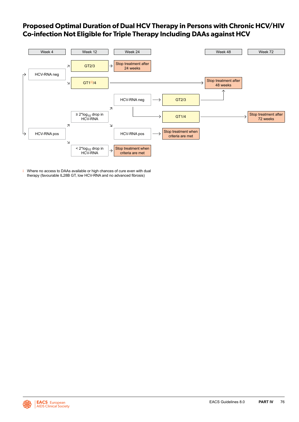# <span id="page-76-0"></span>**Proposed Optimal Duration of Dual HCV Therapy in Persons with Chronic HCV/HIV Co-infection Not Eligible for Triple Therapy Including DAAs against HCV**



i Where no access to DAAs available or high chances of cure even with dual therapy (favourable IL28B GT, low HCV-RNA and no advanced fibrosis)

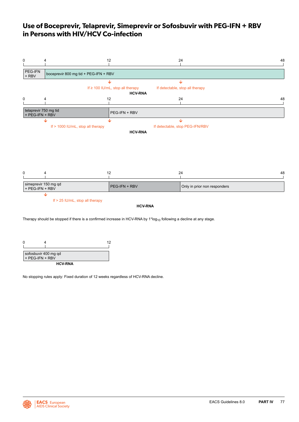# <span id="page-77-0"></span>**Use of Boceprevir, Telaprevir, Simeprevir or Sofosbuvir with PEG-IFN + RBV in Persons with HIV/HCV Co-infection**

| 0                                        | 4                                                                            | 12                                    | 24                              | 48 |  |  |  |
|------------------------------------------|------------------------------------------------------------------------------|---------------------------------------|---------------------------------|----|--|--|--|
| PEG-IFN<br>$+$ RBV                       | boceprevir 800 mg tid + PEG-IFN + RBV                                        |                                       |                                 |    |  |  |  |
|                                          |                                                                              | ∿                                     | ↓                               |    |  |  |  |
|                                          |                                                                              | If $\geq$ 100 IU/mL, stop all therapy | If detectable, stop all therapy |    |  |  |  |
| 0                                        | 4                                                                            | <b>HCV-RNA</b><br>12                  | 24                              | 48 |  |  |  |
| telaprevir 750 mg tid<br>+ PEG-IFN + RBV |                                                                              | PEG-IFN + RBV                         |                                 |    |  |  |  |
|                                          | ↓                                                                            | ↓                                     | ↓                               |    |  |  |  |
|                                          | If > 1000 IU/mL, stop all therapy                                            | <b>HCV-RNA</b>                        | If detectable, stop PEG-IFN/RBV |    |  |  |  |
| 0                                        | 4                                                                            | 12                                    | 24                              | 48 |  |  |  |
|                                          |                                                                              |                                       |                                 |    |  |  |  |
| simeprevir 150 mg qd<br>+ PEG-IFN + RBV  |                                                                              | PEG-IFN + RBV                         | Only in prior non responders    |    |  |  |  |
|                                          | $\overline{\mathbf{V}}$<br>If > 25 IU/mL, stop all therapy<br><b>HCV-RNA</b> |                                       |                                 |    |  |  |  |

Therapy should be stopped if there is a confirmed increase in HCV-RNA by  $1*log_{10}$  following a decline at any stage.



No stopping rules apply: Fixed duration of 12 weeks regardless of HCV-RNA decline.

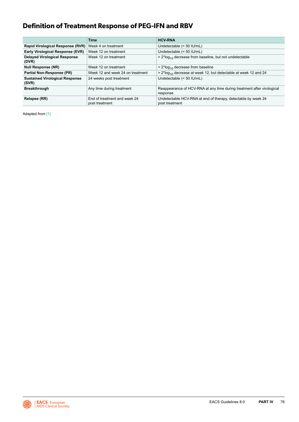# **Definition of Treatment Response of PEG-IFN and RBV**

|                                                | <b>Time</b>                                    | <b>HCV-RNA</b>                                                                     |
|------------------------------------------------|------------------------------------------------|------------------------------------------------------------------------------------|
|                                                |                                                |                                                                                    |
| Rapid Virological Response (RVR)               | Week 4 on treatment                            | Undetectable (< 50 IU/mL)                                                          |
| Early Virological Response (EVR)               | Week 12 on treatment                           | Undetectable (< 50 IU/mL)                                                          |
| <b>Delayed Virological Response</b><br>(DVR)   | Week 12 on treatment                           | $> 2*log_{10}$ decrease from baseline, but not undetectable                        |
| <b>Null Response (NR)</b>                      | Week 12 on treatment                           | $\leq$ 2*log <sub>10</sub> decrease from baseline                                  |
| Partial Non-Response (PR)                      | Week 12 and week 24 on treatment               | $> 2*log_{10}$ decrease at week 12, but detectable at week 12 and 24               |
| <b>Sustained Virological Response</b><br>(SVR) | 24 weeks post treatment                        | Undetectable (< 50 IU/mL)                                                          |
| <b>Breakthrough</b>                            | Any time during treatment                      | Reappearance of HCV-RNA at any time during treatment after virological<br>response |
| Relapse (RR)                                   | End of treatment and week 24<br>post treatment | Undetectable HCV-RNA at end of therapy, detectable by week 24<br>post treatment    |

Adapted from [\[1\]](#page-92-0)

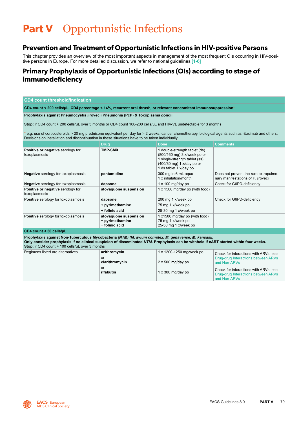# **Part V** Opportunistic Infections

# **Prevention and Treatment of Opportunistic Infections in HIV-positive Persons**

This chapter provides an overview of the most important aspects in management of the most frequent OIs occurring in HIV-posi-tive persons in Europe. For more detailed discussion, we refer to national guidelines [\[1-6\]](#page-92-0)

# **Primary Prophylaxis of Opportunistic Infections (OIs) according to stage of immunodeficiency**

# **CD4 count threshold/indication**

**CD4 count < 200 cells/µL, CD4 percentage < 14%, recurrent oral thrush, or relevant concomitant immunosuppression\***

# **Prophylaxis against Pneumocystis jirovecii Pneumonia (PcP) & Toxoplasma gondii**

**Stop:** if CD4 count > 200 cells/µL over 3 months or CD4 count 100-200 cells/μL and HIV-VL undetectable for 3 months

\* e.g. use of corticosteroids > 20 mg prednisone equivalent per day for > 2 weeks, cancer chemotherapy, biological agents such as rituximab and others. Decisions on installation and discontinuation in these situations have to be taken individually.

|                                                    | <b>Drug</b>                                                | <b>Dose</b>                                                                                                                                          | <b>Comments</b>                                                              |
|----------------------------------------------------|------------------------------------------------------------|------------------------------------------------------------------------------------------------------------------------------------------------------|------------------------------------------------------------------------------|
| Positive or negative serology for<br>toxoplasmosis | <b>TMP-SMX</b>                                             | 1 double-strength tablet (ds)<br>(800/160 mg) 3 x/week po or<br>1 single-strength tablet (ss)<br>(400/80 mg) 1 x/day po or<br>1 ds tablet 1 x/day po |                                                                              |
| <b>Negative</b> serology for toxoplasmosis         | pentamidine                                                | 300 mg in 6 mL agua<br>1 x inhalation/month                                                                                                          | Does not prevent the rare extrapulmo-<br>nary manifestations of P. jirovecii |
| <b>Negative</b> serology for toxoplasmosis         | dapsone                                                    | $1 \times 100$ mg/day po                                                                                                                             | Check for G6PD-deficiency                                                    |
| Positive or negative serology for<br>toxoplasmosis | atovaguone suspension                                      | 1 x 1500 mg/day po (with food)                                                                                                                       |                                                                              |
| <b>Positive</b> serology for toxoplasmosis         | dapsone                                                    | 200 mg 1 x/week po                                                                                                                                   | Check for G6PD-deficiency                                                    |
|                                                    | + pyrimethamine                                            | 75 mg 1 x/week po                                                                                                                                    |                                                                              |
|                                                    | + folinic acid                                             | 25-30 mg 1 x/week po                                                                                                                                 |                                                                              |
| <b>Positive</b> serology for toxoplasmosis         | atovaguone suspension<br>+ pyrimethamine<br>+ folinic acid | 1 x1500 mg/day po (with food)<br>75 mg 1 x/week po<br>25-30 mg 1 x/week po                                                                           |                                                                              |

### **CD4 count < 50 cells/µL**

**Prophylaxis against Non-Tuberculous Mycobacteria** *(NTM) (M. avium complex, M. genavense, M. kansasii)* **Only consider prophylaxis if no clinical suspicion of disseminated** *NTM***. Prophylaxis can be withheld if cART started within four weeks. Stop:** if CD4 count > 100 cells/uL over 3 months

| Regimens listed are alternatives | azithromycin         | 1 x 1200-1250 mg/week po | Check for interactions with ARVs, see                                                        |
|----------------------------------|----------------------|--------------------------|----------------------------------------------------------------------------------------------|
|                                  | or<br>clarithromycin | $2 \times 500$ mg/day po | Drug-drug Interactions between ARVs<br>and Non-ARVs                                          |
|                                  | or<br>rifabutin      | $1 \times 300$ mg/day po | Check for interactions with ARVs, see<br>Drug-drug Interactions between ARVs<br>and Non-ARVs |

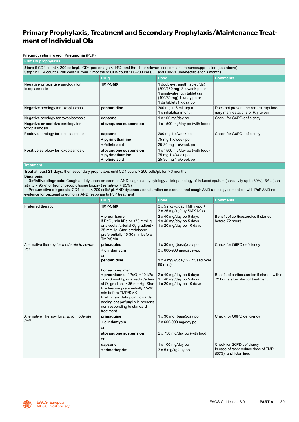# **Primary Prophylaxis, Treatment and Secondary Prophylaxis/Maintenance Treatment of Individual OIs**

# **Pneumocystis jirovecii Pneumonia (PcP)**

# **Primary prophylaxis**

**Start:** if CD4 count < 200 cells/µL, CD4 percentage < 14%, oral thrush or relevant concomitant immunosuppression (see above) **Stop:** if CD4 count > 200 cells/µL over 3 months or CD4 count 100-200 cells/µL and HIV-VL undetectable for 3 months

|                                                    | <b>Drug</b>                                                | <b>Dose</b>                                                                                                                                           | <b>Comments</b>                                                              |
|----------------------------------------------------|------------------------------------------------------------|-------------------------------------------------------------------------------------------------------------------------------------------------------|------------------------------------------------------------------------------|
| Negative or positive serology for<br>toxoplasmosis | <b>TMP-SMX</b>                                             | I double-strength tablet (ds)<br>(800/160 mg) 3 x/week po or<br>1 single-strength tablet (ss)<br>(400/80 mg) 1 x/day po or<br>1 ds tablet /1 x/day po |                                                                              |
| <b>Negative</b> serology for toxoplasmosis         | pentamidine                                                | 300 mg in 6 mL agua<br>1 x inhalation/month                                                                                                           | Does not prevent the rare extrapulmo-<br>nary manifestations of P. jirovecii |
| <b>Negative</b> serology for toxoplasmosis         | dapsone                                                    | $1 \times 100$ mg/day po                                                                                                                              | Check for G6PD-deficiency                                                    |
| Negative or positive serology for<br>toxoplasmosis | atovaquone suspension                                      | 1 x 1500 mg/day po (with food)                                                                                                                        |                                                                              |
| Positive serology for toxoplasmosis                | dapsone                                                    | 200 mg 1 x/week po                                                                                                                                    | Check for G6PD-deficiency                                                    |
|                                                    | + pyrimethamine                                            | 75 mg 1 x/week po                                                                                                                                     |                                                                              |
|                                                    | + folinic acid                                             | 25-30 mg 1 x/week po                                                                                                                                  |                                                                              |
| <b>Positive</b> serology for toxoplasmosis         | atovaquone suspension<br>+ pyrimethamine<br>+ folinic acid | 1 x 1500 mg/day po (with food)<br>75 mg 1 x/week po<br>25-30 mg 1 x/week po                                                                           |                                                                              |

# **Treatment**

**Treat at least 21 days**, then secondary prophylaxis until CD4 count > 200 cells/µL for > 3 months.

### **Diagnosis:**

- **Definitive diagnosis**: Cough and dyspnea on exertion AND diagnosis by cytology / histopathology of induced sputum (sensitivity up to 80%), BAL (sensitivity > 95%) or bronchoscopic tissue biopsy (sensitivity > 95%)

**Presumptive diagnosis:** CD4 count < 200 cells/  $\mu$ L AND dyspnea / desaturation on exertion and cough AND radiology compatible with PcP AND no evidence for bacterial pneumonia AND response to PcP treatment

|                                                   | <b>Drug</b>                                                                                                                                                                                                                                                                                                              | <b>Dose</b>                                                                    | <b>Comments</b>                                                                   |
|---------------------------------------------------|--------------------------------------------------------------------------------------------------------------------------------------------------------------------------------------------------------------------------------------------------------------------------------------------------------------------------|--------------------------------------------------------------------------------|-----------------------------------------------------------------------------------|
| Preferred therapy                                 | <b>TMP-SMX</b>                                                                                                                                                                                                                                                                                                           | 3 x 5 mg/kg/day TMP iv/po +<br>3 x 25 mg/kg/day SMX iv/po                      |                                                                                   |
|                                                   | + prednisone<br>if PaO <sub>2</sub> <10 kPa or <70 mmHg<br>or alveolar/arterial O <sub>2</sub> gradient><br>35 mmHg. Start prednisone<br>preferentially 15-30 min before<br><b>TMP/SMX</b>                                                                                                                               | 2 x 40 mg/day po 5 days<br>1 x 40 mg/day po 5 days<br>1 x 20 mg/day po 10 days | Benefit of corticosteroids if started<br>before 72 hours                          |
| Alternative therapy for <i>moderate to severe</i> | primaquine                                                                                                                                                                                                                                                                                                               | $1 \times 30$ mg (base)/day po                                                 | Check for G6PD deficiency                                                         |
| <b>PcP</b>                                        | + clindamycin                                                                                                                                                                                                                                                                                                            | 3 x 600-900 mg/day iv/po                                                       |                                                                                   |
|                                                   | or<br>pentamidine                                                                                                                                                                                                                                                                                                        | 1 x 4 mg/kg/day iv (infused over<br>60 min.)                                   |                                                                                   |
|                                                   | For each regimen:<br>+ prednisone, if PaO <sub>2</sub> <10 kPa<br>or <70 mmHg, or alveolar/arteri-<br>al O <sub>2</sub> gradient > 35 mmHg. Start<br>Prednisone preferentially 15-30<br>min before TMP/SMX<br>Preliminary data point towards<br>adding caspofungin in persons<br>non responding to standard<br>treatment | 2 x 40 mg/day po 5 days<br>1 x 40 mg/day po 5 days<br>1 x 20 mg/day po 10 days | Benefit of corticosteroids if started within<br>72 hours after start of treatment |
| Alternative Therapy for mild to moderate<br>PcP   | primaquine                                                                                                                                                                                                                                                                                                               | $1 \times 30$ mg (base)/day po                                                 | Check for G6PD deficiency                                                         |
|                                                   | + clindamycin                                                                                                                                                                                                                                                                                                            | 3 x 600-900 mg/day po                                                          |                                                                                   |
|                                                   | or                                                                                                                                                                                                                                                                                                                       |                                                                                |                                                                                   |
|                                                   | atovaquone suspension                                                                                                                                                                                                                                                                                                    | 2 x 750 mg/day po (with food)                                                  |                                                                                   |
|                                                   | or                                                                                                                                                                                                                                                                                                                       |                                                                                |                                                                                   |
|                                                   | dapsone                                                                                                                                                                                                                                                                                                                  | $1 \times 100$ mg/day po                                                       | Check for G6PD deficiency                                                         |
|                                                   | + trimethoprim                                                                                                                                                                                                                                                                                                           | 3 x 5 mg/kg/day po                                                             | In case of rash: reduce dose of TMP<br>(50%), antihistamines                      |

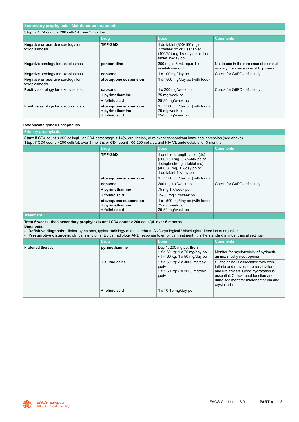| Secondary prophylaxis / Maintenance treatment      |                                                            |                                                                                                              |                                                                                   |  |
|----------------------------------------------------|------------------------------------------------------------|--------------------------------------------------------------------------------------------------------------|-----------------------------------------------------------------------------------|--|
| Stop: if CD4 count > 200 cells/uL over 3 months    |                                                            |                                                                                                              |                                                                                   |  |
|                                                    | Drug,                                                      | <b>Dose</b>                                                                                                  | <b>Comments</b>                                                                   |  |
| Negative or positive serology for<br>toxoplasmosis | <b>TMP-SMX</b>                                             | 1 ds tablet (800/160 mg)<br>3 x/week po or 1 ss tablet<br>(400/80) mg 1x/ day po or 1 ds<br>tablet 1x/day po |                                                                                   |  |
| <b>Negative</b> serology for toxoplasmosis         | pentamidine                                                | 300 mg in 6 mL agua 1 x<br>inhalation/month                                                                  | Not to use in the rare case of extrapul-<br>monary manifestations of P. jirovecii |  |
| <b>Negative</b> serology for toxoplasmosis         | dapsone                                                    | $1 \times 100$ mg/day po                                                                                     | Check for G6PD-deficiency                                                         |  |
| Negative or positive serology for<br>toxoplasmosis | atovaguone suspension                                      | 1 x 1500 mg/day po (with food)                                                                               |                                                                                   |  |
| <b>Positive</b> serology for toxoplasmosis         | dapsone                                                    | $1 \times 200$ mg/week po                                                                                    | Check for G6PD-deficiency                                                         |  |
|                                                    | + pyrimethamine                                            | 75 mg/week po                                                                                                |                                                                                   |  |
|                                                    | + folinic acid                                             | 25-30 mg/week po                                                                                             |                                                                                   |  |
| <b>Positive</b> serology for toxoplasmosis         | atovaguone suspension<br>+ pyrimethamine<br>+ folinic acid | 1 x 1500 mg/day po (with food)<br>75 mg/week po<br>25-30 mg/week po                                          |                                                                                   |  |

# **Toxoplasma gondii Encephalitis**

# **Primary prophylaxis**

**Start:** if CD4 count < 200 cells/µL, or CD4 percentage < 14%, oral thrush, or relevant concomitant immunosuppression (see above) **Stop:** if CD4 count > 200 cells/µL over 3 months or CD4 count 100-200 cells/µL and HIV-VL undetectable for 3 months

|                  | <b>Drug</b>                                                | <b>Dose</b>                                                                                                                                      | <b>Comments</b>           |
|------------------|------------------------------------------------------------|--------------------------------------------------------------------------------------------------------------------------------------------------|---------------------------|
|                  | <b>TMP-SMX</b>                                             | double-strength tablet (ds)<br>(800/160 mg) 3 x/week po or<br>single-strength tablet (ss)<br>(400/80 mg) 1 x/day po or<br>1 ds tablet 1 x/day po |                           |
|                  | atovaguone suspension                                      | 1 x 1500 mg/day po (with food)                                                                                                                   |                           |
|                  | dapsone                                                    | 200 mg 1 x/week po                                                                                                                               | Check for G6PD-deficiency |
|                  | + pyrimethamine                                            | 75 mg 1 x/week po                                                                                                                                |                           |
|                  | + folinic acid                                             | 25-30 mg 1 x/week po                                                                                                                             |                           |
|                  | atovaguone suspension<br>+ pyrimethamine<br>+ folinic acid | 1 x 1500 mg/day po (with food)<br>75 mg/week po<br>25-30 mg/week po                                                                              |                           |
| <b>Treatment</b> |                                                            |                                                                                                                                                  |                           |

**Treat 6 weeks, then secondary prophylaxis until CD4 count > 200 cells/µL over 6 months**

**Diagnosis:** 

**- Definitive diagnosis:** clinical symptoms, typical radiology of the cerebrum AND cytological / histological detection of organism

**- Presumptive diagnosis:** clinical symptoms, typical radiology AND response to empirical treatment. It is the standard in most clinical settings.

|                   | <b>Drug</b>    | <b>Dose</b>                                                                                                 | <b>Comments</b>                                                                                                                                                                                                          |
|-------------------|----------------|-------------------------------------------------------------------------------------------------------------|--------------------------------------------------------------------------------------------------------------------------------------------------------------------------------------------------------------------------|
| Preferred therapy | pyrimethamine  | Day 1: 200 mg po, then<br>$\cdot$ If $\geq 60$ kg; 1 x 75 mg/day po<br>$\cdot$ If < 60 kg: 1 x 50 mg/day po | Monitor for myelotoxicity of pyrimeth-<br>amine, mostly neutropenia                                                                                                                                                      |
|                   | + sulfadiazine | $\cdot$ If $\geq$ 60 kg: 2 x 3000 mg/day<br>po/iv<br>$\cdot$ If < 60 kg: 2 x 2000 mg/day<br>po/iv           | Sulfadiazine is associated with crys-<br>talluria and may lead to renal failure<br>and urolithiasis. Good hydratation is<br>essential. Check renal function and<br>urine sediment for microhematuria and<br>crystalluria |
|                   | + folinic acid | $1 \times 10-15$ mg/day po                                                                                  |                                                                                                                                                                                                                          |

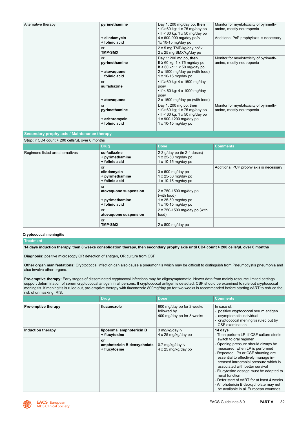| Alternative therapy                             | pyrimethamine<br>+ clindamycin<br>+ folinic acid<br>or<br><b>TMP-SMX</b><br>or<br>pyrimethamine<br>+ atovaquone<br>+ folinic acid<br>or<br>sulfadiazine<br>+ atovaquone | Day 1: 200 mg/day po, then<br>$\cdot$ If $\geq 60$ kg: 1 x 75 mg/day po<br>$\cdot$ If < 60 kg: 1 x 50 mg/day po<br>4 x 600-900 mg/day po/iv<br>$1x$ 10-15 mg/day po<br>2 x 5 mg TMP/kg/day po/iv<br>2 x 25 mg SMX/kg/day po<br>Day 1: 200 mg po, then<br>If $\geq 60$ kg; 1 x 75 mg/day po<br>If $<$ 60 kg: 1 x 50 mg/day po<br>2 x 1500 mg/day po (with food)<br>1 x 10-15 mg/day po<br>$\cdot$ If $\geq$ 60 kg: 4 x 1500 mg/day<br>po/iv<br>• If < 60 kg: 4 x 1000 mg/day<br>po/iv<br>2 x 1500 mg/day po (with food) | Monitor for myelotoxicity of pyrimeth-<br>amine, mostly neutropenia<br>Additional PcP prophylaxis is necessary<br>Monitor for myelotoxicity of pyrimeth-<br>amine, mostly neutropenia |
|-------------------------------------------------|-------------------------------------------------------------------------------------------------------------------------------------------------------------------------|------------------------------------------------------------------------------------------------------------------------------------------------------------------------------------------------------------------------------------------------------------------------------------------------------------------------------------------------------------------------------------------------------------------------------------------------------------------------------------------------------------------------|---------------------------------------------------------------------------------------------------------------------------------------------------------------------------------------|
|                                                 | or<br>pyrimethamine<br>+ azithromycin<br>+ folinic acid                                                                                                                 | Day 1: 200 mg po, then<br>$\cdot$ If $\geq 60$ kg; 1 x 75 mg/day po<br>$\cdot$ If < 60 kg: 1 x 50 mg/day po<br>1 x 900-1200 mg/day po<br>$1 \times 10-15$ mg/day po                                                                                                                                                                                                                                                                                                                                                    | Monitor for myelotoxicity of pyrimeth-<br>amine, mostly neutropenia                                                                                                                   |
| Secondary prophylaxis / Maintenance therapy     |                                                                                                                                                                         |                                                                                                                                                                                                                                                                                                                                                                                                                                                                                                                        |                                                                                                                                                                                       |
| Stop: if CD4 count > 200 cells/uL over 6 months |                                                                                                                                                                         |                                                                                                                                                                                                                                                                                                                                                                                                                                                                                                                        |                                                                                                                                                                                       |
|                                                 | <b>Drug</b>                                                                                                                                                             | <b>Dose</b>                                                                                                                                                                                                                                                                                                                                                                                                                                                                                                            | <b>Comments</b>                                                                                                                                                                       |
| Regimens listed are alternatives                | sulfadiazine<br>+ pyrimethamine<br>+ folinic acid                                                                                                                       | 2-3 g/day po (in 2-4 doses)<br>1 x 25-50 mg/day po<br>$1 \times 10-15$ mg/day po                                                                                                                                                                                                                                                                                                                                                                                                                                       |                                                                                                                                                                                       |
|                                                 | or<br>clindamycin<br>+ pyrimethamine<br>+ folinic acid                                                                                                                  | $3 \times 600$ mg/day po<br>$1 \times 25-50$ mg/day po<br>1 x 10-15 mg/day po                                                                                                                                                                                                                                                                                                                                                                                                                                          | Additional PCP prophylaxis is necessary                                                                                                                                               |
|                                                 | or                                                                                                                                                                      |                                                                                                                                                                                                                                                                                                                                                                                                                                                                                                                        |                                                                                                                                                                                       |

**Cryptococcal meningitis Treatment**

**14 days induction therapy, then 8 weeks consolidation therapy, then secondary prophylaxis until CD4 count > 200 cells/µL over 6 months**

**atovaquone suspension**

**atovaquone suspension**

**+ pyrimethamine + folinic acid**

or

or<br>TMP-SMX

**Diagnosis:** positive microscopy OR detection of antigen, OR culture from CSF

**Other organ manifestations:** Cryptococcal infection can also cause a pneumonitis which may be difficult to distinguish from Pneumocystis pneumonia and also involve other organs.

2 x 750-1500 mg/day po

**TMP-SMX** 2 x 800 mg/day po

2 x 750-1500 mg/day po (with

(with food) 1 x 25-50 mg/day po 1 x 10-15 mg/day po

food)

Pre-emptive therapy: Early stages of disseminated cryptocccal infections may be oligosymptomatic. Newer data from mainly resource limited settings support determination of serum cryptococcal antigen in all persons. If cryptococcal antigen is detected, CSF should be examined to rule out cryptococcal meningitis. If meningitis is ruled out, pre-emptive therapy with fluconazole 800mg/day po for two weeks is recommended before starting cART to reduce the risk of unmasking IRIS.

|                          | <b>Drug</b>                                                                                     | <b>Dose</b>                                                                      | <b>Comments</b>                                                                                                                                                                                                                                                                                                                                                                                                                                                                                                 |
|--------------------------|-------------------------------------------------------------------------------------------------|----------------------------------------------------------------------------------|-----------------------------------------------------------------------------------------------------------------------------------------------------------------------------------------------------------------------------------------------------------------------------------------------------------------------------------------------------------------------------------------------------------------------------------------------------------------------------------------------------------------|
| Pre-emptive therapy      | flucanozole                                                                                     | 800 mg/day po for 2 weeks<br>followed by<br>400 mg/day po for 8 weeks            | In case of:<br>- positive cryptococcal serum antigen<br>- asymptomatic individual<br>- cryptococcal meningitis ruled out by<br>CSF examination                                                                                                                                                                                                                                                                                                                                                                  |
| <b>Induction therapy</b> | liposomal amphotericin B<br>+ flucytosine<br>or<br>amphotericin B deoxycholate<br>+ flucytosine | 3 mg/kg/day iv<br>4 x 25 mg/kg/day po<br>0.7 mg/kg/day iv<br>4 x 25 mg/kg/day po | 14 days<br>- Then perform LP: if CSF culture sterile<br>switch to oral regimen<br>- Opening pressure should always be<br>measured, when LP is performed<br>- Repeated LPs or CSF shunting are<br>essential to effectively manage in-<br>creased intracranial pressure which is<br>associated with better survival<br>- Flucytosine dosage must be adapted to<br>renal function<br>- Defer start of cART for at least 4 weeks<br>- Amphotericin B deoxycholate may not<br>be available in all European countries |

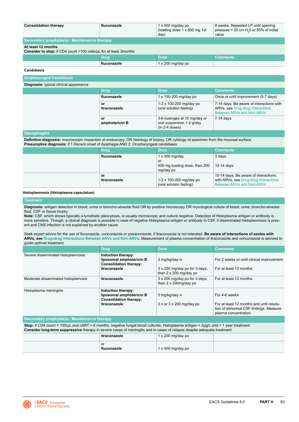| <b>Consolidation therapy</b>                                                                   | fluconazole | $1 \times 400$ mg/day po<br>(loading dose 1 x 800 mg 1st)<br>day) | 8 weeks. Repeated LP until opening<br>pressure < 20 cm H <sub>2</sub> 0 or 50% of initial<br>value |  |
|------------------------------------------------------------------------------------------------|-------------|-------------------------------------------------------------------|----------------------------------------------------------------------------------------------------|--|
| Secondary prophylaxis / Maintenance therapy                                                    |             |                                                                   |                                                                                                    |  |
| At least 12 months<br><b>Consider to stop:</b> if CD4 count >100 cells/uL for at least 3months |             |                                                                   |                                                                                                    |  |
|                                                                                                | <b>Drug</b> | <b>Dose</b>                                                       | <b>Comments</b>                                                                                    |  |
|                                                                                                | fluconazole | $1 \times 200$ mg/day po                                          |                                                                                                    |  |

**Candidiasis**

| <b>Oropharyngeal Candidiasis</b>              |                      |                                                                                  |                                                                                                                  |  |
|-----------------------------------------------|----------------------|----------------------------------------------------------------------------------|------------------------------------------------------------------------------------------------------------------|--|
| <b>Diagnosis:</b> typical clinical appearance |                      |                                                                                  |                                                                                                                  |  |
|                                               | Drug                 | <b>Dose</b>                                                                      | <b>Comments</b>                                                                                                  |  |
|                                               | fluconazole          | $1 \times 150 - 200$ mg/day po                                                   | Once or until improvement (5-7 days)                                                                             |  |
|                                               | or<br>itraconazole   | 1-2 x 100-200 mg/day po<br>(oral solution fasting)                               | 7-14 days. Be aware of interactions with<br>ARVs, see Drug-drug Interactions<br><b>Between ARVs and Non-ARVs</b> |  |
|                                               | or<br>amphotericin B | 3-6 lozenges at 10 mg/day or<br>oral suspension 1-2 g/day<br>$(in 2-4$ doses $)$ | 7-14 davs                                                                                                        |  |

#### **Oesophagitis**

**Definitive diagnosis:** macroscopic inspection at endoscopy, OR histology of biopsy, OR cytology of specimen from the mucosal surface **Presumptive diagnosis:** if 1.Recent onset of dysphagia AND 2. Oropharyngeal candidiasis

| <b>Drug</b>        | <b>Dose</b>                                                               | <b>Comments</b>                                                                                                   |
|--------------------|---------------------------------------------------------------------------|-------------------------------------------------------------------------------------------------------------------|
| fluconazole        | $1 \times 400$ mg/day<br>or<br>400 mg loading dose, then 200<br>mg/day po | 3 days<br>10-14 days                                                                                              |
| or<br>itraconazole | 1-2 x 100-200 mg/day po<br>(oral solution fasting)                        | 10-14 days. Be aware of interactions<br>with ARVs, see Drug-drug Interactions<br><b>Between ARVs and Non-ARVs</b> |

# **Histoplasmosis (Histoplasma capsulatum)**

# **Treatment**

**Diagnosis:** antigen detection in blood, urine or broncho-alveolar fluid OR by positive microscopy OR mycological culture of blood, urine, broncho-alveolar fluid, CSF or tissue biopsy

**Note:** CSF, which shows typically a lymphatic pleocytosis, is usually microscopic and culture negative. Detection of Histoplasma antigen or antibody is more sensitive. Though, a clinical diagnosis is possible in case of negative Histoplasma antigen or antibody in CSF, if dissiminated histoplasmosis is present and CNS infection is not explained by another cause

### Seek expert advice for the use of fluconazole, voriconazole or posaconazole, if itraconazole is not tolerated. **Be aware of interactions of azoles with ARVs, see [Drug-drug Interactions Between ARVs and Non-ARVs](#page-18-0).** Measurement of plasma concentration of itraconazole and voriconazole is advised to guide optimal treatment.

|                                             | <b>Drug</b>                                                                                     | <b>Dose</b>                                                                      | <b>Comments</b>                                                                                                              |
|---------------------------------------------|-------------------------------------------------------------------------------------------------|----------------------------------------------------------------------------------|------------------------------------------------------------------------------------------------------------------------------|
| Severe disseminated histoplasmosis          | Induction therapy:<br>liposomal amphotericin B<br><b>Consolidation therapy:</b><br>itraconazole | 3 mg/kg/day iv<br>3 x 200 mg/day po for 3 days,<br>then $2 \times 200$ mg/day po | For 2 weeks or until clinical improvement<br>For at least 12 months                                                          |
| Moderate disseminated histoplamosis         | itraconazole                                                                                    | 3 x 200 mg/day po for 3 days,<br>then $2 \times 200$ mg/day po                   | For at least 12 months                                                                                                       |
| Histoplasma meningitis                      | Induction therapy:<br>liposomal amphotericin B<br><b>Consolidation therapy:</b><br>itraconazole | 5 mg/kg/day iv<br>$2 \times$ or $3 \times 200$ mg/day po                         | For 4-6 weeks<br>For at least 12 months and until resolu-<br>tion of abnormal CSF findings. Measure<br>plasma concentration. |
| Secondary prophylaxis / Maintenance therapy |                                                                                                 |                                                                                  |                                                                                                                              |

| Stop: if CD4 count > 150/µL and cART > 6 months, negative fungal blood cultures, Histoplasma antigen < 2µg/L and > 1 year treatment |  |  |  |  |
|-------------------------------------------------------------------------------------------------------------------------------------|--|--|--|--|
| Consider long-term suppressive therapy in severe cases of meningitis and in cases of relapse despite adequate treatment             |  |  |  |  |
| $1 \times 200$ mg/day po<br>∣ itraconazole                                                                                          |  |  |  |  |

| .                 |                   |  |
|-------------------|-------------------|--|
| or<br>fluconazole | 1 x 400 mg/day po |  |

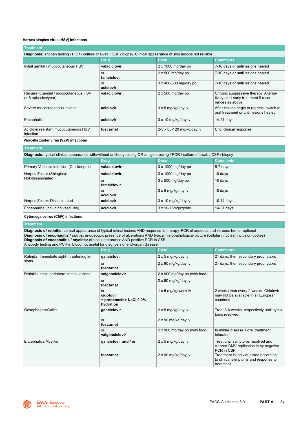# **Herpes simplex virus (HSV) infections**

| <b>Treatment</b>                                                                                                           |                   |                           |                                                                                                    |
|----------------------------------------------------------------------------------------------------------------------------|-------------------|---------------------------|----------------------------------------------------------------------------------------------------|
| <b>Diagnosis:</b> antigen testing / PCR / culture of swab / CSF / biopsy. Clinical appearance of skin lesions not reliable |                   |                           |                                                                                                    |
|                                                                                                                            | <b>Drug</b>       | <b>Dose</b>               | <b>Comments</b>                                                                                    |
| Initial genital / mucocutaneous HSV                                                                                        | valaciclovir      | $2 \times 1000$ mg/day po | 7-10 days or until lesions healed                                                                  |
|                                                                                                                            | or<br>famciclovir | $2 \times 500$ mg/day po  | 7-10 days or until lesions healed                                                                  |
|                                                                                                                            | or<br>aciclovir   | 3 x 400-800 mg/day po     | 7-10 days or until lesions healed                                                                  |
| Recurrent genital / mucocutaneous HSV<br>$($ > 6 episodes/year)                                                            | valaciclovir      | $2 \times 500$ mg/day po  | Chronic suppressive therapy. Alterna-<br>tively start early treatment if recur-<br>rences as above |
| Severe mucocutaneous lesions                                                                                               | aciclovir         | 3 x 5 mg/kg/day iv        | After lesions begin to regress, switch to<br>oral treatment or until lesions healed                |
| Encephalitis                                                                                                               | aciclovir         | 3 x 10 mg/kg/day iv       | 14-21 days                                                                                         |
| Aciclovir resistant mucocutaneous HSV<br>infection                                                                         | foscarnet         | 2-3 x 80-120 mg/kg/day iv | Until clinical response                                                                            |

# **Varicella zoster virus (VZV) infections**

| Treatment         |                           |                                                                                                                                |  |  |
|-------------------|---------------------------|--------------------------------------------------------------------------------------------------------------------------------|--|--|
|                   |                           |                                                                                                                                |  |  |
| <b>Drug</b>       | <b>Dose</b>               | <b>Comments</b>                                                                                                                |  |  |
| valaciclovir      | $3 \times 1000$ mg/day po | 5-7 days                                                                                                                       |  |  |
| valaciclovir      | $3 \times 1000$ mg/day po | 10 days                                                                                                                        |  |  |
| or<br>famciclovir | $3 \times 500$ mg/day po  | 10 days                                                                                                                        |  |  |
| or<br>aciclovir   | 3 x 5 mg/kg/day iv        | 10 days                                                                                                                        |  |  |
| aciclovir         | 3 x 10 mg/kg/day iv       | $10-14$ days                                                                                                                   |  |  |
| aciclovir         | 3 x 10-15mg/kg/day        | 14-21 days                                                                                                                     |  |  |
|                   |                           | Diagnosis: typical clinical appearance with/without antibody testing OR antigen testing / PCR / culture of swab / CSF / biopsy |  |  |

# **Cytomegalovirus (CMV) infections**

# **Treatment**

ŕ

**Diagnosis of retinitis:** clinical appearance of typical retinal lesions AND response to therapy. PCR of aqueous and vitreous humor optional **Diagnosis of esophagitis / colitis:** endoscopic presence of ulcerations AND typical histopathological picture (cellular / nuclear inclusion bodies) **Diagnosis of encephalitis / myelitis:** clinical appearance AND positive PCR in CSF

| Antibody testing and PCR in blood not useful for diagnosis of end-organ disease |                                                         |                                           |                                                                                                                                                                                         |
|---------------------------------------------------------------------------------|---------------------------------------------------------|-------------------------------------------|-----------------------------------------------------------------------------------------------------------------------------------------------------------------------------------------|
|                                                                                 | <b>Drug</b>                                             | <b>Dose</b>                               | <b>Comments</b>                                                                                                                                                                         |
| Retinitis, Immediate sight-threatening le-<br>sions                             | ganciclovir                                             | 2 x 5 mg/kg/day iv                        | 21 days, then secondary prophylaxis                                                                                                                                                     |
|                                                                                 | or<br>foscarnet                                         | 2 x 90 mg/kg/day iv                       | 21 days, then secondary prophylaxis                                                                                                                                                     |
| Retinitis, small peripheral retinal lesions                                     | valganciclovir                                          | 2 x 900 mg/day po (with food)             |                                                                                                                                                                                         |
|                                                                                 | or<br>foscarnet                                         | 2 x 90 mg/kg/day iv                       |                                                                                                                                                                                         |
|                                                                                 | or<br>cidofovir<br>+ probenecid+ NaCl 0.9%<br>hydration | 1 x 5 mg/kg/week iv                       | 2 weeks then every 2 weeks. Cidofovir<br>may not be available in all European<br>countries                                                                                              |
| Oesophagitis/Colitis                                                            | ganciclovir                                             | 2 x 5 mg/kg/day iv                        | Treat 3-6 weeks, respectively until symp-<br>toms resolved                                                                                                                              |
|                                                                                 | or<br>foscarnet                                         | 2 x 90 mg/kg/day iv                       |                                                                                                                                                                                         |
|                                                                                 | or<br>valganciclovir                                    | 2 x 900 mg/day po (with food)             | In milder disease if oral treatment<br>tolerated                                                                                                                                        |
| Encephalitis/Myelitis                                                           | ganciclovir and / or<br>foscarnet                       | 2 x 5 mg/kg/day iv<br>2 x 90 mg/kg/day iv | Treat until symptoms resolved and<br>cleared CMV replication in by negative<br>PCR in CSF<br>Treatment is individualised according<br>to clinical symptoms and response to<br>treatment |

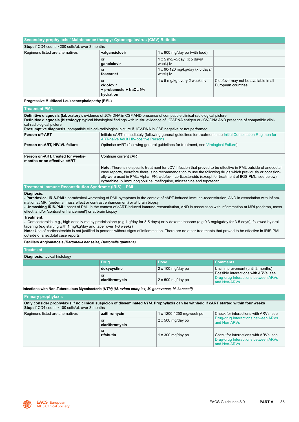| Secondary prophylaxis / Maintenance therapy: Cytomegalovirus (CMV) Retinitis |                                                        |                                               |                                                             |
|------------------------------------------------------------------------------|--------------------------------------------------------|-----------------------------------------------|-------------------------------------------------------------|
|                                                                              |                                                        |                                               |                                                             |
| <b>Stop:</b> if CD4 count $>$ 200 cells/ $\mu$ L over 3 months               |                                                        |                                               |                                                             |
| Regimens listed are alternatives                                             | valganciclovir                                         | 1 x 900 mg/day po (with food)                 |                                                             |
|                                                                              | or<br>ganciclovir                                      | $1 \times 5$ mg/kg/day (x 5 days/<br>week) iv |                                                             |
|                                                                              | <b>or</b><br>foscarnet                                 | 1 x 90-120 mg/kg/day (x 5 days/<br>week) iv   |                                                             |
|                                                                              | or<br>cidofovir<br>+ probenecid + NaCL 9%<br>hydration | 1 x 5 mg/kg every 2 weeks iv                  | Cidofovir may not be available in all<br>European countries |

**Progressive Multifocal Leukoencephalopathy (PML)**

# **Treatment PML**

**Definitive diagnosis (laboratory):** evidence of JCV-DNA in CSF AND presence of compatible clinical-radiological picture **Definitive diagnosis (histology):** typical histological findings with in situ evidence of JCV-DNA antigen or JCV-DNA AND presence of compatible clinical-radiological picture **Presumptive diagnosis:** compatible clinical-radiological picture if JCV-DNA in CSF negative or not performed **Person off-ART Initiate cART** immediately (following general guidelines for treatment, see Initial Combination Regimen for [ART-naïve Adult HIV-positive Persons](#page-8-0) **Person on-ART, HIV-VL failure Optimise cART (following general guidelines for treatment, see [Virological Failure\)](#page-11-0) Person on-ART, treated for weeksmonths or on effective cART** Continue current cART

**Note:** There is no specific treatment for JCV infection that proved to be effective in PML outside of anecdotal case reports, therefore there is no recommendation to use the following drugs which previously or occasionally were used in PML: Alpha-IFN, cidofovir, corticosteroids (except for treatment of IRIS-PML, see below), cytarabine, iv immunoglobulins, mefloquine, mirtazapine and topotecan

#### **Treatment Immune Reconstitution Syndrome (IRIS) – PML**

**Diagnosis:**

**- Paradoxical IRIS-PML:** paradoxical worsening of PML symptoms in the context of cART-induced immune-reconstitution, AND in association with inflammation at MRI (oedema, mass effect or contrast enhancement) or at brain biopsy

**- Unmasking IRIS-PML:** onset of PML in the context of cART-induced immune-reconstitution, AND in association with inflammation at MRI (oedema, mass effect, and/or 'contrast enhancement') or at brain biopsy

#### **Treatment:**

**-** Corticosteroids, e.g., high dose iv methylprednisolone (e.g.1 g/day for 3-5 days) or iv dexamethasone (e.g.0.3 mg/kg/day for 3-5 days), followed by oral tapering (e.g starting with 1 mg/kg/day and taper over 1-6 weeks)

**Note:** Use of corticosteroids is not justified in persons without signs of inflammation. There are no other treatments that proved to be effective in IRIS-PML outside of anecdotal case reports

#### **Bacillary Angiomatosis** *(Bartonella henselae, Bartonella quintana)*

**Treatment**

| <b>Diagnosis:</b> typical histology |                      |                          |                                                                                             |
|-------------------------------------|----------------------|--------------------------|---------------------------------------------------------------------------------------------|
|                                     | Drug                 | <b>Dose</b>              | <b>Comments</b>                                                                             |
|                                     | doxycycline          | $2 \times 100$ mg/day po | Until improvement (until 2 months)                                                          |
|                                     | or<br>clarithromycin | $2 \times 500$ mg/day po | Possible interactions with ARVs, see<br>Drug-drug Interactions between ARVs<br>and Non-ARVs |

**Infections with Non-Tuberculous Mycobacteria** *(NTM) (M. avium complex, M. genavense, M. kansasii)*

### **Primary prophylaxis**

**Only consider prophylaxis if no clinical suspicion of disseminated** *NTM***. Prophylaxis can be withheld if cART started within four weeks** Stop: if CD4 count > 100 cells/µL over 3 months Regimens listed are alternatives **azithromycin** 1 x 1200-1250 mg/week po Check for interactions with ARVs, see

| <u>azitu vuu your</u>                            | <b>I A IZOU-TZUU HIGHWCCK DU</b> | <u>UNUCK IUI INCROUDIIS WILLIAL VU. SCC</u>                                                  |  |
|--------------------------------------------------|----------------------------------|----------------------------------------------------------------------------------------------|--|
| $2 \times 500$ mg/day po<br>or<br>clarithromycin |                                  | Drug-drug Interactions between ARVs<br>and Non-ARVs                                          |  |
| or<br>rifabutin                                  | $1 \times 300$ mg/day po         | Check for interactions with ARVs, see<br>Drug-drug Interactions between ARVs<br>and Non-ARVs |  |

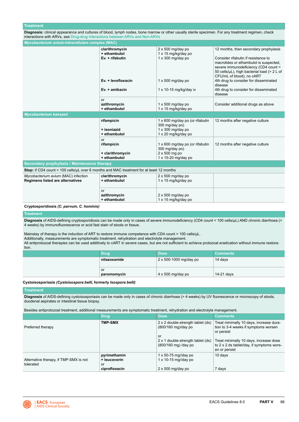#### **Treatment**

**Diagnosis:** clinical appearance and cultures of blood, lymph nodes, bone marrow or other usually sterile specimen. For any treatment regimen, check interactions with ARVs, see [Drug-drug Interactions between ARVs and Non-ARVs](#page-18-0)

| Mycobacterium avium-intracellulare complex (MAC)                                                      |                                                      |                                                                                                      |                                                                                                                                                                                                                                            |
|-------------------------------------------------------------------------------------------------------|------------------------------------------------------|------------------------------------------------------------------------------------------------------|--------------------------------------------------------------------------------------------------------------------------------------------------------------------------------------------------------------------------------------------|
|                                                                                                       | clarithromycin<br>+ ethambutol                       | $2 \times 500$ mg/day po<br>1 x 15 mg/kg/day po                                                      | 12 months, then secondary prophylaxis                                                                                                                                                                                                      |
|                                                                                                       | Ev. + rifabutin<br>Ev. + levofloxacin                | $1 \times 300$ mg/day po<br>$1 \times 500$ mg/day po                                                 | Consider rifabutin if resistance to<br>macrolides or ethambutol is suspected.<br>severe immunodeficiency (CD4 count <<br>50 cells/µL), high bacterial load (> 2 L of<br>CFU/mL of blood), no cART<br>4th drug to consider for disseminated |
|                                                                                                       | Ev. + amikacin                                       | $1 \times 10-15$ mg/kg/day iv                                                                        | disease<br>4th drug to consider for disseminated<br>disease                                                                                                                                                                                |
|                                                                                                       | or<br>azithromycin<br>+ ethambutol                   | $1 \times 500$ mg/day po<br>1 x 15 mg/kg/day po                                                      | Consider additional drugs as above                                                                                                                                                                                                         |
| Mycobacterium kansasii                                                                                |                                                      |                                                                                                      |                                                                                                                                                                                                                                            |
|                                                                                                       | rifampicin<br>+ isoniazid<br>+ ethambutol            | 1 x 600 mg/day po (or rifabutin<br>300 mg/day po)<br>$1 \times 300$ mg/day po<br>1 x 20 mg/kg/day po | 12 months after negative culture                                                                                                                                                                                                           |
|                                                                                                       | or<br>rifampicin<br>+ clarithromycin<br>+ ethambutol | 1 x 600 mg/day po (or rifabutin<br>300 mg/day po)<br>$2 \times 500$ mg po<br>1 x 15-20 mg/day po     | 12 months after negative culture                                                                                                                                                                                                           |
| Secondary prophylaxis / Maintenance therapy                                                           |                                                      |                                                                                                      |                                                                                                                                                                                                                                            |
| <b>Stop:</b> if CD4 count > 100 cells/ $\mu$ L over 6 months and MAC treatment for at least 12 months |                                                      |                                                                                                      |                                                                                                                                                                                                                                            |
| Mycobacterium avium (MAC) infection<br>Regimens listed are alternatives                               | clarithromycin<br>+ ethambutol                       | $2 \times 500$ mg/day po<br>1 x 15 mg/kg/day po                                                      |                                                                                                                                                                                                                                            |
|                                                                                                       | or<br>azithromycin<br>+ ethambutol                   | $2 \times 500$ mg/day po<br>1 x 15 mg/kg/day po                                                      |                                                                                                                                                                                                                                            |

# **Cryptosporidiosis** *(C. parvum, C. hominis)*

# **Treatment**

**Diagnosis** of AIDS-defining cryptosporidiosis can be made only in cases of severe immunodeficiency (CD4 count < 100 cells/µL) AND chronic diarrhoea (> 4 weeks) by immunofluorescence or acid fast stain of stools or tissue.

Mainstay of therapy is the induction of ART to restore immune competence with CD4 count > 100 cells/uL. Additionally, measurements are symptomatic treatment, rehydration and electrolyte management. All antiprotozoal therapies can be used additively to cART in severe cases, but are not sufficient to achieve protozoal eradication without immune restora-

| tion. |  |
|-------|--|
|       |  |

| /Drug        | <b>Dose</b>              | <b>Comments</b> |
|--------------|--------------------------|-----------------|
| nitazoxanide | 2 x 500-1000 mg/day po   | 14 days         |
|              |                          |                 |
| . or         |                          |                 |
| paromomycin  | $4 \times 500$ mg/day po | 14-21 days      |

# **Cystoisosporiasis** *(Cystoisospora belli,* **formerly** *Isospora belli)*

# **Treatment**

**Diagnosis** of AIDS-defining cystoisosporiasis can be made only in cases of chronic diarrhoea (> 4 weeks) by UV fluorescence or microscopy of stools, duodenal aspirates or intestinal tissue biopsy.

Besides antiprotozoal treatment, additional measurements are symptomatic treatment, rehydration and electrolyte management.

|                                                     | <b>Drug</b>                                         | <b>Dose</b>                                                                            | <b>Comments</b>                                                                                      |
|-----------------------------------------------------|-----------------------------------------------------|----------------------------------------------------------------------------------------|------------------------------------------------------------------------------------------------------|
| Preferred therapy                                   | <b>TMP-SMX</b>                                      | 2 x 2 double-strength tablet (ds)<br>(800/160 mg)/day po                               | Treat minimally 10 days, increase dura-<br>tion to 3-4 weeks if symptoms worsen<br>or persist        |
|                                                     |                                                     | or<br>2 x 1 double-strength tablet (ds)<br>(800/160 mg) /day po                        | Treat minimally 10 days, increase dose<br>to 2 x 2 ds tablet/day, if symptoms wors-<br>en or persist |
| Alternative therapy, if TMP-SMX is not<br>tolerated | pyrimethamin<br>+ leucovorin<br>or<br>ciprofloxacin | $1 \times 50-75$ mg//day po<br>$1 \times 10-15$ mg//day po<br>$2 \times 500$ mg/day po | 10 days<br>7 days                                                                                    |

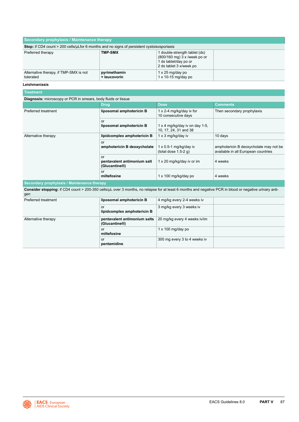| Secondary prophylaxis / Maintenance therapy                                                                                                                   |                                                    |                                                                                                                   |                                                                               |
|---------------------------------------------------------------------------------------------------------------------------------------------------------------|----------------------------------------------------|-------------------------------------------------------------------------------------------------------------------|-------------------------------------------------------------------------------|
| Stop: if CD4 count > 200 cells/µLfor 6 months and no signs of persistent cystoisosporiasis                                                                    |                                                    |                                                                                                                   |                                                                               |
| Preferred therapy                                                                                                                                             | <b>TMP-SMX</b>                                     | 1 double-strength tablet (ds)<br>(800/160 mg) 3 x /week po or<br>1 ds tablet/day po or<br>2 ds tablet 3 x/week po |                                                                               |
| Alternative therapy, if TMP-SMX is not<br>tolerated                                                                                                           | pyrimethamin<br>+ leucovorin                       | 1 x 25 mg/day po<br>$1 \times 10-15$ mg/day po                                                                    |                                                                               |
| Leishmaniasis                                                                                                                                                 |                                                    |                                                                                                                   |                                                                               |
| <b>Treatment</b>                                                                                                                                              |                                                    |                                                                                                                   |                                                                               |
| Diagnosis: microscopy or PCR in smears, body fluids or tissue                                                                                                 |                                                    |                                                                                                                   |                                                                               |
|                                                                                                                                                               | <b>Drug</b>                                        | <b>Dose</b>                                                                                                       | Comments                                                                      |
| Preferred treatment                                                                                                                                           | liposomal amphotericin B                           | 1 x 2-4 mg/kg/day iv for<br>10 consecutive days                                                                   | Then secondary prophylaxis                                                    |
|                                                                                                                                                               | or<br>liposomal amphotericin B                     | 1 x 4 mg/kg/day iv on day 1-5,<br>10, 17, 24, 31 and 38                                                           |                                                                               |
| Alternative therapy                                                                                                                                           | lipidcomplex amphotericin B                        | 1 x 3 mg/kg/day iv                                                                                                | 10 days                                                                       |
|                                                                                                                                                               | or<br>amphotericin B deoxycholate                  | $1 \times 0.5$ -1 mg/kg/day iv<br>(total dose $1.5-2$ g)                                                          | amphotericin B deoxycholate may not be<br>available in all European countries |
|                                                                                                                                                               | or<br>pentavalent antimonium salt<br>(Glucantine®) | 1 x 20 mg/kg/day iv or im                                                                                         | 4 weeks                                                                       |
|                                                                                                                                                               | or<br>miltefosine                                  | 1 x 100 mg/kg/day po                                                                                              | 4 weeks                                                                       |
| Secondary prophylaxis / Maintenance therapy                                                                                                                   |                                                    |                                                                                                                   |                                                                               |
| Consider stopping: if CD4 count > 200-350 cells/µL over 3 months, no relapse for at least 6 months and negative PCR in blood or negative urinary anti-<br>gen |                                                    |                                                                                                                   |                                                                               |
| Preferred treatment                                                                                                                                           | liposomal amphotericin B                           | 4 mg/kg every 2-4 weeks iv                                                                                        |                                                                               |
|                                                                                                                                                               | or<br>lipidcomplex amphotericin B                  | 3 mg/kg every 3 weeks iv                                                                                          |                                                                               |
| Alternative therapy                                                                                                                                           | pentavalent antimonium salts<br>(Glucantine®)      | 20 mg/kg every 4 weeks iv/im                                                                                      |                                                                               |
|                                                                                                                                                               | or<br>miltefosine                                  | $1 \times 100$ mg/day po                                                                                          |                                                                               |
|                                                                                                                                                               | or<br>pentamidine                                  | 300 mg every 3 to 4 weeks iv                                                                                      |                                                                               |

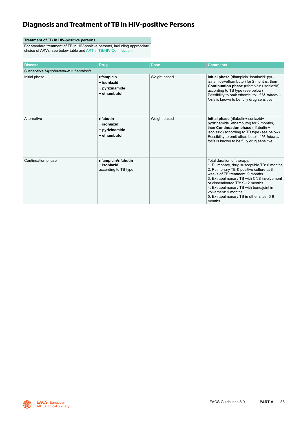# **Diagnosis and Treatment of TB in HIV-positive Persons**

# **Treatment of TB in HIV-positive persons**

For standard treatment of TB in HIV-positive persons, including appropriate choice of ARVs, see below table and [ART in TB/HIV Co-infection](#page-13-0)

| <b>Disease</b>                         | <b>Drug</b>                                                 | <b>Dose</b>  | <b>Comments</b>                                                                                                                                                                                                                                                                                                                                                  |
|----------------------------------------|-------------------------------------------------------------|--------------|------------------------------------------------------------------------------------------------------------------------------------------------------------------------------------------------------------------------------------------------------------------------------------------------------------------------------------------------------------------|
| Susceptible Mycobacterium tuberculosis |                                                             |              |                                                                                                                                                                                                                                                                                                                                                                  |
| Initial phase                          | rifampicin<br>+ isoniazid<br>+ pyrizinamide<br>+ ethambutol | Weight based | Initial phase (rifampicin+isoniazid+pyr-<br>izinamide+ethambutol) for 2 months, then<br>Continuation phase (rifampicin+isoniazid)<br>according to TB type (see below)<br>Possibility to omit ethambutol, if M. tubercu-<br>losis is known to be fully drug sensitive                                                                                             |
| Alternative                            | rifabutin<br>+ isoniazid<br>+ pyrizinamide<br>+ ethambutol  | Weight based | Initial phase (rifabutin+isoniazid+<br>pyrizinamide+ethambutol) for 2 months,<br>then Continuation phase (rifabutin +<br>isoniazid) according to TB type (see below)<br>Possibility to omit ethambutol, if M. tubercu-<br>losis is known to be fully drug sensitive                                                                                              |
| Continuation phase                     | rifampicin/rifabutin<br>+ isoniazid<br>according to TB type |              | Total duration of therapy:<br>1. Pulmonary, drug susceptible TB: 6 months<br>2. Pulmonary TB & positive culture at 8<br>weeks of TB treatment: 9 months<br>3. Extrapulmonary TB with CNS involvement<br>or disseminated TB: 9-12 months<br>4. Extrapulmonary TB with bone/joint in-<br>volvement: 9 months<br>5. Extrapulmonary TB in other sites: 6-9<br>months |

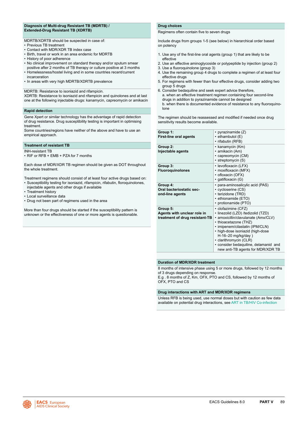# **Diagnosis of Multi-drug Resistant TB (MDRTB) / Extended-Drug Resistant TB (XDRTB)**

MDRTB/XDRTB should be suspected in case of:

- Previous TB treatment
- Contact with MDR/XDR TB index case
- Birth, travel or work in an area endemic for MDRTB
- History of poor adherence
- No clinical improvement on standard therapy and/or sputum smear positive after 2 months of TB therapy or culture positive at 3 months
- Homelessness/hostel living and in some countries recent/current incarceration
- In areas with very high MDRTB/XDRTB prevalence

MDRTB: Resistance to isoniazid and rifampicin.

XDRTB: Resistance to isoniazid and rifampicin and quinolones and at last one at the following injectable drugs: kanamycin, capreomycin or amikacin

#### **Rapid detection**

Gene Xpert or similar technology has the advantage of rapid detection of drug resistance. Drug susceptibility testing is important in optimising treatment.

Some countries/regions have neither of the above and have to use an empirical approach.

# **Treatment of resistant TB**

INH-resistant TB

• RIF or RFB + EMB + PZA for 7 months

Each dose of MDR/XDR TB regimen should be given as DOT throughout the whole treatment.

Treatment regimens should consist of at least four active drugs based on: • Susceptibility testing for isoniazid, rifampicin, rifabutin, floroquinolones,

- injectable agents and other drugs if available
- Treatment history
- Local surveillance data
- Drug not been part of regimens used in the area

More than four drugs should be started if the susceptibility pattern is unknown or the effectiveness of one or more agents is questionable.

# **Drug choices**

Regimens often contain five to seven drugs

Include drugs from groups 1-5 (see below) in hierarchical order based on potency

- 1. Use any of the first-line oral agents (group 1) that are likely to be effective
- 2. Use an effective aminoglycoside or polypeptide by injection (group 2)
- 3. Use a fluoroquinolone (group 3)
- 4. Use the remaining group 4 drugs to complete a regimen of at least four effective drugs
- 5. For regimens with fewer than four effective drugs, consider adding two group 5 drugs
- 6. Consider bedaquiline and seek expert advice therefore, a. when an effective treatment regimen containing four second-line drugs in addition to pyrazinamide cannot be designed b. when there is documented evidence of resistance to any fluoroquinolone

The regimen should be reassessed and modified if needed once drug sensitivity results become available.

| Group 1:<br><b>First-line oral agents</b>                                 | • pyrazinamide $(Z)$<br>$\cdot$ ethambutol (E)<br>· rifabutin (RFB)                                                                                                                                                                                                                                                            |
|---------------------------------------------------------------------------|--------------------------------------------------------------------------------------------------------------------------------------------------------------------------------------------------------------------------------------------------------------------------------------------------------------------------------|
| Group 2:<br>Injectable agents                                             | • kanamycin (Km)<br>• amikacin (Am)<br>• capreomycin (CM)<br>· streptomycin (S)                                                                                                                                                                                                                                                |
| Group 3:<br><b>Fluoroquinolones</b>                                       | · levofloxacin (LFX)<br>• moxifloxacin (MFX)<br>· ofloxacin (OFX)<br>· gatifloxacin (G)                                                                                                                                                                                                                                        |
| Group 4:<br>Oral bacteriostatic sec-<br>ond-line agents                   | · para-aminosalicylic acid (PAS)<br>• cycloserine (CS)<br>• terizidone (TRD)<br>· ethionamide (ETO)<br>• protionamide (PTO)                                                                                                                                                                                                    |
| Group 5:<br>Agents with unclear role in<br>treatment of drug resistant-TB | • clofazimine (CFZ)<br>· linezolid (LZD) /tedizolid (TZD)<br>· amoxicillin/clavulanate (Amx/CLV)<br>• thioacetazone (THZ)<br>· imipenem/cilastatin (IPM/CLN)<br>• high-dose isoniazid (high-dose<br>H-16-20 mg/kg/day)<br>• clarithromycin (CLR)<br>· consider bedaquiline, delamanid and<br>new anti-TB agents for MDR/XDR TB |

# **Duration of MDR/XDR treatment**

8 months of intensive phase using 5 or more drugs, followed by 12 months of 3 drugs depending on response.

E.g . 8 months of Z, Km, OFX, PTO and CS, followed by 12 months of OFX, PTO and CS

### **Drug interactions with ART and MDR/XDR regimens**

Unless RFB is being used, use normal doses but with caution as few data available on potential drug interactions, see [ART in TB/HIV Co-infection](#page-13-0)

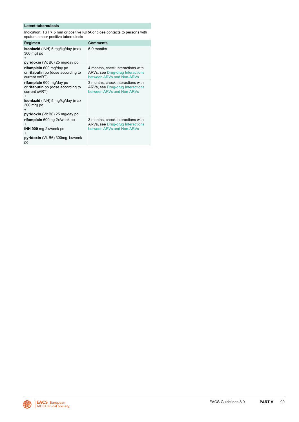# **Latent tuberculosis**

Indication: TST > 5 mm or positive IGRA or close contacts to persons with sputum smear positive tuberculosis

| Regimen                                                                                                                                                                                                      | Comments                                                                                           |
|--------------------------------------------------------------------------------------------------------------------------------------------------------------------------------------------------------------|----------------------------------------------------------------------------------------------------|
| isoniazid (INH) 5 mg/kg/day (max<br>300 mg) po<br>+<br>pyridoxin (Vit B6) 25 mg/day po                                                                                                                       | 6-9 months                                                                                         |
| rifampicin 600 mg/day po<br>or rifabutin po (dose according to<br>current cART)                                                                                                                              | 4 months, check interactions with<br>ARVs, see Drug-drug Interactions<br>between ARVs and Non-ARVs |
| rifampicin 600 mg/day po<br>or rifabutin po (dose according to<br>current cART)<br>$\ddot{}$<br><b>isoniazid</b> (INH) 5 mg/kg/day (max<br>300 mg) po<br>$\ddot{}$<br><b>pyridoxin</b> (Vit B6) 25 mg/day po | 3 months, check interactions with<br>ARVs, see Drug-drug Interactions<br>between ARVs and Non-ARVs |
| rifampicin 600mg 2x/week po<br>$\ddot{}$<br>INH 900 mg 2x/week po<br>$\ddot{}$<br>pyridoxin (Vit B6) 300mg 1x/week<br>po                                                                                     | 3 months, check interactions with<br>ARVs, see Drug-drug Interactions<br>between ARVs and Non-ARVs |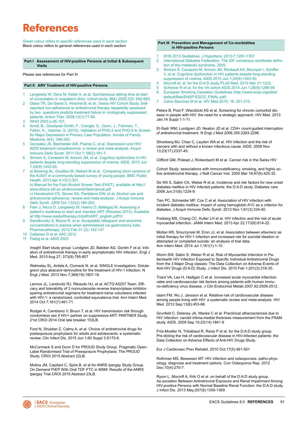# **References**

Green colour refers to specific references used in each section Black colour refers to general references used in each section

### **Part I Assessment of HIV-positive Persons at Initial & Subsequent Visits**

Please see references for Part III

### **Part II ARV Treatment of HIV-positive Persons**

- 1 Langewitz W, Denz M, Keller A, et al. Spontaneous talking time at start of consultation in outpatient clinic: cohort study. BMJ 2002;325: 682-683.
- 2 Glass TR, De Geest S, Hirschel B, et al.; Swiss HIV Cohort Study. Selfreported non-adherence to antiretroviral therapy repeatedly assessed by two questions predicts treatment failure in virologically suppressed patients. Antivir Ther. 2008;13(1):77-85.
- 3 WHO 2003 p.95-107.
- 4 Arroll, B., Goodyear-Smith, F., Crengle, S., Gunn, J., Fishman, T., Fallon, K., Hatcher, S. (2010). Validation of PHQ-2 and PHQ-9 to Screen for Major Depression in Primary Care Population. Annals of Family Medicine, 8(4), 348-353.
- 5 Gonzalez JS, Batchelder AW, Psaros C, et al. Depression and HIV/ AIDS treatment nonadherence: a review and meta-analysis. Acquir Immune Defic Syndr. 2011 Oct 1; 58(2):181-7.
- 6 Simioni S, Cavassini M, Annoni JM, et al. Cognitive dysfunction in HIV patients despite long-standing suppression of viremia. AIDS. 2010 Jun 1;24(9):1243-50.
- a) Bowring AL, Gouillou M, Hellard M et al. Comparing short versions of the AUDIT in a community-based survey of young people. BMC Public Health. 2013 Apr 4;13(1):301. b) Manual for the Fast Alcohol Screen Test (FAST), available at http:// www.dldocs.stir.ac.uk/documents/fastmanual.pdf c) Hendershot CS, Stoner SA, Pantalone DW, et al. Alcohol use and antiretroviral adherence: review and meta-analysis. J Acquir Immune
- Defic Syndr. 2009 Oct 1;52(2):180-202. 8 Fehr J, Nicca D, Langewitz W, Haerry D, Battegay M. Assessing a
- patient's readiness to start and maintain ART (Revision 2015). Available at http://www.ready4therapy.ch/pdf/cART\_english.pdf10
- 9 Sandkovsky S, Moore R, et al. Acceptable raltegravir and etravirine concentrations in plasma when administered via gastrostomy tube. Pharmacotherapy. 2012 Feb 31 (2); 142-147
- 10 Cattaneo D et al. AAC 2012
- 11 Fiebig et al. AIDS 2003

Insight Start study group: Lundgren JD, Babiker AG, Gordin F et al. Initiation of antiretroviral therapy in ear[ly](http://www.niaid.nih.gov/news/newsreleases/2015/Pages/START.aspx# ) asymptomatic HIV infection. Engl J Med. 2015 Aug 27; 373(9):795-807

Walmsley SL, Antela A, Clumeck N, et al. SINGLE Investigators. Dolutegravir plus abacavir-lamivudine for the treatment of HIV-1 infection. N Engl J Med. 2013 Nov 7;369(19):1807-18.

Lennox JL, Landovitz RJ, Ribaudo HJ, et al; ACTG A5257 Team. Efficacy and tolerability of 3 nonnucleoside reverse transcriptase inhibitorsparing antiretroviral regimens for treatment-naïve volunteers infected with HIV-1: a randomized, controlled equivalence trial. Ann Intern Med. 2014 Oct 7;161(7):461-71.

Rodger A, Cambiano V, Bruun T, et al. HIV transmission risk through condomless sex if HIV+ partner on suppressive ART: PARTNER Study. 21st CROI 2014 Oral late breaker 153LB.

Ford N, Shubber Z, Calmy A, et al. Choice of antiretroviral drugs for postexposure prophylaxis for adults and adolescents: a systematic review. Clin Infect Dis. 2015 Jun 1;60 Suppl 3:S170-6.

McCormack S and Dunn D for PROUD Study Group. Pragmatic Open-Label Randomised Trial of Preexposure Prophylaxis: The PROUD Study. CROI 2015 Abstract 22LB.

Molina JM, Capitant C, Spire B, et al for ANRS Ipergay Study Group. On Demand PrEP With Oral TDF-FTC in MSM: Results of the ANRS Ipergay Trial.CROI 2015 Abstract 23LB.

#### **Part III Prevention and Management of Co-morbidities in HIV-positive Persons**

1 EHS 2013 Guidelines, J.Hypertens; 2013:7:1281-1357

Ī

- 2 International Diabetes Federation. The IDF consensus worldwide definition of the metabolic syndrome. 2005.
- 3 Simioni S, Cavassini M, Annoni JM, Rimbault AA, Bourquin I, Schiffer V, et al. Cognitive dysfunction in HIV patients despite long-standing suppression of viremia. AIDS 2010 Jun 1;24(9):1243-50.
- 4 Mocroft et. al. for the D:A:D study PLoS Med. 2015 Mar 31;12(3)
- 5 Scherzer R et al. for the VA cohort.AIDS.2014 Jun 1;28(9):1289-95
- 6 European Smoking Cessation Guidelines (http://www.ensp.org/sites/ default/files/ENSP-ESCG\_FINAL.pdf)
- 7 Calvo-Sanchez M et al. HIV Med 2015; 16: 201-210.

Peters B, Post F, Wierzbicki AS et al. Screening for chronic comorbid disease in people with HIV: the need for a strategic approach. HIV Med. 2013 Jan;14 Suppl 1:1-11.

El-Sadr WM, Lundgren JD, Neaton JD et al. CD4+ count-guided interruption of antiretroviral treatment. N Engl J Med 2006,355:2283-2296.

Silverberg MJ, Chao C, Leyden WA et al. HIV infection and the risk of cancers with and without a known infectious cause. AIDS. 2009 Nov 13;23(17):2337-45.

Clifford GM, Polesel J, Rickenbach M et al. Cancer risk in the Swiss HIV

Cohort Study: associations with immunodeficiency, smoking, and highly active antiretroviral therapy. J Natl Cancer Inst. 2005 Mar 16;97(6):425-32.

De Wit S, Sabin CA, Weber R et al. Incidence and risk factors for new onset diabetes mellitus in HIV infected patients: the D:A:D study. Diabetes care 2008 Jun;31(6):1224-9.

Tien PC, Schneider MF, Cox C et al. Association of HIV infection with incident diabetes mellitus: impact of using hemoglobin A1C as a criterion for diabetes. J Acquir Immune Defic Syndr. 2012 Nov 1;61(3):334-40.

Freiberg MS, Chang CC, Kuller LH et al. HIV infection and the risk of acute myocardial infarction. JAMA Intern Med. 2013 Apr 22;173(8):614-22.

Mollan KR, Smurzynski M, Eron JJ, et al. Association between efavirenz as initial therapy for HIV-1 infection and increased risk for suicidal ideation or attempted or completed suicide: an analysis of trial data. Ann Intern Med. 2014 Jul 1;161(1):1-10.

Worm SW, Sabin S, Weber R et al. Risk of Myocardial Infarction in Patientswith HIV Infection Exposed to Specific Individual Antiretroviral Drugs from the 3 Major Drug classes: The Data Collection on Adverse Events of Anti-HIV Drugs (D:A:D) Study. J Infect Dis. 2010 Feb 1;201(3):318-30.

Triant VA, Lee H, Hadigan C et al. Increased acute myocardial infarction rates and cardiovascular risk factors among patients with human immuno-deficiency virus disease. J Clin Endocrinol Metab 2007,92:2506-2512.

Islam FM, Wu J, Jansson et al. Relative risk of cardiovascular disease among people living with HIV: a systematic review and meta-analysis. HIV Med. 2012 Sep;13(8):453-68.

Grunfeld C, Delaney JA, Wanke C et al. Preclinical atherosclerosis due to HIV infection: carotid intima-medial thickness measurement from the FRAM study. AIDS. 2009 Sep 10;23(14):1841-9

Friis-Moeller N, Thibébaut R, Reiss P et al. for the D:A:D study group. Pre-dicting the risk of cardiovascular disease in HIV-infected patients: the Data Collection on Adverse Effects of Anti-HIV Drugs Study.

Eur J Cardiovasc Prev Rehabil. 2010 Oct;17(5):491-501

Rothman MS, Bessesen MT. HIV infection and osteoporosis: patho-physiology, diagnosis and treatment options. Curr Osteoporos Rep. 2012 Dec;10(4):270-7.

Ryom L, Mocroft A, Kirk O et al. on behalf of the D:A:D study group. As-sociation Between Antiretroviral Exposure and Renal Impairment Among HIV-positive Persons with Normal Baseline Renal Function: the D:A:D study. J Infect Dis. 2013 May;207(9):1359-1369.

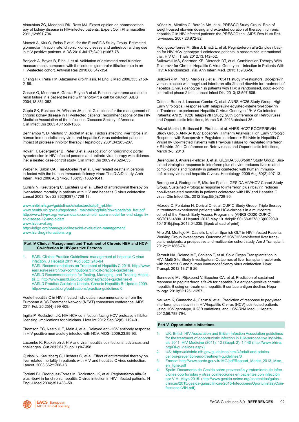<span id="page-92-0"></span>Alsauskas ZC, Medapalli RK, Ross MJ. Expert opinion on pharmacotherapy of kidney disease in HIV-infected patients. Expert Opin Pharmacother 2011,12:691-704.

Mocroft A, Kirk O, Reiss P et al. for the EuroSIDA Study Group. Estimated glomerular filtration rate, chronic kidney disease and antiretroviral drug use in HIV-positive patients. AIDS 2010 Jul 17;24(11):1667-78.

Bonjoch A, Bayes B, Riba J, et al. Validation of estimated renal function measurements compared with the isotopic glomerular filtration rate in an HIV-infected cohort. Antiviral Res 2010,88:347-354.

Chang HR, Pella PM. Atazanavir urolithiasis. N Engl J Med 2006,355:2158- 2159.

Gaspar G, Monereo A, Garcia-Reyne A et al. Fanconi syndrome and acute renal failure in a patient treated with tenofovir: a call for caution. AIDS 2004,18:351-352.

Gupta SK, Eustace JA, Winston JA, et al. Guidelines for the management of chronic kidney disease in HIV-infected patients: recommendations of the HIV Medicine Association of the Infectious Diseases Society of America. Clin Infect Dis 2005,40:1559-1585.

Benhamou Y, Di Martino V, Bochet M et al. Factors affecting liver fibrosis in human immunodeficiency virus-and hepatitis C virus-coinfected patients: impact of protease inhibitor therapy. Hepatology 2001,34:283-287.

Kovari H, Ledergerber B, Peter U et al. Association of noncirrhotic portal hypertension in HIV-infected persons and antiretroviral therapy with didanosine: a nested case-control study. Clin Infect Dis 2009,49:626-635.

Weber R, Sabin CA, Friis-Moeller N et al. Liver related deaths in persons in-fected with the human immunodeficiency virus: The D:A:D study. Arch Intern. Med 2006 Aug 14-28;166(15):1632-1641.

Qurishi N, Kreutzberg C, Lüchters G et al. Effect of antiretroviral therapy on liver-related mortality in patients with HIV and hepatitis C virus coinfection. Lancet 2003 Nov 22;362(9397):1708-13.

[www.nhlbi.nih.gov/guidelines/cholesterol/atp3\\_rpt.htm](http:// www.nhlbi.nih.gov/guidelines/cholesterol/atp3_rpt.htm )

[www.health.vic.gov.au/agedcare/ maintaining/falls/downloads/ph\\_frat.pdf](http:// www.health.vic.gov.au/agedcare/  maintaining/falls/downloads/ph_frat.pdf ) [http://www.hivpv.org/ www.mdcalc.com/meld- score-model-for-end-stage-liv](http://www.hivpv.org/ www.mdcalc.com/meld- score-model-for-end-stage-liver-disease-12-and-older/ )[er-disease-12-and-older/](http://www.hivpv.org/ www.mdcalc.com/meld- score-model-for-end-stage-liver-disease-12-and-older/ ) [www.hivtravel.org](http:// www.hivtravel.org )

[http://kdigo.org/home/guidelines/ckd-evaluation-management](http://kdigo.org/home/guidelines/ckd-evaluation-management ) [www.hiv-druginteractions.org](http://www.hiv-druginteractions.org )

#### **Part IV Clinical Management and Treatment of Chronic HBV and HCV-Co-infection in HIV-positive Persons**

1. EASL Clinical Practice Guidelines: management of hepatitis C virus infection. J Hepatol 2011 Aug;55(2):245-64 EASL Recommendations on Treatment of Hepatitis C 2015. [http://www.](http://www.easl.eu/research/our-contributions/clinical-practice-guidelines) [easl.eu/research/our-contributions/clinical-practice-guidelines](http://www.easl.eu/research/our-contributions/clinical-practice-guidelines) AASLD Recommendations for Testing, Managing, and Treating Hepatitis C. <http://www.aasld.org/publications/practice-guidelines-0> AASLD Practice Guideline Update. Chronic Hepatitis B: Update 2009. [http://www.aasld.org/publications/practice-guidelines-0](http://www.aasld.org/publications/practice-guidelines-0 )

Acute hepatitis C in HIV-infected individuals: recommendations from the European AIDS Treatment Network (NEAT) consensus conference. AIDS 2011 Feb 20;25(4):399-409.

Ingiliz P, Rockstroh JK. HIV-HCV co-infection facing HCV protease inhibitor licensing: implications for clinicians. Liver Int 2012 Sep;32(8): 1194-9.

Thomson EC, Nastouli E, Main J, et al. Delayed anti-HCV antibody response in HIV-positive men acutely infected with HCV. AIDS. 2009;23:89-93.

Lacombe K, Rockstroh J. HIV and viral hepatitis coinfections: advances and challenges. Gut 2012;61(Suppl 1):i47-i58.

Qurishi N, Kreuzberg C, Lüchters G, et al. Effect of antiretroviral therapy on liver-related mortality in patients with HIV and hepatitis C virus coinfection. Lancet. 2003;362:1708-13.

Torriani FJ, Rodriguez-Torres M, Rockstroh JK, et al. Peginterferon alfa-2a plus ribavirin for chronic hepatitis C virus infection in HIV infected patients. N Engl J Med 2004;351:438–50.

Núñez M, Miralles C, Berdún MA, et al. PRESCO Study Group. Role of weight-based ribavirin dosing and extended duration of therapy in chronic hepatitis C in HIV-infected patients: the PRESCO trial. AIDS Res Hum Retro-viruses. 2007;23:972-82.

Rodriguez-Torres M, Slim J, Bhatti L, et al. Peginterferon alfa-2a plus ribavirin for HIV-HCV genotype 1 coinfected patients: a randomized international trial. HIV Clin Trials 2012;13:142–52.

Sulkowski MS, Sherman KE, Dieterich DT, et al. Combination Therapy With Telaprevir for Chronic Hepatitis C Virus Genotype 1 Infection in Patients With HIV: A Randomized Trial. Ann Intern Med. 2013;159:86-96.

Sulkowski M, Pol S, Mallolas J et al. P05411 study investigators. Boceprevir versus placebo with pegylated interferon alfa-2b and ribavirin for treatment of hepatitis C virus genotype 1 in patients with HIV: a randomised, double-blind, controlled phase 2 trial. Lancet Infect Dis. 2013;13:597-605.

Cotte L, Braun J, Lascoux-Combe C, et al. ANRS HC26 Study Group. High Early Virological Response with Telaprevir-Pegylated-Interferon-Ribavirin in Treatment-experienced Hepatitis C Virus Genotype 1/HIV Co-infected Patients: ANRS HC26 TelapreVIH Study. 20th Conference on Retroviruses and Opportunistic Infections, March 3-6, 2013;abstract 36.

Poizot-Martin I, Bellissant E, Piroth L, et al. ANRS-HC27 BOCEPREVIH Study Group. ANRS-HC27 BocepreVIH Interim Analysis: High Early Virologic Response with Boceprevir + Pegylated Interferon + Ribivirin in Hepatitis C Virus/HIV Co-infected Patients with Previous Failure to Pegylated Interferon + Ribivirin. 20th Conference on Retroviruses and Opportunistic Infections, March 3-6, 2013

Berenguer J, Alvarez-Pellicer J, et al. GESIDA 3603/5607 Study Group. Sustained virological response to interferon plus ribavirin reduces liver-related complications and mortality in patients coinfected with human immunodefi-ciency virus and hepatitis C virus. Hepatology. 2009 Aug;50(2):407-13.

Berenguer J, Rodríguez E, Miralles P, et al. GESIDA HIV/HCV Cohort Study Group. Sustained virological response to interferon plus ribavirin reduces non-liver-related mortality in patients coinfected with HIV and Hepatitis C virus. Clin Infect Dis. 2012 Sep;55(5):728-36.

Hézode C, Fontaine H, Dorival C, et al. CUPIC Study Group. Triple therapy in treatment-experienced patients with HCV-cirrhosis in a multicentre cohort of the French Early Access Programme (ANRS CO20-CUPIC) NCT01514890. J Hepatol. 2013 May 10. doi:pii: S0168-8278(13)00290-0. 10.1016/j.jhep.2013.04.035. [Epub ahead of print]

Miro JM, Montejo M, Castells L, et al. Spanish OLT in HIV-Infected Patients Working Group investigators. Outcome of HCV/HIV-coinfected liver transplant recipients: a prospective and multicenter cohort study. Am J Transplant. 2012;12:1866-76.

Terrault NA, Roland ME, Schiano T, et al. Solid Organ Transplantation in HIV: Multi-Site Study Investigators. Outcomes of liver transplant recipi-ents with hepatitis C and human immunodeficiency virus coinfection. Liver Transpl. 2012;18:716-26.

Sonneveld MJ, Rijckborst V, Boucher CA, et al. Prediction of sustained response to peginterferon alfa-2b for hepatitis B e antigen-positive chronic hepatitis B using on-treatment hepatitis B surface antigen decline. Hepatol-ogy. 2010;52:1251-1257.

Neukam K, Camacho A, Caruz A, et al. Prediction of response to pegylated interferon plus ribavirin in HIV/hepatitis C virus (HCV)-coinfected patients using HCV genotype, IL28B variations, and HCV-RNA load. J Hepatol. 2012;56:788-794.

### **Part V Opportunistic Infections**

Ī

- 1. UK: British HIV Association and British Infection Association guidelines for the treatment of opportunistic infection in HIV-seropositive individuals 2011. HIV Medicine (2011), 12 (Suppl. 2), 1-140 (http:/[/www.bhiva.](http://www.bhiva.org/OI-guidelines.aspx) [org/OI-guidelines.aspx\)](http://www.bhiva.org/OI-guidelines.aspx)
- 2. US: [https://aidsinfo.nih.gov/guidelines/html/4/adult-and-adoles](https://aidsinfo.nih.gov/guidelines/html/4/adult-and-adolescent-oi-prevention-and-treatment-guidelin)[cent-oi-prevention-and-treatment-guidelines/0](https://aidsinfo.nih.gov/guidelines/html/4/adult-and-adolescent-oi-prevention-and-treatment-guidelin)
- 3. France: http://www.sante.gouv.fr/IMG/pdf/Rapport\_Morlat\_2013\_Mise\_ en\_ligne.pdf
- 4. Spain: Documento de Gesida sobre prevención y tratamiento de infecciones oportunistas y otras coinfecciones en pacientes con infección por VIH. Mayo 2015. [\(http://www.gesida-seimc.org/contenidos/guias](http://www.gesida-seimc.org/contenidos/guiasclinicas/2015/gesida-guiasclinicas-2015-InfeccionesOport)[clinicas/2015/gesida-guiasclinicas-2015-InfeccionesOportunistasyCoin](http://www.gesida-seimc.org/contenidos/guiasclinicas/2015/gesida-guiasclinicas-2015-InfeccionesOport)[feccionesVIH.pdf\)](http://www.gesida-seimc.org/contenidos/guiasclinicas/2015/gesida-guiasclinicas-2015-InfeccionesOport)



Ī